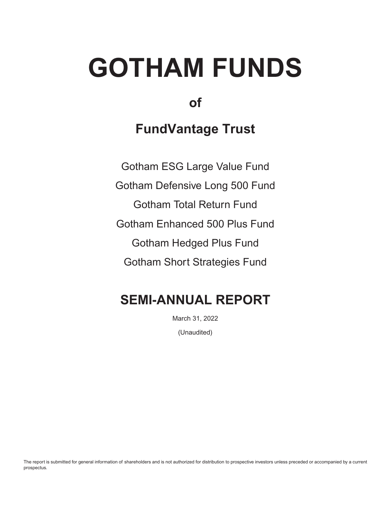# **GOTHAM FUNDS**

# **of**

# **FundVantage Trust**

Gotham ESG Large Value Fund Gotham Defensive Long 500 Fund Gotham Total Return Fund Gotham Enhanced 500 Plus Fund Gotham Hedged Plus Fund Gotham Short Strategies Fund

# **SEMI-ANNUAL REPORT**

March 31, 2022 (Unaudited)

The report is submitted for general information of shareholders and is not authorized for distribution to prospective investors unless preceded or accompanied by a current prospectus.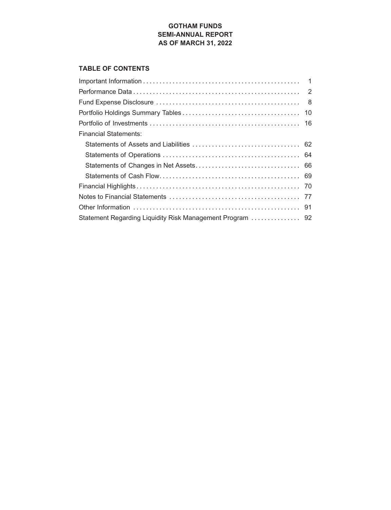### **GOTHAM FUNDS SEMI-ANNUAL REPORT AS OF MARCH 31, 2022**

### **TABLE OF CONTENTS**

| <b>Financial Statements:</b> |  |
|------------------------------|--|
|                              |  |
|                              |  |
|                              |  |
|                              |  |
|                              |  |
|                              |  |
|                              |  |
|                              |  |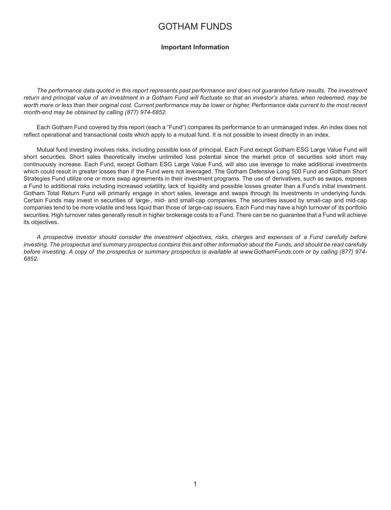### GOTHAM FUNDS

#### **Important Information**

<span id="page-2-0"></span>*The performance data quoted in this report represents past performance and does not guarantee future results. The investment return and principal value of an investment in a Gotham Fund will fluctuate so that an investor's shares, when redeemed, may be worth more or less than their original cost. Current performance may be lower or higher. Performance data current to the most recent month-end may be obtained by calling (877) 974-6852.*

Each Gotham Fund covered by this report (each a ″Fund″) compares its performance to an unmanaged index. An index does not reflect operational and transactional costs which apply to a mutual fund. It is not possible to invest directly in an index.

Mutual fund investing involves risks, including possible loss of principal. Each Fund except Gotham ESG Large Value Fund will short securities. Short sales theoretically involve unlimited loss potential since the market price of securities sold short may continuously increase. Each Fund, except Gotham ESG Large Value Fund, will also use leverage to make additional investments which could result in greater losses than if the Fund were not leveraged. The Gotham Defensive Long 500 Fund and Gotham Short Strategies Fund utilize one or more swap agreements in their investment programs. The use of derivatives, such as swaps, exposes a Fund to additional risks including increased volatility, lack of liquidity and possible losses greater than a Fund's initial investment. Gotham Total Return Fund will primarily engage in short sales, leverage and swaps through its investments in underlying funds. Certain Funds may invest in securities of large-, mid- and small-cap companies. The securities issued by small-cap and mid-cap companies tend to be more volatile and less liquid than those of large-cap issuers. Each Fund may have a high turnover of its portfolio securities. High turnover rates generally result in higher brokerage costs to a Fund. There can be no guarantee that a Fund will achieve its objectives.

*A prospective investor should consider the investment objectives, risks, charges and expenses of a Fund carefully before investing. The prospectus and summary prospectus contains this and other information about the Funds, and should be read carefully before investing. A copy of the prospectus or summary prospectus is available at www.GothamFunds.com or by calling (877) 974- 6852.*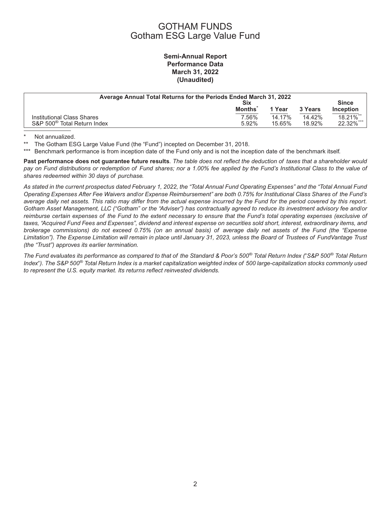### GOTHAM FUNDS Gotham ESG Large Value Fund

### **Semi-Annual Report Performance Data March 31, 2022 (Unaudited)**

<span id="page-3-0"></span>

| Average Annual Total Returns for the Periods Ended March 31, 2022 |               |        |         |                  |  |
|-------------------------------------------------------------------|---------------|--------|---------|------------------|--|
|                                                                   | Six           |        |         | <b>Since</b>     |  |
|                                                                   | <b>Months</b> | 1 Year | 3 Years | <b>Inception</b> |  |
| Institutional Class Shares                                        | 7.56%         | 14.17% | 14.42%  | 18.21%**         |  |
| S&P 500 <sup>®</sup> Total Return Index                           | 5.92%         | 15.65% | 18.92%  | 22.32%***        |  |

\* Not annualized.

The Gotham ESG Large Value Fund (the "Fund") incepted on December 31, 2018.

\*\*\* Benchmark performance is from inception date of the Fund only and is not the inception date of the benchmark itself.

**Past performance does not guarantee future results**. *The table does not reflect the deduction of taxes that a shareholder would pay on Fund distributions or redemption of Fund shares; nor a 1.00% fee applied by the Fund's Institutional Class to the value of shares redeemed within 30 days of purchase.*

*As stated in the current prospectus dated February 1, 2022, the "Total Annual Fund Operating Expenses" and the "Total Annual Fund Operating Expenses After Fee Waivers and/or Expense Reimbursement" are both 0.75% for Institutional Class Shares of the Fund's average daily net assets. This ratio may differ from the actual expense incurred by the Fund for the period covered by this report. Gotham Asset Management, LLC ("Gotham" or the "Adviser") has contractually agreed to reduce its investment advisory fee and/or reimburse certain expenses of the Fund to the extent necessary to ensure that the Fund's total operating expenses (exclusive of taxes, "Acquired Fund Fees and Expenses", dividend and interest expense on securities sold short, interest, extraordinary items, and brokerage commissions) do not exceed 0.75% (on an annual basis) of average daily net assets of the Fund (the "Expense Limitation"). The Expense Limitation will remain in place until January 31, 2023, unless the Board of Trustees of FundVantage Trust (the "Trust") approves its earlier termination.*

*The Fund evaluates its performance as compared to that of the Standard & Poor's 500® Total Return Index (*-*S&P 500® Total Return Index*-*). The S&P 500® Total Return Index is a market capitalization weighted index of 500 large-capitalization stocks commonly used to represent the U.S. equity market. Its returns reflect reinvested dividends.*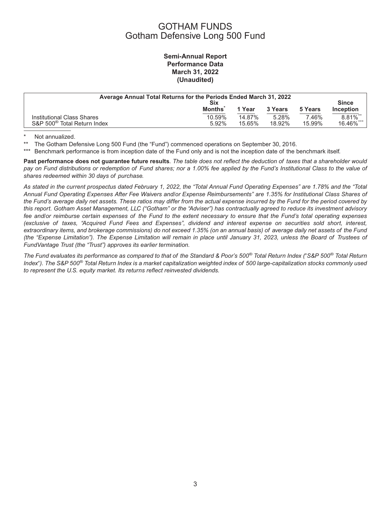### GOTHAM FUNDS Gotham Defensive Long 500 Fund

### **Semi-Annual Report Performance Data March 31, 2022 (Unaudited)**

| Average Annual Total Returns for the Periods Ended March 31, 2022<br>Six |                 |                  |                 |                 | <b>Since</b>               |
|--------------------------------------------------------------------------|-----------------|------------------|-----------------|-----------------|----------------------------|
|                                                                          | <b>Months</b>   | 1 Year           | 3 Years         | 5 Years         | <b>Inception</b>           |
| Institutional Class Shares<br>S&P 500 <sup>®</sup> Total Return Index    | 10.59%<br>5.92% | 14.87%<br>15.65% | 5.28%<br>18.92% | 7.46%<br>15.99% | $8.81\%$ ***<br>16.46% *** |

\* Not annualized.

The Gotham Defensive Long 500 Fund (the "Fund") commenced operations on September 30, 2016.

\*\*\* Benchmark performance is from inception date of the Fund only and is not the inception date of the benchmark itself.

**Past performance does not guarantee future results**. *The table does not reflect the deduction of taxes that a shareholder would pay on Fund distributions or redemption of Fund shares; nor a 1.00% fee applied by the Fund's Institutional Class to the value of shares redeemed within 30 days of purchase.*

*As stated in the current prospectus dated February 1, 2022, the "Total Annual Fund Operating Expenses" are 1.78% and the "Total Annual Fund Operating Expenses After Fee Waivers and/or Expense Reimbursements" are 1.35% for Institutional Class Shares of the Fund's average daily net assets. These ratios may differ from the actual expense incurred by the Fund for the period covered by this report. Gotham Asset Management, LLC ("Gotham" or the "Adviser") has contractually agreed to reduce its investment advisory fee and/or reimburse certain expenses of the Fund to the extent necessary to ensure that the Fund's total operating expenses (exclusive of taxes, "Acquired Fund Fees and Expenses", dividend and interest expense on securities sold short, interest, extraordinary items, and brokerage commissions) do not exceed 1.35% (on an annual basis) of average daily net assets of the Fund (the "Expense Limitation"). The Expense Limitation will remain in place until January 31, 2023, unless the Board of Trustees of FundVantage Trust (the "Trust") approves its earlier termination.*

*The Fund evaluates its performance as compared to that of the Standard & Poor's 500® Total Return Index (*-*S&P 500® Total Return Index*-*). The S&P 500® Total Return Index is a market capitalization weighted index of 500 large-capitalization stocks commonly used to represent the U.S. equity market. Its returns reflect reinvested dividends.*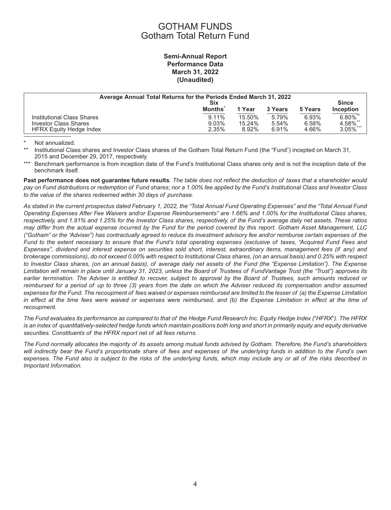### GOTHAM FUNDS Gotham Total Return Fund

### **Semi-Annual Report Performance Data March 31, 2022 (Unaudited)**

| Average Annual Total Returns for the Periods Ended March 31, 2022<br>Six |               |        |         |         | <b>Since</b>     |
|--------------------------------------------------------------------------|---------------|--------|---------|---------|------------------|
|                                                                          | <b>Months</b> | 1 Year | 3 Years | 5 Years | <b>Inception</b> |
| Institutional Class Shares                                               | $9.11\%$      | 15.50% | 5.79%   | 6.93%   | $6.80\%$ **      |
| <b>Investor Class Shares</b>                                             | 9.03%         | 15.24% | 5.54%   | 6.58%   | 4.58%            |
| <b>HFRX Equity Hedge Index</b>                                           | 2.35%         | 8.92%  | 6.91%   | 4.66%   | $3.05\%$ ***     |

Not annualized.

Institutional Class shares and Investor Class shares of the Gotham Total Return Fund (the "Fund") incepted on March 31, 2015 and December 29, 2017, respectively.

\*\*\* Benchmark performance is from inception date of the Fund's Institutional Class shares only and is not the inception date of the benchmark itself.

**Past performance does not guarantee future results**. *The table does not reflect the deduction of taxes that a shareholder would pay on Fund distributions or redemption of Fund shares; nor a 1.00% fee applied by the Fund's Institutional Class and Investor Class to the value of the shares redeemed within 30 days of purchase.*

*As stated in the current prospectus dated February 1, 2022, the "Total Annual Fund Operating Expenses" and the "Total Annual Fund Operating Expenses After Fee Waivers and/or Expense Reimbursements" are 1.66% and 1.00% for the Institutional Class shares, respectively, and 1.91% and 1.25% for the Investor Class shares, respectively, of the Fund's average daily net assets. These ratios may differ from the actual expense incurred by the Fund for the period covered by this report. Gotham Asset Management, LLC ("Gotham" or the "Adviser") has contractually agreed to reduce its investment advisory fee and/or reimburse certain expenses of the Fund to the extent necessary to ensure that the Fund's total operating expenses (exclusive of taxes, "Acquired Fund Fees and Expenses", dividend and interest expense on securities sold short, interest, extraordinary items, management fees (if any) and brokerage commissions), do not exceed 0.00% with respect to Institutional Class shares, (on an annual basis) and 0.25% with respect to Investor Class shares, (on an annual basis), of average daily net assets of the Fund (the "Expense Limitation"). The Expense Limitation will remain in place until January 31, 2023, unless the Board of Trustees of FundVantage Trust (the "Trust") approves its earlier termination. The Adviser is entitled to recover, subject to approval by the Board of Trustees, such amounts reduced or reimbursed for a period of up to three (3) years from the date on which the Adviser reduced its compensation and/or assumed expenses for the Fund. The recoupment of fees waived or expenses reimbursed are limited to the lesser of (a) the Expense Limitation in effect at the time fees were waived or expenses were reimbursed, and (b) the Expense Limitation in effect at the time of recoupment.*

The Fund evaluates its performance as compared to that of the Hedge Fund Research Inc. Equity Hedge Index ("HFRX"). The HFRX *is an index of quantitatively-selected hedge funds which maintain positions both long and short in primarily equity and equity derivative securities. Constituents of the HFRX report net of all fees returns.*

*The Fund normally allocates the majority of its assets among mutual funds advised by Gotham. Therefore, the Fund's shareholders will indirectly bear the Fund's proportionate share of fees and expenses of the underlying funds in addition to the Fund's own expenses. The Fund also is subject to the risks of the underlying funds, which may include any or all of the risks described in Important Information.*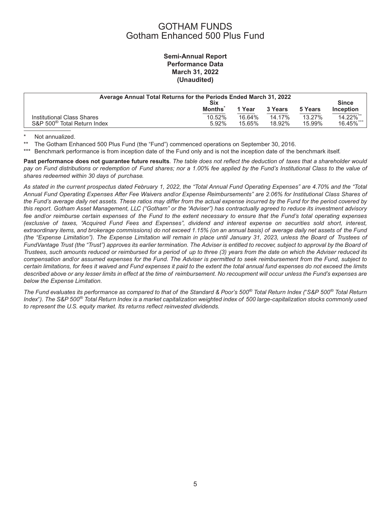### GOTHAM FUNDS Gotham Enhanced 500 Plus Fund

### **Semi-Annual Report Performance Data March 31, 2022 (Unaudited)**

| Average Annual Total Returns for the Periods Ended March 31, 2022 |               |        |         |         |                  |
|-------------------------------------------------------------------|---------------|--------|---------|---------|------------------|
|                                                                   | Six           |        |         |         | <b>Since</b>     |
|                                                                   | <b>Months</b> | 1 Year | 3 Years | 5 Years | <b>Inception</b> |
| Institutional Class Shares                                        | 10.52%        | 16.64% | 14.17%  | 13.27%  | 14.22%**         |
| S&P 500 <sup>®</sup> Total Return Index                           | 5.92%         | 15.65% | 18.92%  | 15.99%  | 16.45%***        |

\* Not annualized.<br>\*\* The Gotham En

The Gotham Enhanced 500 Plus Fund (the "Fund") commenced operations on September 30, 2016.

\*\*\* Benchmark performance is from inception date of the Fund only and is not the inception date of the benchmark itself.

**Past performance does not guarantee future results**. *The table does not reflect the deduction of taxes that a shareholder would pay on Fund distributions or redemption of Fund shares; nor a 1.00% fee applied by the Fund's Institutional Class to the value of shares redeemed within 30 days of purchase.*

*As stated in the current prospectus dated February 1, 2022, the "Total Annual Fund Operating Expenses" are 4.70% and the "Total Annual Fund Operating Expenses After Fee Waivers and/or Expense Reimbursements" are 2.06% for Institutional Class Shares of the Fund's average daily net assets. These ratios may differ from the actual expense incurred by the Fund for the period covered by this report. Gotham Asset Management, LLC ("Gotham" or the "Adviser") has contractually agreed to reduce its investment advisory fee and/or reimburse certain expenses of the Fund to the extent necessary to ensure that the Fund's total operating expenses (exclusive of taxes, "Acquired Fund Fees and Expenses", dividend and interest expense on securities sold short, interest, extraordinary items, and brokerage commissions) do not exceed 1.15% (on an annual basis) of average daily net assets of the Fund (the "Expense Limitation"). The Expense Limitation will remain in place until January 31, 2023, unless the Board of Trustees of FundVantage Trust (the "Trust") approves its earlier termination. The Adviser is entitled to recover, subject to approval by the Board of Trustees, such amounts reduced or reimbursed for a period of up to three (3) years from the date on which the Adviser reduced its compensation and/or assumed expenses for the Fund. The Adviser is permitted to seek reimbursement from the Fund, subject to certain limitations, for fees it waived and Fund expenses it paid to the extent the total annual fund expenses do not exceed the limits described above or any lesser limits in effect at the time of reimbursement. No recoupment will occur unless the Fund's expenses are below the Expense Limitation.*

*The Fund evaluates its performance as compared to that of the Standard & Poor's 500® Total Return Index (*-*S&P 500® Total Return Index*-*). The S&P 500® Total Return Index is a market capitalization weighted index of 500 large-capitalization stocks commonly used to represent the U.S. equity market. Its returns reflect reinvested dividends.*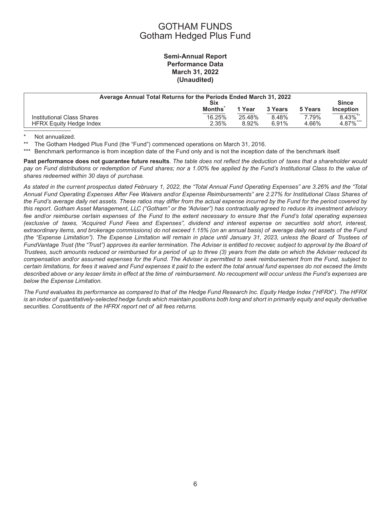### GOTHAM FUNDS Gotham Hedged Plus Fund

### **Semi-Annual Report Performance Data March 31, 2022 (Unaudited)**

| Average Annual Total Returns for the Periods Ended March 31, 2022<br>Six |                 |                 |                |                | <b>Since</b>            |
|--------------------------------------------------------------------------|-----------------|-----------------|----------------|----------------|-------------------------|
|                                                                          | <b>Months</b>   | 1 Year          | 3 Years        | 5 Years        | <b>Inception</b>        |
| Institutional Class Shares<br><b>HFRX Equity Hedge Index</b>             | 16.25%<br>2.35% | 25.48%<br>8.92% | 8.48%<br>6.91% | 7.79%<br>4.66% | $8.43\%$ **<br>4.87%*** |

\* Not annualized.

The Gotham Hedged Plus Fund (the "Fund") commenced operations on March 31, 2016.

\*\*\* Benchmark performance is from inception date of the Fund only and is not the inception date of the benchmark itself.

**Past performance does not guarantee future results**. *The table does not reflect the deduction of taxes that a shareholder would pay on Fund distributions or redemption of Fund shares; nor a 1.00% fee applied by the Fund's Institutional Class to the value of shares redeemed within 30 days of purchase.*

*As stated in the current prospectus dated February 1, 2022, the "Total Annual Fund Operating Expenses" are 3.26% and the "Total Annual Fund Operating Expenses After Fee Waivers and/or Expense Reimbursements" are 2.27% for Institutional Class Shares of the Fund's average daily net assets. These ratios may differ from the actual expense incurred by the Fund for the period covered by this report. Gotham Asset Management, LLC ("Gotham" or the "Adviser") has contractually agreed to reduce its investment advisory fee and/or reimburse certain expenses of the Fund to the extent necessary to ensure that the Fund's total operating expenses (exclusive of taxes, "Acquired Fund Fees and Expenses", dividend and interest expense on securities sold short, interest, extraordinary items, and brokerage commissions) do not exceed 1.15% (on an annual basis) of average daily net assets of the Fund (the "Expense Limitation"). The Expense Limitation will remain in place until January 31, 2023, unless the Board of Trustees of FundVantage Trust (the "Trust") approves its earlier termination. The Adviser is entitled to recover, subject to approval by the Board of Trustees, such amounts reduced or reimbursed for a period of up to three (3) years from the date on which the Adviser reduced its compensation and/or assumed expenses for the Fund. The Adviser is permitted to seek reimbursement from the Fund, subject to certain limitations, for fees it waived and Fund expenses it paid to the extent the total annual fund expenses do not exceed the limits described above or any lesser limits in effect at the time of reimbursement. No recoupment will occur unless the Fund's expenses are below the Expense Limitation.*

The Fund evaluates its performance as compared to that of the Hedge Fund Research Inc. Equity Hedge Index ("HFRX"). The HFRX *is an index of quantitatively-selected hedge funds which maintain positions both long and short in primarily equity and equity derivative securities. Constituents of the HFRX report net of all fees returns.*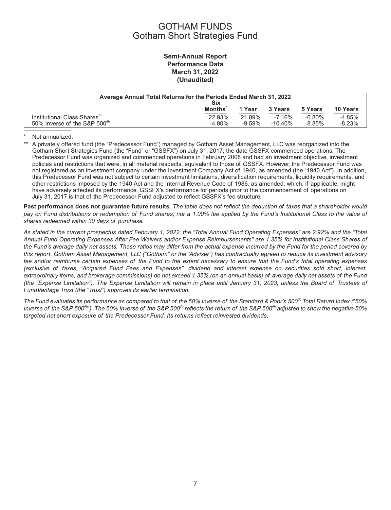### GOTHAM FUNDS Gotham Short Strategies Fund

### **Semi-Annual Report Performance Data March 31, 2022 (Unaudited)**

| Average Annual Total Returns for the Periods Ended March 31, 2022<br>Six           |                    |                     |                        |                      |                      |
|------------------------------------------------------------------------------------|--------------------|---------------------|------------------------|----------------------|----------------------|
|                                                                                    | <b>Months</b>      | 1 Year              | 3 Years                | 5 Years              | 10 Years             |
| Institutional Class Shares <sup>®</sup><br>50% Inverse of the S&P 500 <sup>®</sup> | 22.93%<br>$-4.80%$ | 21.09%<br>$-9.59\%$ | $-7.16%$<br>$-10.40\%$ | $-6.80%$<br>$-8.85%$ | $-4.85%$<br>$-8.23%$ |

#### Not annualized.

A privately offered fund (the "Predecessor Fund") managed by Gotham Asset Management, LLC was reorganized into the Gotham Short Strategies Fund (the "Fund" or "GSSFX") on July 31, 2017, the date GSSFX commenced operations. The Predecessor Fund was organized and commenced operations in February 2008 and had an investment objective, investment policies and restrictions that were, in all material respects, equivalent to those of GSSFX. However, the Predecessor Fund was not registered as an investment company under the Investment Company Act of 1940, as amended (the "1940 Act"). In addition, this Predecessor Fund was not subject to certain investment limitations, diversification requirements, liquidity requirements, and other restrictions imposed by the 1940 Act and the Internal Revenue Code of 1986, as amended, which, if applicable, might have adversely affected its performance. GSSFX's performance for periods prior to the commencement of operations on July 31, 2017 is that of the Predecessor Fund adjusted to reflect GSSFX's fee structure.

**Past performance does not guarantee future results**. *The table does not reflect the deduction of taxes that a shareholder would pay on Fund distributions or redemption of Fund shares; nor a 1.00% fee applied by the Fund's Institutional Class to the value of shares redeemed within 30 days of purchase.*

*As stated in the current prospectus dated February 1, 2022, the "Total Annual Fund Operating Expenses" are 2.92% and the "Total Annual Fund Operating Expenses After Fee Waivers and/or Expense Reimbursements" are 1.35% for Institutional Class Shares of the Fund's average daily net assets. These ratios may differ from the actual expense incurred by the Fund for the period covered by this report. Gotham Asset Management, LLC ("Gotham" or the "Adviser") has contractually agreed to reduce its investment advisory fee and/or reimburse certain expenses of the Fund to the extent necessary to ensure that the Fund's total operating expenses (exclusive of taxes, "Acquired Fund Fees and Expenses", dividend and interest expense on securities sold short, interest, extraordinary items, and brokerage commissions) do not exceed 1.35% (on an annual basis) of average daily net assets of the Fund (the "Expense Limitation"). The Expense Limitation will remain in place until January 31, 2023, unless the Board of Trustees of FundVantage Trust (the "Trust") approves its earlier termination.*

*The Fund evaluates its performance as compared to that of the 50% Inverse of the Standard & Poor's 500® Total Return Index (*-*50% Inverse of the S&P 500®*-*). The 50% Inverse of the S&P 500® reflects the return of the S&P 500® adjusted to show the negative 50% targeted net short exposure of the Predecessor Fund. Its returns reflect reinvested dividends*.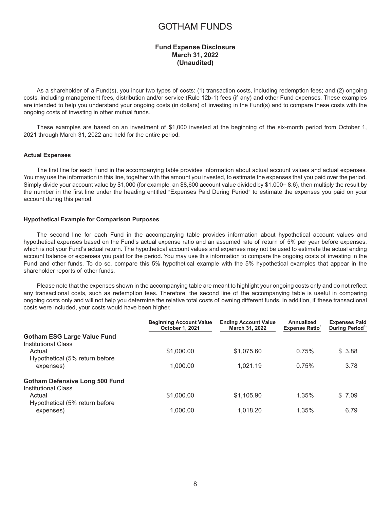### GOTHAM FUNDS

#### **Fund Expense Disclosure March 31, 2022 (Unaudited)**

<span id="page-9-0"></span>As a shareholder of a Fund(s), you incur two types of costs: (1) transaction costs, including redemption fees; and (2) ongoing costs, including management fees, distribution and/or service (Rule 12b-1) fees (if any) and other Fund expenses. These examples are intended to help you understand your ongoing costs (in dollars) of investing in the Fund(s) and to compare these costs with the ongoing costs of investing in other mutual funds.

These examples are based on an investment of \$1,000 invested at the beginning of the six-month period from October 1, 2021 through March 31, 2022 and held for the entire period.

#### **Actual Expenses**

The first line for each Fund in the accompanying table provides information about actual account values and actual expenses. You may use the information in this line, together with the amount you invested, to estimate the expenses that you paid over the period. Simply divide your account value by \$1,000 (for example, an \$8,600 account value divided by \$1,000= 8.6), then multiply the result by the number in the first line under the heading entitled "Expenses Paid During Period" to estimate the expenses you paid on your account during this period.

#### **Hypothetical Example for Comparison Purposes**

The second line for each Fund in the accompanying table provides information about hypothetical account values and hypothetical expenses based on the Fund's actual expense ratio and an assumed rate of return of 5% per year before expenses, which is not your Fund's actual return. The hypothetical account values and expenses may not be used to estimate the actual ending account balance or expenses you paid for the period. You may use this information to compare the ongoing costs of investing in the Fund and other funds. To do so, compare this 5% hypothetical example with the 5% hypothetical examples that appear in the shareholder reports of other funds.

Please note that the expenses shown in the accompanying table are meant to highlight your ongoing costs only and do not reflect any transactional costs, such as redemption fees. Therefore, the second line of the accompanying table is useful in comparing ongoing costs only and will not help you determine the relative total costs of owning different funds. In addition, if these transactional costs were included, your costs would have been higher.

|                                                                     | <b>Beginning Account Value</b><br><b>October 1, 2021</b> | <b>Ending Account Value</b><br>March 31, 2022 | Annualized<br><b>Expense Ratio</b> | <b>Expenses Paid</b><br>During Period" |
|---------------------------------------------------------------------|----------------------------------------------------------|-----------------------------------------------|------------------------------------|----------------------------------------|
| <b>Gotham ESG Large Value Fund</b><br>Institutional Class           |                                                          |                                               |                                    |                                        |
| Actual<br>Hypothetical (5% return before                            | \$1,000.00                                               | \$1,075,60                                    | 0.75%                              | \$3.88                                 |
| expenses)                                                           | 1.000.00                                                 | 1.021.19                                      | 0.75%                              | 3.78                                   |
| <b>Gotham Defensive Long 500 Fund</b><br><b>Institutional Class</b> |                                                          |                                               |                                    |                                        |
| Actual<br>Hypothetical (5% return before                            | \$1,000.00                                               | \$1.105.90                                    | 1.35%                              | \$7.09                                 |
| expenses)                                                           | 1.000.00                                                 | 1.018.20                                      | 1.35%                              | 6.79                                   |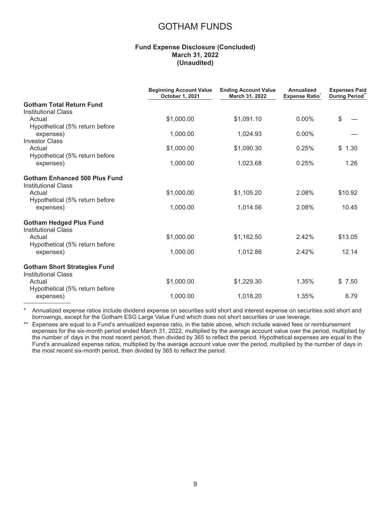### GOTHAM FUNDS

#### **Fund Expense Disclosure (Concluded) March 31, 2022 (Unaudited)**

|                                                                   | <b>Beginning Account Value</b><br>October 1, 2021 | <b>Ending Account Value</b><br>March 31, 2022 | Annualized<br><b>Expense Ratio</b> | <b>Expenses Paid</b><br>During Period" |
|-------------------------------------------------------------------|---------------------------------------------------|-----------------------------------------------|------------------------------------|----------------------------------------|
| <b>Gotham Total Return Fund</b><br><b>Institutional Class</b>     |                                                   |                                               |                                    |                                        |
| Actual<br>Hypothetical (5% return before                          | \$1,000.00                                        | \$1,091.10                                    | $0.00\%$                           | \$                                     |
| expenses)<br><b>Investor Class</b>                                | 1,000.00                                          | 1,024.93                                      | $0.00\%$                           |                                        |
| Actual<br>Hypothetical (5% return before                          | \$1,000.00                                        | \$1,090.30                                    | 0.25%                              | \$1.30                                 |
| expenses)                                                         | 1,000.00                                          | 1,023.68                                      | 0.25%                              | 1.26                                   |
| Gotham Enhanced 500 Plus Fund<br><b>Institutional Class</b>       |                                                   |                                               |                                    |                                        |
| Actual<br>Hypothetical (5% return before                          | \$1,000.00                                        | \$1,105.20                                    | 2.08%                              | \$10.92                                |
| expenses)                                                         | 1,000.00                                          | 1.014.56                                      | 2.08%                              | 10.45                                  |
| <b>Gotham Hedged Plus Fund</b><br><b>Institutional Class</b>      |                                                   |                                               |                                    |                                        |
| Actual<br>Hypothetical (5% return before                          | \$1,000.00                                        | \$1,162.50                                    | 2.42%                              | \$13.05                                |
| expenses)                                                         | 1,000.00                                          | 1,012.86                                      | 2.42%                              | 12.14                                  |
| <b>Gotham Short Strategies Fund</b><br><b>Institutional Class</b> |                                                   |                                               |                                    |                                        |
| Actual<br>Hypothetical (5% return before                          | \$1,000.00                                        | \$1,229.30                                    | 1.35%                              | \$7.50                                 |
| expenses)                                                         | 1,000.00                                          | 1,018.20                                      | 1.35%                              | 6.79                                   |

\* Annualized expense ratios include dividend expense on securities sold short and interest expense on securities sold short and borrowings, except for the Gotham ESG Large Value Fund which does not short securities or use leverage.

\*\* Expenses are equal to a Fund's annualized expense ratio, in the table above, which include waived fees or reimbursement expenses for the six-month period ended March 31, 2022, multiplied by the average account value over the period, multiplied by the number of days in the most recent period, then divided by 365 to reflect the period. Hypothetical expenses are equal to the Fund's annualized expense ratios, multiplied by the average account value over the period, multiplied by the number of days in the most recent six-month period, then divided by 365 to reflect the period.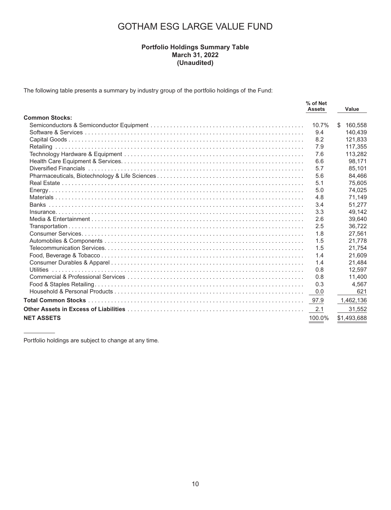### **Portfolio Holdings Summary Table March 31, 2022 (Unaudited)**

<span id="page-11-0"></span>The following table presents a summary by industry group of the portfolio holdings of the Fund:

|                       | % of Net<br><b>Assets</b> | Value         |
|-----------------------|---------------------------|---------------|
| <b>Common Stocks:</b> |                           |               |
|                       | 10.7%                     | \$<br>160,558 |
|                       | 9.4                       | 140.439       |
|                       | 8.2                       | 121,833       |
|                       | 7.9                       | 117.355       |
|                       | 7.6                       | 113,282       |
|                       | 6.6                       | 98,171        |
|                       | 5.7                       | 85.101        |
|                       | 5.6                       | 84,466        |
|                       | 5.1                       | 75.605        |
|                       | 5.0                       | 74,025        |
|                       | 4.8                       | 71.149        |
|                       | 3.4                       | 51.277        |
|                       | 3.3                       | 49,142        |
|                       | 2.6                       | 39.640        |
|                       | 2.5                       | 36.722        |
|                       | 1.8                       | 27.561        |
|                       | 1.5                       | 21.778        |
|                       | 1.5                       | 21,754        |
|                       | 1.4                       | 21,609        |
|                       | 1.4                       | 21,484        |
| <b>Utilities</b>      | 0.8                       | 12.597        |
|                       | 0.8                       | 11,400        |
|                       | 0.3                       | 4.567         |
|                       | 0.0                       | 621           |
|                       | 97.9                      | 1,462,136     |
|                       | 2.1                       | 31,552        |
| <b>NET ASSETS</b>     | 100.0%                    | \$1,493,688   |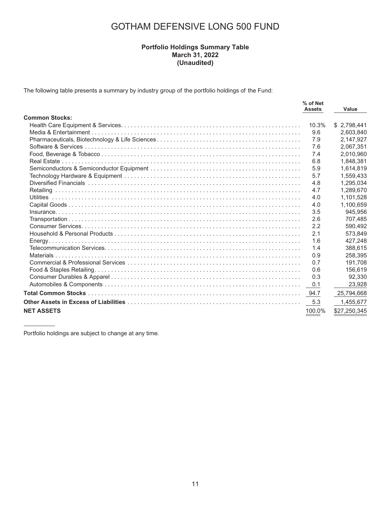### **Portfolio Holdings Summary Table March 31, 2022 (Unaudited)**

The following table presents a summary by industry group of the portfolio holdings of the Fund:

|                       | % of Net<br><b>Assets</b> | Value        |
|-----------------------|---------------------------|--------------|
| <b>Common Stocks:</b> |                           |              |
|                       | 10.3%                     | \$2,798,441  |
|                       | 9.6                       | 2,603,840    |
|                       | 7.9                       | 2,147,927    |
|                       | 7.6                       | 2,067,351    |
|                       | 7.4                       | 2,010,960    |
|                       | 6.8                       | 1,848,381    |
|                       | 5.9                       | 1,614,819    |
|                       | 5.7                       | 1,559,433    |
|                       | 4.8                       | 1,295,034    |
|                       | 4.7                       | 1,289,670    |
|                       | 4.0                       | 1.101.528    |
|                       | 4.0                       | 1,100,659    |
|                       | 3.5                       | 945.956      |
|                       | 2.6                       | 707,485      |
|                       | 2.2                       | 590.492      |
|                       | 2.1                       | 573.849      |
|                       | 1.6                       | 427.248      |
|                       | 1.4                       | 388,615      |
|                       | 0.9                       | 258.395      |
|                       | 0.7                       | 191.708      |
|                       | 0.6                       | 156.619      |
|                       | 0.3                       | 92,330       |
|                       | 0.1                       | 23,928       |
|                       | 94.7                      | 25,794,668   |
|                       | 5.3                       | 1,455,677    |
| <b>NET ASSETS</b>     | 100.0%                    | \$27,250,345 |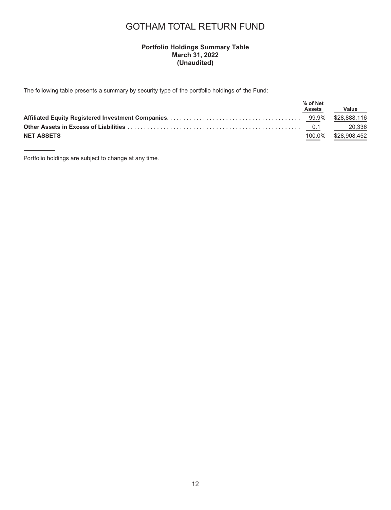### GOTHAM TOTAL RETURN FUND

### **Portfolio Holdings Summary Table March 31, 2022 (Unaudited)**

The following table presents a summary by security type of the portfolio holdings of the Fund:

|                   | % of Net<br><b>Assets</b> | Value        |
|-------------------|---------------------------|--------------|
|                   |                           |              |
|                   |                           |              |
| <b>NET ASSETS</b> | 100.0%                    | \$28.908.452 |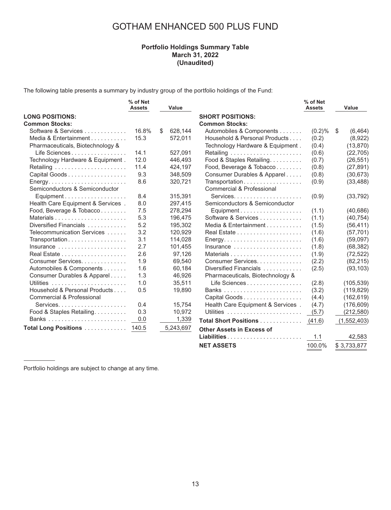### GOTHAM ENHANCED 500 PLUS FUND

### **Portfolio Holdings Summary Table March 31, 2022 (Unaudited)**

The following table presents a summary by industry group of the portfolio holdings of the Fund:

|                                                           | % of Net<br><b>Assets</b> | Value         |                                                            | % of Net<br><b>Assets</b> |     | Value         |
|-----------------------------------------------------------|---------------------------|---------------|------------------------------------------------------------|---------------------------|-----|---------------|
| <b>LONG POSITIONS:</b>                                    |                           |               | <b>SHORT POSITIONS:</b>                                    |                           |     |               |
| <b>Common Stocks:</b>                                     |                           |               | <b>Common Stocks:</b>                                      |                           |     |               |
| Software & Services                                       | 16.8%                     | \$<br>628,144 | Automobiles & Components                                   | $(0.2)$ %                 | -\$ | (6, 464)      |
| Media & Entertainment                                     | 15.3                      | 572,011       | Household & Personal Products                              | (0.2)                     |     | (8,922)       |
| Pharmaceuticals, Biotechnology &                          |                           |               | Technology Hardware & Equipment.                           | (0.4)                     |     | (13, 870)     |
| Life Sciences                                             | 14.1                      | 527,091       |                                                            | (0.6)                     |     | (22, 705)     |
| Technology Hardware & Equipment.                          | 12.0                      | 446,493       | Food & Staples Retailing.                                  | (0.7)                     |     | (26, 551)     |
|                                                           | 11.4                      | 424,197       | Food, Beverage & Tobacco                                   | (0.8)                     |     | (27, 891)     |
| Capital Goods                                             | 9.3                       | 348,509       | Consumer Durables & Apparel                                | (0.8)                     |     | (30, 673)     |
| Semiconductors & Semiconductor                            | 8.6                       | 320,721       | Transportation<br>Commercial & Professional                | (0.9)                     |     | (33, 488)     |
| Equipment                                                 | 8.4                       | 315,391       |                                                            | (0.9)                     |     | (33, 792)     |
| Health Care Equipment & Services.                         | 8.0                       | 297,415       | Semiconductors & Semiconductor                             |                           |     |               |
| Food, Beverage & Tobacco                                  | 7.5                       | 278,294       | Equipment                                                  | (1.1)                     |     | (40, 686)     |
|                                                           | 5.3                       | 196,475       | Software & Services                                        | (1.1)                     |     | (40, 754)     |
| Diversified Financials                                    | 5.2                       | 195,302       | Media & Entertainment                                      | (1.5)                     |     | (56, 411)     |
| Telecommunication Services                                | 3.2                       | 120,929       |                                                            | (1.6)                     |     | (57, 701)     |
| Transportation                                            | 3.1                       | 114,028       | $Energy. \ldots \ldots \ldots \ldots \ldots \ldots \ldots$ | (1.6)                     |     | (59,097)      |
| Insurance $\ldots \ldots \ldots \ldots \ldots$            | 2.7                       | 101,455       | Insurance                                                  | (1.8)                     |     | (68, 382)     |
|                                                           | 2.6                       | 97,126        |                                                            | (1.9)                     |     | (72, 522)     |
| Consumer Services.                                        | 1.9                       | 69,540        | Consumer Services.                                         | (2.2)                     |     | (82, 215)     |
| Automobiles & Components                                  | 1.6                       | 60,184        | Diversified Financials                                     | (2.5)                     |     | (93, 103)     |
| Consumer Durables & Apparel                               | 1.3                       | 46,926        | Pharmaceuticals, Biotechnology &                           |                           |     |               |
|                                                           | 1.0                       | 35,511        | Life Sciences                                              | (2.8)                     |     | (105, 539)    |
| Household & Personal Products                             | 0.5                       | 19,890        |                                                            | (3.2)                     |     | (119, 829)    |
| Commercial & Professional                                 |                           |               | Capital Goods                                              | (4.4)                     |     | (162, 619)    |
|                                                           | 0.4                       | 15.754        | Health Care Equipment & Services.                          | (4.7)                     |     | (176, 609)    |
| Food & Staples Retailing.                                 | 0.3                       | 10,972        |                                                            | (5.7)                     |     | (212, 580)    |
|                                                           | 0.0                       | 1,339         | Total Short Positions                                      | (41.6)                    |     | (1, 552, 403) |
| <b>Total Long Positions</b> $\ldots \ldots \ldots \ldots$ | 140.5                     | 5,243,697     | <b>Other Assets in Excess of</b>                           |                           |     |               |
|                                                           |                           |               |                                                            | 1.1                       |     | 42,583        |

**NET ASSETS** 100.0% \$ 3,733,877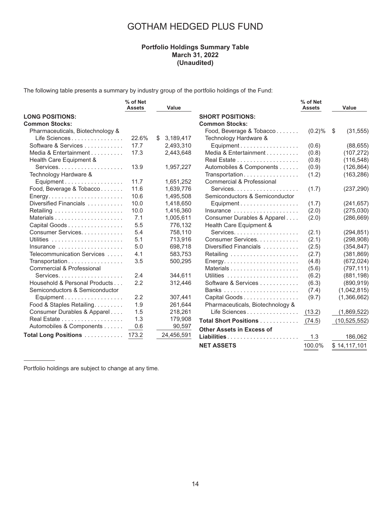### GOTHAM HEDGED PLUS FUND

### **Portfolio Holdings Summary Table March 31, 2022 (Unaudited)**

The following table presents a summary by industry group of the portfolio holdings of the Fund:

|                                                | % of Net<br><b>Assets</b> | Value       |                                                     | % of Net<br><b>Assets</b> | Value             |
|------------------------------------------------|---------------------------|-------------|-----------------------------------------------------|---------------------------|-------------------|
| <b>LONG POSITIONS:</b>                         |                           |             | <b>SHORT POSITIONS:</b>                             |                           |                   |
| <b>Common Stocks:</b>                          |                           |             | <b>Common Stocks:</b>                               |                           |                   |
| Pharmaceuticals, Biotechnology &               |                           |             | Food, Beverage & Tobacco                            | (0.2)%                    | (31, 555)<br>- \$ |
| Life Sciences                                  | 22.6%                     | \$3,189,417 | Technology Hardware &                               |                           |                   |
| Software & Services                            | 17.7                      | 2,493,310   | Equipment                                           | (0.6)                     | (88, 655)         |
| Media & Entertainment                          | 17.3                      | 2,443,648   | Media & Entertainment                               | (0.8)                     | (107, 272)        |
| Health Care Equipment &                        |                           |             |                                                     | (0.8)                     | (116, 548)        |
|                                                | 13.9                      | 1,957,227   | Automobiles & Components                            | (0.9)                     | (126, 864)        |
| Technology Hardware &                          |                           |             | Transportation                                      | (1.2)                     | (163, 286)        |
| Equipment                                      | 11.7                      | 1,651,252   | Commercial & Professional                           |                           |                   |
| Food, Beverage & Tobacco                       | 11.6                      | 1,639,776   |                                                     | (1.7)                     | (237, 290)        |
|                                                | 10.6                      | 1,495,508   | Semiconductors & Semiconductor                      |                           |                   |
| Diversified Financials                         | 10.0                      | 1,418,650   | Equipment                                           | (1.7)                     | (241, 657)        |
|                                                | 10.0                      | 1,416,360   | Insurance                                           | (2.0)                     | (275,030)         |
|                                                | 7.1                       | 1,005,611   | Consumer Durables & Apparel                         | (2.0)                     | (286, 669)        |
| Capital Goods                                  | 5.5                       | 776,132     | Health Care Equipment &                             |                           |                   |
| Consumer Services.                             | 5.4                       | 758,110     |                                                     | (2.1)                     | (294, 851)        |
|                                                | 5.1                       | 713,916     | Consumer Services.                                  | (2.1)                     | (298, 908)        |
| Insurance $\ldots \ldots \ldots \ldots \ldots$ | 5.0                       | 698,718     | Diversified Financials                              | (2.5)                     | (354, 847)        |
| Telecommunication Services                     | 4.1                       | 583,753     |                                                     | (2.7)                     | (381, 869)        |
| Transportation                                 | 3.5                       | 500,295     | $Energy. \ldots \ldots \ldots \ldots \ldots \ldots$ | (4.8)                     | (672, 024)        |
| Commercial & Professional                      |                           |             |                                                     | (5.6)                     | (797, 111)        |
|                                                | 2.4                       | 344,611     |                                                     | (6.2)                     | (881, 198)        |
| Household & Personal Products                  | 2.2                       | 312,446     | Software & Services                                 | (6.3)                     | (890, 919)        |
| Semiconductors & Semiconductor                 |                           |             |                                                     | (7.4)                     | (1,042,815)       |
| Equipment                                      | 2.2                       | 307,441     | Capital Goods                                       | (9.7)                     | (1,366,662)       |
| Food & Staples Retailing.                      | 1.9                       | 261,644     | Pharmaceuticals, Biotechnology &                    |                           |                   |
| Consumer Durables & Apparel                    | 1.5                       | 218,261     | Life Sciences                                       | (13.2)                    | (1,869,522)       |
|                                                | 1.3                       | 179,908     | Total Short Positions                               | (74.5)                    | (10, 525, 552)    |
| Automobiles & Components                       | 0.6                       | 90,597      | <b>Other Assets in Excess of</b>                    |                           |                   |
| <b>Total Long Positions</b>                    | 173.2                     | 24,456,591  | Liabilities                                         | 1.3                       | 186,062           |
|                                                |                           |             | <b>NET ASSETS</b>                                   | 100.0%                    | \$14,117,101      |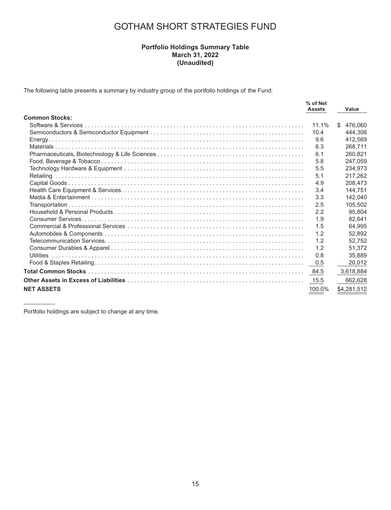### GOTHAM SHORT STRATEGIES FUND

#### **Portfolio Holdings Summary Table March 31, 2022 (Unaudited)**

The following table presents a summary by industry group of the portfolio holdings of the Fund:

|                       | % of Net<br><b>Assets</b> |   | Value       |
|-----------------------|---------------------------|---|-------------|
| <b>Common Stocks:</b> |                           |   |             |
|                       | 11.1%                     | S | 476.060     |
|                       | 10.4                      |   | 444,306     |
|                       | 9.6                       |   | 412.569     |
|                       | 6.3                       |   | 268.711     |
|                       | 6.1                       |   | 260,821     |
|                       | 5.8                       |   | 247.059     |
|                       | 5.5                       |   | 234,973     |
|                       | 5.1                       |   | 217.262     |
|                       | 4.9                       |   | 208.473     |
|                       | 3.4                       |   | 144.751     |
|                       | 3.3                       |   | 142.040     |
|                       | 2.5                       |   | 105,502     |
|                       | 2.2                       |   | 95.804      |
|                       | 1.9                       |   | 82.641      |
|                       | 1.5                       |   | 64.995      |
|                       | 1.2                       |   | 52.892      |
|                       | 1.2                       |   | 52.752      |
|                       | 1.2                       |   | 51.372      |
|                       | 0.8                       |   | 35.889      |
|                       | 0.5                       |   | 20,012      |
|                       |                           |   | 3,618,884   |
|                       | 15.5                      |   | 662,628     |
| <b>NET ASSETS</b>     | 100.0%                    |   | \$4,281,512 |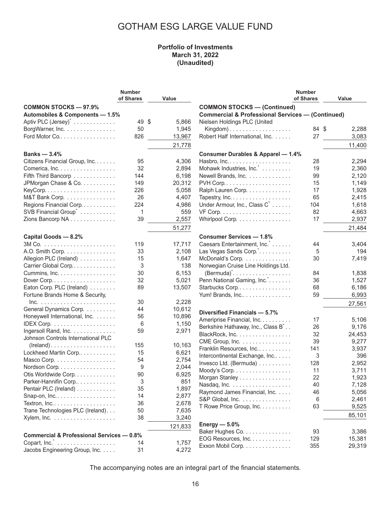### **Portfolio of Investments March 31, 2022 (Unaudited)**

<span id="page-17-0"></span>

|                                                      | <b>Number</b> |         |                                                             | <b>Number</b> |        |
|------------------------------------------------------|---------------|---------|-------------------------------------------------------------|---------------|--------|
|                                                      | of Shares     | Value   |                                                             | of Shares     | Value  |
| <b>COMMON STOCKS - 97.9%</b>                         |               |         | <b>COMMON STOCKS - (Continued)</b>                          |               |        |
| Automobiles & Components - 1.5%                      |               |         | <b>Commercial &amp; Professional Services - (Continued)</b> |               |        |
| Aptiv PLC (Jersey) <sup>*</sup>                      | 49 \$         | 5,866   | Nielsen Holdings PLC (United                                |               |        |
| BorgWarner, Inc.                                     | 50            | 1,945   | Kingdom $)$                                                 | 84 \$         | 2,288  |
| Ford Motor Co                                        | 826           | 13,967  | Robert Half International, Inc.                             | 27            | 3,083  |
|                                                      |               |         |                                                             |               |        |
|                                                      |               | 21,778  |                                                             |               | 11,400 |
| Banks $-3.4%$                                        |               |         | <b>Consumer Durables &amp; Apparel - 1.4%</b>               |               |        |
| Citizens Financial Group, Inc.                       | 95            | 4,306   |                                                             | 28            | 2,294  |
| Comerica, Inc.                                       | 32            | 2,894   | Mohawk Industries, Inc.                                     | 19            | 2,360  |
| Fifth Third Bancorp                                  | 144           | 6,198   | Newell Brands, Inc.                                         | 99            | 2,120  |
| JPMorgan Chase & Co.                                 | 149           | 20,312  |                                                             | 15            | 1,149  |
|                                                      | 226           | 5,058   | Ralph Lauren Corp.                                          | 17            | 1,928  |
| M&T Bank Corp.                                       | 26            | 4,407   | Tapestry, Inc.                                              | 65            | 2,415  |
| Regions Financial Corp                               | 224           | 4,986   | Under Armour, Inc., Class C <sup>*</sup>                    | 104           | 1,618  |
| SVB Financial Group <sup>*</sup>                     | 1             | 559     |                                                             | 82            | 4,663  |
| Zions Bancorp NA                                     | 39            | 2,557   | Whirlpool Corp.                                             | 17            | 2,937  |
|                                                      |               | 51,277  |                                                             |               | 21,484 |
|                                                      |               |         |                                                             |               |        |
| Capital Goods - 8.2%                                 |               |         | <b>Consumer Services - 1.8%</b>                             |               |        |
|                                                      | 119           | 17,717  | Caesars Entertainment, Inc. [                               | 44            | 3,404  |
| A.O. Smith Corp.                                     | 33            | 2,108   | Las Vegas Sands Corp.".                                     | 5             | 194    |
| Allegion PLC (Ireland)                               | 15            | 1,647   | McDonald's Corp.                                            | 30            | 7,419  |
| Carrier Global Corp                                  | 3             | 138     | Norwegian Cruise Line Holdings Ltd.                         |               |        |
| Cummins, Inc.                                        | 30            | 6,153   |                                                             | 84            | 1,838  |
|                                                      | 32            | 5,021   | Penn National Gaming, Inc.                                  | 36            | 1,527  |
| Eaton Corp. PLC (Ireland)                            | 89            | 13,507  | Starbucks Corp                                              | 68            | 6,186  |
| Fortune Brands Home & Security,                      |               |         | Yum! Brands, Inc                                            | 59            | 6,993  |
|                                                      | 30            | 2,228   |                                                             |               | 27,561 |
| General Dynamics Corp.                               | 44            | 10,612  | Diversified Financials - 5.7%                               |               |        |
| Honeywell International, Inc.                        | 56            | 10,896  |                                                             | 17            |        |
|                                                      | 6             | 1,150   | Ameriprise Financial, Inc.                                  |               | 5,106  |
| Ingersoll Rand, Inc.                                 | 59            | 2,971   | Berkshire Hathaway, Inc., Class B <sup>*</sup>              | 26            | 9,176  |
| Johnson Controls International PLC                   |               |         | BlackRock, Inc.                                             | 32            | 24,453 |
| $(Ireland)$                                          | 155           | 10,163  | CME Group, Inc.                                             | 39            | 9,277  |
| Lockheed Martin Corp                                 | 15            | 6,621   | Franklin Resources, Inc                                     | 141           | 3,937  |
| Masco Corp.                                          | 54            | 2,754   | Intercontinental Exchange, Inc                              | 3             | 396    |
| Nordson Corp.                                        | 9             | 2,044   | Invesco Ltd. (Bermuda)                                      | 128           | 2,952  |
| Otis Worldwide Corp.                                 | 90            | 6,925   | Moody's Corp.                                               | 11            | 3,711  |
| Parker-Hannifin Corp                                 | 3             | 851     | Morgan Stanley                                              | 22            | 1,923  |
| Pentair PLC (Ireland)                                | 35            | 1,897   | Nasdaq, Inc.                                                | 40            | 7,128  |
| Snap-on, Inc                                         | 14            | 2,877   | Raymond James Financial, Inc.                               | 46            | 5,056  |
|                                                      | 36            | 2,678   | S&P Global, Inc.                                            | 6             | 2,461  |
| Trane Technologies PLC (Ireland).                    | 50            | 7,635   | T Rowe Price Group, Inc.                                    | 63            | 9,525  |
|                                                      |               |         |                                                             |               | 85,101 |
|                                                      | 38            | 3,240   | Energy $-5.0\%$                                             |               |        |
|                                                      |               | 121,833 | Baker Hughes Co.                                            | 93            | 3,386  |
| <b>Commercial &amp; Professional Services - 0.8%</b> |               |         | EOG Resources, Inc.                                         | 129           | 15,381 |
| Copart, Inc.                                         | 14            | 1,757   | Exxon Mobil Corp.                                           | 355           | 29,319 |
| Jacobs Engineering Group, Inc.                       | 31            | 4,272   |                                                             |               |        |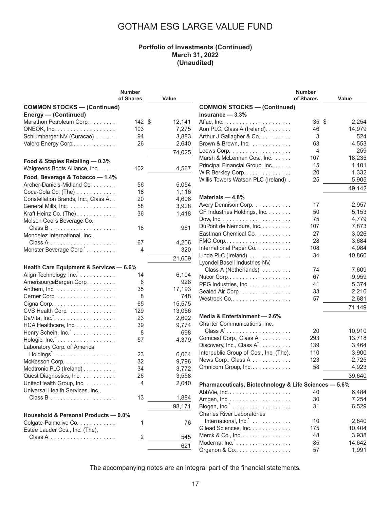#### **Portfolio of Investments (Continued) March 31, 2022 (Unaudited)**

|                                         | <b>Number</b> |        |                                                       | <b>Number</b>   |        |
|-----------------------------------------|---------------|--------|-------------------------------------------------------|-----------------|--------|
|                                         | of Shares     | Value  |                                                       | of Shares       | Value  |
| <b>COMMON STOCKS - (Continued)</b>      |               |        | <b>COMMON STOCKS - (Continued)</b>                    |                 |        |
| <b>Energy - (Continued)</b>             |               |        | Insurance $-3.3%$                                     |                 |        |
| Marathon Petroleum Corp.                | 142S          | 12,141 |                                                       | $35 \text{ } $$ | 2,254  |
| ONEOK, Inc.                             | 103           | 7,275  | Aon PLC, Class A (Ireland).                           | 46              | 14,979 |
| Schlumberger NV (Curacao)               | 94            | 3,883  | Arthur J Gallagher & Co.                              | 3               | 524    |
| Valero Energy Corp                      | 26            | 2,640  | Brown & Brown, Inc.                                   | 63              | 4,553  |
|                                         |               | 74,025 | Loews Corp.                                           | 4               | 259    |
|                                         |               |        | Marsh & McLennan Cos., Inc.                           | 107             | 18,235 |
| Food & Staples Retailing - 0.3%         |               |        | Principal Financial Group, Inc.                       | 15              | 1,101  |
| Walgreens Boots Alliance, Inc.          | 102           | 4,567  | WR Berkley Corp.                                      | 20              | 1,332  |
| Food, Beverage & Tobacco - 1.4%         |               |        | Willis Towers Watson PLC (Ireland).                   | 25              | 5,905  |
| Archer-Daniels-Midland Co.              | 56            | 5,054  |                                                       |                 |        |
| Coca-Cola Co. (The)                     | 18            | 1,116  |                                                       |                 | 49,142 |
| Constellation Brands, Inc., Class A. .  | 20            | 4,606  | Materials $-4.8%$                                     |                 |        |
| General Mills, Inc.                     | 58            | 3,928  | Avery Dennison Corp.                                  | 17              | 2,957  |
| Kraft Heinz Co. (The)                   | 36            | 1,418  | CF Industries Holdings, Inc.                          | 50              | 5,153  |
| Molson Coors Beverage Co.,              |               |        |                                                       | 75              | 4,779  |
|                                         | 18            | 961    | DuPont de Nemours, Inc.                               | 107             | 7,873  |
| Mondelez International, Inc.,           |               |        | Eastman Chemical Co.                                  | 27              | 3,026  |
|                                         | 67            | 4,206  |                                                       | 28              | 3,684  |
| Monster Beverage Corp.                  | 4             | 320    | International Paper Co.                               | 108             | 4,984  |
|                                         |               | 21,609 | Linde PLC (Ireland) $\ldots \ldots \ldots \ldots$     | 34              | 10,860 |
|                                         |               |        | LyondellBasell Industries NV,                         |                 |        |
| Health Care Equipment & Services - 6.6% |               |        | Class A (Netherlands)                                 | 74              | 7,609  |
| Align Technology, Inc. *                | 14            | 6,104  |                                                       | 67              | 9,959  |
| AmerisourceBergen Corp.                 | 6             | 928    | PPG Industries, Inc.                                  | 41              | 5,374  |
| Anthem, Inc.                            | 35            | 17,193 | Sealed Air Corp.                                      | 33              | 2,210  |
| Cerner Corp.                            | 8             | 748    |                                                       | 57              | 2,681  |
|                                         | 65            | 15,575 |                                                       |                 | 71,149 |
| CVS Health Corp.                        | 129           | 13,056 |                                                       |                 |        |
| DaVita, Inc. <sup>*</sup>               | 23            | 2,602  | Media & Entertainment - 2.6%                          |                 |        |
| HCA Healthcare, Inc.                    | 39            | 9,774  | Charter Communications, Inc.,                         |                 |        |
| Henry Schein, Inc.                      | 8             | 698    | $Class A^* \dots \dots \dots \dots \dots \dots \dots$ | 20              | 10,910 |
| Hologic, Inc. <sup>*</sup>              | 57            | 4,379  | Comcast Corp., Class A.                               | 293             | 13,718 |
| Laboratory Corp. of America             |               |        | Discovery, Inc., Class A <sup>*</sup>                 | 139             | 3,464  |
| Holdings <sup>*</sup>                   | 23            | 6,064  | Interpublic Group of Cos., Inc. (The).                | 110             | 3,900  |
| McKesson Corp.                          | 32            | 9,796  | News Corp., Class A                                   | 123             | 2,725  |
| Medtronic PLC (Ireland)                 | 34            | 3,772  | Omnicom Group, Inc.                                   | 58              | 4,923  |
| Quest Diagnostics, Inc.                 | 26            | 3,558  |                                                       |                 | 39,640 |
| UnitedHealth Group, Inc.                | 4             | 2,040  | Pharmaceuticals, Biotechnology & Life Sciences - 5.6% |                 |        |
| Universal Health Services, Inc.,        |               |        |                                                       | 40              | 6,484  |
|                                         | 13            | 1,884  |                                                       | 30              | 7,254  |
|                                         |               | 98,171 | Biogen, $Inc$ .                                       | 31              | 6,529  |
|                                         |               |        | <b>Charles River Laboratories</b>                     |                 |        |
| Household & Personal Products - 0.0%    |               |        | International, Inc. *                                 | 10              | 2,840  |
| Colgate-Palmolive Co.                   | 1             | 76     | Gilead Sciences, Inc.                                 | 175             | 10,404 |
| Estee Lauder Cos., Inc. (The),          |               |        | Merck & Co., Inc.                                     | 48              | 3,938  |
|                                         | 2             | 545    | Moderna, Inc.                                         | 85              | 14,642 |
|                                         |               | 621    | Organon & Co                                          | 57              | 1,991  |
|                                         |               |        |                                                       |                 |        |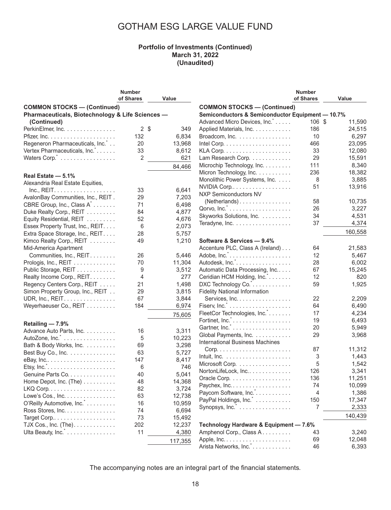#### **Portfolio of Investments (Continued) March 31, 2022 (Unaudited)**

|                                                          | <b>Number</b> |                  |                                                          | <b>Number</b> |         |
|----------------------------------------------------------|---------------|------------------|----------------------------------------------------------|---------------|---------|
|                                                          | of Shares     | Value            |                                                          | of Shares     | Value   |
| <b>COMMON STOCKS - (Continued)</b>                       |               |                  | <b>COMMON STOCKS - (Continued)</b>                       |               |         |
| Pharmaceuticals, Biotechnology & Life Sciences -         |               |                  | Semiconductors & Semiconductor Equipment - 10.7%         |               |         |
| (Continued)                                              |               |                  | Advanced Micro Devices, Inc.                             | 106 \$        | 11,590  |
| PerkinElmer, Inc.                                        |               | $2 \sqrt$<br>349 | Applied Materials, Inc.                                  | 186           | 24,515  |
|                                                          | 132           | 6,834            | Broadcom, Inc.                                           | 10            | 6,297   |
| Regeneron Pharmaceuticals, Inc.                          | 20            | 13,968           |                                                          | 466           | 23,095  |
| Vertex Pharmaceuticals, Inc.*.                           | 33            | 8,612            |                                                          | 33            | 12,080  |
| Waters Corp. <sup>*</sup>                                | 2             | 621              | Lam Research Corp.                                       | 29            | 15,591  |
|                                                          |               |                  |                                                          | 111           |         |
|                                                          |               | 84,466           | Microchip Technology, Inc.                               |               | 8,340   |
| Real Estate - 5.1%                                       |               |                  | Micron Technology, Inc.                                  | 236           | 18,382  |
| Alexandria Real Estate Equities,                         |               |                  | Monolithic Power Systems, Inc.                           | 8             | 3,885   |
|                                                          | 33            | 6,641            | NVIDIA Corp                                              | 51            | 13,916  |
| AvalonBay Communities, Inc., REIT.                       | 29            | 7,203            | <b>NXP Semiconductors NV</b>                             |               |         |
| CBRE Group, Inc., Class A <sup>*</sup>                   | 71            | 6,498            | (Netherlands)                                            | 58            | 10,735  |
| Duke Realty Corp., REIT                                  | 84            | 4,877            |                                                          | 26            | 3,227   |
| Equity Residential, REIT                                 | 52            | 4,676            | Skyworks Solutions, Inc.                                 | 34            | 4,531   |
|                                                          | 6             | 2,073            | Teradyne, Inc.                                           | 37            | 4,374   |
| Essex Property Trust, Inc., REIT.                        |               |                  |                                                          |               | 160,558 |
| Extra Space Storage, Inc., REIT.                         | 28            | 5,757            |                                                          |               |         |
| Kimco Realty Corp., REIT                                 | 49            | 1,210            | Software & Services - 9.4%                               |               |         |
| Mid-America Apartment                                    |               |                  | Accenture PLC, Class A (Ireland)                         | 64            | 21,583  |
| Communities, Inc., REIT.                                 | 26            | 5,446            |                                                          | 12            | 5,467   |
| Prologis, Inc., REIT                                     | 70            | 11,304           | Autodesk, Inc. <sup>*</sup>                              | 28            | 6,002   |
| Public Storage, REIT                                     | 9             | 3,512            | Automatic Data Processing, Inc                           | 67            | 15,245  |
| Realty Income Corp., REIT.                               | 4             | 277              | Ceridian HCM Holding, Inc.*.                             | 12            | 820     |
| Regency Centers Corp., REIT                              | 21            | 1,498            | DXC Technology Co.                                       | 59            | 1,925   |
| Simon Property Group, Inc., REIT                         | 29            | 3,815            | <b>Fidelity National Information</b>                     |               |         |
| UDR, Inc., REIT.                                         | 67            | 3,844            | Services, Inc.                                           | 22            | 2,209   |
| Weyerhaeuser Co., REIT                                   | 184           | 6,974            |                                                          | 64            | 6,490   |
|                                                          |               | 75,605           | FleetCor Technologies, Inc.                              | 17            | 4,234   |
|                                                          |               |                  |                                                          | 19            | 6,493   |
| Retailing - 7.9%                                         |               |                  |                                                          | 20            | 5,949   |
| Advance Auto Parts, Inc.                                 | 16            | 3,311            | Global Payments, Inc.                                    | 29            | 3,968   |
| AutoZone, Inc.                                           | 5             | 10,223           | <b>International Business Machines</b>                   |               |         |
| Bath & Body Works, Inc.                                  | 69            | 3,298            |                                                          | 87            | 11,312  |
| Best Buy Co., Inc.                                       | 63            | 5,727            | Intuit, Inc. $\ldots \ldots \ldots \ldots \ldots \ldots$ | 3             | 1,443   |
|                                                          | 147           | 8,417            | Microsoft Corp.                                          | 5             | 1,542   |
| Etsy, Inc.". $\dots \dots \dots \dots \dots \dots \dots$ | 6             | 746              | NortonLifeLock, Inc                                      | 126           | 3,341   |
| Genuine Parts Co.                                        | 40            | 5,041            |                                                          |               |         |
| Home Depot, Inc. (The)                                   | 48            | 14,368           | Oracle Corp.                                             | 136           | 11,251  |
|                                                          | 82            | 3,724            | Paychex, Inc.                                            | 74            | 10,099  |
| Lowe's Cos., Inc. $\dots \dots \dots \dots$              | 63            | 12,738           | Paycom Software, Inc.                                    | 4             | 1,386   |
| O'Reilly Automotive, Inc.                                | 16            | 10,959           | PayPal Holdings, Inc.                                    | 150           | 17,347  |
| Ross Stores, Inc.                                        | 74            | 6,694            | Synopsys, Inc.                                           | 7             | 2,333   |
|                                                          | 73            | 15,492           |                                                          |               | 140,439 |
| TJX Cos., Inc. $(The)$ .                                 | 202           | 12,237           | Technology Hardware & Equipment - 7.6%                   |               |         |
| Ulta Beauty, Inc.                                        | 11            | 4,380            | Amphenol Corp., Class A.                                 | 43            | 3,240   |
|                                                          |               |                  |                                                          | 69            | 12,048  |
|                                                          |               | 117,355          | Arista Networks, Inc. *                                  | 46            |         |
|                                                          |               |                  |                                                          |               | 6,393   |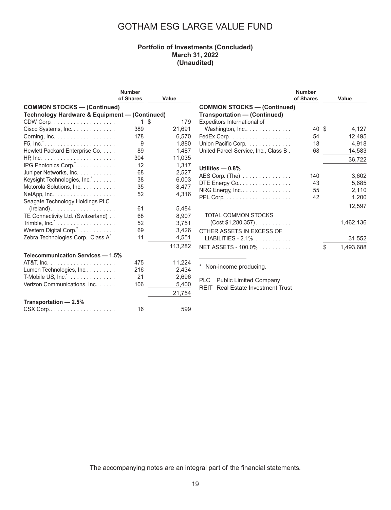#### **Portfolio of Investments (Concluded) March 31, 2022 (Unaudited)**

|                                                                      | <b>Number</b><br>of Shares | Value      |                                                                                  | <b>Number</b><br>of Shares | Value     |
|----------------------------------------------------------------------|----------------------------|------------|----------------------------------------------------------------------------------|----------------------------|-----------|
|                                                                      |                            |            |                                                                                  |                            |           |
| <b>COMMON STOCKS - (Continued)</b>                                   |                            |            | <b>COMMON STOCKS - (Continued)</b>                                               |                            |           |
| Technology Hardware & Equipment - (Continued)                        |                            |            | <b>Transportation - (Continued)</b>                                              |                            |           |
|                                                                      |                            | -\$<br>179 | Expeditors International of                                                      |                            |           |
| Cisco Systems, Inc.                                                  | 389                        | 21,691     | Washington, Inc                                                                  | 40 \$                      | 4,127     |
| Corning, $Inc. \ldots \ldots \ldots \ldots \ldots$                   | 178                        | 6,570      | FedEx Corp.                                                                      | 54                         | 12,495    |
|                                                                      | 9                          | 1,880      | Union Pacific Corp.                                                              | 18                         | 4,918     |
| Hewlett Packard Enterprise Co.                                       | 89                         | 1,487      | United Parcel Service, Inc., Class B.                                            | 68                         | 14,583    |
|                                                                      | 304                        | 11,035     |                                                                                  |                            | 36,722    |
| IPG Photonics Corp."                                                 | 12                         | 1,317      | Utilities $-0.8%$                                                                |                            |           |
| Juniper Networks, Inc.                                               | 68                         | 2,527      | AES Corp. $(The)$                                                                | 140                        | 3,602     |
| Keysight Technologies, Inc.                                          | 38                         | 6,003      | DTE Energy Co                                                                    | 43                         | 5,685     |
| Motorola Solutions, Inc.                                             | 35                         | 8,477      | NRG Energy, Inc.                                                                 | 55                         | 2,110     |
| $NetApp, Inc.$                                                       | 52                         | 4,316      |                                                                                  | 42                         | 1,200     |
| Seagate Technology Holdings PLC                                      |                            |            |                                                                                  |                            |           |
|                                                                      | 61                         | 5,484      |                                                                                  |                            | 12,597    |
| TE Connectivity Ltd. (Switzerland)                                   | 68                         | 8,907      | TOTAL COMMON STOCKS                                                              |                            |           |
| Trimble, $Inc$ $\ldots$ $\ldots$ $\ldots$ $\ldots$ $\ldots$ $\ldots$ | 52                         | 3,751      | $(Cost $1,280,357)$                                                              |                            | 1,462,136 |
| Western Digital Corp.                                                | 69                         | 3,426      | OTHER ASSETS IN EXCESS OF                                                        |                            |           |
| Zebra Technologies Corp., Class A <sup>*</sup> .                     | 11                         | 4,551      | $LIABILITIES - 2.1\%$                                                            |                            | 31,552    |
|                                                                      |                            | 113,282    | NET ASSETS - 100.0%                                                              |                            | 1,493,688 |
| Telecommunication Services - 1.5%                                    |                            |            |                                                                                  |                            |           |
|                                                                      | 475                        | 11,224     | $^\star$                                                                         |                            |           |
| Lumen Technologies, Inc                                              | 216                        | 2,434      | Non-income producing.                                                            |                            |           |
| $T-Mobile US, Inc.$ $\ldots$ $\ldots$ $\ldots$ $\ldots$ .            | 21                         | 2,696      |                                                                                  |                            |           |
| Verizon Communications, Inc.                                         | 106                        | 5,400      | PLC<br><b>Public Limited Company</b><br><b>REIT</b> Real Estate Investment Trust |                            |           |
|                                                                      |                            | 21,754     |                                                                                  |                            |           |
| Transportation - 2.5%                                                |                            |            |                                                                                  |                            |           |
| $\text{CSX}$ Corp. $\ldots \ldots \ldots \ldots \ldots$              | 16                         | 599        |                                                                                  |                            |           |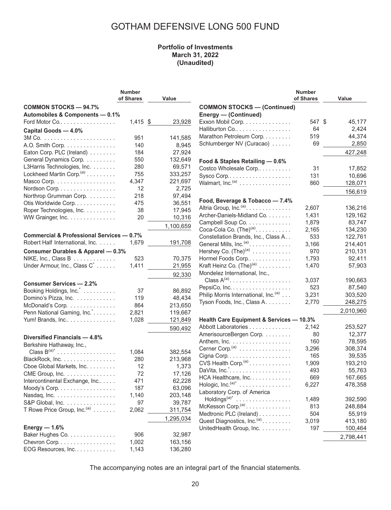### **Portfolio of Investments March 31, 2022 (Unaudited)**

|                                                                 | <b>Number</b><br>of Shares | Value     |                                                                   | <b>Number</b><br>of Shares | Value     |
|-----------------------------------------------------------------|----------------------------|-----------|-------------------------------------------------------------------|----------------------------|-----------|
| <b>COMMON STOCKS - 94.7%</b><br>Automobiles & Components - 0.1% |                            |           | <b>COMMON STOCKS - (Continued)</b><br><b>Energy — (Continued)</b> |                            |           |
| Ford Motor Co                                                   | $1,415$ \$                 | 23,928    | Exxon Mobil Corp.                                                 | 547 \$                     | 45,177    |
| Capital Goods - 4.0%                                            |                            |           | Halliburton Co                                                    | 64                         | 2,424     |
|                                                                 | 951                        | 141,585   | Marathon Petroleum Corp.                                          | 519                        | 44,374    |
| A.O. Smith Corp.                                                | 140                        | 8,945     | Schlumberger NV (Curacao)                                         | 69                         | 2,850     |
| Eaton Corp. PLC (Ireland)                                       | 184                        | 27,924    |                                                                   |                            | 427,248   |
| General Dynamics Corp.                                          | 550                        | 132,649   | Food & Staples Retailing - 0.6%                                   |                            |           |
| L3Harris Technologies, Inc.                                     | 280                        | 69,571    | Costco Wholesale Corp                                             | 31                         | 17,852    |
| Lockheed Martin Corp. <sup>(a)</sup>                            | 755                        | 333,257   | Sysco Corp                                                        | 131                        | 10,696    |
| Masco Corp.                                                     | 4,347                      | 221,697   | Walmart, Inc. <sup>(a)</sup>                                      | 860                        | 128,071   |
| Nordson Corp.                                                   | 12                         | 2,725     |                                                                   |                            |           |
| Northrop Grumman Corp.                                          | 218                        | 97,494    |                                                                   |                            | 156,619   |
| Otis Worldwide Corp.                                            | 475                        | 36,551    | Food, Beverage & Tobacco - 7.4%                                   |                            |           |
| Roper Technologies, Inc.                                        | 38                         | 17,945    | Altria Group, Inc. <sup>(a)</sup> .                               | 2,607                      | 136,216   |
| WW Grainger, Inc.                                               | 20                         | 10,316    | Archer-Daniels-Midland Co.                                        | 1,431                      | 129,162   |
|                                                                 |                            | 1,100,659 | Campbell Soup Co.                                                 | 1,879                      | 83,747    |
|                                                                 |                            |           | Coca-Cola Co. $(TheP)(a)$                                         | 2,165                      | 134,230   |
| <b>Commercial &amp; Professional Services - 0.7%</b>            |                            |           | Constellation Brands, Inc., Class A. .                            | 533                        | 122,761   |
| Robert Half International, Inc.                                 | 1,679                      | 191,708   | General Mills, Inc. <sup>(a)</sup> .                              | 3,166                      | 214,401   |
| <b>Consumer Durables &amp; Apparel - 0.3%</b>                   |                            |           | Hershey Co. $(The)^{(a)}$                                         | 970                        | 210,131   |
| NIKE, Inc., Class B                                             | 523                        | 70,375    | Hormel Foods Corp                                                 | 1,793                      | 92,411    |
| Under Armour, Inc., Class C <sup>*</sup>                        | 1,411                      | 21,955    | Kraft Heinz Co. $(The)^{(a)}$                                     | 1,470                      | 57,903    |
|                                                                 |                            | 92,330    | Mondelez International, Inc.,                                     |                            |           |
| <b>Consumer Services - 2.2%</b>                                 |                            |           | Class $A^{(a)}$ .                                                 | 3,037                      | 190,663   |
| Booking Holdings, Inc.                                          | 37                         | 86,892    | PepsiCo, Inc.                                                     | 523                        | 87,540    |
| Domino's Pizza, Inc.                                            | 119                        | 48,434    | Philip Morris International, Inc. <sup>(a)</sup>                  | 3,231                      | 303,520   |
| McDonald's Corp.                                                | 864                        | 213,650   | Tyson Foods, Inc., Class A.                                       | 2,770                      | 248,275   |
| Penn National Gaming, Inc.                                      | 2,821                      | 119,667   |                                                                   |                            | 2,010,960 |
| Yum! Brands, Inc                                                | 1,028                      | 121,849   | <b>Health Care Equipment &amp; Services - 10.3%</b>               |                            |           |
|                                                                 |                            | 590,492   | Abbott Laboratories                                               | 2,142                      | 253,527   |
|                                                                 |                            |           | AmerisourceBergen Corp.                                           | 80                         | 12,377    |
| Diversified Financials - 4.8%                                   |                            |           | Anthem, Inc.                                                      | 160                        | 78,595    |
| Berkshire Hathaway, Inc.,                                       |                            |           | Cerner Corp. <sup>(a)</sup>                                       | 3,296                      | 308,374   |
| Class $B^{(a)^*}$                                               | 1,084                      | 382,554   | Cigna Corp                                                        | 165                        | 39,535    |
| BlackRock, Inc.                                                 | 280                        | 213,968   | CVS Health Corp. <sup>(a)</sup>                                   | 1,909                      | 193,210   |
| Cboe Global Markets, Inc.                                       | 12<br>72                   | 1,373     |                                                                   | 493                        | 55,763    |
| CME Group, Inc.                                                 |                            | 17,126    | HCA Healthcare, Inc.                                              | 669                        | 167,665   |
| Intercontinental Exchange, Inc                                  | 471                        | 62,228    | Hologic, Inc. $(a)^*$                                             | 6,227                      | 478,358   |
| Moody's Corp.                                                   | 187                        | 63,096    | Laboratory Corp. of America                                       |                            |           |
| Nasdaq, Inc.                                                    | 1,140                      | 203,148   | $\text{Holdings}^{(a)*}$                                          | 1,489                      | 392,590   |
| S&P Global, Inc.                                                | 97                         | 39,787    | McKesson Corp. <sup>(a)</sup>                                     | 813                        | 248,884   |
| T Rowe Price Group, Inc. <sup>(a)</sup>                         | 2,062                      | 311,754   | Medtronic PLC (Ireland)                                           | 504                        | 55,919    |
|                                                                 |                            | 1,295,034 | Quest Diagnostics, Inc. <sup>(a)</sup>                            | 3,019                      | 413,180   |
| Energy $-1.6%$                                                  |                            |           | UnitedHealth Group, Inc.                                          | 197                        | 100,464   |
| Baker Hughes Co.                                                | 906                        | 32,987    |                                                                   |                            | 2,798,441 |
| Chevron Corp.                                                   | 1,002                      | 163,156   |                                                                   |                            |           |
| EOG Resources, Inc.                                             | 1,143                      | 136,280   |                                                                   |                            |           |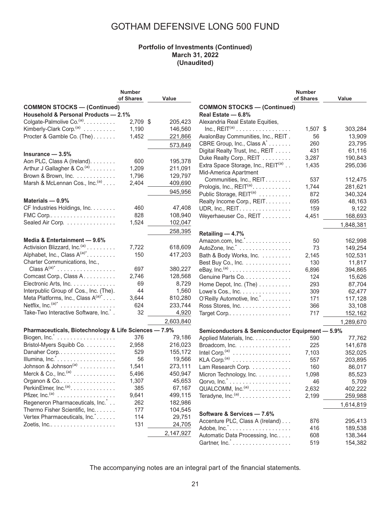#### **Portfolio of Investments (Continued) March 31, 2022 (Unaudited)**

|                                                       | <b>Number</b> |           |                                                     | <b>Number</b> |           |
|-------------------------------------------------------|---------------|-----------|-----------------------------------------------------|---------------|-----------|
|                                                       | of Shares     | Value     |                                                     | of Shares     | Value     |
| <b>COMMON STOCKS - (Continued)</b>                    |               |           | <b>COMMON STOCKS - (Continued)</b>                  |               |           |
| Household & Personal Products - 2.1%                  |               |           | Real Estate - 6.8%                                  |               |           |
| Colgate-Palmolive Co. <sup>(a)</sup> .                | $2,709$ \$    | 205,423   | Alexandria Real Estate Equities,                    |               |           |
| Kimberly-Clark Corp. <sup>(a)</sup>                   | 1,190         | 146,560   | $Inc., REIT(a)$                                     | 1,507 \$      | 303,284   |
| Procter & Gamble Co. (The).                           | 1,452         | 221,866   | AvalonBay Communities, Inc., REIT.                  | 56            | 13,909    |
|                                                       |               | 573,849   | CBRE Group, Inc., Class A <sup>*</sup>              | 260           | 23,795    |
|                                                       |               |           | Digital Realty Trust, Inc., REIT                    | 431           | 61,116    |
| Insurance $-3.5%$                                     |               |           | Duke Realty Corp., REIT                             | 3,287         | 190,843   |
| Aon PLC, Class A (Ireland).                           | 600           | 195,378   | Extra Space Storage, Inc., REIT <sup>(a)</sup>      | 1,435         | 295,036   |
| Arthur J Gallagher & Co. <sup>(a)</sup> .             | 1,209         | 211,091   | Mid-America Apartment                               |               |           |
| Brown & Brown, Inc.                                   | 1,796         | 129,797   | Communities, Inc., REIT.                            | 537           | 112,475   |
| Marsh & McLennan Cos., Inc. <sup>(a)</sup>            | 2,404         | 409,690   | Prologis, Inc., REIT <sup>(a)</sup> .               | 1,744         | 281,621   |
|                                                       |               | 945,956   | Public Storage, REIT <sup>(a)</sup>                 | 872           | 340,324   |
| Materials $-0.9%$                                     |               |           | Realty Income Corp., REIT.                          | 695           | 48,163    |
| CF Industries Holdings, Inc.                          | 460           | 47,408    | UDR, Inc., REIT.                                    | 159           | 9,122     |
|                                                       | 828           | 108,940   | Weyerhaeuser Co., REIT                              | 4,451         | 168,693   |
| Sealed Air Corp.                                      | 1,524         | 102,047   |                                                     |               |           |
|                                                       |               | 258,395   |                                                     |               | 1,848,381 |
|                                                       |               |           | Retailing - 4.7%                                    |               |           |
| Media & Entertainment - 9.6%                          |               |           | Amazon.com, $Inc$                                   | 50            | 162,998   |
| Activision Blizzard, Inc. <sup>(a)</sup>              | 7,722         | 618,609   | AutoZone, Inc.                                      | 73            | 149,254   |
| Alphabet, Inc., Class $A^{(a)^*}$ .                   | 150           | 417,203   | Bath & Body Works, Inc.                             | 2,145         | 102,531   |
| Charter Communications, Inc.,                         |               |           | Best Buy Co., Inc.                                  | 130           | 11,817    |
| Class $A^{(a)*}$                                      | 697           | 380,227   | eBay, $Inc.(a)$                                     | 6,896         | 394,865   |
| Comcast Corp., Class A.                               | 2,746         | 128,568   | Genuine Parts Co.                                   | 124           | 15,626    |
| Electronic Arts, Inc.                                 | 69            | 8,729     | Home Depot, Inc. (The)                              | 293           | 87,704    |
| Interpublic Group of Cos., Inc. (The).                | 44            | 1,560     | Lowe's Cos., Inc.                                   | 309           | 62,477    |
| Meta Platforms, Inc., Class $A^{(a)^*}$               | 3,644         | 810,280   | O'Reilly Automotive, Inc.                           | 171           | 117,128   |
| Netflix, Inc. $(a)^*$                                 | 624           | 233,744   | Ross Stores, Inc.                                   | 366           | 33,108    |
| Take-Two Interactive Software, Inc. <sup>*</sup> .    | 32            | 4,920     |                                                     | 717           | 152,162   |
|                                                       |               | 2,603,840 |                                                     |               | 1,289,670 |
| Pharmaceuticals, Biotechnology & Life Sciences - 7.9% |               |           | Semiconductors & Semiconductor Equipment - 5.9%     |               |           |
|                                                       | 376           | 79,186    | Applied Materials, Inc.                             | 590           | 77,762    |
| Bristol-Myers Squibb Co.                              | 2,958         | 216,023   | Broadcom, Inc.                                      | 225           | 141,678   |
| Danaher Corp                                          | 529           | 155,172   |                                                     | 7,103         | 352,025   |
| Illumina, Inc. <sup>*</sup>                           | 56            | 19,566    |                                                     | 557           | 203,895   |
| Johnson & Johnson <sup>(a)</sup>                      | 1,541         | 273,111   | Lam Research Corp.                                  | 160           | 86,017    |
| Merck & Co., $Inc^{(a)} \ldots \ldots \ldots \ldots$  | 5,496         | 450,947   | Micron Technology, Inc.                             | 1,098         | 85,523    |
| Organon & Co                                          | 1,307         | 45,653    | Qorvo, $Inc$ . $\ldots$ .                           | 46            | 5,709     |
| PerkinElmer, Inc. <sup>(a)</sup> .                    | 385           | 67,167    | QUALCOMM, Inc. <sup>(a)</sup> .                     | 2,632         | 402,222   |
|                                                       | 9,641         | 499,115   | Teradyne, $Inc^{(a)} \dots \dots \dots \dots \dots$ | 2,199         | 259,988   |
| Regeneron Pharmaceuticals, Inc.*                      | 262           | 182,986   |                                                     |               |           |
| Thermo Fisher Scientific, Inc.                        | 177           | 104,545   |                                                     |               | 1,614,819 |
| Vertex Pharmaceuticals, Inc.                          | 114           | 29,751    | Software & Services - 7.6%                          |               |           |
|                                                       | 131           | 24,705    | Accenture PLC, Class A (Ireland)                    | 876           | 295,413   |
|                                                       |               |           |                                                     | 416           | 189,538   |
|                                                       |               | 2,147,927 | Automatic Data Processing, Inc                      | 608           | 138,344   |
|                                                       |               |           | Gartner, Inc. <sup>*</sup>                          | 519           | 154,382   |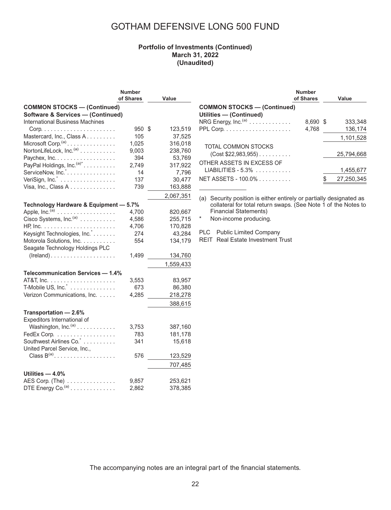### **Portfolio of Investments (Continued) March 31, 2022 (Unaudited)**

|                                                       | <b>Number</b><br>of Shares | Value         |
|-------------------------------------------------------|----------------------------|---------------|
| <b>COMMON STOCKS-(Continued)</b>                      |                            |               |
| <b>Software &amp; Services - (Continued)</b>          |                            |               |
| <b>International Business Machines</b>                |                            |               |
|                                                       | 950                        | \$<br>123,519 |
| Mastercard, Inc., Class A.                            | 105                        | 37,525        |
| Microsoft Corp. $(a)$                                 | 1,025                      | 316,018       |
| NortonLifeLock, Inc. <sup>(a)</sup>                   | 9,003                      | 238,760       |
| Paychex, Inc.                                         | 394                        | 53,769        |
| PayPal Holdings, Inc. <sup>(a)*</sup>                 | 2,749                      | 317,922       |
| ServiceNow, Inc.*.                                    | 14                         | 7,796         |
| VeriSign, Inc. $\ldots$                               | 137                        | 30,477        |
| Visa, Inc., Class A                                   | 739                        | 163,888       |
|                                                       |                            | 2,067,351     |
| Technology Hardware & Equipment - 5.7%                |                            |               |
| Apple, Inc. $(a)$                                     | 4,700                      | 820,667       |
| Cisco Systems, Inc. <sup>(a)</sup>                    | 4,586                      | 255,715       |
|                                                       | 4,706                      | 170,828       |
| Keysight Technologies, Inc.*                          | 274                        | 43,284        |
| Motorola Solutions, Inc.                              | 554                        | 134,179       |
| Seagate Technology Holdings PLC                       |                            |               |
| $(Ireland) \ldots \ldots \ldots \ldots \ldots \ldots$ | 1,499                      | 134,760       |
|                                                       |                            | 1,559,433     |
| <b>Telecommunication Services - 1.4%</b>              |                            |               |
|                                                       | 3,553                      | 83,957        |
| T-Mobile US, Inc. <sup>*</sup>                        | 673                        | 86,380        |
| Verizon Communications, Inc.                          | 4,285                      | 218,278       |
|                                                       |                            | 388,615       |
| Transportation - 2.6%                                 |                            |               |
| Expeditors International of                           |                            |               |
| Washington, Inc. <sup>(a)</sup>                       | 3,753                      | 387,160       |
| FedEx Corp.                                           | 783                        | 181,178       |
| Southwest Airlines Co. *                              | 341                        | 15,618        |
| United Parcel Service, Inc.,                          |                            |               |
| Class $B^{(a)}$                                       | 576                        | 123,529       |
|                                                       |                            | 707,485       |
| Utilities $-4.0\%$                                    |                            |               |
| AES Corp. (The)                                       | 9,857                      | 253,621       |
| DTE Energy $Co.(a)$                                   | 2,862                      | 378,385       |

|                                             | <b>Number</b><br>of Shares |      | Value      |
|---------------------------------------------|----------------------------|------|------------|
| <b>COMMON STOCKS - (Continued)</b>          |                            |      |            |
| Utilities - (Continued)                     |                            |      |            |
| NRG Energy, Inc. <sup>(a)</sup>             | 8,690                      | - \$ | 333.348    |
|                                             | 4,768                      |      | 136,174    |
|                                             |                            |      | 1,101,528  |
| TOTAL COMMON STOCKS<br>$(Cost $22,983,955)$ |                            |      | 25.794.668 |
| OTHER ASSETS IN EXCESS OF                   |                            |      |            |
| $LIABILITIES - 5.3\%$                       |                            |      | 1,455,677  |
| NET ASSETS - 100.0%                         |                            |      | 27,250,345 |
|                                             |                            |      |            |

(a) Security position is either entirely or partially designated as collateral for total return swaps. (See Note 1 of the Notes to Financial Statements)

\* Non-income producing.

PLC Public Limited Company

REIT Real Estate Investment Trust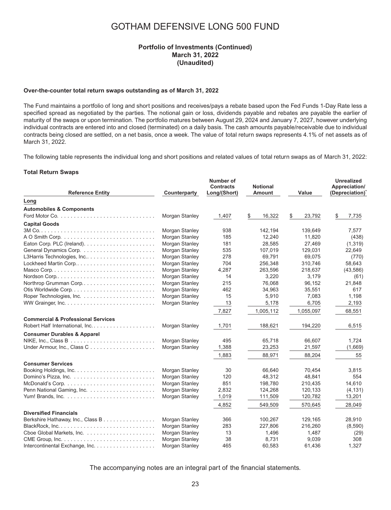#### **Portfolio of Investments (Continued) March 31, 2022 (Unaudited)**

#### **Over-the-counter total return swaps outstanding as of March 31, 2022**

The Fund maintains a portfolio of long and short positions and receives/pays a rebate based upon the Fed Funds 1-Day Rate less a specified spread as negotiated by the parties. The notional gain or loss, dividends payable and rebates are payable the earlier of maturity of the swaps or upon termination. The portfolio matures between August 29, 2024 and January 7, 2027, however underlying individual contracts are entered into and closed (terminated) on a daily basis. The cash amounts payable/receivable due to individual contracts being closed are settled, on a net basis, once a week. The value of total return swaps represents 4.1% of net assets as of March 31, 2022.

The following table represents the individual long and short positions and related values of total return swaps as of March 31, 2022:

#### **Total Return Swaps**

| <b>Reference Entity</b>                       | Counterparty   | Number of<br><b>Contracts</b><br>Long/(Short) | <b>Notional</b><br>Amount | Value        | <b>Unrealized</b><br>Appreciation/<br>(Depreciation) |
|-----------------------------------------------|----------------|-----------------------------------------------|---------------------------|--------------|------------------------------------------------------|
| Long                                          |                |                                               |                           |              |                                                      |
| <b>Automobiles &amp; Components</b>           |                |                                               |                           |              |                                                      |
|                                               | Morgan Stanley | 1,407                                         | \$<br>16,322              | \$<br>23,792 | \$<br>7,735                                          |
| <b>Capital Goods</b>                          |                |                                               |                           |              |                                                      |
|                                               | Morgan Stanley | 938                                           | 142,194                   | 139,649      | 7,577                                                |
|                                               | Morgan Stanley | 185                                           | 12,240                    | 11,820       | (438)                                                |
|                                               | Morgan Stanley | 181                                           | 28.585                    | 27,469       | (1, 319)                                             |
|                                               | Morgan Stanley | 535                                           | 107,019                   | 129,031      | 22,649                                               |
| L3Harris Technologies, Inc                    | Morgan Stanley | 278                                           | 69,791                    | 69,075       | (770)                                                |
| Lockheed Martin Corp                          | Morgan Stanley | 704                                           | 256,348                   | 310,746      | 58,643                                               |
|                                               | Morgan Stanley | 4,287                                         | 263,596                   | 218,637      | (43,586)                                             |
|                                               | Morgan Stanley | 14                                            | 3,220                     | 3,179        | (61)                                                 |
| Northrop Grumman Corp                         | Morgan Stanley | 215                                           | 76,068                    | 96,152       | 21,848                                               |
|                                               | Morgan Stanley | 462                                           | 34,963                    | 35,551       | 617                                                  |
|                                               | Morgan Stanley | 15                                            | 5,910                     | 7,083        | 1,198                                                |
|                                               | Morgan Stanley | 13                                            | 5,178                     | 6,705        | 2,193                                                |
|                                               |                | 7,827                                         | 1,005,112                 | 1,055,097    | 68,551                                               |
| <b>Commercial &amp; Professional Services</b> |                |                                               |                           |              |                                                      |
|                                               | Morgan Stanley | 1,701                                         | 188.621                   | 194,220      | 6,515                                                |
| <b>Consumer Durables &amp; Apparel</b>        |                |                                               |                           |              |                                                      |
|                                               | Morgan Stanley | 495                                           | 65,718                    | 66,607       | 1,724                                                |
| Under Armour, Inc., Class C                   | Morgan Stanley | 1,388                                         | 23,253                    | 21,597       | (1,669)                                              |
|                                               |                | 1,883                                         | 88,971                    | 88.204       | 55                                                   |
| <b>Consumer Services</b>                      |                |                                               |                           |              |                                                      |
|                                               | Morgan Stanley | 30                                            | 66.640                    | 70,454       | 3,815                                                |
|                                               | Morgan Stanley | 120                                           | 48,312                    | 48,841       | 554                                                  |
|                                               | Morgan Stanley | 851                                           | 198,780                   | 210,435      | 14,610                                               |
|                                               | Morgan Stanley | 2,832                                         | 124,268                   | 120,133      | (4, 131)                                             |
|                                               | Morgan Stanley | 1,019                                         | 111,509                   | 120,782      | 13,201                                               |
|                                               |                | 4,852                                         | 549,509                   | 570,645      | 28,049                                               |
| <b>Diversified Financials</b>                 |                |                                               |                           |              |                                                      |
| Berkshire Hathaway, Inc., Class B             | Morgan Stanley | 366                                           | 100,267                   | 129,165      | 28,910                                               |
|                                               | Morgan Stanley | 283                                           | 227,806                   | 216,260      | (8,590)                                              |
|                                               | Morgan Stanley | 13                                            | 1,496                     | 1,487        | (29)                                                 |
|                                               | Morgan Stanley | 38                                            | 8,731                     | 9,039        | 308                                                  |
| Intercontinental Exchange, Inc.               | Morgan Stanley | 465                                           | 60.583                    | 61,436       | 1,327                                                |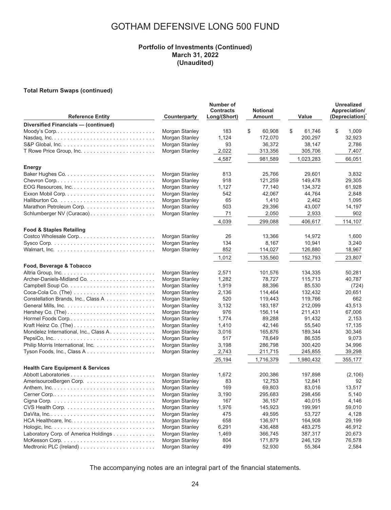#### **Portfolio of Investments (Continued) March 31, 2022 (Unaudited)**

#### **Total Return Swaps (continued)**

| <b>Reference Entity</b>                                                                                        | Counterparty                                                         | Number of<br><b>Contracts</b><br>Long/(Short) | <b>Notional</b><br>Amount                    | Value                                        | <b>Unrealized</b><br>Appreciation/<br>(Depreciation) |
|----------------------------------------------------------------------------------------------------------------|----------------------------------------------------------------------|-----------------------------------------------|----------------------------------------------|----------------------------------------------|------------------------------------------------------|
| Diversified Financials - (continued)                                                                           |                                                                      |                                               |                                              |                                              |                                                      |
| Moody's Corp. $\ldots \ldots \ldots \ldots \ldots \ldots \ldots \ldots \ldots \ldots \ldots$                   | Morgan Stanley<br>Morgan Stanley<br>Morgan Stanley<br>Morgan Stanley | 183<br>1,124<br>93<br>2,022                   | \$<br>60,908<br>172,070<br>36.372<br>313,356 | \$<br>61,746<br>200,297<br>38,147<br>305,706 | \$<br>1,009<br>32,923<br>2,786<br>7,407              |
|                                                                                                                |                                                                      | 4,587                                         | 981,589                                      | 1,023,283                                    | 66,051                                               |
| Energy                                                                                                         |                                                                      |                                               |                                              |                                              |                                                      |
|                                                                                                                | Morgan Stanley<br>Morgan Stanley                                     | 813<br>918                                    | 25,766<br>121,259                            | 29,601<br>149,478                            | 3,832<br>29,305                                      |
|                                                                                                                | Morgan Stanley                                                       | 1,127                                         | 77,140                                       | 134,372                                      | 61,928                                               |
|                                                                                                                | Morgan Stanley                                                       | 542                                           | 42,067                                       | 44.764                                       | 2,848                                                |
|                                                                                                                | Morgan Stanley                                                       | 65                                            | 1,410                                        | 2,462                                        | 1,095                                                |
|                                                                                                                | Morgan Stanley                                                       | 503                                           | 29,396                                       | 43,007                                       | 14,197                                               |
|                                                                                                                | Morgan Stanley                                                       | 71                                            | 2,050                                        | 2,933                                        | 902                                                  |
|                                                                                                                |                                                                      | 4,039                                         | 299,088                                      | 406,617                                      | 114,107                                              |
|                                                                                                                |                                                                      |                                               |                                              |                                              |                                                      |
| <b>Food &amp; Staples Retailing</b>                                                                            |                                                                      | 26                                            | 13,366                                       | 14,972                                       | 1,600                                                |
| Costco Wholesale Corp<br>$Sysco$ Corp. $\ldots \ldots \ldots \ldots \ldots \ldots \ldots \ldots \ldots \ldots$ | Morgan Stanley<br>Morgan Stanley                                     | 134                                           | 8,167                                        | 10,941                                       | 3,240                                                |
|                                                                                                                | Morgan Stanley                                                       | 852                                           | 114,027                                      | 126,880                                      | 18,967                                               |
|                                                                                                                |                                                                      | 1,012                                         |                                              |                                              |                                                      |
|                                                                                                                |                                                                      |                                               | 135,560                                      | 152,793                                      | 23,807                                               |
| Food, Beverage & Tobacco                                                                                       |                                                                      |                                               |                                              |                                              |                                                      |
|                                                                                                                | Morgan Stanley                                                       | 2,571                                         | 101,576                                      | 134,335                                      | 50,281                                               |
|                                                                                                                | Morgan Stanley                                                       | 1,282                                         | 78,727                                       | 115,713                                      | 40,787                                               |
|                                                                                                                | Morgan Stanley                                                       | 1,919                                         | 88,396<br>114,464                            | 85,530<br>132,432                            | (724)                                                |
| Constellation Brands, Inc., Class A                                                                            | Morgan Stanley<br>Morgan Stanley                                     | 2,136<br>520                                  | 119,443                                      | 119,766                                      | 20,651<br>662                                        |
|                                                                                                                | Morgan Stanley                                                       | 3,132                                         | 183,187                                      | 212,099                                      | 43,513                                               |
|                                                                                                                | Morgan Stanley                                                       | 976                                           | 156,114                                      | 211,431                                      | 67,006                                               |
|                                                                                                                | Morgan Stanley                                                       | 1,774                                         | 89,288                                       | 91,432                                       | 2,153                                                |
|                                                                                                                | Morgan Stanley                                                       | 1,410                                         | 42,146                                       | 55,540                                       | 17,135                                               |
| Mondelez International, Inc., Class A.                                                                         | Morgan Stanley                                                       | 3,016                                         | 165,876                                      | 189,344                                      | 30,346                                               |
|                                                                                                                | Morgan Stanley                                                       | 517                                           | 78,649                                       | 86,535                                       | 9,073                                                |
|                                                                                                                | Morgan Stanley                                                       | 3,198                                         | 286,798                                      | 300,420                                      | 34,996                                               |
|                                                                                                                | Morgan Stanley                                                       | 2,743                                         | 211,715                                      | 245,855                                      | 39,298                                               |
|                                                                                                                |                                                                      | 25,194                                        | 1,716,379                                    | 1,980,432                                    | 355,177                                              |
| <b>Health Care Equipment &amp; Services</b>                                                                    |                                                                      |                                               |                                              |                                              |                                                      |
|                                                                                                                | Morgan Stanley                                                       | 1,672                                         | 200,386                                      | 197,898                                      | (2, 106)                                             |
|                                                                                                                | Morgan Stanley                                                       | 83                                            | 12,753                                       | 12,841                                       | 92                                                   |
|                                                                                                                | Morgan Stanley                                                       | 169                                           | 69,803                                       | 83,016                                       | 13,517                                               |
|                                                                                                                | Morgan Stanley                                                       | 3,190                                         | 295,683                                      | 298,456                                      | 5,140                                                |
|                                                                                                                | Morgan Stanley                                                       | 167                                           | 36,157                                       | 40,015                                       | 4,146                                                |
|                                                                                                                | Morgan Stanley                                                       | 1,976                                         | 145,923                                      | 199,991                                      | 59,010                                               |
|                                                                                                                | Morgan Stanley                                                       | 475                                           | 49,595                                       | 53,727                                       | 4,128                                                |
|                                                                                                                | Morgan Stanley                                                       | 658                                           | 136,971                                      | 164,908                                      | 29,199                                               |
|                                                                                                                | Morgan Stanley                                                       | 6,291                                         | 436,488                                      | 483,275                                      | 46,912                                               |
| Laboratory Corp. of America Holdings                                                                           | Morgan Stanley                                                       | 1,469                                         | 366,745                                      | 387,317                                      | 20,673                                               |
|                                                                                                                | Morgan Stanley                                                       | 804                                           | 171,879                                      | 246,129                                      | 76,578                                               |
|                                                                                                                | Morgan Stanley                                                       | 499                                           | 52,930                                       | 55,364                                       | 2,584                                                |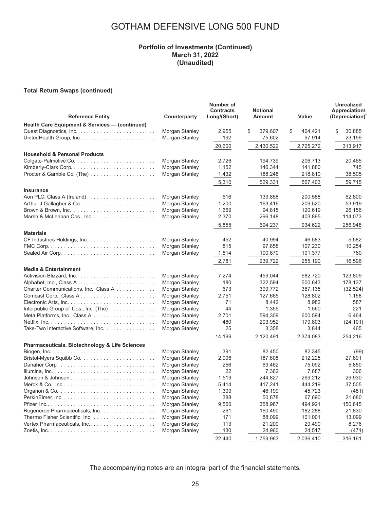#### **Portfolio of Investments (Continued) March 31, 2022 (Unaudited)**

#### **Total Return Swaps (continued)**

| <b>Reference Entity</b>                                             | Counterparty   | Number of<br><b>Contracts</b><br>Long/(Short) | <b>Notional</b><br>Amount | Value         | <b>Unrealized</b><br>Appreciation/<br>(Depreciation) |
|---------------------------------------------------------------------|----------------|-----------------------------------------------|---------------------------|---------------|------------------------------------------------------|
| <b>Health Care Equipment &amp; Services - (continued)</b>           |                |                                               |                           |               |                                                      |
|                                                                     | Morgan Stanley | 2,955                                         | \$<br>379,607             | \$<br>404,421 | \$<br>30,885                                         |
|                                                                     | Morgan Stanley | 192                                           | 75,602                    | 97,914        | 23,159                                               |
|                                                                     |                | 20,600                                        | 2,430,522                 | 2,725,272     | 313,917                                              |
| <b>Household &amp; Personal Products</b>                            |                |                                               |                           |               |                                                      |
|                                                                     | Morgan Stanley | 2.726                                         | 194,739                   | 206.713       | 20,465                                               |
|                                                                     | Morgan Stanley | 1,152                                         | 146,344                   | 141,880       | 745                                                  |
|                                                                     | Morgan Stanley | 1,432                                         | 188,248                   | 218,810       | 38,505                                               |
|                                                                     |                | 5,310                                         | 529,331                   | 567,403       | 59,715                                               |
| <b>Insurance</b>                                                    |                |                                               |                           |               |                                                      |
|                                                                     | Morgan Stanley | 616                                           | 139.858                   | 200.588       | 62.800                                               |
|                                                                     | Morgan Stanley | 1,200                                         | 163,416                   | 209,520       | 53,919                                               |
|                                                                     | Morgan Stanley | 1,669                                         | 94,815                    | 120,619       | 26,156                                               |
|                                                                     | Morgan Stanley | 2,370                                         | 296,148                   | 403,895       | 114,073                                              |
|                                                                     |                |                                               |                           |               |                                                      |
|                                                                     |                | 5,855                                         | 694,237                   | 934,622       | 256,948                                              |
| <b>Materials</b>                                                    |                |                                               |                           |               |                                                      |
|                                                                     | Morgan Stanley | 452                                           | 40.994                    | 46,583        | 5,582                                                |
|                                                                     | Morgan Stanley | 815                                           | 97,858                    | 107,230       | 10,254                                               |
|                                                                     | Morgan Stanley | 1,514                                         | 100,870                   | 101,377       | 760                                                  |
|                                                                     |                | 2,781                                         | 239,722                   | 255,190       | 16,596                                               |
| <b>Media &amp; Entertainment</b>                                    |                |                                               |                           |               |                                                      |
| Activision Blizzard, Inc                                            | Morgan Stanley | 7,274                                         | 459,044                   | 582,720       | 123,809                                              |
|                                                                     | Morgan Stanley | 180                                           | 322.594                   | 500.643       | 178,137                                              |
| Charter Communications, Inc., Class A                               | Morgan Stanley | 673                                           | 399,772                   | 367,135       | (32, 524)                                            |
| Comcast Corp., Class A                                              | Morgan Stanley | 2.751                                         | 127,665                   | 128,802       | 1,158                                                |
|                                                                     | Morgan Stanley | 71                                            | 8,442                     | 8,982         | 587                                                  |
| Interpublic Group of Cos., Inc. (The) $\ldots \ldots \ldots \ldots$ | Morgan Stanley | 44                                            | 1,355                     | 1,560         | 221                                                  |
|                                                                     | Morgan Stanley | 2,701                                         | 594,309                   | 600,594       | 6.464                                                |
|                                                                     | Morgan Stanley | 480                                           | 203,952                   | 179,803       | (24, 101)                                            |
| Take-Two Interactive Software, Inc.                                 | Morgan Stanley | 25                                            | 3,358                     | 3,844         | 465                                                  |
|                                                                     |                | 14,199                                        | 2,120,491                 | 2.374.083     | 254,216                                              |
| <b>Pharmaceuticals, Biotechnology &amp; Life Sciences</b>           |                |                                               |                           |               |                                                      |
|                                                                     | Morgan Stanley | 391                                           | 82.450                    | 82,345        | (99)                                                 |
|                                                                     | Morgan Stanley | 2.906                                         | 187.808                   | 212.225       | 27,891                                               |
|                                                                     | Morgan Stanley | 256                                           | 69,462                    | 75,092        | 5,850                                                |
|                                                                     | Morgan Stanley | 22                                            | 7,362                     | 7,687         | 306                                                  |
|                                                                     | Morgan Stanley | 1,519                                         | 244,827                   | 269,212       | 29,930                                               |
|                                                                     | Morgan Stanley | 5,414                                         | 417,241                   | 444,219       | 37,505                                               |
|                                                                     | Morgan Stanley | 1,309                                         | 46,199                    | 45.723        | (481)                                                |
|                                                                     | Morgan Stanley | 388                                           | 50,878                    | 67,690        | 21,680                                               |
|                                                                     | Morgan Stanley | 9,560                                         | 358,987                   | 494,921       | 150,845                                              |
| Regeneron Pharmaceuticals, Inc.                                     | Morgan Stanley | 261                                           | 160.490                   | 182.288       | 21,830                                               |
|                                                                     | Morgan Stanley | 171                                           | 88,099                    | 101,001       | 13,099                                               |
| Vertex Pharmaceuticals, Inc                                         | Morgan Stanley | 113                                           | 21,200                    | 29,490        | 8,276                                                |
|                                                                     | Morgan Stanley | 130                                           | 24,960                    | 24,517        | (471)                                                |
|                                                                     |                | 22.440                                        | 1,759,963                 | 2,036,410     | 316,161                                              |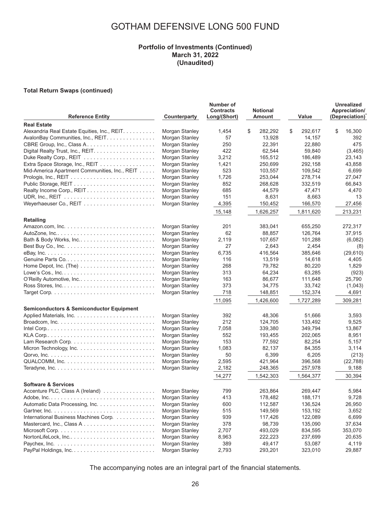### **Portfolio of Investments (Continued) March 31, 2022 (Unaudited)**

#### **Total Return Swaps (continued)**

| <b>Reference Entity</b>                                                         | Counterparty                     | Number of<br><b>Contracts</b><br>Long/(Short) | <b>Notional</b><br>Amount | Value              | <b>Unrealized</b><br>Appreciation/<br>(Depreciation) |
|---------------------------------------------------------------------------------|----------------------------------|-----------------------------------------------|---------------------------|--------------------|------------------------------------------------------|
| <b>Real Estate</b>                                                              |                                  |                                               |                           |                    |                                                      |
| Alexandria Real Estate Equities, Inc., REIT.                                    | Morgan Stanley                   | 1,454                                         | \$<br>282,292             | \$<br>292,617      | \$<br>16,300                                         |
| AvalonBay Communities, Inc., REIT.                                              | Morgan Stanley                   | 57                                            | 13,928                    | 14,157             | 392                                                  |
| CBRE Group, Inc., Class A                                                       | Morgan Stanley                   | 250                                           | 22,391                    | 22,880             | 475                                                  |
|                                                                                 | Morgan Stanley                   | 422                                           | 62,544                    | 59,840             | (3,465)                                              |
|                                                                                 | Morgan Stanley                   | 3,212                                         | 165,512                   | 186,489            | 23,143                                               |
| Extra Space Storage, Inc., REIT                                                 | Morgan Stanley                   | 1,421                                         | 250,699                   | 292,158            | 43,858                                               |
| Mid-America Apartment Communities, Inc., REIT                                   | Morgan Stanley                   | 523                                           | 103,557                   | 109,542            | 6,699                                                |
|                                                                                 | Morgan Stanley                   | 1,726                                         | 253.044                   | 278,714            | 27,047                                               |
|                                                                                 | Morgan Stanley                   | 852                                           | 268.628                   | 332,519            | 66,843                                               |
| Realty Income Corp., REIT                                                       | Morgan Stanley                   | 685                                           | 44,579                    | 47,471             | 4,470                                                |
|                                                                                 | Morgan Stanley                   | 151                                           | 8,631                     | 8,663              | 13                                                   |
|                                                                                 | Morgan Stanley                   | 4,395                                         | 150,452                   | 166,570            | 27,456                                               |
|                                                                                 |                                  | 15,148                                        | 1,626,257                 | 1,811,620          | 213,231                                              |
| Retailing                                                                       |                                  |                                               |                           |                    |                                                      |
|                                                                                 | Morgan Stanley                   | 201                                           | 383,041                   | 655,250            | 272,317                                              |
|                                                                                 | Morgan Stanley                   | 62                                            | 88,857                    | 126,764            | 37,915                                               |
| Bath & Body Works, Inc                                                          | Morgan Stanley                   | 2,119                                         | 107,657                   | 101,288            | (6,082)                                              |
|                                                                                 | Morgan Stanley                   | 27                                            | 2,643                     | 2,454              | (8)                                                  |
|                                                                                 | Morgan Stanley                   | 6,735                                         | 416,564                   | 385,646            | (29, 610)                                            |
|                                                                                 | Morgan Stanley                   | 116                                           | 13,519                    | 14,618             | 4,405                                                |
|                                                                                 | Morgan Stanley                   | 268                                           | 79,782                    | 80,220             | 1,829                                                |
|                                                                                 | Morgan Stanley                   | 313                                           | 64,234                    | 63,285             | (923)                                                |
|                                                                                 | Morgan Stanley                   | 163                                           | 86,677                    | 111,648            | 25,790                                               |
|                                                                                 | Morgan Stanley                   | 373                                           | 34,775                    | 33,742             | (1,043)                                              |
|                                                                                 | Morgan Stanley                   | 718                                           | 148,851                   | 152,374            | 4,691                                                |
|                                                                                 |                                  | 11,095                                        | 1,426,600                 | 1,727,289          | 309,281                                              |
|                                                                                 |                                  |                                               |                           |                    |                                                      |
| <b>Semiconductors &amp; Semiconductor Equipment</b>                             |                                  |                                               |                           |                    |                                                      |
|                                                                                 | Morgan Stanley                   | 392<br>212                                    | 48,306                    | 51,666             | 3,593<br>9,525                                       |
| Broadcom, Inc. $\ldots \ldots \ldots \ldots \ldots \ldots \ldots \ldots \ldots$ | Morgan Stanley                   |                                               | 124,705                   | 133,492            |                                                      |
|                                                                                 | Morgan Stanley                   | 7,058                                         | 339,380                   | 349,794            | 13,867                                               |
|                                                                                 | Morgan Stanley                   | 552<br>153                                    | 193,455                   | 202,065<br>82,254  | 8,951<br>5,157                                       |
|                                                                                 | Morgan Stanley                   |                                               | 77,592                    |                    |                                                      |
|                                                                                 | Morgan Stanley                   | 1,083<br>50                                   | 82,137<br>6,399           | 84,355<br>6,205    | 3,114                                                |
|                                                                                 | Morgan Stanley<br>Morgan Stanley | 2,595                                         |                           |                    | (213)                                                |
|                                                                                 | Morgan Stanley                   | 2,182                                         | 421,964<br>248,365        | 396,568<br>257,978 | (22, 788)<br>9,188                                   |
|                                                                                 |                                  | 14,277                                        | 1,542,303                 | 1.564.377          | 30,394                                               |
| <b>Software &amp; Services</b>                                                  |                                  |                                               |                           |                    |                                                      |
| Accenture PLC, Class A (Ireland)                                                | Morgan Stanley                   | 799                                           | 263,864                   | 269,447            | 5,984                                                |
|                                                                                 | Morgan Stanley                   | 413                                           | 178,482                   | 188,171            | 9,728                                                |
| Automatic Data Processing, Inc.                                                 | Morgan Stanley                   | 600                                           | 112,587                   | 136,524            | 26,950                                               |
|                                                                                 | Morgan Stanley                   | 515                                           | 149,569                   | 153,192            | 3,652                                                |
| International Business Machines Corp.                                           | Morgan Stanley                   | 939                                           | 117,426                   | 122,089            | 6,699                                                |
| Mastercard, Inc., Class A                                                       | Morgan Stanley                   | 378                                           | 98,739                    | 135,090            | 37,634                                               |
|                                                                                 | Morgan Stanley                   | 2,707                                         | 493,029                   | 834,595            | 353,070                                              |
| NortonLifeLock, Inc                                                             | Morgan Stanley                   | 8,963                                         | 222,223                   | 237,699            | 20,635                                               |
|                                                                                 | Morgan Stanley                   | 389                                           | 49,417                    | 53,087             | 4,119                                                |
|                                                                                 | Morgan Stanley                   | 2,793                                         | 293,201                   | 323,010            | 29,887                                               |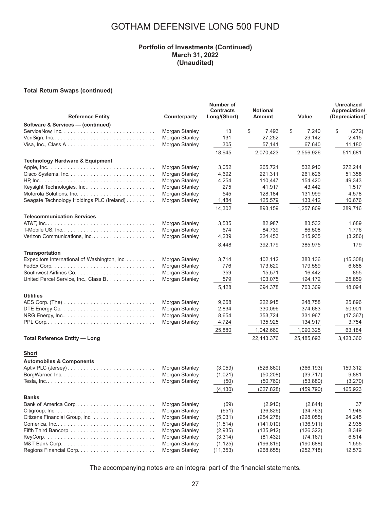#### **Portfolio of Investments (Continued) March 31, 2022 (Unaudited)**

#### **Total Return Swaps (continued)**

| <b>Reference Entity</b>                                                                | Counterparty          | Number of<br><b>Contracts</b><br>Long/(Short) | <b>Notional</b><br><b>Amount</b> | Value       | <b>Unrealized</b><br>Appreciation/<br>(Depreciation) |
|----------------------------------------------------------------------------------------|-----------------------|-----------------------------------------------|----------------------------------|-------------|------------------------------------------------------|
| Software & Services - (continued)                                                      |                       |                                               |                                  |             |                                                      |
| $ServiceNow, Inc.$                                                                     | Morgan Stanley        | 13                                            | \$<br>7,493                      | \$<br>7,240 | \$<br>(272)                                          |
|                                                                                        | Morgan Stanley        | 131                                           | 27,252                           | 29,142      | 2,415                                                |
|                                                                                        | Morgan Stanley        | 305                                           | 57,141                           | 67,640      | 11,180                                               |
|                                                                                        |                       | 18,945                                        | 2,070,423                        | 2,556,926   | 511,681                                              |
| <b>Technology Hardware &amp; Equipment</b>                                             |                       |                                               |                                  |             |                                                      |
|                                                                                        | Morgan Stanley        | 3,052                                         | 265,721                          | 532,910     | 272,244                                              |
|                                                                                        | Morgan Stanley        | 4,692                                         | 221,311                          | 261.626     | 51,358                                               |
|                                                                                        | Morgan Stanley        | 4,254                                         | 110,447                          | 154,420     | 49,343                                               |
| Keysight Technologies, Inc                                                             | Morgan Stanley        | 275                                           | 41,917                           | 43,442      | 1,517                                                |
|                                                                                        | Morgan Stanley        | 545                                           | 128,184                          | 131,999     | 4,578                                                |
| Seagate Technology Holdings PLC (Ireland)                                              | Morgan Stanley        | 1,484                                         | 125,579                          | 133,412     | 10,676                                               |
|                                                                                        |                       | 14,302                                        | 893,159                          | 1,257,809   | 389,716                                              |
| <b>Telecommunication Services</b>                                                      |                       |                                               |                                  |             |                                                      |
|                                                                                        | Morgan Stanley        | 3,535                                         | 82,987                           | 83,532      | 1,689                                                |
|                                                                                        | Morgan Stanley        | 674                                           | 84,739                           | 86,508      | 1,776                                                |
|                                                                                        | Morgan Stanley        | 4,239                                         | 224,453                          | 215,935     | (3,286)                                              |
|                                                                                        |                       | 8,448                                         | 392,179                          | 385,975     | 179                                                  |
| Transportation                                                                         |                       |                                               |                                  |             |                                                      |
| Expeditors International of Washington, Inc.                                           | Morgan Stanley        | 3,714                                         | 402,112                          | 383,136     | (15,308)                                             |
|                                                                                        | Morgan Stanley        | 776                                           | 173,620                          | 179,559     | 6,688                                                |
|                                                                                        | Morgan Stanley        | 359                                           | 15,571                           | 16,442      | 855                                                  |
| United Parcel Service, Inc., Class B.                                                  | Morgan Stanley        | 579                                           | 103,075                          | 124,172     | 25,859                                               |
|                                                                                        |                       | 5,428                                         | 694.378                          | 703,309     | 18,094                                               |
| <b>Utilities</b>                                                                       |                       |                                               |                                  |             |                                                      |
|                                                                                        | Morgan Stanley        | 9,668                                         | 222,915                          | 248,758     | 25,896                                               |
| DTE Energy Co. $\ldots \ldots \ldots \ldots \ldots \ldots \ldots \ldots \ldots \ldots$ | Morgan Stanley        | 2,834                                         | 330,096                          | 374,683     | 50,901                                               |
|                                                                                        | Morgan Stanley        | 8,654                                         | 353,724                          | 331,967     | (17, 367)                                            |
|                                                                                        | Morgan Stanley        | 4,724                                         | 135,925                          | 134,917     | 3,754                                                |
|                                                                                        |                       | 25,880                                        | 1,042,660                        | 1,090,325   | 63,184                                               |
| <b>Total Reference Entity - Long</b>                                                   |                       |                                               | 22,443,376                       | 25,485,693  | 3,423,360                                            |
| Short                                                                                  |                       |                                               |                                  |             |                                                      |
| <b>Automobiles &amp; Components</b>                                                    |                       |                                               |                                  |             |                                                      |
|                                                                                        | Morgan Stanley        | (3,059)                                       | (526, 860)                       | (366, 193)  | 159,312                                              |
|                                                                                        | Morgan Stanley        | (1,021)                                       | (50, 208)                        | (39, 717)   | 9,881                                                |
|                                                                                        | Morgan Stanley        | (50)                                          | (50, 760)                        | (53, 880)   | (3,270)                                              |
|                                                                                        |                       | (4, 130)                                      | (627, 828)                       | (459, 790)  | 165,923                                              |
| <b>Banks</b>                                                                           |                       |                                               |                                  |             |                                                      |
| Bank of America Corp                                                                   | Morgan Stanley        | (69)                                          | (2,910)                          | (2,844)     | 37                                                   |
|                                                                                        | Morgan Stanley        | (651)                                         | (36, 826)                        | (34, 763)   | 1,948                                                |
|                                                                                        | <b>Morgan Stanley</b> | (5,031)                                       | (254, 278)                       | (228, 055)  | 24,245                                               |
|                                                                                        | Morgan Stanley        | (1,514)                                       | (141, 010)                       | (136, 911)  | 2,935                                                |
|                                                                                        | Morgan Stanley        | (2,935)                                       | (135, 912)                       | (126, 322)  | 8,349                                                |
|                                                                                        | Morgan Stanley        | (3,314)                                       | (81, 432)                        | (74, 167)   | 6,514                                                |
|                                                                                        | Morgan Stanley        | (1, 125)                                      | (196, 819)                       | (190, 688)  | 1,555                                                |
|                                                                                        | Morgan Stanley        | (11, 353)                                     | (268, 655)                       | (252, 718)  | 12,572                                               |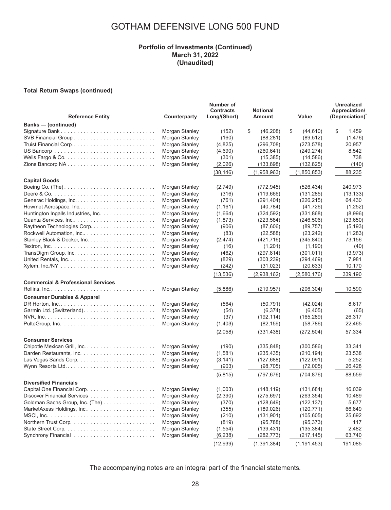#### **Portfolio of Investments (Continued) March 31, 2022 (Unaudited)**

#### **Total Return Swaps (continued)**

| <b>Reference Entity</b>                                                  | Counterparty   | Number of<br><b>Contracts</b><br>Long/(Short) | <b>Notional</b><br><b>Amount</b> | Value           | Unrealized<br>Appreciation/<br>(Depreciation) |
|--------------------------------------------------------------------------|----------------|-----------------------------------------------|----------------------------------|-----------------|-----------------------------------------------|
| <b>Banks</b> - (continued)                                               |                |                                               |                                  |                 |                                               |
|                                                                          | Morgan Stanley | (152)                                         | \$<br>(46, 208)                  | \$<br>(44, 610) | \$<br>1,459                                   |
|                                                                          | Morgan Stanley | (160)                                         | (88, 281)                        | (89, 512)       | (1, 476)                                      |
|                                                                          | Morgan Stanley | (4,825)                                       | (296, 708)                       | (273, 578)      | 20,957                                        |
|                                                                          | Morgan Stanley | (4,690)                                       | (260, 641)                       | (249, 274)      | 8,542                                         |
|                                                                          | Morgan Stanley | (301)                                         | (15, 385)                        | (14, 586)       | 738                                           |
|                                                                          | Morgan Stanley | (2,026)                                       | (133, 898)                       | (132, 825)      | (140)                                         |
|                                                                          |                | (38, 146)                                     | (1,958,963)                      | (1,850,853)     | 88,235                                        |
| <b>Capital Goods</b>                                                     |                |                                               |                                  |                 |                                               |
|                                                                          | Morgan Stanley | (2,749)                                       | (772, 945)                       | (526, 434)      | 240,973                                       |
|                                                                          | Morgan Stanley | (316)                                         | (119, 666)                       | (131, 285)      | (13, 133)                                     |
|                                                                          | Morgan Stanley | (761)                                         | (291, 404)                       | (226, 215)      | 64,430                                        |
|                                                                          | Morgan Stanley | (1, 161)                                      | (40, 784)                        | (41, 726)       | (1,252)                                       |
| Huntington Ingalls Industries, Inc.                                      | Morgan Stanley | (1,664)                                       | (324, 592)                       | (331, 868)      | (8,996)                                       |
| Quanta Services, Inc                                                     | Morgan Stanley | (1, 873)                                      | (223, 584)                       | (246, 506)      | (23, 650)                                     |
|                                                                          | Morgan Stanley | (906)                                         | (87,606)                         | (89, 757)       | (5, 193)                                      |
| Rockwell Automation, Inc                                                 | Morgan Stanley | (83)                                          | (22, 588)                        | (23, 242)       | (1,283)                                       |
|                                                                          | Morgan Stanley | (2, 474)                                      | (421, 716)                       | (345, 840)      | 73,156                                        |
|                                                                          | Morgan Stanley | (16)                                          | (1,201)                          | (1, 190)        | (40)                                          |
|                                                                          | Morgan Stanley | (462)                                         | (297, 814)                       | (301, 011)      | (3,973)                                       |
|                                                                          | Morgan Stanley | (829)                                         | (303, 239)                       | (294, 469)      | 7,981                                         |
|                                                                          | Morgan Stanley | (242)                                         | (31, 023)                        | (20, 633)       | 10,170                                        |
|                                                                          |                | (13, 536)                                     | (2,938,162)                      | (2,580,176)     | 339,190                                       |
| <b>Commercial &amp; Professional Services</b>                            |                |                                               |                                  |                 |                                               |
|                                                                          | Morgan Stanley | (5,886)                                       | (219, 957)                       | (206, 304)      | 10,590                                        |
| <b>Consumer Durables &amp; Apparel</b>                                   |                |                                               |                                  |                 |                                               |
|                                                                          | Morgan Stanley | (564)                                         | (50, 791)                        | (42, 024)       | 8,617                                         |
|                                                                          | Morgan Stanley | (54)                                          | (6, 374)                         | (6, 405)        | (65)                                          |
|                                                                          | Morgan Stanley | (37)                                          | (192, 114)                       | (165, 289)      | 26,317                                        |
|                                                                          | Morgan Stanley | (1,403)                                       | (82, 159)                        | (58, 786)       | 22,465                                        |
|                                                                          |                | (2,058)                                       | (331, 438)                       | (272, 504)      | 57,334                                        |
| <b>Consumer Services</b>                                                 |                |                                               |                                  |                 |                                               |
|                                                                          | Morgan Stanley | (190)                                         | (335, 848)                       | (300, 586)      | 33.341                                        |
|                                                                          | Morgan Stanley | (1,581)                                       | (235, 435)                       | (210, 194)      | 23,538                                        |
| Las Vegas Sands Corp. $\ldots \ldots \ldots \ldots \ldots \ldots \ldots$ | Morgan Stanley | (3, 141)                                      | (127, 688)                       | (122,091)       | 5,252                                         |
| Wynn Resorts Ltd                                                         | Morgan Stanley | (903)                                         | (98, 705)                        | (72,005)        | 26,428                                        |
|                                                                          |                | (5, 815)                                      | (797, 676)                       | (704, 876)      | 88,559                                        |
| <b>Diversified Financials</b>                                            |                |                                               |                                  |                 |                                               |
|                                                                          | Morgan Stanley | (1,003)                                       | (148, 119)                       | (131, 684)      | 16.039                                        |
|                                                                          | Morgan Stanley | (2, 390)                                      | (275, 697)                       | (263, 354)      | 10.489                                        |
| Goldman Sachs Group, Inc. (The)                                          | Morgan Stanley | (370)                                         | (128, 649)                       | (122, 137)      | 5,677                                         |
| MarketAxess Holdings, Inc                                                | Morgan Stanley | (355)                                         | (189, 026)                       | (120, 771)      | 66,849                                        |
|                                                                          | Morgan Stanley | (210)                                         | (131, 901)                       | (105, 605)      | 25,692                                        |
|                                                                          | Morgan Stanley | (819)                                         | (95, 788)                        | (95, 373)       | 117                                           |
|                                                                          | Morgan Stanley | (1, 554)                                      | (139, 431)                       | (135, 384)      | 2,482                                         |
|                                                                          | Morgan Stanley | (6, 238)                                      | (282, 773)                       | (217, 145)      | 63,740                                        |
|                                                                          |                | (12, 939)                                     | (1, 391, 384)                    | (1, 191, 453)   | 191,085                                       |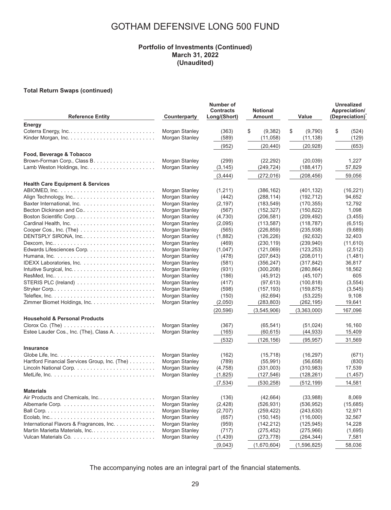#### **Portfolio of Investments (Continued) March 31, 2022 (Unaudited)**

#### **Total Return Swaps (continued)**

| <b>Reference Entity</b>                                                                     | Counterparty   | Number of<br><b>Contracts</b><br>Long/(Short) | <b>Notional</b><br><b>Amount</b> | Value         | Unrealized<br>Appreciation/<br>(Depreciation) |
|---------------------------------------------------------------------------------------------|----------------|-----------------------------------------------|----------------------------------|---------------|-----------------------------------------------|
| Energy                                                                                      |                |                                               |                                  |               |                                               |
|                                                                                             | Morgan Stanley | (363)                                         | \$<br>(9,382)                    | \$<br>(9,790) | \$<br>(524)                                   |
|                                                                                             | Morgan Stanley | (589)                                         | (11,058)                         | (11, 138)     | (129)                                         |
|                                                                                             |                | (952)                                         | (20, 440)                        | (20, 928)     | (653)                                         |
| Food, Beverage & Tobacco                                                                    |                |                                               |                                  |               |                                               |
|                                                                                             | Morgan Stanley | (299)                                         | (22, 292)                        | (20, 039)     | 1.227                                         |
|                                                                                             | Morgan Stanley | (3, 145)                                      | (249, 724)                       | (188, 417)    | 57,829                                        |
|                                                                                             |                | (3,444)                                       | (272, 016)                       | (208, 456)    | 59,056                                        |
| <b>Health Care Equipment &amp; Services</b>                                                 |                |                                               |                                  |               |                                               |
|                                                                                             | Morgan Stanley | (1,211)                                       | (386, 162)                       | (401, 132)    | (16, 221)                                     |
| Align Technology, Inc                                                                       | Morgan Stanley | (442)                                         | (288, 114)                       | (192, 712)    | 94,652                                        |
|                                                                                             | Morgan Stanley | (2, 197)                                      | (183, 549)                       | (170, 355)    | 12,792                                        |
|                                                                                             | Morgan Stanley | (567)                                         | (152, 327)                       | (150, 822)    | 1,098                                         |
| Boston Scientific Corp                                                                      | Morgan Stanley | (4,730)                                       | (206, 581)                       | (209, 492)    | (3, 455)                                      |
|                                                                                             | Morgan Stanley | (2,095)                                       | (113, 587)                       | (118, 787)    | (6, 515)                                      |
| Cooper Cos., Inc. (The) $\ldots \ldots \ldots \ldots \ldots \ldots \ldots$                  | Morgan Stanley | (565)                                         | (226, 859)                       | (235, 938)    | (9,689)                                       |
| DENTSPLY SIRONA, Inc                                                                        | Morgan Stanley | (1,882)                                       |                                  | (92, 632)     | 32,403                                        |
|                                                                                             | Morgan Stanley |                                               | (126, 226)<br>(230, 119)         | (239, 940)    | (11,610)                                      |
|                                                                                             |                | (469)                                         |                                  |               |                                               |
|                                                                                             | Morgan Stanley | (1,047)                                       | (121,069)                        | (123, 253)    | (2,512)                                       |
|                                                                                             | Morgan Stanley | (478)                                         | (207, 643)                       | (208, 011)    | (1,481)                                       |
|                                                                                             | Morgan Stanley | (581)                                         | (356, 247)                       | (317, 842)    | 36,817                                        |
|                                                                                             | Morgan Stanley | (931)                                         | (300, 208)                       | (280, 864)    | 18,562                                        |
|                                                                                             | Morgan Stanley | (186)                                         | (45, 912)                        | (45, 107)     | 605                                           |
| STERIS PLC (Ireland) $\ldots \ldots \ldots \ldots \ldots \ldots \ldots$                     | Morgan Stanley | (417)                                         | (97, 613)                        | (100, 818)    | (3,554)                                       |
| Stryker Corp $\ldots \ldots \ldots \ldots \ldots \ldots \ldots \ldots \ldots \ldots \ldots$ | Morgan Stanley | (598)                                         | (157, 193)                       | (159, 875)    | (3, 545)                                      |
|                                                                                             | Morgan Stanley | (150)                                         | (62, 694)                        | (53, 225)     | 9,108                                         |
|                                                                                             | Morgan Stanley | (2,050)                                       | (283, 803)                       | (262, 195)    | 19,641                                        |
|                                                                                             |                | (20, 596)                                     | (3,545,906)                      | (3,363,000)   | 167,096                                       |
| <b>Household &amp; Personal Products</b>                                                    |                |                                               |                                  |               |                                               |
| $Clorox$ $Co.$ (The) $\ldots \ldots \ldots \ldots \ldots \ldots \ldots \ldots$              | Morgan Stanley | (367)                                         | (65, 541)                        | (51, 024)     | 16,160                                        |
| Estee Lauder Cos., Inc. (The), Class A.                                                     | Morgan Stanley | (165)                                         | (60, 615)                        | (44, 933)     | 15,409                                        |
|                                                                                             |                | (532)                                         | (126, 156)                       | (95, 957)     | 31,569                                        |
| <b>Insurance</b>                                                                            |                |                                               |                                  |               |                                               |
|                                                                                             | Morgan Stanley | (162)                                         | (15, 718)                        | (16, 297)     | (671)                                         |
| Hartford Financial Services Group, Inc. (The)                                               | Morgan Stanley | (789)                                         | (55, 991)                        | (56, 658)     | (830)                                         |
|                                                                                             | Morgan Stanley | (4,758)                                       | (331,003)                        | (310, 983)    | 17,539                                        |
|                                                                                             | Morgan Stanley | (1,825)                                       | (127, 546)                       | (128, 261)    | (1, 457)                                      |
|                                                                                             |                | (7, 534)                                      | (530, 258)                       | (512, 199)    | 14,581                                        |
| <b>Materials</b>                                                                            |                |                                               |                                  |               |                                               |
| Air Products and Chemicals, Inc                                                             | Morgan Stanley | (136)                                         | (42, 664)                        | (33,988)      | 8.069                                         |
|                                                                                             | Morgan Stanley | (2, 428)                                      | (526, 931)                       | (536, 952)    | (15,685)                                      |
|                                                                                             | Morgan Stanley | (2,707)                                       | (259, 422)                       | (243, 630)    | 12,971                                        |
|                                                                                             | Morgan Stanley | (657)                                         | (150, 145)                       | (116,000)     | 32,567                                        |
| International Flavors & Fragrances, Inc.                                                    | Morgan Stanley | (959)                                         | (142, 212)                       | (125, 945)    | 14,228                                        |
|                                                                                             | Morgan Stanley | (717)                                         | (275, 452)                       | (275,966)     | (1,695)                                       |
|                                                                                             | Morgan Stanley | (1,439)                                       | (273, 778)                       | (264, 344)    | 7,581                                         |
|                                                                                             |                | (9,043)                                       | (1,670,604)                      | (1,596,825)   | 58,036                                        |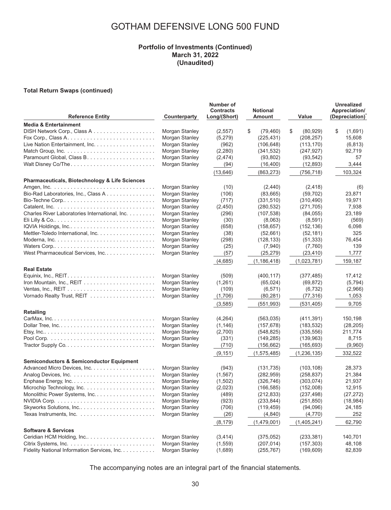#### **Portfolio of Investments (Continued) March 31, 2022 (Unaudited)**

#### **Total Return Swaps (continued)**

| <b>Reference Entity</b>                                                                    | Counterparty   | Number of<br><b>Contracts</b><br>Long/(Short) | <b>Notional</b><br><b>Amount</b> | Value           | <b>Unrealized</b><br>Appreciation/<br>(Depreciation) |
|--------------------------------------------------------------------------------------------|----------------|-----------------------------------------------|----------------------------------|-----------------|------------------------------------------------------|
| <b>Media &amp; Entertainment</b>                                                           |                |                                               |                                  |                 |                                                      |
|                                                                                            | Morgan Stanley | (2, 557)                                      | \$<br>(79, 460)                  | \$<br>(80, 929) | \$<br>(1,691)                                        |
|                                                                                            | Morgan Stanley | (5,279)                                       | (225, 431)                       | (208, 257)      | 15,608                                               |
| Live Nation Entertainment, Inc.                                                            | Morgan Stanley | (962)                                         | (106, 648)                       | (113, 170)      | (6, 813)                                             |
|                                                                                            | Morgan Stanley | (2, 280)                                      | (341, 532)                       | (247, 927)      | 92,719                                               |
|                                                                                            | Morgan Stanley | (2, 474)                                      | (93, 802)                        | (93, 542)       | 57                                                   |
| Walt Disney Co/The                                                                         | Morgan Stanley | (94)                                          | (16, 400)                        | (12, 893)       | 3,444                                                |
|                                                                                            |                | (13, 646)                                     | (863, 273)                       | (756, 718)      | 103,324                                              |
| Pharmaceuticals, Biotechnology & Life Sciences                                             |                |                                               |                                  |                 |                                                      |
| Amgen, Inc. $\ldots \ldots \ldots \ldots \ldots \ldots \ldots \ldots \ldots \ldots \ldots$ | Morgan Stanley | (10)                                          | (2, 440)                         | (2, 418)        | (6)                                                  |
| Bio-Rad Laboratories, Inc., Class A.                                                       | Morgan Stanley | (106)                                         | (83,665)                         | (59, 702)       | 23,871                                               |
|                                                                                            | Morgan Stanley | (717)                                         | (331,510)                        | (310, 490)      | 19,971                                               |
|                                                                                            | Morgan Stanley | (2,450)                                       | (280, 532)                       | (271, 705)      | 7,938                                                |
| Charles River Laboratories International, Inc.                                             | Morgan Stanley | (296)                                         | (107, 538)                       | (84, 055)       | 23,189                                               |
|                                                                                            | Morgan Stanley | (30)                                          | (8,063)                          | (8,591)         | (569)                                                |
|                                                                                            | Morgan Stanley | (658)                                         | (158, 657)                       | (152, 136)      | 6,098                                                |
| Mettler-Toledo International, Inc.                                                         | Morgan Stanley | (38)                                          | (52,661)                         | (52, 181)       | 325                                                  |
|                                                                                            | Morgan Stanley | (298)                                         | (128, 133)                       | (51, 333)       | 76,454                                               |
|                                                                                            | Morgan Stanley | (25)                                          | (7,940)                          | (7,760)         | 139                                                  |
| West Pharmaceutical Services, Inc.                                                         | Morgan Stanley | (57)                                          | (25, 279)                        | (23, 410)       | 1,777                                                |
|                                                                                            |                | (4,685)                                       | (1, 186, 418)                    | (1,023,781)     | 159,187                                              |
| <b>Real Estate</b>                                                                         |                |                                               |                                  |                 |                                                      |
| Equinix, Inc., $REIT. \ldots \ldots \ldots \ldots \ldots \ldots \ldots \ldots \ldots$      | Morgan Stanley | (509)                                         | (400, 117)                       | (377, 485)      | 17,412                                               |
|                                                                                            | Morgan Stanley | (1,261)                                       | (65, 024)                        | (69, 872)       | (5,794)                                              |
|                                                                                            | Morgan Stanley | (109)                                         | (6, 571)                         | (6, 732)        | (2,966)                                              |
|                                                                                            | Morgan Stanley | (1,706)                                       | (80, 281)                        | (77, 316)       | 1,053                                                |
|                                                                                            |                | (3, 585)                                      | (551, 993)                       | (531, 405)      | 9,705                                                |
| <b>Retailing</b>                                                                           |                |                                               |                                  |                 |                                                      |
|                                                                                            | Morgan Stanley | (4,264)                                       | (563, 035)                       | (411, 391)      | 150,198                                              |
| Dollar Tree, Inc                                                                           | Morgan Stanley | (1, 146)                                      | (157, 678)                       | (183, 532)      | (28, 205)                                            |
|                                                                                            | Morgan Stanley | (2,700)                                       | (548, 825)                       | (335, 556)      | 211,774                                              |
|                                                                                            | Morgan Stanley | (331)                                         | (149, 285)                       | (139, 963)      | 8,715                                                |
|                                                                                            | Morgan Stanley | (710)                                         | (156, 662)                       | (165, 693)      | (9,960)                                              |
|                                                                                            |                | (9, 151)                                      | (1, 575, 485)                    | (1, 236, 135)   | 332,522                                              |
| <b>Semiconductors &amp; Semiconductor Equipment</b>                                        |                |                                               |                                  |                 |                                                      |
|                                                                                            | Morgan Stanley | (943)                                         | (131, 735)                       | (103, 108)      | 28,373                                               |
|                                                                                            | Morgan Stanley | (1, 567)                                      | (282, 959)                       | (258, 837)      | 21,384                                               |
|                                                                                            | Morgan Stanley | (1,502)                                       | (326, 746)                       | (303, 074)      | 21,937                                               |
|                                                                                            | Morgan Stanley | (2,023)                                       | (166, 585)                       | (152,008)       | 12,915                                               |
| Monolithic Power Systems, Inc.                                                             | Morgan Stanley | (489)                                         | (212, 833)                       | (237, 498)      | (27, 272)                                            |
|                                                                                            | Morgan Stanley | (923)                                         | (233, 844)                       | (251, 850)      | (18, 984)                                            |
| Skyworks Solutions, Inc                                                                    | Morgan Stanley | (706)                                         | (119, 459)                       | (94,096)        | 24,185                                               |
|                                                                                            | Morgan Stanley | (26)                                          | (4, 840)                         | (4,770)         | 252                                                  |
|                                                                                            |                | (8, 179)                                      | (1,479,001)                      | (1,405,241)     | 62,790                                               |
| <b>Software &amp; Services</b>                                                             |                |                                               |                                  |                 |                                                      |
| Ceridian HCM Holding, Inc                                                                  | Morgan Stanley | (3, 414)                                      | (375,052)                        | (233, 381)      | 140,701                                              |
|                                                                                            | Morgan Stanley | (1, 559)                                      | (207, 014)                       | (157, 303)      | 48,108                                               |
| Fidelity National Information Services, Inc.                                               | Morgan Stanley | (1,689)                                       | (255, 767)                       | (169, 609)      | 82,839                                               |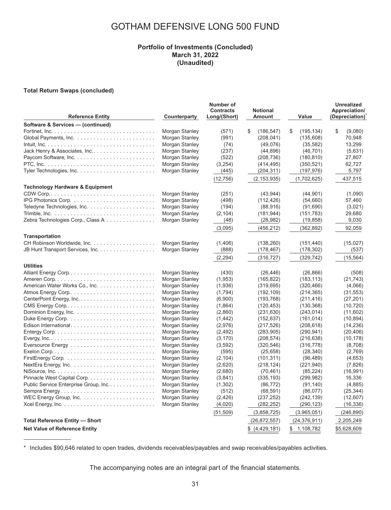### **Portfolio of Investments (Concluded) March 31, 2022 (Unaudited)**

#### **Total Return Swaps (concluded)**

| <b>Reference Entity</b>                                                              | Counterparty                                                                           | Number of<br><b>Contracts</b><br>Long/(Short) | <b>Notional</b><br>Amount                                     | Value                                                       | <b>Unrealized</b><br>Appreciation/<br>(Depreciation) |
|--------------------------------------------------------------------------------------|----------------------------------------------------------------------------------------|-----------------------------------------------|---------------------------------------------------------------|-------------------------------------------------------------|------------------------------------------------------|
| Software & Services - (continued)                                                    |                                                                                        |                                               |                                                               |                                                             |                                                      |
|                                                                                      | Morgan Stanley<br>Morgan Stanley                                                       | (571)<br>(991)                                | \$<br>(186, 547)<br>(208, 041)                                | \$<br>(195, 134)<br>(135,608)                               | \$<br>(9.080)<br>70,948                              |
| Jack Henry & Associates, Inc                                                         | Morgan Stanley<br>Morgan Stanley<br>Morgan Stanley                                     | (74)<br>(237)<br>(522)                        | (49,076)<br>(44, 896)<br>(208, 736)                           | (35, 582)<br>(46, 701)<br>(180, 810)                        | 13,299<br>(5,631)<br>27,807                          |
|                                                                                      | Morgan Stanley<br>Morgan Stanley                                                       | (3,254)<br>(445)<br>(12, 756)                 | (414, 495)<br>(204, 311)<br>(2, 153, 935)                     | (350, 521)<br>(197, 976)<br>(1,702,625)                     | 62,727<br>5,797<br>437,515                           |
| <b>Technology Hardware &amp; Equipment</b>                                           |                                                                                        |                                               |                                                               |                                                             |                                                      |
| Zebra Technologies Corp., Class A                                                    | Morgan Stanley<br>Morgan Stanley<br>Morgan Stanley<br>Morgan Stanley<br>Morgan Stanley | (251)<br>(498)<br>(194)<br>(2, 104)<br>(48)   | (43.944)<br>(112, 426)<br>(88,916)<br>(181, 944)<br>(28, 982) | (44.901)<br>(54,660)<br>(91,690)<br>(151, 783)<br>(19, 858) | (1,090)<br>57,460<br>(3,021)<br>29,680<br>9,030      |
|                                                                                      |                                                                                        | (3,095)                                       | (456, 212)                                                    | (362, 892)                                                  | 92,059                                               |
| <b>Transportation</b><br>JB Hunt Transport Services, Inc.                            | Morgan Stanley<br>Morgan Stanley                                                       | (1,406)<br>(888)                              | (138, 260)<br>(178, 467)                                      | (151, 440)<br>(178, 302)                                    | (15,027)<br>(537)                                    |
|                                                                                      |                                                                                        | (2, 294)                                      | (316, 727)                                                    | (329, 742)                                                  | (15, 564)                                            |
| <b>Utilities</b><br>Alliant Energy Corp                                              | Morgan Stanley                                                                         | (430)                                         | (26, 446)                                                     | (26, 866)                                                   | (508)                                                |
| American Water Works Co., Inc.<br>Atmos Energy Corp                                  | Morgan Stanley<br>Morgan Stanley<br>Morgan Stanley                                     | (1,953)<br>(1,936)<br>(1,794)                 | (165, 822)<br>(319, 695)<br>(192, 109)                        | (183, 113)<br>(320, 466)<br>(214, 365)                      | (21, 743)<br>(4,066)<br>(31, 553)                    |
| CMS Energy Corp                                                                      | Morgan Stanley<br>Morgan Stanley                                                       | (6,900)<br>(1,864)                            | (193, 768)<br>(120, 453)                                      | (211, 416)<br>(130, 368)                                    | (27, 201)<br>(10, 720)                               |
|                                                                                      | Morgan Stanley<br>Morgan Stanley<br>Morgan Stanley                                     | (2,860)<br>(1, 442)<br>(2,976)                | (231, 630)<br>(152, 637)<br>(217, 526)                        | (243, 014)<br>(161, 014)<br>(208, 618)                      | (11,602)<br>(10, 894)<br>(14, 236)                   |
|                                                                                      | Morgan Stanley<br>Morgan Stanley                                                       | (2, 492)<br>(3, 170)                          | (283,905)<br>(208, 574)                                       | (290, 941)<br>(216, 638)                                    | (20, 406)<br>(10, 178)                               |
| Exelon Corp. $\ldots \ldots \ldots \ldots \ldots \ldots \ldots \ldots \ldots \ldots$ | Morgan Stanley<br>Morgan Stanley<br>Morgan Stanley                                     | (3,592)<br>(595)<br>(2, 104)                  | (320, 546)<br>(25,658)<br>(101, 311)                          | (316, 778)<br>(28, 340)<br>(96, 489)                        | (8,708)<br>(2,769)<br>(4,653)                        |
| NextEra Energy, Inc. $\ldots \ldots \ldots \ldots \ldots \ldots \ldots$              | Morgan Stanley<br>Morgan Stanley                                                       | (2,620)<br>(2,680)                            | (218, 124)<br>(70, 461)                                       | (221, 940)<br>(85, 224)                                     | (7,826)<br>(16,991)                                  |
| Public Service Enterprise Group, Inc<br>Sempra Energy                                | Morgan Stanley<br>Morgan Stanley<br>Morgan Stanley                                     | (3, 841)<br>(1,302)<br>(512)                  | (335, 193)<br>(86, 772)<br>(68, 591)                          | (299, 982)<br>(91, 140)<br>(86,077)                         | 16,336<br>(4,885)<br>(25, 344)                       |
| WEC Energy Group, Inc. $\ldots \ldots \ldots \ldots \ldots \ldots$                   | Morgan Stanley<br>Morgan Stanley                                                       | (2, 426)<br>(4,020)                           | (237, 252)<br>(282, 252)                                      | (242, 139)<br>(290, 123)                                    | (12,607)<br>(16, 336)                                |
|                                                                                      |                                                                                        | (51, 509)                                     | (3,858,725)                                                   | (3,965,051)                                                 | (246, 890)                                           |
| <b>Total Reference Entity - Short</b><br><b>Net Value of Reference Entity</b>        |                                                                                        |                                               | (26, 872, 557)<br>\$(4,429,181)                               | (24, 376, 911)<br>1,108,782<br>\$                           | 2,205,249<br>\$5,628,609                             |

\* Includes \$90,646 related to open trades, dividends receivables/payables and swap receivables/payables activities.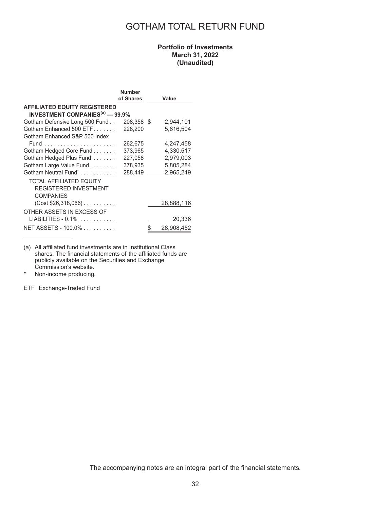### GOTHAM TOTAL RETURN FUND

### **Portfolio of Investments March 31, 2022 (Unaudited)**

|                                                   | <b>Number</b> |                  |
|---------------------------------------------------|---------------|------------------|
|                                                   | of Shares     | Value            |
| <b>AFFILIATED EQUITY REGISTERED</b>               |               |                  |
| <b>INVESTMENT COMPANIES<sup>(a)</sup></b> - 99.9% |               |                  |
| Gotham Defensive Long 500 Fund                    | 208,358 \$    | 2,944,101        |
| Gotham Enhanced 500 ETF                           | 228,200       | 5,616,504        |
| Gotham Enhanced S&P 500 Index                     |               |                  |
|                                                   | 262,675       | 4,247,458        |
| Gotham Hedged Core Fund                           | 373.965       | 4,330,517        |
| Gotham Hedged Plus Fund                           | 227,058       | 2.979.003        |
| Gotham Large Value Fund                           | 378,935       | 5,805,284        |
| Gotham Neutral Fund <sup>*</sup>                  | 288,449       | 2,965,249        |
| <b>TOTAL AFFILIATED EQUITY</b>                    |               |                  |
| <b>REGISTERED INVESTMENT</b>                      |               |                  |
| COMPANIES                                         |               |                  |
| $(Cost $26,318,066)$                              |               | 28,888,116       |
| OTHER ASSETS IN EXCESS OF                         |               |                  |
| $LIABILITIES - 0.1\%$                             |               | 20,336           |
| NET ASSETS - 100.0%                               |               | \$<br>28,908,452 |

(a) All affiliated fund investments are in Institutional Class shares. The financial statements of the affiliated funds are publicly available on the Securities and Exchange Commission's website.

\* Non-income producing.

ETF Exchange-Traded Fund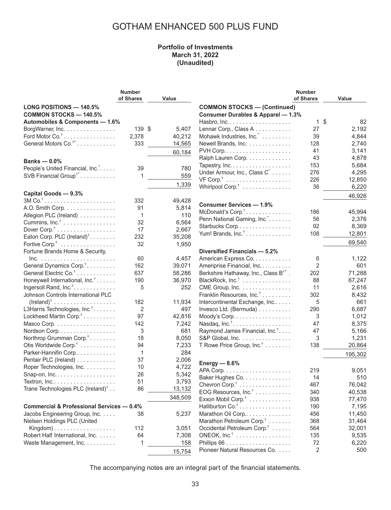### GOTHAM ENHANCED 500 PLUS FUND

### **Portfolio of Investments March 31, 2022 (Unaudited)**

|                                                         | <b>Number</b> |         |                                                   | <b>Number</b>  |          |
|---------------------------------------------------------|---------------|---------|---------------------------------------------------|----------------|----------|
|                                                         | of Shares     | Value   |                                                   | of Shares      | Value    |
| <b>LONG POSITIONS - 140.5%</b>                          |               |         | <b>COMMON STOCKS - (Continued)</b>                |                |          |
| <b>COMMON STOCKS - 140.5%</b>                           |               |         | <b>Consumer Durables &amp; Apparel - 1.3%</b>     |                |          |
| Automobiles & Components - 1.6%                         |               |         |                                                   | $\mathbf{1}$   | \$<br>82 |
| BorgWarner, Inc.                                        | 139 \$        | 5,407   | Lennar Corp., Class A                             | 27             | 2,192    |
| Ford Motor $Co^{\dagger}$                               | 2,378         | 40,212  | Mohawk Industries, Inc.                           | 39             | 4,844    |
| General Motors Co. <sup>†*</sup>                        | 333           | 14,565  | Newell Brands, Inc.                               | 128            | 2,740    |
|                                                         |               |         |                                                   | 41             | 3,141    |
|                                                         |               | 60,184  |                                                   | 43             |          |
| Banks $-0.0%$                                           |               |         | Ralph Lauren Corp.                                |                | 4,878    |
| People's United Financial, Inc. <sup>*</sup>            | 39            | 780     | Tapestry, Inc.                                    | 153            | 5,684    |
| SVB Financial Group <sup>†*</sup>                       | 1             | 559     | Under Armour, Inc., Class C <sup>*</sup>          | 276            | 4,295    |
|                                                         |               | 1,339   |                                                   | 226            | 12,850   |
|                                                         |               |         | Whirlpool Corp. <sup>†</sup>                      | 36             | 6,220    |
| Capital Goods - 9.3%                                    |               |         |                                                   |                | 46,926   |
| $3M$ Co. <sup>†</sup>                                   | 332           | 49,428  | <b>Consumer Services - 1.9%</b>                   |                |          |
| A.O. Smith Corp.                                        | 91            | 5,814   | McDonald's Corp. <sup>†</sup>                     | 186            | 45,994   |
| Allegion PLC (Ireland)                                  | 1             | 110     | Penn National Gaming, Inc.                        | 56             | 2,376    |
| Cummins, $Inc.^{\dagger}$                               | 32            | 6,564   | Starbucks Corp                                    | 92             | 8,369    |
| Dover $\text{Corp.}^{\dagger}$                          | 17            | 2,667   |                                                   |                |          |
| Eaton Corp. PLC (Ireland) <sup>†</sup>                  | 232           | 35,208  | Yum! Brands, Inc. <sup>†</sup>                    | 108            | 12,801   |
| Fortive Corp. <sup>†</sup>                              | 32            | 1,950   |                                                   |                | 69,540   |
| Fortune Brands Home & Security,                         |               |         | Diversified Financials - 5.2%                     |                |          |
| $Inc. \ldots \ldots \ldots \ldots \ldots \ldots \ldots$ | 60            | 4,457   | American Express Co.                              | 6              | 1,122    |
| General Dynamics Corp. <sup>†</sup>                     | 162           | 39,071  | Ameriprise Financial, Inc.                        | $\overline{2}$ | 601      |
| General Electric Co. <sup>†</sup>                       | 637           | 58,286  | Berkshire Hathaway, Inc., Class B <sup>†*</sup> . | 202            | 71,288   |
| Honeywell International, Inc. <sup>†</sup>              | 190           | 36,970  | BlackRock, Inc. <sup>†</sup>                      | 88             | 67,247   |
| Ingersoll Rand, Inc. <sup>†</sup> .                     | 5             | 252     | CME Group, Inc.                                   | 11             | 2,616    |
| Johnson Controls International PLC                      |               |         | Franklin Resources, Inc. <sup>†</sup>             | 302            | 8,432    |
| $(Ireland)^{\dagger}$                                   | 182           | 11,934  | Intercontinental Exchange, Inc                    | 5              | 661      |
|                                                         |               | 497     |                                                   |                |          |
| L3Harris Technologies, Inc. <sup>†</sup>                | 2             |         | Invesco Ltd. (Bermuda)                            | 290            | 6,687    |
| Lockheed Martin Corp. <sup>†</sup>                      | 97            | 42,816  | Moody's Corp.                                     | 3              | 1,012    |
| Masco Corp.                                             | 142           | 7,242   | Nasdaq, $Inc^{\dagger}$                           | 47             | 8,375    |
| Nordson Corp.                                           | 3             | 681     | Raymond James Financial, Inc. <sup>†</sup>        | 47             | 5,166    |
| Northrop Grumman Corp. <sup>†</sup>                     | 18            | 8,050   | S&P Global, Inc.                                  | 3              | 1,231    |
| Otis Worldwide Corp. <sup>†</sup>                       | 94            | 7,233   | T Rowe Price Group, Inc. <sup>†</sup>             | 138            | 20,864   |
| Parker-Hannifin Corp                                    | 1             | 284     |                                                   |                | 195,302  |
| Pentair PLC (Ireland)                                   | 37            | 2,006   | Energy $-8.6%$                                    |                |          |
| Roper Technologies, Inc.                                | 10            | 4,722   |                                                   | 219            | 9,051    |
| Snap-on, Inc                                            | 26            | 5,342   | Baker Hughes Co.                                  | 14             | 510      |
| Textron, Inc                                            | 51            | 3,793   |                                                   |                |          |
| Trane Technologies PLC (Ireland) <sup>†</sup>           | 86            | 13,132  | Chevron Corp. <sup>†</sup>                        | 467            | 76,042   |
|                                                         |               | 348,509 | EOG Resources, $Inc$ <sup>†</sup>                 | 340            | 40,538   |
|                                                         |               |         | Exxon Mobil Corp. <sup>†</sup>                    | 938            | 77,470   |
| <b>Commercial &amp; Professional Services - 0.4%</b>    |               |         | Halliburton Co. <sup>†</sup>                      | 190            | 7,195    |
| Jacobs Engineering Group, Inc.                          | 38            | 5,237   | Marathon Oil Corp                                 | 456            | 11,450   |
| Nielsen Holdings PLC (United                            |               |         | Marathon Petroleum Corp. <sup>†</sup>             | 368            | 31,464   |
| Kingdom)                                                | 112           | 3,051   | Occidental Petroleum Corp. <sup>†</sup>           | 564            | 32,001   |
| Robert Half International, Inc.                         | 64            | 7,308   | ONEOK, $Inc^{\dagger}$                            | 135            | 9,535    |
| Waste Management, Inc.                                  |               | 158     |                                                   | 72             | 6,220    |
|                                                         |               | 15,754  | Pioneer Natural Resources Co.                     | 2              | 500      |
|                                                         |               |         |                                                   |                |          |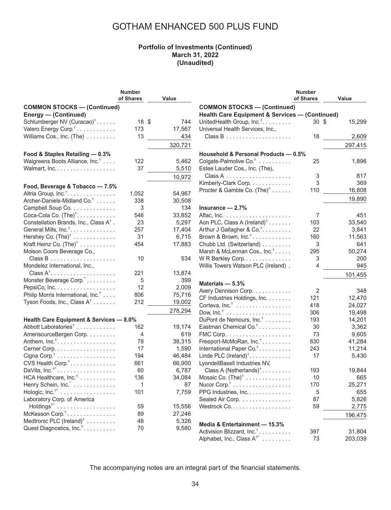### GOTHAM ENHANCED 500 PLUS FUND

#### **Portfolio of Investments (Continued) March 31, 2022 (Unaudited)**

|                                                                     | Number    |                 |        |
|---------------------------------------------------------------------|-----------|-----------------|--------|
|                                                                     | of Shares | Value           |        |
| <b>COMMON STOCKS-(Continued)</b>                                    |           |                 | C      |
| Energy - (Continued)                                                |           |                 | н      |
| Schlumberger NV (Curacao) <sup>†</sup>                              | 18        | \$<br>744       | U      |
| Valero Energy Corp. <sup>†</sup>                                    | 173       | 17,567          | U      |
| Williams Cos., Inc. (The)                                           | 13        | 434             |        |
|                                                                     |           | 320,721         |        |
|                                                                     |           |                 |        |
| Food & Staples Retailing - 0.3%                                     |           |                 | н      |
| Walgreens Boots Alliance, Inc. <sup>†</sup>                         | 122       | 5,462           | С      |
| Walmart, Inc.                                                       | 37        | 5,510           | E.     |
|                                                                     |           | 10,972          |        |
| Food, Beverage & Tobacco - 7.5%                                     |           |                 | Κ      |
| Altria Group, Inc. <sup>†</sup> .                                   | 1,052     | 54,967          | Ρ      |
| Archer-Daniels-Midland Co. <sup>†</sup>                             | 338       | 30,508          |        |
| Campbell Soup Co.                                                   | 3         | 134             | In     |
| Coca-Cola Co. (The) <sup>†</sup> .                                  | 546       | 33,852          | A      |
| Constellation Brands, Inc., Class A <sup>†</sup> .                  | 23        | 5,297           | A      |
| General Mills, Inc. <sup>†</sup> .                                  | 257       | 17,404          | Α      |
| Hershey Co. $(The)^{\dagger}$                                       | 31        | 6,715           | Β      |
| Kraft Heinz Co. $(Thei)^{\dagger}$                                  | 454       | 17,883          | С      |
| Molson Coors Beverage Co.,                                          |           |                 | M      |
|                                                                     | 10        | 534             | W      |
| Mondelez International, Inc.,                                       |           |                 | W      |
| $Class A^{\dagger}$                                                 | 221       | 13,874          |        |
| Monster Beverage Corp."                                             | 5         | 399             |        |
| PepsiCo, Inc.                                                       | 12        | 2,009           | M      |
| Philip Morris International, Inc. <sup>†</sup>                      | 806       | 75,716          | A١     |
| Tyson Foods, Inc., Class A <sup>†</sup>                             | 212       | 19,002          | С<br>Ċ |
|                                                                     |           | 278,294         | D      |
|                                                                     |           |                 | D      |
| Health Care Equipment & Services - 8.0%                             | 162       |                 | E      |
| Abbott Laboratories <sup>†</sup><br>AmerisourceBergen Corp.         | 4         | 19,174          | FI     |
| Anthem, $Inc^{\dagger}$                                             | 78        | 619<br>38,315   | Fı     |
|                                                                     | 17        |                 |        |
| Cerner Corp.                                                        | 194       | 1,590<br>46,484 | In     |
| Cigna Corp. <sup>†</sup>                                            |           |                 | Li     |
| CVS Health Corp. <sup>†</sup>                                       | 661<br>60 | 66,900<br>6,787 | L)     |
| DaVita, Inc. $i^*$                                                  | 136       |                 |        |
| HCA Healthcare, Inc. <sup>†</sup>                                   |           | 34,084          | Μ      |
| Henry Schein, Inc. <sup>*</sup>                                     | 1         | 87              | Ν<br>P |
| Hologic, $Inc.^{i*}$                                                | 101       | 7,759           |        |
| Laboratory Corp. of America                                         |           |                 | S      |
| Holdings <sup>†*</sup>                                              | 59        | 15,556          | W      |
| McKesson Corp. <sup>†</sup><br>Medtronic PLC (Ireland) <sup>†</sup> | 89        | 27,246          |        |
|                                                                     | 48        | 5,326<br>9,580  | M      |
| Quest Diagnostics, Inc. <sup>†</sup>                                | 70        |                 |        |

|                                                                            | <b>Number</b>   |         |
|----------------------------------------------------------------------------|-----------------|---------|
|                                                                            | of Shares       | Value   |
| <b>COMMON STOCKS-(Continued)</b>                                           |                 |         |
| Health Care Equipment & Services - (Continued)                             |                 |         |
| UnitedHealth Group, Inc. <sup>†</sup> .                                    | 30 <sup>5</sup> | 15,299  |
| Universal Health Services, Inc.,                                           | 18              | 2,609   |
|                                                                            |                 | 297,415 |
|                                                                            |                 |         |
| Household & Personal Products - 0.5%<br>Colgate-Palmolive Co. <sup>†</sup> | 25              | 1,896   |
| Estee Lauder Cos., Inc. (The),                                             |                 |         |
|                                                                            | 3               | 817     |
| Kimberly-Clark Corp.                                                       | 3               | 369     |
| Procter & Gamble Co. $(Thei)^{\dagger}$                                    | 110             | 16,808  |
|                                                                            |                 |         |
|                                                                            |                 | 19,890  |
| Insurance $-2.7%$                                                          |                 |         |
|                                                                            | 7               | 451     |
| Aon PLC, Class A (Ireland) <sup>†</sup>                                    | 103             | 33,540  |
| Arthur J Gallagher & Co. <sup>†</sup> .                                    | 22              | 3,841   |
| Brown & Brown, $Inc.^{\dagger}$                                            | 160             | 11,563  |
| Chubb Ltd. (Switzerland)                                                   | 3               | 641     |
| Marsh & McLennan Cos., Inc. <sup>†</sup>                                   | 295             | 50,274  |
| WR Berkley Corp                                                            | 3               | 200     |
| Willis Towers Watson PLC (Ireland).                                        | 4               | 945     |
|                                                                            |                 | 101,455 |
| Materials $-5.3%$                                                          |                 |         |
| Avery Dennison Corp.                                                       | 2               | 348     |
| CF Industries Holdings, Inc.                                               | 121             | 12,470  |
| Corteva, $Inc†$                                                            | 418             | 24,027  |
|                                                                            | 306             | 19,498  |
| DuPont de Nemours, Inc. <sup>†</sup>                                       | 193             | 14,201  |
| Eastman Chemical Co. <sup>†</sup>                                          | 30              | 3,362   |
| FMC Corp                                                                   | 73              | 9,605   |
| Freeport-McMoRan, Inc. <sup>†</sup>                                        | 830             | 41,284  |
| International Paper Co. <sup>†</sup>                                       | 243             | 11,214  |
| Linde PLC $(Ireland)^{\dagger}$                                            | 17              | 5,430   |
| LyondellBasell Industries NV,                                              |                 |         |
| Class A (Netherlands) <sup>†</sup>                                         | 193             | 19,844  |
| Mosaic Co. $(The)^{\dagger}$                                               | 10              | 665     |
| Nucor Corp. <sup>†</sup>                                                   | 170             | 25,271  |
| PPG Industries, Inc.                                                       | 5               | 655     |
| Sealed Air Corp.                                                           | 87              | 5,826   |
|                                                                            | 59              | 2,775   |
|                                                                            |                 | 196,475 |
| Media & Entertainment - 15.3%                                              |                 |         |
| Activision Blizzard, Inc. <sup>†</sup>                                     | 397             | 31,804  |
| Alphabet, Inc., Class A <sup>†*</sup>                                      | 73              | 203,039 |
|                                                                            |                 |         |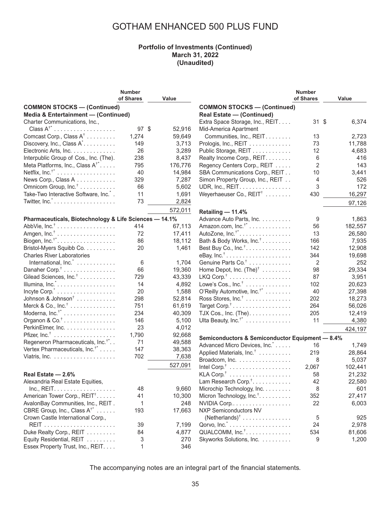#### **Portfolio of Investments (Continued) March 31, 2022 (Unaudited)**

|                                                        | <b>Number</b>   |         |                                                 | <b>Number</b>   |         |
|--------------------------------------------------------|-----------------|---------|-------------------------------------------------|-----------------|---------|
|                                                        | of Shares       | Value   |                                                 | of Shares       | Value   |
| <b>COMMON STOCKS - (Continued)</b>                     |                 |         | <b>COMMON STOCKS - (Continued)</b>              |                 |         |
| Media & Entertainment - (Continued)                    |                 |         | <b>Real Estate - (Continued)</b>                |                 |         |
| Charter Communications, Inc.,                          |                 |         | Extra Space Storage, Inc., REIT.                | $31 \text{ } $$ | 6,374   |
| Class $A^{\dagger}$ <sup>*</sup>                       | 97 <sup>°</sup> | 52,916  | Mid-America Apartment                           |                 |         |
| Comcast Corp., Class A <sup>†</sup>                    | 1,274           | 59,649  | Communities, Inc., REIT.                        | 13              | 2,723   |
| Discovery, Inc., Class A <sup>*</sup> .                | 149             | 3,713   | Prologis, Inc., REIT                            | 73              | 11,788  |
| Electronic Arts, Inc.                                  | 26              | 3,289   | Public Storage, REIT                            | 12              | 4,683   |
|                                                        |                 |         |                                                 |                 |         |
| Interpublic Group of Cos., Inc. (The).                 | 238             | 8,437   | Realty Income Corp., REIT.                      | 6               | 416     |
| Meta Platforms, Inc., Class $A^{\dagger}$              | 795             | 176,776 | Regency Centers Corp., REIT                     | $\overline{2}$  | 143     |
|                                                        | 40              | 14,984  | SBA Communications Corp., REIT                  | 10              | 3,441   |
| News Corp., Class A                                    | 329             | 7,287   | Simon Property Group, Inc., REIT                | 4               | 526     |
| Omnicom Group, Inc. <sup>†</sup>                       | 66              | 5,602   | UDR, Inc., REIT.                                | 3               | 172     |
| Take-Two Interactive Software, Inc. <sup>*</sup> .     | 11              | 1,691   | Weyerhaeuser Co., REIT <sup>†</sup>             | 430             | 16,297  |
| Twitter, $Inc$                                         | 73              | 2,824   |                                                 |                 | 97,126  |
|                                                        |                 | 572,011 | Retailing - 11.4%                               |                 |         |
| Pharmaceuticals, Biotechnology & Life Sciences - 14.1% |                 |         | Advance Auto Parts, Inc.                        | 9               | 1,863   |
| AbbVie, Inc. <sup>†</sup>                              | 414             | 67,113  | Amazon.com, $Inc.^{\dagger}$                    | 56              | 182,557 |
|                                                        | 72              | 17,411  | AutoZone, $Inc.^{\dagger^*}$                    | 13              | 26,580  |
| Biogen, $Inc.^{\dagger*}$                              | 86              | 18,112  | Bath & Body Works, Inc. <sup>†</sup>            | 166             | 7,935   |
|                                                        |                 | 1,461   |                                                 |                 |         |
| Bristol-Myers Squibb Co.                               | 20              |         | Best Buy Co., $Inc^{\dagger}$                   | 142             | 12,908  |
| <b>Charles River Laboratories</b>                      |                 |         | eBay, $Inc.^{\dagger}$                          | 344             | 19,698  |
| International, Inc. <sup>*</sup>                       | 6               | 1,704   | Genuine Parts Co. <sup>†</sup>                  | 2               | 252     |
| Danaher Corp. <sup>†</sup>                             | 66              | 19,360  | Home Depot, Inc. $(Thei)^{\dagger}$             | 98              | 29,334  |
| Gilead Sciences, Inc. <sup>†</sup>                     | 729             | 43,339  |                                                 | 87              | 3,951   |
| Illumina, Inc. $\ldots$                                | 14              | 4,892   | Lowe's Cos., $Inc† \ldots \ldots \ldots \ldots$ | 102             | 20,623  |
| Incyte Corp. <sup>*</sup>                              | 20              | 1,588   | O'Reilly Automotive, Inc. <sup>†*</sup>         | 40              | 27,398  |
| Johnson & Johnson <sup>†</sup>                         | 298             | 52,814  | Ross Stores, $Inc†$                             | 202             | 18,273  |
| Merck & Co., $Inc^{\dagger}$                           | 751             | 61,619  | Target Corp. <sup>†</sup>                       | 264             | 56,026  |
| Moderna, $Inc.^{\dagger*}$                             | 234             | 40,309  | TJX Cos., Inc. (The). $\dots$ .                 | 205             | 12,419  |
| Organon & $Co^{\dagger}$                               | 146             | 5,100   | Ulta Beauty, Inc. <sup>†*</sup>                 | 11              | 4,380   |
| PerkinElmer, Inc.                                      | 23              | 4,012   |                                                 |                 | 424,197 |
|                                                        | 1,790           | 92,668  |                                                 |                 |         |
| Regeneron Pharmaceuticals, Inc. <sup>†*</sup>          | 71              | 49,588  | Semiconductors & Semiconductor Equipment - 8.4% |                 |         |
| Vertex Pharmaceuticals, Inc. <sup>†*</sup>             | 147             | 38,363  | Advanced Micro Devices, Inc.                    | 16              | 1,749   |
|                                                        | 702             | 7,638   | Applied Materials, Inc. <sup>†</sup>            | 219             | 28,864  |
|                                                        |                 |         | Broadcom, Inc.                                  | 8               | 5,037   |
|                                                        |                 | 527,091 |                                                 | 2,067           | 102,441 |
| Real Estate - 2.6%                                     |                 |         |                                                 | 58              | 21,232  |
| Alexandria Real Estate Equities,                       |                 |         | Lam Research Corp. <sup>†</sup> .               | 42              | 22,580  |
| Inc., REIT.                                            | 48              | 9,660   | Microchip Technology, Inc.                      | 8               | 601     |
| American Tower Corp., REIT <sup>†</sup>                | 41              | 10,300  | Micron Technology, Inc. <sup>†</sup> .          | 352             | 27,417  |
| AvalonBay Communities, Inc., REIT.                     | 1               | 248     | NVIDIA Corp                                     | 22              | 6,003   |
| CBRE Group, Inc., Class $A^{\dagger}$                  | 193             | 17,663  | <b>NXP Semiconductors NV</b>                    |                 |         |
| Crown Castle International Corp.,                      |                 |         | $(Netherlands)^{\dagger}$                       | 5               | 925     |
|                                                        | 39              | 7,199   |                                                 | 24              | 2,978   |
| Duke Realty Corp., REIT                                | 84              | 4,877   | QUALCOMM, Inc. <sup>†</sup> .                   | 534             | 81,606  |
| Equity Residential, REIT                               | 3               | 270     | Skyworks Solutions, Inc.                        | 9               | 1,200   |
| Essex Property Trust, Inc., REIT.                      | 1               | 346     |                                                 |                 |         |
|                                                        |                 |         |                                                 |                 |         |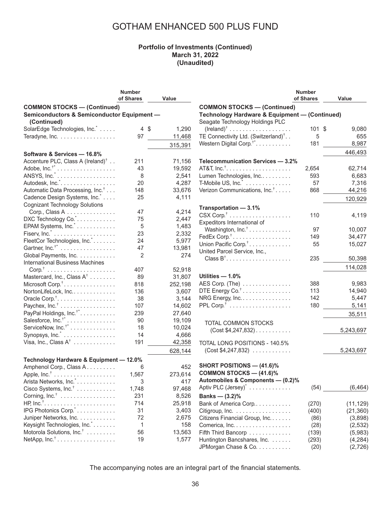#### **Portfolio of Investments (Continued) March 31, 2022 (Unaudited)**

|                                               | <b>Number</b> |                         |                                                 | <b>Number</b> |           |
|-----------------------------------------------|---------------|-------------------------|-------------------------------------------------|---------------|-----------|
|                                               | of Shares     | Value                   |                                                 | of Shares     | Value     |
| <b>COMMON STOCKS - (Continued)</b>            |               |                         | <b>COMMON STOCKS - (Continued)</b>              |               |           |
| Semiconductors & Semiconductor Equipment -    |               |                         | Technology Hardware & Equipment - (Continued)   |               |           |
| (Continued)                                   |               |                         | Seagate Technology Holdings PLC                 |               |           |
| SolarEdge Technologies, Inc. <sup>*</sup>     |               | $4 \text{ } $$<br>1,290 | $(Ireland)^{\dagger}$                           | 101 \$        | 9,080     |
| Teradyne, Inc.                                | 97            | 11,468                  | TE Connectivity Ltd. (Switzerland) <sup>†</sup> | 5             | 655       |
|                                               |               |                         | Western Digital Corp. <sup>†*</sup> .           | 181           | 8,987     |
|                                               |               | 315,391                 |                                                 |               |           |
| Software & Services - 16.8%                   |               |                         |                                                 |               | 446,493   |
| Accenture PLC, Class A (Ireland) <sup>†</sup> | 211           | 71,156                  | Telecommunication Services - 3.2%               |               |           |
|                                               | 43            | 19,592                  |                                                 | 2,654         | 62,714    |
|                                               | 8             | 2,541                   | Lumen Technologies, Inc                         | 593           | 6,683     |
| Autodesk, Inc. <sup>*</sup>                   | 20            | 4,287                   | T-Mobile US, Inc.                               | 57            | 7,316     |
| Automatic Data Processing, Inc. <sup>†</sup>  | 148           | 33,676                  | Verizon Communications, Inc. <sup>†</sup>       | 868           | 44,216    |
| Cadence Design Systems, Inc.                  | 25            | 4,111                   |                                                 |               | 120,929   |
| <b>Cognizant Technology Solutions</b>         |               |                         |                                                 |               |           |
| Corp., Class A                                | 47            | 4,214                   | Transportation - 3.1%                           |               |           |
| DXC Technology Co. *.                         | 75            | 2,447                   |                                                 | 110           | 4,119     |
| EPAM Systems, Inc.                            | 5             | 1,483                   | Expeditors International of                     |               |           |
|                                               | 23            | 2,332                   | Washington, Inc. <sup>†</sup>                   | 97            | 10,007    |
| FleetCor Technologies, Inc.*.                 | 24            | 5,977                   | FedEx Corp. <sup>†</sup>                        | 149           | 34,477    |
| Gartner, $Inc.^{\dagger}$                     | 47            | 13,981                  | Union Pacific Corp. <sup>†</sup>                | 55            | 15,027    |
|                                               |               |                         | United Parcel Service, Inc.,                    |               |           |
| Global Payments, Inc.                         | 2             |                         | 274<br>$Class B^{\dagger}$                      | 235           | 50,398    |
| <b>International Business Machines</b>        |               |                         |                                                 |               | 114,028   |
|                                               | 407           | 52,918                  |                                                 |               |           |
| Mastercard, Inc., Class $A^{\dagger}$         | 89            | 31,807                  | Utilities - 1.0%                                |               |           |
| Microsoft Corp. <sup>†</sup>                  | 818           | 252,198                 | AES Corp. (The)                                 | 388           | 9,983     |
| NortonLifeLock, Inc                           | 136           | 3,607                   | DTE Energy Co. <sup>†</sup>                     | 113           | 14,940    |
| Oracle Corp. <sup>†</sup>                     | 38            | 3,144                   | NRG Energy, Inc.                                | 142           | 5,447     |
| Paychex, Inc. <sup>†</sup>                    | 107           | 14,602                  |                                                 | 180           | 5,141     |
| PayPal Holdings, Inc. <sup>†*</sup>           | 239           | 27,640                  |                                                 |               | 35,511    |
| Salesforce, $Inc.^{\dagger^*}$                | 90            | 19,109                  | <b>TOTAL COMMON STOCKS</b>                      |               |           |
| ServiceNow, $Inc.^{\dagger^*}$                | 18            | 10,024                  | $(Cost $4, 247, 832) \ldots \ldots \ldots$      |               | 5,243,697 |
| Synopsys, Inc. <sup>*</sup>                   | 14            | 4,666                   |                                                 |               |           |
| Visa, Inc., Class $A^{\dagger}$               | 191           | 42,358                  | <b>TOTAL LONG POSITIONS - 140.5%</b>            |               |           |
|                                               |               | 628,144                 | $(Cost $4,247,832) \ldots \ldots \ldots$        |               | 5,243,697 |
|                                               |               |                         |                                                 |               |           |
| Technology Hardware & Equipment - 12.0%       |               |                         | <b>SHORT POSITIONS - (41.6)%</b>                |               |           |
| Amphenol Corp., Class A.                      | 6             |                         | 452<br><b>COMMON STOCKS — (41.6)%</b>           |               |           |
| Apple, $Inc†$                                 | 1,567         | 273,614                 | Automobiles & Components - (0.2)%               |               |           |
| Arista Networks, Inc.".                       | 3             |                         | 417                                             |               |           |
| Cisco Systems, Inc. <sup>†</sup>              | 1,748         | 97,468                  | Aptiv PLC (Jersey) <sup>*</sup>                 | (54)          | (6, 464)  |
| Corning, $Inc.^{\dagger}$                     | 231           | 8,526                   | Banks — $(3.2)$ %                               |               |           |
|                                               | 714           | 25,918                  | Bank of America Corp                            | (270)         | (11, 129) |
| IPG Photonics Corp.                           | 31            | 3,403                   | Citigroup, Inc.                                 | (400)         | (21, 360) |
| Juniper Networks, Inc.                        | 72            | 2,675                   | Citizens Financial Group, Inc.                  | (86)          | (3,898)   |
| Keysight Technologies, Inc.                   | 1             |                         | 158<br>Comerica, Inc.                           | (28)          | (2, 532)  |
| Motorola Solutions, Inc. <sup>†</sup>         | 56            | 13,563                  | Fifth Third Bancorp                             | (139)         | (5,983)   |
| NetApp, $Inc†$                                | 19            | 1,577                   | Huntington Bancshares, Inc.                     | (293)         | (4,284)   |
|                                               |               |                         | JPMorgan Chase & Co.                            | (20)          | (2,726)   |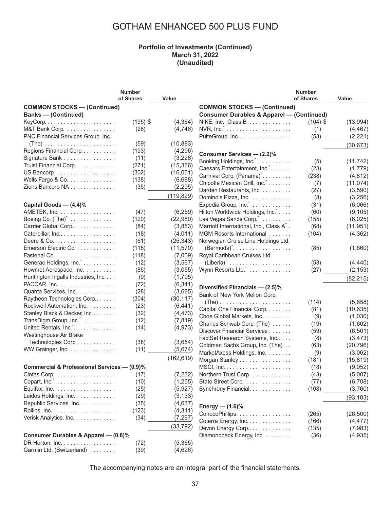#### **Portfolio of Investments (Continued) March 31, 2022 (Unaudited)**

|                                                      | <b>Number</b> |            |                                                      | <b>Number</b> |           |
|------------------------------------------------------|---------------|------------|------------------------------------------------------|---------------|-----------|
|                                                      | of Shares     | Value      |                                                      | of Shares     | Value     |
| <b>COMMON STOCKS - (Continued)</b>                   |               |            | <b>COMMON STOCKS - (Continued)</b>                   |               |           |
| <b>Banks - (Continued)</b>                           |               |            | <b>Consumer Durables &amp; Apparel - (Continued)</b> |               |           |
| $KeyCorp. \ldots \ldots \ldots \ldots \ldots \ldots$ | $(195)$ \$    | (4, 364)   | NIKE, Inc., Class B                                  | $(104)$ \$    | (13,994)  |
| M&T Bank Corp.                                       | (28)          | (4,746)    |                                                      | (1)           | (4, 467)  |
| PNC Financial Services Group, Inc.                   |               |            | PulteGroup, Inc.                                     | (53)          | (2, 221)  |
| $(The)$                                              | (59)          | (10, 883)  |                                                      |               |           |
| Regions Financial Corp                               | (193)         | (4, 296)   |                                                      |               | (30, 673) |
| Signature Bank                                       | (11)          | (3,228)    | Consumer Services - (2.2)%                           |               |           |
| Truist Financial Corp.                               | (271)         | (15, 366)  | Booking Holdings, Inc.                               | (5)           | (11, 742) |
| US Bancorp.                                          | (302)         | (16, 051)  | Caesars Entertainment, Inc.                          | (23)          | (1,779)   |
| Wells Fargo & Co.                                    | (138)         | (6,688)    | Carnival Corp. (Panama) <sup>*</sup>                 | (238)         | (4, 812)  |
| Zions Bancorp NA                                     | (35)          | (2, 295)   | Chipotle Mexican Grill, Inc.                         | (7)           | (11, 074) |
|                                                      |               |            | Darden Restaurants, Inc.                             | (27)          | (3,590)   |
|                                                      |               | (119, 829) | Domino's Pizza, Inc.                                 | (8)           | (3,256)   |
| Capital Goods - (4.4)%                               |               |            | Expedia Group, Inc.                                  | (31)          | (6,066)   |
| AMETEK, Inc.                                         | (47)          | (6, 259)   | Hilton Worldwide Holdings, Inc.                      | (60)          | (9, 105)  |
| Boeing Co. $(The)^{\dagger}$                         | (120)         | (22,980)   | Las Vegas Sands Corp.".                              | (155)         | (6,025)   |
| Carrier Global Corp                                  | (84)          | (3,853)    | Marriott International, Inc., Class A <sup>*</sup> . | (68)          | (11, 951) |
| Caterpillar, Inc                                     | (18)          | (4,011)    | MGM Resorts International                            | (104)         | (4, 362)  |
| Deere & Co                                           | (61)          | (25, 343)  | Norwegian Cruise Line Holdings Ltd.                  |               |           |
| Emerson Electric Co.                                 | (118)         | (11, 570)  | $(Bermuda)^{\tilde{}}$                               | (85)          | (1,860)   |
|                                                      | (118)         | (7,009)    | Royal Caribbean Cruises Ltd.                         |               |           |
| Generac Holdings, Inc.                               | (12)          | (3, 567)   |                                                      | (53)          | (4, 440)  |
| Howmet Aerospace, Inc.                               | (85)          | (3,055)    | Wynn Resorts Ltd.                                    | (27)          | (2, 153)  |
| Huntington Ingalls Industries, Inc                   | (9)           | (1,795)    |                                                      |               | (82, 215) |
| PACCAR, Inc.                                         | (72)          | (6, 341)   |                                                      |               |           |
| Quanta Services, Inc                                 | (28)          | (3,685)    | Diversified Financials - (2.5)%                      |               |           |
| Raytheon Technologies Corp                           | (304)         | (30, 117)  | Bank of New York Mellon Corp.                        |               |           |
| Rockwell Automation, Inc.                            | (23)          | (6, 441)   | $(The ) \ldots \ldots \ldots \ldots \ldots \ldots$   | (114)         | (5,658)   |
| Stanley Black & Decker, Inc                          | (32)          | (4, 473)   | Capital One Financial Corp.                          | (81)          | (10, 635) |
| TransDigm Group, Inc.                                | (12)          | (7, 819)   | Cboe Global Markets, Inc.                            | (9)           | (1,030)   |
| United Rentals, Inc.".                               | (14)          | (4, 973)   | Charles Schwab Corp. (The)                           | (19)          | (1,602)   |
| Westinghouse Air Brake                               |               |            | Discover Financial Services                          | (59)          | (6, 501)  |
| Technologies Corp                                    | (38)          | (3,654)    | FactSet Research Systems, Inc                        | (8)           | (3, 473)  |
| WW Grainger, Inc.                                    | (11)          | (5,674)    | Goldman Sachs Group, Inc. (The)                      | (63)          | (20, 796) |
|                                                      |               | (162, 619) | MarketAxess Holdings, Inc.                           | (9)           | (3,062)   |
|                                                      |               |            | Morgan Stanley                                       | (181)         | (15, 819) |
| Commercial & Professional Services - (0.9)%          |               |            |                                                      | (18)          | (9,052)   |
| Cintas Corp.                                         | (17)          | (7, 232)   | Northern Trust Corp.                                 | (43)          | (5,007)   |
|                                                      | (10)          | (1, 255)   | State Street Corp.                                   | (77)          | (6,708)   |
| Equifax, Inc.                                        | (25)          | (5,927)    | Synchrony Financial.                                 | (108)         | (3,760)   |
| Leidos Holdings, Inc.                                | (29)          | (3, 133)   |                                                      |               | (93, 103) |
| Republic Services, Inc                               | (35)          | (4,637)    | Energy — $(1.6)$ %                                   |               |           |
|                                                      | (123)         | (4, 311)   | ConocoPhillips.                                      | (265)         | (26, 500) |
| Verisk Analytics, Inc.                               | (34)          | (7, 297)   | Coterra Energy, Inc.                                 | (166)         | (4, 477)  |
|                                                      |               | (33, 792)  | Devon Energy Corp                                    | (135)         | (7,983)   |
| Consumer Durables & Apparel - (0.8)%                 |               |            | Diamondback Energy, Inc.                             | (36)          | (4,935)   |
| DR Horton, Inc.                                      | (72)          | (5,365)    |                                                      |               |           |
| Garmin Ltd. (Switzerland)                            | (39)          | (4,626)    |                                                      |               |           |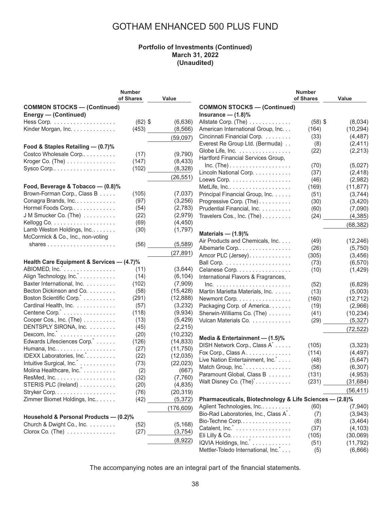#### **Portfolio of Investments (Continued) March 31, 2022 (Unaudited)**

|                                                  | <b>Number</b> |            |                                                         | <b>Number</b> |           |
|--------------------------------------------------|---------------|------------|---------------------------------------------------------|---------------|-----------|
|                                                  | of Shares     | Value      |                                                         | of Shares     | Value     |
| <b>COMMON STOCKS - (Continued)</b>               |               |            | <b>COMMON STOCKS - (Continued)</b>                      |               |           |
| Energy - (Continued)                             |               |            | Insurance $-$ (1.8)%                                    |               |           |
|                                                  | $(62)$ \$     | (6,636)    | Allstate Corp. (The)                                    | $(58)$ \$     | (8,034)   |
| Kinder Morgan, Inc.                              | (453)         | (8, 566)   | American International Group, Inc.                      | (164)         | (10, 294) |
|                                                  |               |            | Cincinnati Financial Corp.                              | (33)          | (4, 487)  |
|                                                  |               | (59,097)   | Everest Re Group Ltd. (Bermuda)                         |               | (2, 411)  |
| Food & Staples Retailing - (0.7)%                |               |            |                                                         | (8)           |           |
| Costco Wholesale Corp                            | (17)          | (9,790)    | Globe Life, Inc.                                        | (22)          | (2, 213)  |
| Kroger Co. (The)                                 | (147)         | (8, 433)   | Hartford Financial Services Group,                      |               |           |
| Sysco Corp                                       | (102)         | (8,328)    | $Inc. (The) \ldots \ldots \ldots \ldots \ldots \ldots$  | (70)          | (5,027)   |
|                                                  |               | (26, 551)  | Lincoln National Corp.                                  | (37)          | (2, 418)  |
|                                                  |               |            | Loews Corp.                                             | (46)          | (2,982)   |
| Food, Beverage & Tobacco - (0.8)%                |               |            |                                                         | (169)         | (11, 877) |
| Brown-Forman Corp., Class B                      | (105)         | (7,037)    | Principal Financial Group, Inc.                         | (51)          | (3,744)   |
| Conagra Brands, Inc.                             | (97)          | (3,256)    | Progressive Corp. (The)                                 | (30)          | (3,420)   |
| Hormel Foods Corp                                | (54)          | (2,783)    | Prudential Financial, Inc.                              | (60)          | (7,090)   |
| J M Smucker Co. (The)                            | (22)          | (2,979)    | Travelers Cos., Inc. (The)                              | (24)          | (4, 385)  |
|                                                  | (69)          | (4, 450)   |                                                         |               |           |
| Lamb Weston Holdings, Inc.                       | (30)          | (1,797)    |                                                         |               | (68, 382) |
| McCormick & Co., Inc., non-voting                |               |            | Materials $-$ (1.9)%                                    |               |           |
|                                                  | (56)          | (5, 589)   | Air Products and Chemicals, Inc.                        | (49)          | (12, 246) |
|                                                  |               |            | Albemarle Corp                                          | (26)          | (5,750)   |
|                                                  |               | (27, 891)  | Amcor PLC (Jersey).                                     | (305)         | (3, 456)  |
| Health Care Equipment & Services - (4.7)%        |               |            |                                                         | (73)          | (6, 570)  |
| ABIOMED, Inc. <sup>*</sup>                       | (11)          | (3,644)    | Celanese Corp.                                          | (10)          | (1,429)   |
| Align Technology, Inc.                           | (14)          | (6, 104)   | International Flavors & Fragrances,                     |               |           |
| Baxter International, Inc.                       | (102)         | (7,909)    | $Inc.$                                                  | (52)          | (6,829)   |
| Becton Dickinson and Co.                         | (58)          | (15, 428)  | Martin Marietta Materials, Inc.                         | (13)          | (5,003)   |
| Boston Scientific Corp. <sup>*</sup>             | (291)         | (12, 888)  | Newmont Corp.                                           | (160)         | (12, 712) |
| Cardinal Health, Inc.                            | (57)          | (3,232)    |                                                         |               |           |
| Centene Corp.                                    |               | (9,934)    | Packaging Corp. of America.                             | (19)          | (2,966)   |
|                                                  | (118)         |            | Sherwin-Williams Co. (The)                              | (41)          | (10, 234) |
| Cooper Cos., Inc. (The)                          | (13)          | (5, 429)   | Vulcan Materials Co.                                    | (29)          | (5, 327)  |
| DENTSPLY SIRONA, Inc.                            | (45)          | (2, 215)   |                                                         |               | (72, 522) |
| Dexcom, $Inc.^{\tilde{}}$                        | (20)          | (10, 232)  | Media & Entertainment - (1.5)%                          |               |           |
| Edwards Lifesciences Corp.                       | (126)         | (14, 833)  | DISH Network Corp., Class A <sup>*</sup>                | (105)         | (3,323)   |
| Humana, Inc.                                     | (27)          | (11, 750)  | Fox Corp., Class A.                                     | (114)         | (4, 497)  |
| IDEXX Laboratories, Inc.*.                       | (22)          | (12, 035)  | Live Nation Entertainment, Inc. *                       |               |           |
| Intuitive Surgical, Inc.                         | (73)          | (22, 023)  |                                                         | (48)          | (5,647)   |
| Molina Healthcare, Inc.                          | (2)           | (667)      | Match Group, Inc.                                       | (58)          | (6, 307)  |
| ResMed, Inc.                                     | (32)          | (7,760)    | Paramount Global, Class B                               | (131)         | (4,953)   |
| STERIS PLC (Ireland)                             | (20)          | (4, 835)   | Walt Disney Co. (The) <sup>*</sup>                      | (231)         | (31, 684) |
| Stryker Corp.                                    | (76)          | (20, 319)  |                                                         |               | (56, 411) |
| Zimmer Biomet Holdings, Inc                      | (42)          | (5, 372)   | Pharmaceuticals, Biotechnology & Life Sciences - (2.8)% |               |           |
|                                                  |               |            | Agilent Technologies, Inc                               | (60)          | (7,940)   |
|                                                  |               | (176, 609) | Bio-Rad Laboratories, Inc., Class A <sup>*</sup> .      |               |           |
| Household & Personal Products - (0.2)%           |               |            |                                                         | (7)           | (3,943)   |
| Church & Dwight Co., Inc.                        | (52)          | (5, 168)   | Bio-Techne Corp                                         | (8)           | (3, 464)  |
| $Clorox$ Co. (The) $\ldots \ldots \ldots \ldots$ | (27)          | (3,754)    | Catalent, Inc. <sup>*</sup>                             | (37)          | (4, 103)  |
|                                                  |               | (8,922)    |                                                         | (105)         | (30,069)  |
|                                                  |               |            | IQVIA Holdings, Inc. *                                  | (51)          | (11, 792) |
|                                                  |               |            | Mettler-Toledo International, Inc. *                    | (5)           | (6,866)   |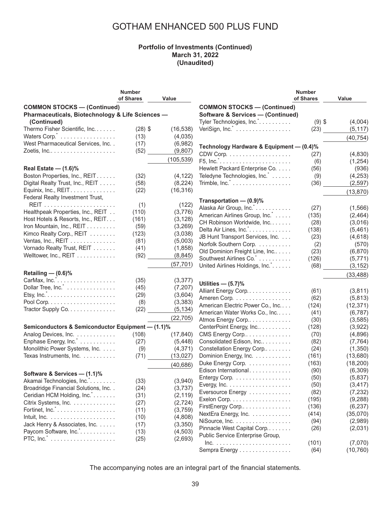#### **Portfolio of Investments (Continued) March 31, 2022 (Unaudited)**

| of Shares<br>of Shares<br>Value<br>Value<br><b>COMMON STOCKS - (Continued)</b><br><b>COMMON STOCKS - (Continued)</b><br>Pharmaceuticals, Biotechnology & Life Sciences -<br><b>Software &amp; Services - (Continued)</b><br>Tyler Technologies, Inc.<br>$(9)$ \$<br>(Continued)<br>(4,004)<br>Thermo Fisher Scientific, Inc.<br>$(28)$ \$<br>(16, 538)<br>(23)<br>(5, 117)<br>Waters Corp.<br>(4,035)<br>(13)<br>(40, 754)<br>West Pharmaceutical Services, Inc. .<br>(17)<br>(6,982)<br>Technology Hardware & Equipment - (0.4)%<br>(52)<br>(9,807)<br>(4,830)<br>(27)<br>(105, 539)<br>F5, Inc. <sup>*</sup><br>(6)<br>(1,254)<br>Real Estate $-$ (1.6)%<br>Hewlett Packard Enterprise Co.<br>(56)<br>(936)<br>Boston Properties, Inc., REIT.<br>(32)<br>(4, 122)<br>Teledyne Technologies, Inc.<br>(9)<br>(4,253)<br>Digital Realty Trust, Inc., REIT<br>(58)<br>(8, 224)<br>Trimble, $Inc$ .<br>(2, 597)<br>(36)<br>Equinix, Inc., REIT.<br>(22)<br>(16, 316)<br>(13, 870)<br>Federal Realty Investment Trust,<br>Transportation - (0.9)%<br>(122)<br>(1)<br>Alaska Air Group, Inc.*.<br>(27)<br>Healthpeak Properties, Inc., REIT<br>(3,776)<br>(110)<br>American Airlines Group, Inc.<br>(135)<br>(2,464)<br>Host Hotels & Resorts, Inc., REIT.<br>(161)<br>(3, 128)<br>CH Robinson Worldwide, Inc.<br>(28)<br>(3,016)<br>Iron Mountain, Inc., REIT<br>(3, 269)<br>(59)<br>Delta Air Lines, Inc. <sup>*</sup><br>(138)<br>(5,461)<br>Kimco Realty Corp., REIT<br>(123)<br>(3,038)<br>JB Hunt Transport Services, Inc.<br>(23)<br>(4,618)<br>Ventas, Inc., REIT<br>(81)<br>(5,003)<br>Norfolk Southern Corp.<br>(2)<br>(570)<br>Vornado Realty Trust, REIT<br>(41)<br>(1,858)<br>Old Dominion Freight Line, Inc<br>(23)<br>(6,870)<br>Welltower, Inc., REIT<br>(92)<br>(8, 845)<br>Southwest Airlines Co. *<br>(126)<br>(5,771)<br>(57, 701)<br>United Airlines Holdings, Inc.<br>(68)<br>(3, 152)<br>Retailing - (0.6)%<br>(33, 488)<br>(35)<br>(3, 377)<br>Utilities $-$ (5.7)%<br>Dollar Tree, Inc.<br>(7, 207)<br>(45)<br>Alliant Energy Corp<br>(3,811)<br>(61)<br>(29)<br>(3,604)<br>Ameren Corp.<br>(62)<br>(5,813)<br>(3, 383)<br>(8)<br>American Electric Power Co., Inc<br>(12, 371)<br>(124)<br>Tractor Supply Co.<br>(22)<br>(5, 134)<br>American Water Works Co., Inc<br>(41)<br>(6, 787)<br>(22, 705)<br>Atmos Energy Corp<br>(3, 585)<br>(30)<br>Semiconductors & Semiconductor Equipment - (1.1)%<br>CenterPoint Energy, Inc<br>(128)<br>(3,922)<br>Analog Devices, Inc.<br>(108)<br>(17, 840)<br>CMS Energy Corp<br>(70)<br>(4,896)<br>Enphase Energy, Inc.<br>(27)<br>(5, 448)<br>Consolidated Edison, Inc<br>(82)<br>(7, 764)<br>Monolithic Power Systems, Inc.<br>(4, 371)<br>Constellation Energy Corp<br>(24)<br>(1,350)<br>(9)<br>Texas Instruments, Inc.<br>(13, 027)<br>Dominion Energy, Inc.<br>(13,680)<br>(71)<br>(161)<br>Duke Energy Corp.<br>(163)<br>(18, 200)<br>(40, 686)<br>Edison International.<br>(90)<br>(6,309)<br>Software & Services - (1.1)%<br>(50)<br>Entergy Corp.<br>(5,837)<br>(33)<br>(3,940)<br>Akamai Technologies, Inc.<br>(50)<br>(3, 417)<br>Broadridge Financial Solutions, Inc. .<br>(24)<br>(3,737)<br>(82)<br>(7, 232)<br>Eversource Energy<br>Ceridian HCM Holding, Inc.<br>(31)<br>(2, 119)<br>Exelon Corp.<br>(195)<br>(9,288)<br>Citrix Systems, Inc.<br>(27)<br>(2, 724)<br>FirstEnergy Corp<br>(136)<br>(6, 237)<br>(11)<br>(3,759)<br>NextEra Energy, Inc.<br>(414)<br>(35,070)<br>(4,808)<br>(10) |                                    | <b>Number</b> |                | <b>Number</b> |         |
|--------------------------------------------------------------------------------------------------------------------------------------------------------------------------------------------------------------------------------------------------------------------------------------------------------------------------------------------------------------------------------------------------------------------------------------------------------------------------------------------------------------------------------------------------------------------------------------------------------------------------------------------------------------------------------------------------------------------------------------------------------------------------------------------------------------------------------------------------------------------------------------------------------------------------------------------------------------------------------------------------------------------------------------------------------------------------------------------------------------------------------------------------------------------------------------------------------------------------------------------------------------------------------------------------------------------------------------------------------------------------------------------------------------------------------------------------------------------------------------------------------------------------------------------------------------------------------------------------------------------------------------------------------------------------------------------------------------------------------------------------------------------------------------------------------------------------------------------------------------------------------------------------------------------------------------------------------------------------------------------------------------------------------------------------------------------------------------------------------------------------------------------------------------------------------------------------------------------------------------------------------------------------------------------------------------------------------------------------------------------------------------------------------------------------------------------------------------------------------------------------------------------------------------------------------------------------------------------------------------------------------------------------------------------------------------------------------------------------------------------------------------------------------------------------------------------------------------------------------------------------------------------------------------------------------------------------------------------------------------------------------------------------------------------------------------------------------------------------------------------------------------------------------------------------------------------------------------------------------------------------------------------------------------------------------------------------------------------------------------------------------------------------------------------------------------------------------------------------|------------------------------------|---------------|----------------|---------------|---------|
|                                                                                                                                                                                                                                                                                                                                                                                                                                                                                                                                                                                                                                                                                                                                                                                                                                                                                                                                                                                                                                                                                                                                                                                                                                                                                                                                                                                                                                                                                                                                                                                                                                                                                                                                                                                                                                                                                                                                                                                                                                                                                                                                                                                                                                                                                                                                                                                                                                                                                                                                                                                                                                                                                                                                                                                                                                                                                                                                                                                                                                                                                                                                                                                                                                                                                                                                                                                                                                                                          |                                    |               |                |               |         |
| (1, 566)                                                                                                                                                                                                                                                                                                                                                                                                                                                                                                                                                                                                                                                                                                                                                                                                                                                                                                                                                                                                                                                                                                                                                                                                                                                                                                                                                                                                                                                                                                                                                                                                                                                                                                                                                                                                                                                                                                                                                                                                                                                                                                                                                                                                                                                                                                                                                                                                                                                                                                                                                                                                                                                                                                                                                                                                                                                                                                                                                                                                                                                                                                                                                                                                                                                                                                                                                                                                                                                                 |                                    |               |                |               |         |
|                                                                                                                                                                                                                                                                                                                                                                                                                                                                                                                                                                                                                                                                                                                                                                                                                                                                                                                                                                                                                                                                                                                                                                                                                                                                                                                                                                                                                                                                                                                                                                                                                                                                                                                                                                                                                                                                                                                                                                                                                                                                                                                                                                                                                                                                                                                                                                                                                                                                                                                                                                                                                                                                                                                                                                                                                                                                                                                                                                                                                                                                                                                                                                                                                                                                                                                                                                                                                                                                          |                                    |               |                |               |         |
|                                                                                                                                                                                                                                                                                                                                                                                                                                                                                                                                                                                                                                                                                                                                                                                                                                                                                                                                                                                                                                                                                                                                                                                                                                                                                                                                                                                                                                                                                                                                                                                                                                                                                                                                                                                                                                                                                                                                                                                                                                                                                                                                                                                                                                                                                                                                                                                                                                                                                                                                                                                                                                                                                                                                                                                                                                                                                                                                                                                                                                                                                                                                                                                                                                                                                                                                                                                                                                                                          |                                    |               |                |               |         |
|                                                                                                                                                                                                                                                                                                                                                                                                                                                                                                                                                                                                                                                                                                                                                                                                                                                                                                                                                                                                                                                                                                                                                                                                                                                                                                                                                                                                                                                                                                                                                                                                                                                                                                                                                                                                                                                                                                                                                                                                                                                                                                                                                                                                                                                                                                                                                                                                                                                                                                                                                                                                                                                                                                                                                                                                                                                                                                                                                                                                                                                                                                                                                                                                                                                                                                                                                                                                                                                                          |                                    |               |                |               |         |
|                                                                                                                                                                                                                                                                                                                                                                                                                                                                                                                                                                                                                                                                                                                                                                                                                                                                                                                                                                                                                                                                                                                                                                                                                                                                                                                                                                                                                                                                                                                                                                                                                                                                                                                                                                                                                                                                                                                                                                                                                                                                                                                                                                                                                                                                                                                                                                                                                                                                                                                                                                                                                                                                                                                                                                                                                                                                                                                                                                                                                                                                                                                                                                                                                                                                                                                                                                                                                                                                          |                                    |               |                |               |         |
|                                                                                                                                                                                                                                                                                                                                                                                                                                                                                                                                                                                                                                                                                                                                                                                                                                                                                                                                                                                                                                                                                                                                                                                                                                                                                                                                                                                                                                                                                                                                                                                                                                                                                                                                                                                                                                                                                                                                                                                                                                                                                                                                                                                                                                                                                                                                                                                                                                                                                                                                                                                                                                                                                                                                                                                                                                                                                                                                                                                                                                                                                                                                                                                                                                                                                                                                                                                                                                                                          |                                    |               |                |               |         |
|                                                                                                                                                                                                                                                                                                                                                                                                                                                                                                                                                                                                                                                                                                                                                                                                                                                                                                                                                                                                                                                                                                                                                                                                                                                                                                                                                                                                                                                                                                                                                                                                                                                                                                                                                                                                                                                                                                                                                                                                                                                                                                                                                                                                                                                                                                                                                                                                                                                                                                                                                                                                                                                                                                                                                                                                                                                                                                                                                                                                                                                                                                                                                                                                                                                                                                                                                                                                                                                                          |                                    |               |                |               |         |
|                                                                                                                                                                                                                                                                                                                                                                                                                                                                                                                                                                                                                                                                                                                                                                                                                                                                                                                                                                                                                                                                                                                                                                                                                                                                                                                                                                                                                                                                                                                                                                                                                                                                                                                                                                                                                                                                                                                                                                                                                                                                                                                                                                                                                                                                                                                                                                                                                                                                                                                                                                                                                                                                                                                                                                                                                                                                                                                                                                                                                                                                                                                                                                                                                                                                                                                                                                                                                                                                          |                                    |               |                |               |         |
|                                                                                                                                                                                                                                                                                                                                                                                                                                                                                                                                                                                                                                                                                                                                                                                                                                                                                                                                                                                                                                                                                                                                                                                                                                                                                                                                                                                                                                                                                                                                                                                                                                                                                                                                                                                                                                                                                                                                                                                                                                                                                                                                                                                                                                                                                                                                                                                                                                                                                                                                                                                                                                                                                                                                                                                                                                                                                                                                                                                                                                                                                                                                                                                                                                                                                                                                                                                                                                                                          |                                    |               |                |               |         |
|                                                                                                                                                                                                                                                                                                                                                                                                                                                                                                                                                                                                                                                                                                                                                                                                                                                                                                                                                                                                                                                                                                                                                                                                                                                                                                                                                                                                                                                                                                                                                                                                                                                                                                                                                                                                                                                                                                                                                                                                                                                                                                                                                                                                                                                                                                                                                                                                                                                                                                                                                                                                                                                                                                                                                                                                                                                                                                                                                                                                                                                                                                                                                                                                                                                                                                                                                                                                                                                                          |                                    |               |                |               |         |
|                                                                                                                                                                                                                                                                                                                                                                                                                                                                                                                                                                                                                                                                                                                                                                                                                                                                                                                                                                                                                                                                                                                                                                                                                                                                                                                                                                                                                                                                                                                                                                                                                                                                                                                                                                                                                                                                                                                                                                                                                                                                                                                                                                                                                                                                                                                                                                                                                                                                                                                                                                                                                                                                                                                                                                                                                                                                                                                                                                                                                                                                                                                                                                                                                                                                                                                                                                                                                                                                          |                                    |               |                |               |         |
|                                                                                                                                                                                                                                                                                                                                                                                                                                                                                                                                                                                                                                                                                                                                                                                                                                                                                                                                                                                                                                                                                                                                                                                                                                                                                                                                                                                                                                                                                                                                                                                                                                                                                                                                                                                                                                                                                                                                                                                                                                                                                                                                                                                                                                                                                                                                                                                                                                                                                                                                                                                                                                                                                                                                                                                                                                                                                                                                                                                                                                                                                                                                                                                                                                                                                                                                                                                                                                                                          |                                    |               |                |               |         |
|                                                                                                                                                                                                                                                                                                                                                                                                                                                                                                                                                                                                                                                                                                                                                                                                                                                                                                                                                                                                                                                                                                                                                                                                                                                                                                                                                                                                                                                                                                                                                                                                                                                                                                                                                                                                                                                                                                                                                                                                                                                                                                                                                                                                                                                                                                                                                                                                                                                                                                                                                                                                                                                                                                                                                                                                                                                                                                                                                                                                                                                                                                                                                                                                                                                                                                                                                                                                                                                                          |                                    |               |                |               |         |
|                                                                                                                                                                                                                                                                                                                                                                                                                                                                                                                                                                                                                                                                                                                                                                                                                                                                                                                                                                                                                                                                                                                                                                                                                                                                                                                                                                                                                                                                                                                                                                                                                                                                                                                                                                                                                                                                                                                                                                                                                                                                                                                                                                                                                                                                                                                                                                                                                                                                                                                                                                                                                                                                                                                                                                                                                                                                                                                                                                                                                                                                                                                                                                                                                                                                                                                                                                                                                                                                          |                                    |               |                |               |         |
|                                                                                                                                                                                                                                                                                                                                                                                                                                                                                                                                                                                                                                                                                                                                                                                                                                                                                                                                                                                                                                                                                                                                                                                                                                                                                                                                                                                                                                                                                                                                                                                                                                                                                                                                                                                                                                                                                                                                                                                                                                                                                                                                                                                                                                                                                                                                                                                                                                                                                                                                                                                                                                                                                                                                                                                                                                                                                                                                                                                                                                                                                                                                                                                                                                                                                                                                                                                                                                                                          |                                    |               |                |               |         |
|                                                                                                                                                                                                                                                                                                                                                                                                                                                                                                                                                                                                                                                                                                                                                                                                                                                                                                                                                                                                                                                                                                                                                                                                                                                                                                                                                                                                                                                                                                                                                                                                                                                                                                                                                                                                                                                                                                                                                                                                                                                                                                                                                                                                                                                                                                                                                                                                                                                                                                                                                                                                                                                                                                                                                                                                                                                                                                                                                                                                                                                                                                                                                                                                                                                                                                                                                                                                                                                                          |                                    |               |                |               |         |
|                                                                                                                                                                                                                                                                                                                                                                                                                                                                                                                                                                                                                                                                                                                                                                                                                                                                                                                                                                                                                                                                                                                                                                                                                                                                                                                                                                                                                                                                                                                                                                                                                                                                                                                                                                                                                                                                                                                                                                                                                                                                                                                                                                                                                                                                                                                                                                                                                                                                                                                                                                                                                                                                                                                                                                                                                                                                                                                                                                                                                                                                                                                                                                                                                                                                                                                                                                                                                                                                          |                                    |               |                |               |         |
|                                                                                                                                                                                                                                                                                                                                                                                                                                                                                                                                                                                                                                                                                                                                                                                                                                                                                                                                                                                                                                                                                                                                                                                                                                                                                                                                                                                                                                                                                                                                                                                                                                                                                                                                                                                                                                                                                                                                                                                                                                                                                                                                                                                                                                                                                                                                                                                                                                                                                                                                                                                                                                                                                                                                                                                                                                                                                                                                                                                                                                                                                                                                                                                                                                                                                                                                                                                                                                                                          |                                    |               |                |               |         |
|                                                                                                                                                                                                                                                                                                                                                                                                                                                                                                                                                                                                                                                                                                                                                                                                                                                                                                                                                                                                                                                                                                                                                                                                                                                                                                                                                                                                                                                                                                                                                                                                                                                                                                                                                                                                                                                                                                                                                                                                                                                                                                                                                                                                                                                                                                                                                                                                                                                                                                                                                                                                                                                                                                                                                                                                                                                                                                                                                                                                                                                                                                                                                                                                                                                                                                                                                                                                                                                                          |                                    |               |                |               |         |
|                                                                                                                                                                                                                                                                                                                                                                                                                                                                                                                                                                                                                                                                                                                                                                                                                                                                                                                                                                                                                                                                                                                                                                                                                                                                                                                                                                                                                                                                                                                                                                                                                                                                                                                                                                                                                                                                                                                                                                                                                                                                                                                                                                                                                                                                                                                                                                                                                                                                                                                                                                                                                                                                                                                                                                                                                                                                                                                                                                                                                                                                                                                                                                                                                                                                                                                                                                                                                                                                          |                                    |               |                |               |         |
|                                                                                                                                                                                                                                                                                                                                                                                                                                                                                                                                                                                                                                                                                                                                                                                                                                                                                                                                                                                                                                                                                                                                                                                                                                                                                                                                                                                                                                                                                                                                                                                                                                                                                                                                                                                                                                                                                                                                                                                                                                                                                                                                                                                                                                                                                                                                                                                                                                                                                                                                                                                                                                                                                                                                                                                                                                                                                                                                                                                                                                                                                                                                                                                                                                                                                                                                                                                                                                                                          |                                    |               |                |               |         |
|                                                                                                                                                                                                                                                                                                                                                                                                                                                                                                                                                                                                                                                                                                                                                                                                                                                                                                                                                                                                                                                                                                                                                                                                                                                                                                                                                                                                                                                                                                                                                                                                                                                                                                                                                                                                                                                                                                                                                                                                                                                                                                                                                                                                                                                                                                                                                                                                                                                                                                                                                                                                                                                                                                                                                                                                                                                                                                                                                                                                                                                                                                                                                                                                                                                                                                                                                                                                                                                                          |                                    |               |                |               |         |
|                                                                                                                                                                                                                                                                                                                                                                                                                                                                                                                                                                                                                                                                                                                                                                                                                                                                                                                                                                                                                                                                                                                                                                                                                                                                                                                                                                                                                                                                                                                                                                                                                                                                                                                                                                                                                                                                                                                                                                                                                                                                                                                                                                                                                                                                                                                                                                                                                                                                                                                                                                                                                                                                                                                                                                                                                                                                                                                                                                                                                                                                                                                                                                                                                                                                                                                                                                                                                                                                          |                                    |               |                |               |         |
|                                                                                                                                                                                                                                                                                                                                                                                                                                                                                                                                                                                                                                                                                                                                                                                                                                                                                                                                                                                                                                                                                                                                                                                                                                                                                                                                                                                                                                                                                                                                                                                                                                                                                                                                                                                                                                                                                                                                                                                                                                                                                                                                                                                                                                                                                                                                                                                                                                                                                                                                                                                                                                                                                                                                                                                                                                                                                                                                                                                                                                                                                                                                                                                                                                                                                                                                                                                                                                                                          |                                    |               |                |               |         |
|                                                                                                                                                                                                                                                                                                                                                                                                                                                                                                                                                                                                                                                                                                                                                                                                                                                                                                                                                                                                                                                                                                                                                                                                                                                                                                                                                                                                                                                                                                                                                                                                                                                                                                                                                                                                                                                                                                                                                                                                                                                                                                                                                                                                                                                                                                                                                                                                                                                                                                                                                                                                                                                                                                                                                                                                                                                                                                                                                                                                                                                                                                                                                                                                                                                                                                                                                                                                                                                                          |                                    |               |                |               |         |
|                                                                                                                                                                                                                                                                                                                                                                                                                                                                                                                                                                                                                                                                                                                                                                                                                                                                                                                                                                                                                                                                                                                                                                                                                                                                                                                                                                                                                                                                                                                                                                                                                                                                                                                                                                                                                                                                                                                                                                                                                                                                                                                                                                                                                                                                                                                                                                                                                                                                                                                                                                                                                                                                                                                                                                                                                                                                                                                                                                                                                                                                                                                                                                                                                                                                                                                                                                                                                                                                          |                                    |               |                |               |         |
|                                                                                                                                                                                                                                                                                                                                                                                                                                                                                                                                                                                                                                                                                                                                                                                                                                                                                                                                                                                                                                                                                                                                                                                                                                                                                                                                                                                                                                                                                                                                                                                                                                                                                                                                                                                                                                                                                                                                                                                                                                                                                                                                                                                                                                                                                                                                                                                                                                                                                                                                                                                                                                                                                                                                                                                                                                                                                                                                                                                                                                                                                                                                                                                                                                                                                                                                                                                                                                                                          |                                    |               |                |               |         |
|                                                                                                                                                                                                                                                                                                                                                                                                                                                                                                                                                                                                                                                                                                                                                                                                                                                                                                                                                                                                                                                                                                                                                                                                                                                                                                                                                                                                                                                                                                                                                                                                                                                                                                                                                                                                                                                                                                                                                                                                                                                                                                                                                                                                                                                                                                                                                                                                                                                                                                                                                                                                                                                                                                                                                                                                                                                                                                                                                                                                                                                                                                                                                                                                                                                                                                                                                                                                                                                                          |                                    |               |                |               |         |
|                                                                                                                                                                                                                                                                                                                                                                                                                                                                                                                                                                                                                                                                                                                                                                                                                                                                                                                                                                                                                                                                                                                                                                                                                                                                                                                                                                                                                                                                                                                                                                                                                                                                                                                                                                                                                                                                                                                                                                                                                                                                                                                                                                                                                                                                                                                                                                                                                                                                                                                                                                                                                                                                                                                                                                                                                                                                                                                                                                                                                                                                                                                                                                                                                                                                                                                                                                                                                                                                          |                                    |               |                |               |         |
|                                                                                                                                                                                                                                                                                                                                                                                                                                                                                                                                                                                                                                                                                                                                                                                                                                                                                                                                                                                                                                                                                                                                                                                                                                                                                                                                                                                                                                                                                                                                                                                                                                                                                                                                                                                                                                                                                                                                                                                                                                                                                                                                                                                                                                                                                                                                                                                                                                                                                                                                                                                                                                                                                                                                                                                                                                                                                                                                                                                                                                                                                                                                                                                                                                                                                                                                                                                                                                                                          |                                    |               |                |               |         |
|                                                                                                                                                                                                                                                                                                                                                                                                                                                                                                                                                                                                                                                                                                                                                                                                                                                                                                                                                                                                                                                                                                                                                                                                                                                                                                                                                                                                                                                                                                                                                                                                                                                                                                                                                                                                                                                                                                                                                                                                                                                                                                                                                                                                                                                                                                                                                                                                                                                                                                                                                                                                                                                                                                                                                                                                                                                                                                                                                                                                                                                                                                                                                                                                                                                                                                                                                                                                                                                                          |                                    |               |                |               |         |
|                                                                                                                                                                                                                                                                                                                                                                                                                                                                                                                                                                                                                                                                                                                                                                                                                                                                                                                                                                                                                                                                                                                                                                                                                                                                                                                                                                                                                                                                                                                                                                                                                                                                                                                                                                                                                                                                                                                                                                                                                                                                                                                                                                                                                                                                                                                                                                                                                                                                                                                                                                                                                                                                                                                                                                                                                                                                                                                                                                                                                                                                                                                                                                                                                                                                                                                                                                                                                                                                          |                                    |               |                |               |         |
|                                                                                                                                                                                                                                                                                                                                                                                                                                                                                                                                                                                                                                                                                                                                                                                                                                                                                                                                                                                                                                                                                                                                                                                                                                                                                                                                                                                                                                                                                                                                                                                                                                                                                                                                                                                                                                                                                                                                                                                                                                                                                                                                                                                                                                                                                                                                                                                                                                                                                                                                                                                                                                                                                                                                                                                                                                                                                                                                                                                                                                                                                                                                                                                                                                                                                                                                                                                                                                                                          |                                    |               |                |               |         |
|                                                                                                                                                                                                                                                                                                                                                                                                                                                                                                                                                                                                                                                                                                                                                                                                                                                                                                                                                                                                                                                                                                                                                                                                                                                                                                                                                                                                                                                                                                                                                                                                                                                                                                                                                                                                                                                                                                                                                                                                                                                                                                                                                                                                                                                                                                                                                                                                                                                                                                                                                                                                                                                                                                                                                                                                                                                                                                                                                                                                                                                                                                                                                                                                                                                                                                                                                                                                                                                                          |                                    |               |                |               |         |
|                                                                                                                                                                                                                                                                                                                                                                                                                                                                                                                                                                                                                                                                                                                                                                                                                                                                                                                                                                                                                                                                                                                                                                                                                                                                                                                                                                                                                                                                                                                                                                                                                                                                                                                                                                                                                                                                                                                                                                                                                                                                                                                                                                                                                                                                                                                                                                                                                                                                                                                                                                                                                                                                                                                                                                                                                                                                                                                                                                                                                                                                                                                                                                                                                                                                                                                                                                                                                                                                          |                                    |               |                |               |         |
|                                                                                                                                                                                                                                                                                                                                                                                                                                                                                                                                                                                                                                                                                                                                                                                                                                                                                                                                                                                                                                                                                                                                                                                                                                                                                                                                                                                                                                                                                                                                                                                                                                                                                                                                                                                                                                                                                                                                                                                                                                                                                                                                                                                                                                                                                                                                                                                                                                                                                                                                                                                                                                                                                                                                                                                                                                                                                                                                                                                                                                                                                                                                                                                                                                                                                                                                                                                                                                                                          |                                    |               |                |               |         |
|                                                                                                                                                                                                                                                                                                                                                                                                                                                                                                                                                                                                                                                                                                                                                                                                                                                                                                                                                                                                                                                                                                                                                                                                                                                                                                                                                                                                                                                                                                                                                                                                                                                                                                                                                                                                                                                                                                                                                                                                                                                                                                                                                                                                                                                                                                                                                                                                                                                                                                                                                                                                                                                                                                                                                                                                                                                                                                                                                                                                                                                                                                                                                                                                                                                                                                                                                                                                                                                                          |                                    |               |                |               |         |
|                                                                                                                                                                                                                                                                                                                                                                                                                                                                                                                                                                                                                                                                                                                                                                                                                                                                                                                                                                                                                                                                                                                                                                                                                                                                                                                                                                                                                                                                                                                                                                                                                                                                                                                                                                                                                                                                                                                                                                                                                                                                                                                                                                                                                                                                                                                                                                                                                                                                                                                                                                                                                                                                                                                                                                                                                                                                                                                                                                                                                                                                                                                                                                                                                                                                                                                                                                                                                                                                          |                                    |               |                |               |         |
|                                                                                                                                                                                                                                                                                                                                                                                                                                                                                                                                                                                                                                                                                                                                                                                                                                                                                                                                                                                                                                                                                                                                                                                                                                                                                                                                                                                                                                                                                                                                                                                                                                                                                                                                                                                                                                                                                                                                                                                                                                                                                                                                                                                                                                                                                                                                                                                                                                                                                                                                                                                                                                                                                                                                                                                                                                                                                                                                                                                                                                                                                                                                                                                                                                                                                                                                                                                                                                                                          |                                    |               |                |               |         |
|                                                                                                                                                                                                                                                                                                                                                                                                                                                                                                                                                                                                                                                                                                                                                                                                                                                                                                                                                                                                                                                                                                                                                                                                                                                                                                                                                                                                                                                                                                                                                                                                                                                                                                                                                                                                                                                                                                                                                                                                                                                                                                                                                                                                                                                                                                                                                                                                                                                                                                                                                                                                                                                                                                                                                                                                                                                                                                                                                                                                                                                                                                                                                                                                                                                                                                                                                                                                                                                                          |                                    |               |                |               |         |
|                                                                                                                                                                                                                                                                                                                                                                                                                                                                                                                                                                                                                                                                                                                                                                                                                                                                                                                                                                                                                                                                                                                                                                                                                                                                                                                                                                                                                                                                                                                                                                                                                                                                                                                                                                                                                                                                                                                                                                                                                                                                                                                                                                                                                                                                                                                                                                                                                                                                                                                                                                                                                                                                                                                                                                                                                                                                                                                                                                                                                                                                                                                                                                                                                                                                                                                                                                                                                                                                          |                                    |               |                |               |         |
|                                                                                                                                                                                                                                                                                                                                                                                                                                                                                                                                                                                                                                                                                                                                                                                                                                                                                                                                                                                                                                                                                                                                                                                                                                                                                                                                                                                                                                                                                                                                                                                                                                                                                                                                                                                                                                                                                                                                                                                                                                                                                                                                                                                                                                                                                                                                                                                                                                                                                                                                                                                                                                                                                                                                                                                                                                                                                                                                                                                                                                                                                                                                                                                                                                                                                                                                                                                                                                                                          |                                    |               |                |               |         |
|                                                                                                                                                                                                                                                                                                                                                                                                                                                                                                                                                                                                                                                                                                                                                                                                                                                                                                                                                                                                                                                                                                                                                                                                                                                                                                                                                                                                                                                                                                                                                                                                                                                                                                                                                                                                                                                                                                                                                                                                                                                                                                                                                                                                                                                                                                                                                                                                                                                                                                                                                                                                                                                                                                                                                                                                                                                                                                                                                                                                                                                                                                                                                                                                                                                                                                                                                                                                                                                                          |                                    |               |                |               |         |
|                                                                                                                                                                                                                                                                                                                                                                                                                                                                                                                                                                                                                                                                                                                                                                                                                                                                                                                                                                                                                                                                                                                                                                                                                                                                                                                                                                                                                                                                                                                                                                                                                                                                                                                                                                                                                                                                                                                                                                                                                                                                                                                                                                                                                                                                                                                                                                                                                                                                                                                                                                                                                                                                                                                                                                                                                                                                                                                                                                                                                                                                                                                                                                                                                                                                                                                                                                                                                                                                          |                                    |               |                |               |         |
|                                                                                                                                                                                                                                                                                                                                                                                                                                                                                                                                                                                                                                                                                                                                                                                                                                                                                                                                                                                                                                                                                                                                                                                                                                                                                                                                                                                                                                                                                                                                                                                                                                                                                                                                                                                                                                                                                                                                                                                                                                                                                                                                                                                                                                                                                                                                                                                                                                                                                                                                                                                                                                                                                                                                                                                                                                                                                                                                                                                                                                                                                                                                                                                                                                                                                                                                                                                                                                                                          |                                    |               |                |               |         |
|                                                                                                                                                                                                                                                                                                                                                                                                                                                                                                                                                                                                                                                                                                                                                                                                                                                                                                                                                                                                                                                                                                                                                                                                                                                                                                                                                                                                                                                                                                                                                                                                                                                                                                                                                                                                                                                                                                                                                                                                                                                                                                                                                                                                                                                                                                                                                                                                                                                                                                                                                                                                                                                                                                                                                                                                                                                                                                                                                                                                                                                                                                                                                                                                                                                                                                                                                                                                                                                                          |                                    |               |                |               |         |
|                                                                                                                                                                                                                                                                                                                                                                                                                                                                                                                                                                                                                                                                                                                                                                                                                                                                                                                                                                                                                                                                                                                                                                                                                                                                                                                                                                                                                                                                                                                                                                                                                                                                                                                                                                                                                                                                                                                                                                                                                                                                                                                                                                                                                                                                                                                                                                                                                                                                                                                                                                                                                                                                                                                                                                                                                                                                                                                                                                                                                                                                                                                                                                                                                                                                                                                                                                                                                                                                          |                                    |               | NiSource, Inc. | (94)          | (2,989) |
| (3,350)<br>(17)<br>Pinnacle West Capital Corp<br>(2,031)<br>(26)                                                                                                                                                                                                                                                                                                                                                                                                                                                                                                                                                                                                                                                                                                                                                                                                                                                                                                                                                                                                                                                                                                                                                                                                                                                                                                                                                                                                                                                                                                                                                                                                                                                                                                                                                                                                                                                                                                                                                                                                                                                                                                                                                                                                                                                                                                                                                                                                                                                                                                                                                                                                                                                                                                                                                                                                                                                                                                                                                                                                                                                                                                                                                                                                                                                                                                                                                                                                         | Jack Henry & Associates, Inc.      |               |                |               |         |
| (13)<br>(4,503)<br>Public Service Enterprise Group,                                                                                                                                                                                                                                                                                                                                                                                                                                                                                                                                                                                                                                                                                                                                                                                                                                                                                                                                                                                                                                                                                                                                                                                                                                                                                                                                                                                                                                                                                                                                                                                                                                                                                                                                                                                                                                                                                                                                                                                                                                                                                                                                                                                                                                                                                                                                                                                                                                                                                                                                                                                                                                                                                                                                                                                                                                                                                                                                                                                                                                                                                                                                                                                                                                                                                                                                                                                                                      | Paycom Software, Inc. <sup>*</sup> |               |                |               |         |
| (25)<br>(2,693)<br>(101)<br>(7,070)<br>$Inc.$                                                                                                                                                                                                                                                                                                                                                                                                                                                                                                                                                                                                                                                                                                                                                                                                                                                                                                                                                                                                                                                                                                                                                                                                                                                                                                                                                                                                                                                                                                                                                                                                                                                                                                                                                                                                                                                                                                                                                                                                                                                                                                                                                                                                                                                                                                                                                                                                                                                                                                                                                                                                                                                                                                                                                                                                                                                                                                                                                                                                                                                                                                                                                                                                                                                                                                                                                                                                                            |                                    |               |                |               |         |
| Sempra Energy<br>(64)<br>(10, 760)                                                                                                                                                                                                                                                                                                                                                                                                                                                                                                                                                                                                                                                                                                                                                                                                                                                                                                                                                                                                                                                                                                                                                                                                                                                                                                                                                                                                                                                                                                                                                                                                                                                                                                                                                                                                                                                                                                                                                                                                                                                                                                                                                                                                                                                                                                                                                                                                                                                                                                                                                                                                                                                                                                                                                                                                                                                                                                                                                                                                                                                                                                                                                                                                                                                                                                                                                                                                                                       |                                    |               |                |               |         |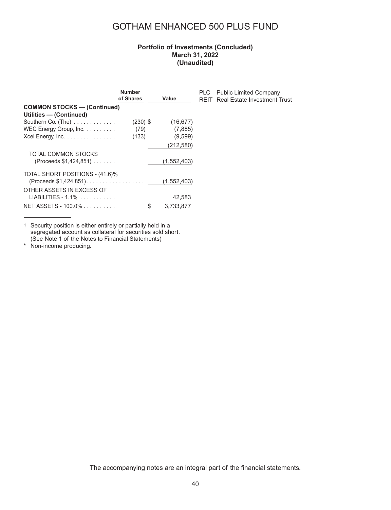### **Portfolio of Investments (Concluded) March 31, 2022 (Unaudited)**

PLC Public Limited Company REIT Real Estate Investment Trust

|                                                      | <b>Number</b> |                 |
|------------------------------------------------------|---------------|-----------------|
|                                                      | of Shares     | Value           |
| <b>COMMON STOCKS - (Continued)</b>                   |               |                 |
| Utilities - (Continued)                              |               |                 |
| Southern Co. (The)                                   | $(230)$ \$    | (16, 677)       |
| WEC Energy Group, Inc.                               | (79)          | (7,885)         |
| Xcel Energy, Inc.                                    | (133)         | (9,599)         |
|                                                      |               | (212, 580)      |
| TOTAL COMMON STOCKS                                  |               |                 |
| (Proceeds \$1,424,851)                               |               | (1,552,403)     |
| TOTAL SHORT POSITIONS - (41.6)%                      |               |                 |
| $(Proceeds $1,424,851).$ $\dots$ , $\dots$ , $\dots$ |               | (1,552,403)     |
| OTHER ASSETS IN EXCESS OF                            |               |                 |
| LIABILITIES - 1.1%                                   |               | 42,583          |
| NET ASSETS - 100.0%                                  |               | \$<br>3.733.877 |

† Security position is either entirely or partially held in a segregated account as collateral for securities sold short. (See Note 1 of the Notes to Financial Statements)

\* Non-income producing.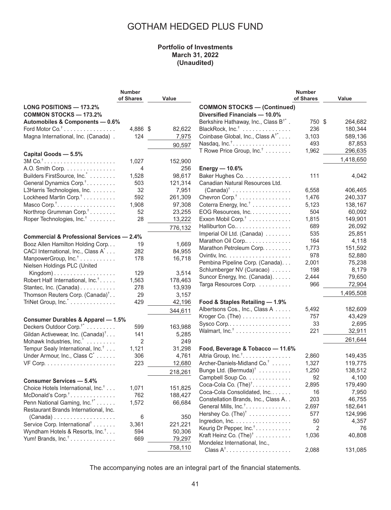### **Portfolio of Investments March 31, 2022 (Unaudited)**

|                                                      | <b>Number</b> |         |                                                   | <b>Number</b> |           |
|------------------------------------------------------|---------------|---------|---------------------------------------------------|---------------|-----------|
|                                                      | of Shares     | Value   |                                                   | of Shares     | Value     |
| LONG POSITIONS - 173.2%                              |               |         | <b>COMMON STOCKS - (Continued)</b>                |               |           |
| <b>COMMON STOCKS - 173.2%</b>                        |               |         | Diversified Financials - 10.0%                    |               |           |
| Automobiles & Components - 0.6%                      |               |         | Berkshire Hathaway, Inc., Class B <sup>†*</sup> . | 750 \$        | 264,682   |
| Ford Motor $Co^{\dagger}$                            | 4,886 \$      | 82,622  | BlackRock, Inc. <sup>†</sup>                      | 236           | 180,344   |
| Magna International, Inc. (Canada).                  | 124           | 7,975   | Coinbase Global, Inc., Class A <sup>†*</sup>      | 3,103         | 589,136   |
|                                                      |               |         | Nasdaq, $Inc^{\dagger}$                           | 493           | 87,853    |
|                                                      |               | 90,597  |                                                   |               |           |
| Capital Goods - 5.5%                                 |               |         | T Rowe Price Group, Inc. <sup>†</sup>             | 1,962         | 296,635   |
|                                                      | 1,027         | 152,900 |                                                   |               | 1,418,650 |
| A.O. Smith Corp.                                     | 4             | 256     | Energy - 10.6%                                    |               |           |
| Builders FirstSource, Inc.                           | 1,528         | 98,617  | Baker Hughes Co.                                  | 111           | 4,042     |
| General Dynamics Corp. <sup>†</sup>                  | 503           | 121,314 | Canadian Natural Resources Ltd.                   |               |           |
| L3Harris Technologies, Inc.                          | 32            | 7,951   | $(Canada)^{\dagger}$                              | 6,558         | 406,465   |
| Lockheed Martin Corp. <sup>†</sup>                   | 592           | 261,309 | Chevron Corp. <sup>†</sup>                        | 1,476         | 240,337   |
| Masco Corp. <sup>†</sup>                             | 1,908         | 97,308  | Coterra Energy, Inc. <sup>†</sup>                 | 5,123         | 138,167   |
| Northrop Grumman Corp. <sup>†</sup>                  | 52            | 23,255  | EOG Resources, Inc.                               | 504           | 60,092    |
| Roper Technologies, Inc. <sup>†</sup>                | 28            | 13,222  | Exxon Mobil Corp. <sup>†</sup>                    | 1,815         | 149,901   |
|                                                      |               |         | Halliburton Co                                    | 689           | 26,092    |
|                                                      |               | 776,132 |                                                   |               |           |
| <b>Commercial &amp; Professional Services - 2.4%</b> |               |         | Imperial Oil Ltd. (Canada)                        | 535           | 25,851    |
| Booz Allen Hamilton Holding Corp                     | 19            | 1,669   | Marathon Oil Corp                                 | 164           | 4,118     |
| CACI International, Inc., Class A <sup>*</sup>       | 282           | 84,955  | Marathon Petroleum Corp.                          | 1,773         | 151,592   |
| ManpowerGroup, Inc. <sup>†</sup>                     | 178           | 16,718  |                                                   | 978           | 52,880    |
| Nielsen Holdings PLC (United                         |               |         | Pembina Pipeline Corp. (Canada).                  | 2,001         | 75,238    |
| Kingdom $)$                                          | 129           | 3,514   | Schlumberger NV (Curacao)                         | 198           | 8,179     |
| Robert Half International, Inc. <sup>†</sup>         | 1,563         | 178,463 | Suncor Energy, Inc. (Canada).                     | 2,444         | 79,650    |
| Stantec, Inc. (Canada)                               | 278           | 13,939  | Targa Resources Corp.                             | 966           | 72,904    |
|                                                      | 29            |         |                                                   |               | 1,495,508 |
| Thomson Reuters Corp. (Canada) <sup>†</sup>          |               | 3,157   |                                                   |               |           |
| TriNet Group, Inc.                                   | 429           | 42,196  | Food & Staples Retailing - 1.9%                   |               |           |
|                                                      |               | 344,611 | Albertsons Cos., Inc., Class A                    | 5,492         | 182,609   |
| <b>Consumer Durables &amp; Apparel - 1.5%</b>        |               |         | Kroger Co. (The)                                  | 757           | 43,429    |
| Deckers Outdoor Corp. <sup>†*</sup>                  | 599           | 163,988 |                                                   | 33            | 2,695     |
| Gildan Activewear, Inc. (Canada) <sup>†</sup>        | 141           | 5,285   | Walmart, Inc. <sup>†</sup>                        | 221           | 32,911    |
| Mohawk Industries, Inc.                              | 2             | 249     |                                                   |               | 261,644   |
| Tempur Sealy International, Inc. <sup>†</sup>        | 1,121         | 31,298  | Food, Beverage & Tobacco - 11.6%                  |               |           |
| Under Armour, Inc., Class C <sup>*</sup>             | 306           | 4,761   | Altria Group, Inc. <sup>†</sup> .                 | 2,860         | 149,435   |
|                                                      | 223           | 12,680  | Archer-Daniels-Midland Co. <sup>†</sup>           | 1,327         | 119,775   |
|                                                      |               |         | Bunge Ltd. $(Bermuda)^{\dagger}$                  | 1,250         | 138,512   |
|                                                      |               | 218,261 |                                                   |               |           |
| <b>Consumer Services - 5.4%</b>                      |               |         | Campbell Soup Co.                                 | 92            | 4,100     |
| Choice Hotels International, Inc. <sup>†</sup>       | 1,071         | 151,825 | Coca-Cola Co. $(Thei)^{\dagger}$ .                | 2,895         | 179,490   |
| McDonald's Corp. <sup>†</sup><br>.                   | 762           | 188,427 | Coca-Cola Consolidated, Inc.                      | 16            | 7,950     |
| Penn National Gaming, Inc. <sup>†*</sup>             | 1,572         | 66,684  | Constellation Brands, Inc., Class A. .            | 203           | 46,755    |
| Restaurant Brands International, Inc.                |               |         | General Mills, Inc. <sup>†</sup> .                | 2,697         | 182,641   |
| $(Canada) \ldots \ldots \ldots \ldots \ldots$        | 6             | 350     | Hershey Co. $(The)^{\dagger}$                     | 577           | 124,996   |
| Service Corp. International <sup>†</sup>             | 3,361         | 221,221 | Ingredion, Inc.                                   | 50            | 4,357     |
| Wyndham Hotels & Resorts, Inc. <sup>†</sup>          | 594           | 50,306  | Keurig Dr Pepper, Inc. <sup>†</sup> .             | 2             | 76        |
|                                                      |               |         | Kraft Heinz Co. $(The)^{\dagger}$                 | 1,036         | 40,808    |
| Yum! Brands, $Inc.^{\dagger}$                        | 669           | 79,297  | Mondelez International, Inc.,                     |               |           |
|                                                      |               | 758,110 | $Class A†$                                        | 2,088         | 131,085   |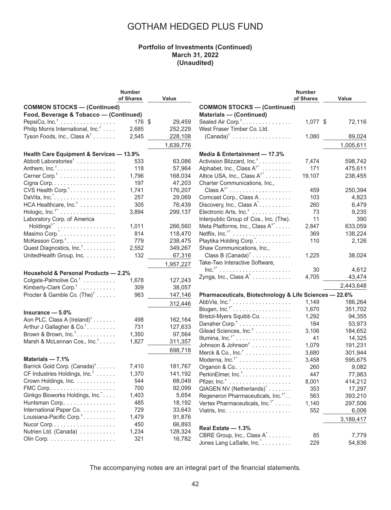### **Portfolio of Investments (Continued) March 31, 2022 (Unaudited)**

|                                                | <b>Number</b> |           |                                                        | <b>Number</b> |           |
|------------------------------------------------|---------------|-----------|--------------------------------------------------------|---------------|-----------|
|                                                | of Shares     | Value     |                                                        | of Shares     | Value     |
| <b>COMMON STOCKS - (Continued)</b>             |               |           | <b>COMMON STOCKS - (Continued)</b>                     |               |           |
| Food, Beverage & Tobacco - (Continued)         |               |           | <b>Materials - (Continued)</b>                         |               |           |
| PepsiCo, $Inc†$                                | 176 \$        | 29,459    | Sealed Air Corp. <sup>†</sup>                          | 1,077 \$      | 72,116    |
| Philip Morris International, Inc. <sup>†</sup> | 2,685         | 252,229   | West Fraser Timber Co. Ltd.                            |               |           |
| Tyson Foods, Inc., Class A <sup>†</sup>        | 2,545         | 228,108   | $(Canada)^{\dagger}$                                   | 1,080         | 89,024    |
|                                                |               |           |                                                        |               |           |
|                                                |               | 1,639,776 |                                                        |               | 1,005,611 |
| Health Care Equipment & Services - 13.9%       |               |           | Media & Entertainment - 17.3%                          |               |           |
| Abbott Laboratories <sup>†</sup>               | 533           | 63,086    | Activision Blizzard, Inc. <sup>†</sup>                 | 7,474         | 598,742   |
|                                                | 118           | 57,964    | Alphabet, Inc., Class A <sup>†*</sup>                  | 171           | 475,611   |
| Cerner Corp. <sup>†</sup>                      | 1,796         | 168,034   | Altice USA, Inc., Class A <sup>†*</sup>                | 19,107        | 238,455   |
|                                                | 197           | 47,203    | Charter Communications, Inc.,                          |               |           |
| CVS Health Corp. <sup>†</sup>                  | 1,741         | 176,207   |                                                        | 459           | 250,394   |
|                                                | 257           | 29,069    | Comcast Corp., Class A.                                | 103           | 4,823     |
| HCA Healthcare, Inc. <sup>†</sup>              | 305           | 76,439    | Discovery, Inc., Class A <sup>*</sup>                  | 260           | 6,479     |
| Hologic, Inc. <sup>†*</sup>                    | 3,894         | 299,137   | Electronic Arts, Inc. <sup>†</sup>                     | 73            | 9,235     |
| Laboratory Corp. of America                    |               |           | Interpublic Group of Cos., Inc. (The).                 | 11            | 390       |
|                                                | 1,011         | 266,560   | Meta Platforms, Inc., Class A <sup>†*</sup>            | 2,847         | 633,059   |
| Masimo Corp."                                  | 814           | 118,470   | Netflix, $Inc.^{\dagger}$                              | 369           | 138,224   |
| McKesson Corp. <sup>†</sup>                    | 779           | 238,475   | Playtika Holding Corp.".                               | 110           | 2,126     |
|                                                | 2,552         | 349,267   |                                                        |               |           |
| Quest Diagnostics, Inc. <sup>†</sup>           |               |           | Shaw Communications, Inc.,                             |               |           |
| UnitedHealth Group, Inc.                       | 132           | 67,316    | Class B $(Canada)^{\dagger}$                           | 1,225         | 38,024    |
|                                                |               | 1,957,227 | Take-Two Interactive Software,                         |               |           |
| Household & Personal Products - 2.2%           |               |           |                                                        | 30            | 4,612     |
| Colgate-Palmolive Co. <sup>†</sup>             | 1,678         | 127,243   | Zynga, Inc., Class A <sup>*</sup>                      | 4,705         | 43,474    |
| Kimberly-Clark Corp. <sup>†</sup>              | 309           | 38,057    |                                                        |               | 2,443,648 |
| Procter & Gamble Co. $(Thei)^{\dagger}$        | 963           | 147,146   | Pharmaceuticals, Biotechnology & Life Sciences - 22.6% |               |           |
|                                                |               |           | AbbVie, $Inc.^{\dagger}$                               | 1,149         | 186,264   |
|                                                |               | 312,446   | Biogen, $Inc.^{\dagger*}$                              | 1,670         | 351,702   |
| Insurance $-5.0%$                              |               |           | Bristol-Myers Squibb Co.                               | 1,292         | 94,355    |
| Aon PLC, Class A $(Ireland)^{\dagger}$         | 498           | 162,164   | Danaher Corp. <sup>†</sup>                             | 184           | 53,973    |
| Arthur J Gallagher & Co. <sup>†</sup>          | 731           | 127,633   | Gilead Sciences, Inc. <sup>†</sup>                     | 3,106         | 184,652   |
| Brown & Brown, $Inc.^{\dagger}$                | 1,350         | 97,564    | Illumina, Inc. <sup>†*</sup>                           | 41            | 14,325    |
| Marsh & McLennan Cos., Inc. <sup>†</sup>       | 1,827         | 311,357   |                                                        |               |           |
|                                                |               | 698,718   | Johnson & Johnson <sup>†</sup>                         | 1,079         | 191,231   |
|                                                |               |           | Merck & Co., $Inc^{\dagger}$                           | 3,680         | 301,944   |
| Materials $-7.1%$                              |               |           | Moderna, Inc. <sup>†*</sup>                            | 3,458         | 595,675   |
| Barrick Gold Corp. (Canada) <sup>†</sup>       | 7,410         | 181,767   | Organon & Co                                           | 260           | 9,082     |
| CF Industries Holdings, Inc. <sup>†</sup>      | 1,370         | 141,192   | PerkinElmer, Inc. <sup>†</sup> .                       | 447           | 77,983    |
| Crown Holdings, Inc.                           | 544           | 68,049    |                                                        | 8,001         | 414,212   |
|                                                | 700           | 92,099    | QIAGEN NV (Netherlands) <sup>*</sup>                   | 353           | 17,297    |
| Ginkgo Bioworks Holdings, Inc. *               | 1,403         | 5,654     | Regeneron Pharmaceuticals, Inc. <sup>†*</sup>          | 563           | 393,210   |
| Huntsman Corp                                  | 485           | 18,192    | Vertex Pharmaceuticals, Inc. <sup>†*</sup>             | 1,140         | 297,506   |
| International Paper Co.                        | 729           | 33,643    |                                                        | 552           | 6,006     |
| Louisiana-Pacific Corp. <sup>†</sup>           | 1,479         | 91,876    |                                                        |               | 3,189,417 |
|                                                | 450           | 66,893    | Real Estate - 1.3%                                     |               |           |
| Nutrien Ltd. (Canada)                          | 1,234         | 128,324   |                                                        |               |           |
|                                                | 321           | 16,782    | CBRE Group, Inc., Class A <sup>*</sup>                 | 85            | 7,779     |
|                                                |               |           | Jones Lang LaSalle, Inc.                               | 229           | 54,836    |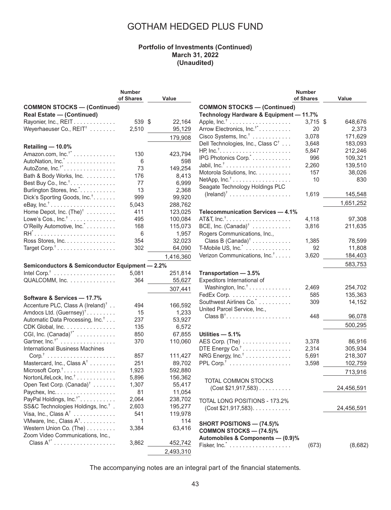#### **Portfolio of Investments (Continued) March 31, 2022 (Unaudited)**

|                                                 | <b>Number</b> |              |
|-------------------------------------------------|---------------|--------------|
|                                                 | of Shares     | Value        |
| <b>COMMON STOCKS - (Continued)</b>              |               |              |
| <b>Real Estate - (Continued)</b>                |               |              |
| Rayonier, Inc., REIT.                           | 539           | \$<br>22,164 |
| Weyerhaeuser Co., REIT <sup>†</sup>             | 2,510         | 95,129       |
|                                                 |               |              |
|                                                 |               | 179,908      |
| Retailing - 10.0%                               |               |              |
| Amazon.com, $Inc.^{\dagger}$                    | 130           | 423,794      |
| AutoNation, Inc. <sup>*</sup>                   | 6             | 598          |
| AutoZone, $Inc.^{\dagger*}$                     | 73            | 149,254      |
| Bath & Body Works, Inc.                         | 176           | 8,413        |
| Best Buy Co., Inc. <sup>†</sup> .               | 77            | 6,999        |
| Burlington Stores, Inc. <sup>*</sup>            | 13            | 2,368        |
| Dick's Sporting Goods, Inc. <sup>†</sup>        | 999           | 99,920       |
| eBay, $Inc.^{\dagger}$                          | 5,043         | 288,762      |
| Home Depot, Inc. (The) <sup>†</sup>             | 411           | 123,025      |
| Lowe's Cos., $Inc.^{\dagger}$                   | 495           | 100,084      |
| O'Reilly Automotive, Inc.                       | 168           | 115,073      |
|                                                 | 6             | 1,957        |
| Ross Stores, Inc.                               | 354           | 32,023       |
| Target Corp. <sup>†</sup>                       | 302           | 64,090       |
|                                                 |               | 1,416,360    |
|                                                 |               |              |
| Semiconductors & Semiconductor Equipment - 2.2% |               |              |
|                                                 | 5,081         | 251,814      |
| QUALCOMM, Inc.                                  | 364           | 55,627       |
|                                                 |               | 307,441      |
| Software & Services - 17.7%                     |               |              |
| Accenture PLC, Class A (Ireland) <sup>†</sup>   | 494           | 166,592      |
| Amdocs Ltd. $(Guernsey)^{\dagger}$              | 15            | 1,233        |
| Automatic Data Processing, Inc. <sup>†</sup>    | 237           | 53,927       |
|                                                 | 135           | 6,572        |
| CDK Global, Inc.                                |               |              |
| CGI, Inc. $(Canada)^{t*}$                       | 850           | 67,855       |
| Gartner, Inc. <sup>†*</sup>                     | 370           | 110,060      |
| <b>International Business Machines</b>          |               |              |
|                                                 | 857           | 111,427      |
| Mastercard, Inc., Class A <sup>†</sup>          | 251           | 89,702       |
| Microsoft Corp. <sup>†</sup>                    | 1,923         | 592,880      |
| NortonLifeLock, Inc. <sup>†</sup>               | 5,896         | 156,362      |
| Open Text Corp. (Canada) <sup>†</sup>           | 1,307         | 55,417       |
| Paychex, Inc.                                   | 81            | 11,054       |
| PayPal Holdings, Inc. <sup>†*</sup>             | 2,064         | 238,702      |
| SS&C Technologies Holdings, Inc. <sup>†</sup> . | 2,603         | 195,277      |
| Visa, Inc., Class $A^{\dagger}$                 | 541           | 119,978      |
| VMware, Inc., Class A <sup>†</sup> .            | 1             | 114          |
| Western Union Co. (The)                         | 3,384         | 63,416       |
| Zoom Video Communications, Inc.,                |               |              |
|                                                 | 3,862         | 452,742      |

|                                                        | Number    |                    |
|--------------------------------------------------------|-----------|--------------------|
|                                                        | of Shares | Value              |
| <b>COMMON STOCKS-(Continued)</b>                       |           |                    |
| Technology Hardware & Equipment - 11.7%                |           |                    |
|                                                        | 3,715     | 648,676<br>\$      |
| Arrow Electronics, Inc. $^{\dagger *}$                 | 20        | 2,373              |
| Cisco Systems, Inc. <sup>†</sup>                       | 3,078     | 171,629            |
| Dell Technologies, Inc., Class C $^{\dagger}$          | 3,648     | 183,093            |
|                                                        | 5,847     | 212,246            |
| IPG Photonics Corp.                                    | 996       | 109,321            |
|                                                        | 2,260     | 139,510            |
| Motorola Solutions, Inc.                               | 157       | 38,026             |
| NetApp, $Inc.^{\dagger}$                               | 10        | 830                |
| Seagate Technology Holdings PLC                        |           |                    |
| $(Ireland)^{\dagger}$                                  | 1,619     | 145,548            |
|                                                        |           | 1,651,252          |
| Telecommunication Services - 4.1%                      |           |                    |
|                                                        | 4,118     | 97,308             |
| BCE, Inc. $(Canada)^{\dagger} \dots \dots \dots \dots$ | 3,816     | 211,635            |
| Rogers Communications, Inc.,                           |           |                    |
| Class B $(Canada)^{\dagger}$                           | 1,385     | 78,599             |
| $T$ -Mobile US, Inc. $\dotsc$                          | 92        | 11,808             |
| Verizon Communications, Inc. <sup>†</sup>              | 3,620     | 184,403            |
|                                                        |           |                    |
|                                                        |           | 583,753            |
| Transportation - 3.5%                                  |           |                    |
| Expeditors International of                            |           |                    |
| Washington, Inc. <sup>†</sup>                          | 2,469     | 254,702            |
| FedEx Corp.                                            | 585       | 135,363            |
| Southwest Airlines Co. 2.                              | 309       | 14,152             |
| United Parcel Service, Inc.,                           |           |                    |
| Class $B^{\dagger}$                                    | 448       | 96,078             |
|                                                        |           | 500,295            |
| Utilities - 5.1%                                       |           |                    |
| AES Corp. $(The)$                                      | 3,378     | 86,916             |
| DTE Energy Co. $^{\dagger}$                            | 2,314     | 305,934            |
| NRG Energy, Inc. $^{\dagger}$                          |           |                    |
|                                                        | 5,691     | 218,307<br>102,759 |
|                                                        | 3,598     |                    |
|                                                        |           | 713,916            |
| <b>TOTAL COMMON STOCKS</b>                             |           |                    |
| $(Cost $21,917,583)$                                   |           | 24,456,591         |
|                                                        |           |                    |
| TOTAL LONG POSITIONS - 173.2%                          |           |                    |
| $(Cost $21,917,583)$ .                                 |           | 24,456,591         |
|                                                        |           |                    |
| <b>SHORT POSITIONS — (74.5)%</b>                       |           |                    |
| <b>COMMON STOCKS — (74.5)%</b>                         |           |                    |
| Automobiles & Components - (0.9)%                      |           |                    |
|                                                        | (673)     | (8,682)            |
|                                                        |           |                    |

The accompanying notes are an integral part of the financial statements.

2,493,310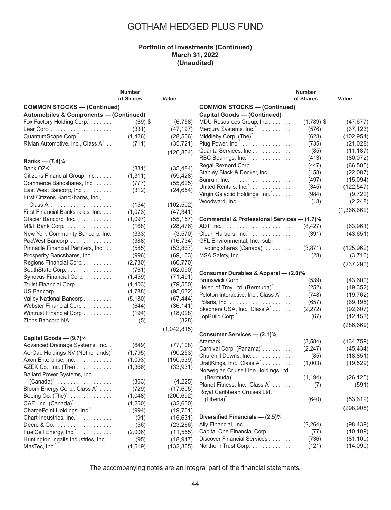#### **Portfolio of Investments (Continued) March 31, 2022 (Unaudited)**

|                                                   | <b>Number</b> |             |                                                 | <b>Number</b> |             |
|---------------------------------------------------|---------------|-------------|-------------------------------------------------|---------------|-------------|
|                                                   | of Shares     | Value       |                                                 | of Shares     | Value       |
| <b>COMMON STOCKS - (Continued)</b>                |               |             | <b>COMMON STOCKS - (Continued)</b>              |               |             |
| <b>Automobiles &amp; Components - (Continued)</b> |               |             | <b>Capital Goods - (Continued)</b>              |               |             |
| Fox Factory Holding Corp.                         | $(69)$ \$     | (6, 758)    | MDU Resources Group, Inc                        | $(1,789)$ \$  | (47, 677)   |
|                                                   | (331)         | (47, 197)   | Mercury Systems, Inc.                           | (576)         | (37, 123)   |
| QuantumScape Corp. <sup>*</sup>                   | (1, 426)      | (28, 506)   | Middleby Corp. $(Thei)*   $                     | (628)         | (102, 954)  |
| Rivian Automotive, Inc., Class A <sup>*</sup>     | (711)         | (35, 721)   | Plug Power, Inc. <sup>*</sup>                   | (735)         | (21, 028)   |
|                                                   |               |             | Quanta Services, Inc                            | (85)          | (11, 187)   |
|                                                   |               | (126, 864)  | RBC Bearings, Inc. <sup>*</sup>                 | (413)         | (80,072)    |
| Banks — $(7.4)$ %                                 |               |             | Regal Rexnord Corp.                             | (447)         | (66, 505)   |
|                                                   | (831)         | (35, 484)   | Stanley Black & Decker, Inc                     | (158)         | (22,087)    |
| Citizens Financial Group, Inc.                    | (1, 311)      | (59, 428)   |                                                 |               |             |
| Commerce Bancshares, Inc.                         | (777)         | (55, 625)   |                                                 | (497)         | (15,094)    |
| East West Bancorp, Inc.                           | (312)         | (24, 654)   | United Rentals, Inc.                            | (345)         | (122, 547)  |
| First Citizens BancShares, Inc.,                  |               |             | Virgin Galactic Holdings, Inc.                  | (984)         | (9, 722)    |
|                                                   | (154)         | (102, 502)  | Woodward, Inc.                                  | (18)          | (2, 248)    |
| First Financial Bankshares, Inc.                  | (1,073)       | (47, 341)   |                                                 |               | (1,366,662) |
| Glacier Bancorp, Inc.                             | (1,097)       | (55, 157)   | Commercial & Professional Services - (1.7)%     |               |             |
| M&T Bank Corp.                                    | (168)         | (28, 476)   |                                                 | (8, 427)      | (63, 961)   |
| New York Community Bancorp, Inc. .                | (333)         | (3,570)     | Clean Harbors, Inc. <sup>*</sup>                | (391)         | (43, 651)   |
| PacWest Bancorp                                   | (388)         | (16, 734)   | GFL Environmental, Inc., sub-                   |               |             |
| Pinnacle Financial Partners, Inc.                 | (585)         | (53, 867)   | voting shares (Canada)                          | (3,871)       | (125, 962)  |
| Prosperity Bancshares, Inc.                       | (996)         | (69, 103)   | MSA Safety, Inc.                                | (28)          | (3,716)     |
| Regions Financial Corp                            | (2,730)       | (60, 770)   |                                                 |               |             |
| SouthState Corp.                                  | (761)         | (62,090)    |                                                 |               | (237, 290)  |
| Synovus Financial Corp.                           |               |             | Consumer Durables & Apparel - (2.0)%            |               |             |
|                                                   | (1,459)       | (71, 491)   | Brunswick Corp.                                 | (539)         | (43,600)    |
| Truist Financial Corp.                            | (1,403)       | (79, 550)   | Helen of Troy Ltd. (Bermuda) <sup>*</sup>       | (252)         | (49, 352)   |
| US Bancorp.                                       | (1,788)       | (95, 032)   | Peloton Interactive, Inc., Class A <sup>*</sup> | (748)         | (19, 762)   |
| Valley National Bancorp                           | (5, 180)      | (67, 444)   |                                                 | (657)         | (69, 195)   |
| Webster Financial Corp                            | (644)         | (36, 141)   | Skechers USA, Inc., Class A <sup>*</sup>        | (2,272)       | (92, 607)   |
| Wintrust Financial Corp                           | (194)         | (18,028)    | TopBuild Corp.                                  | (67)          | (12, 153)   |
| Zions Bancorp NA                                  | (5)           | (328)       |                                                 |               | (286, 669)  |
|                                                   |               | (1,042,815) |                                                 |               |             |
| Capital Goods - (9.7)%                            |               |             | Consumer Services - (2.1)%                      |               |             |
| Advanced Drainage Systems, Inc.                   | (649)         | (77, 108)   |                                                 | (3,584)       | (134, 759)  |
| AerCap Holdings NV (Netherlands)*.                | (1,795)       | (90, 253)   | Carnival Corp. (Panama) <sup>*</sup>            | (2, 247)      | (45, 434)   |
| Axon Enterprise, Inc. <sup>*</sup>                | (1,093)       | (150, 539)  | Churchill Downs, Inc.                           | (85)          | (18, 851)   |
| AZEK Co., Inc. (The) <sup>*</sup> .               | (1,366)       | (33, 931)   | DraftKings, Inc., Class A <sup>*</sup>          | (1,003)       | (19, 529)   |
| Ballard Power Systems, Inc.                       |               |             | Norwegian Cruise Line Holdings Ltd.             |               |             |
|                                                   | (363)         | (4, 225)    |                                                 | (1, 194)      | (26, 125)   |
| Bloom Energy Corp., Class A <sup>*</sup>          | (729)         | (17,605)    | Planet Fitness, Inc., Class A <sup>*</sup>      | (7)           | (591)       |
| Boeing Co. $(The)^{\dagger}$                      | (1,048)       | (200, 692)  | Royal Caribbean Cruises Ltd.                    |               |             |
| CAE, Inc. $(Canada)^{\dagger}$ .                  |               |             |                                                 | (640)         | (53, 619)   |
|                                                   | (1,250)       | (32,600)    |                                                 |               | (298, 908)  |
| ChargePoint Holdings, Inc.                        | (994)         | (19, 761)   | Diversified Financials - (2.5)%                 |               |             |
| Chart Industries, Inc.                            | (91)          | (15, 631)   |                                                 |               |             |
| Deere $& Co. \ldots \ldots \ldots \ldots \ldots$  | (56)          | (23, 266)   | Ally Financial, Inc.                            | (2, 264)      | (98, 439)   |
| FuelCell Energy, Inc. <sup>*</sup>                | (2,006)       | (11, 555)   | Capital One Financial Corp.                     | (77)          | (10, 109)   |
| Huntington Ingalls Industries, Inc                | (95)          | (18, 947)   | Discover Financial Services                     | (736)         | (81, 100)   |
| MasTec, Inc. <sup>*</sup>                         | (1, 519)      | (132, 305)  | Northern Trust Corp.                            | (121)         | (14,090)    |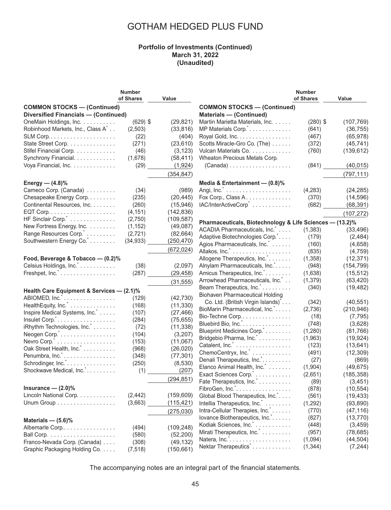#### **Portfolio of Investments (Continued) March 31, 2022 (Unaudited)**

|                                                                                   | <b>Number</b><br>of Shares | Value      |                                                                      | <b>Number</b><br>of Shares | Value      |
|-----------------------------------------------------------------------------------|----------------------------|------------|----------------------------------------------------------------------|----------------------------|------------|
| <b>COMMON STOCKS - (Continued)</b><br><b>Diversified Financials - (Continued)</b> |                            |            | <b>COMMON STOCKS - (Continued)</b><br><b>Materials - (Continued)</b> |                            |            |
| OneMain Holdings, Inc.                                                            | $(629)$ \$                 | (29, 821)  | Martin Marietta Materials, Inc.                                      | $(280)$ \$                 | (107, 769) |
| Robinhood Markets, Inc., Class A <sup>*</sup>                                     | (2,503)                    | (33, 816)  | MP Materials Corp.".                                                 | (641)                      | (36, 755)  |
|                                                                                   | (22)                       | (404)      | Royal Gold, Inc.                                                     | (467)                      | (65, 978)  |
| State Street Corp.                                                                | (271)                      | (23, 610)  | Scotts Miracle-Gro Co. (The)                                         | (372)                      | (45, 741)  |
| Stifel Financial Corp.                                                            | (46)                       | (3, 123)   | Vulcan Materials Co.                                                 | (760)                      | (139, 612) |
| Synchrony Financial.                                                              | (1,678)                    | (58, 411)  | Wheaton Precious Metals Corp.                                        |                            |            |
| Voya Financial, Inc.                                                              | (29)                       | (1,924)    | $(Canada) \ldots \ldots \ldots \ldots \ldots$                        | (841)                      | (40, 015)  |
|                                                                                   |                            | (354, 847) |                                                                      |                            | (797, 111) |
| Energy — $(4.8)$ %                                                                |                            |            | Media & Entertainment - (0.8)%                                       |                            |            |
| Cameco Corp. (Canada)                                                             | (34)                       | (989)      |                                                                      | (4,283)                    | (24, 285)  |
| Chesapeake Energy Corp.                                                           | (235)                      | (20, 445)  | Fox Corp., Class A.                                                  | (370)                      | (14, 596)  |
| Continental Resources, Inc.                                                       | (260)                      | (15, 946)  | IAC/InterActiveCorp <sup>*</sup>                                     | (682)                      | (68, 391)  |
| $EQT$ Corp. $\ldots \ldots \ldots \ldots \ldots \ldots \ldots$                    | (4, 151)                   | (142, 836) |                                                                      |                            | (107, 272) |
| HF Sinclair Corp. <sup>*</sup>                                                    | (2,750)                    | (109, 587) | Pharmaceuticals, Biotechnology & Life Sciences - (13.2)%             |                            |            |
| New Fortress Energy, Inc.                                                         | (1, 152)                   | (49,087)   | ACADIA Pharmaceuticals, Inc.                                         | (1, 383)                   | (33, 496)  |
| Range Resources Corp. <sup>*</sup>                                                | (2,721)                    | (82, 664)  | Adaptive Biotechnologies Corp.*                                      | (179)                      | (2,484)    |
| Southwestern Energy Co.                                                           | (34, 933)                  | (250, 470) | Agios Pharmaceuticals, Inc. <sup>*</sup>                             | (160)                      | (4,658)    |
|                                                                                   |                            | (672, 024) | Allakos, Inc. <sup>*</sup>                                           | (835)                      | (4, 759)   |
| Food, Beverage & Tobacco - (0.2)%                                                 |                            |            | Allogene Therapeutics, Inc.*.                                        | (1, 358)                   | (12, 371)  |
| Celsius Holdings, Inc. <sup>*</sup>                                               | (38)                       | (2,097)    | Alnylam Pharmaceuticals, Inc.                                        | (948)                      | (154, 799) |
| Freshpet, Inc. <sup>*</sup>                                                       | (287)                      | (29, 458)  | Amicus Therapeutics, Inc. *                                          | (1,638)                    | (15, 512)  |
|                                                                                   |                            |            | Arrowhead Pharmaceuticals, Inc.                                      | (1, 379)                   | (63, 420)  |
|                                                                                   |                            | (31, 555)  | Beam Therapeutics, Inc.                                              | (340)                      | (19, 482)  |
| Health Care Equipment & Services - (2.1)%                                         |                            |            | <b>Biohaven Pharmaceutical Holding</b>                               |                            |            |
| ABIOMED, Inc. <sup>*</sup>                                                        | (129)                      | (42, 730)  | Co. Ltd. (British Virgin Islands) <sup>*</sup>                       | (342)                      | (40, 551)  |
| HealthEquity, Inc."                                                               | (168)                      | (11, 330)  | BioMarin Pharmaceutical, Inc.*.                                      | (2,736)                    | (210, 946) |
| Inspire Medical Systems, Inc.                                                     | (107)                      | (27, 466)  | Bio-Techne Corp                                                      | (18)                       | (7, 795)   |
|                                                                                   | (284)                      | (75, 655)  | Bluebird Bio, Inc. <sup>*</sup>                                      | (748)                      | (3,628)    |
| iRhythm Technologies, Inc.                                                        | (72)                       | (11, 338)  | Blueprint Medicines Corp.                                            | (1,280)                    | (81, 766)  |
| Neogen Corp."                                                                     | (104)                      | (3,207)    | Bridgebio Pharma, Inc.                                               | (1,963)                    | (19, 924)  |
| Nevro Corp. <sup>*</sup>                                                          | (153)                      | (11,067)   | Catalent, Inc. <sup>*</sup>                                          | (123)                      | (13, 641)  |
| Oak Street Health, Inc.                                                           | (968)                      | (26, 020)  | ChemoCentryx, Inc. <sup>*</sup>                                      | (491)                      | (12, 309)  |
| Penumbra, Inc. <sup>*</sup>                                                       | (348)                      | (77, 301)  | Denali Therapeutics, Inc.                                            | (27)                       | (869)      |
| Schrodinger, Inc. <sup>*</sup>                                                    | (250)                      | (8,530)    | Elanco Animal Health, Inc.                                           | (1,904)                    | (49, 675)  |
| Shockwave Medical, Inc.                                                           | (1)                        | (207)      | Exact Sciences Corp. <sup>*</sup>                                    | (2,651)                    | (185, 358) |
|                                                                                   |                            | (294, 851) | Fate Therapeutics, Inc.                                              | (89)                       | (3, 451)   |
| Insurance $-$ (2.0)%                                                              |                            |            | FibroGen, Inc. <sup>*</sup>                                          | (878)                      | (10, 554)  |
| Lincoln National Corp.                                                            | (2, 442)                   | (159, 609) | Global Blood Therapeutics, Inc.                                      | (561)                      | (19, 433)  |
| Unum Group                                                                        | (3,663)                    | (115, 421) | Intellia Therapeutics, Inc.                                          | (1,292)                    | (93, 890)  |
|                                                                                   |                            | (275, 030) | Intra-Cellular Therapies, Inc. *                                     | (770)                      | (47, 116)  |
|                                                                                   |                            |            | lovance Biotherapeutics, Inc.                                        | (827)                      | (13, 770)  |
| Materials $-$ (5.6)%                                                              |                            |            | Kodiak Sciences, Inc. <sup>*</sup>                                   | (448)                      | (3, 459)   |
| Albemarle Corp                                                                    | (494)                      | (109, 248) | Mirati Therapeutics, Inc.                                            | (957)                      | (78, 685)  |
| Franco-Nevada Corp. (Canada)                                                      | (580)                      | (52, 200)  |                                                                      | (1,094)                    | (44, 504)  |
|                                                                                   | (308)<br>(7, 518)          | (49, 132)  | Nektar Therapeutics <sup>*</sup>                                     | (1, 344)                   | (7, 244)   |
| Graphic Packaging Holding Co.                                                     |                            | (150, 661) |                                                                      |                            |            |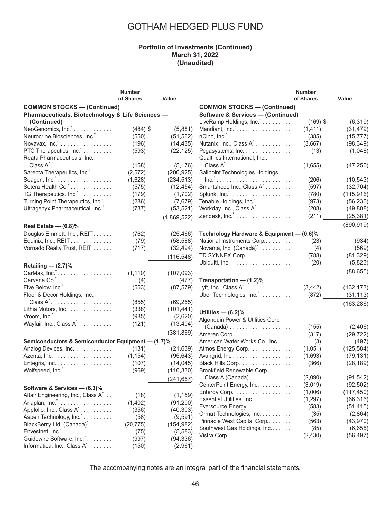#### **Portfolio of Investments (Continued) March 31, 2022 (Unaudited)**

|                                                       | <b>Number</b> |             |                                               | <b>Number</b> |            |
|-------------------------------------------------------|---------------|-------------|-----------------------------------------------|---------------|------------|
|                                                       | of Shares     | Value       |                                               | of Shares     | Value      |
| <b>COMMON STOCKS - (Continued)</b>                    |               |             | <b>COMMON STOCKS - (Continued)</b>            |               |            |
| Pharmaceuticals, Biotechnology & Life Sciences -      |               |             | <b>Software &amp; Services - (Continued)</b>  |               |            |
| (Continued)                                           |               |             | LiveRamp Holdings, Inc.                       | $(169)$ \$    | (6, 319)   |
| NeoGenomics, Inc.*                                    | $(484)$ \$    | (5,881)     | Mandiant, Inc. <sup>*</sup>                   | (1, 411)      | (31, 479)  |
| Neurocrine Biosciences, Inc.                          | (550)         | (51, 562)   |                                               | (385)         | (15, 777)  |
| Novavax, Inc. <sup>*</sup>                            | (196)         | (14, 435)   | Nutanix, Inc., Class A <sup>*</sup>           | (3,667)       | (98, 349)  |
| PTC Therapeutics, Inc.                                | (593)         | (22, 125)   | Pegasystems, Inc.                             | (13)          | (1,048)    |
| Reata Pharmaceuticals, Inc.,                          |               |             | Qualtrics International, Inc.,                |               |            |
| $Class A^*$                                           | (158)         | (5, 176)    | $Class A^*$                                   | (1,655)       | (47, 250)  |
| Sarepta Therapeutics, Inc.                            | (2, 572)      | (200, 925)  | Sailpoint Technologies Holdings,              |               |            |
|                                                       | (1,628)       | (234, 513)  | $Inc.$                                        | (206)         | (10, 543)  |
| Sotera Health Co. *                                   | (575)         | (12, 454)   | Smartsheet, Inc., Class A <sup>*</sup>        | (597)         | (32, 704)  |
| TG Therapeutics, Inc. <sup>*</sup>                    | (179)         | (1,702)     | Splunk, Inc. <sup>*</sup>                     | (780)         | (115, 916) |
| Turning Point Therapeutics, Inc.                      | (286)         | (7,679)     | Tenable Holdings, Inc. <sup>*</sup>           | (973)         | (56, 230)  |
| Ultragenyx Pharmaceutical, Inc.                       | (737)         | (53, 521)   | Workday, Inc., Class A <sup>*</sup>           | (208)         | (49, 808)  |
|                                                       |               |             | Zendesk, Inc. X.                              |               | (25, 381)  |
|                                                       |               | (1,869,522) |                                               | (211)         |            |
| Real Estate $-$ (0.8)%                                |               |             |                                               |               | (890, 919) |
| Douglas Emmett, Inc., REIT.                           | (762)         | (25, 466)   | Technology Hardware & Equipment - (0.6)%      |               |            |
| Equinix, Inc., REIT.                                  | (79)          | (58, 588)   | National Instruments Corp                     | (23)          | (934)      |
| Vornado Realty Trust, REIT                            | (717)         | (32, 494)   | Novanta, Inc. (Canada) <sup>*</sup>           | (4)           | (569)      |
|                                                       |               | (116, 548)  | TD SYNNEX Corp                                | (788)         | (81, 329)  |
|                                                       |               |             |                                               | (20)          | (5,823)    |
| Retailing $-$ (2.7)%                                  |               |             |                                               |               | (88, 655)  |
|                                                       | (1, 110)      | (107, 093)  |                                               |               |            |
|                                                       | (4)           | (477)       | Transportation - (1.2)%                       |               |            |
| Five Below, Inc.                                      | (553)         | (87, 579)   | Lyft, Inc., Class $A^*$                       | (3, 442)      | (132, 173) |
| Floor & Decor Holdings, Inc.,                         |               |             | Uber Technologies, Inc.                       | (872)         | (31, 113)  |
| $Class A^* \dots \dots \dots \dots \dots \dots \dots$ | (855)         | (69, 255)   |                                               |               | (163, 286) |
| Lithia Motors, Inc.                                   | (338)         | (101, 441)  | Utilities $-$ (6.2)%                          |               |            |
|                                                       | (985)         | (2,620)     | Algonquin Power & Utilities Corp.             |               |            |
| Wayfair, Inc., Class A <sup>*</sup>                   | (121)         | (13, 404)   | $(Canada) \ldots \ldots \ldots \ldots \ldots$ | (155)         | (2,406)    |
|                                                       |               | (381, 869)  | Ameren Corp.                                  | (317)         | (29, 722)  |
| Semiconductors & Semiconductor Equipment - (1.7)%     |               |             | American Water Works Co., Inc                 | (3)           | (497)      |
| Analog Devices, Inc.                                  | (131)         | (21, 639)   | Atmos Energy Corp                             | (1,051)       | (125, 584) |
|                                                       | (1, 154)      | (95, 643)   | Avangrid, Inc                                 | (1,693)       |            |
|                                                       |               |             | Black Hills Corp.                             |               | (79, 131)  |
| Entegris, Inc.                                        | (107)         | (14, 045)   |                                               | (366)         | (28, 189)  |
| Wolfspeed, Inc. <sup>*</sup>                          | (969)         | (110, 330)  | Brookfield Renewable Corp.,                   |               |            |
|                                                       |               | (241, 657)  | Class A (Canada).                             | (2,090)       | (91, 542)  |
| Software & Services - (6.3)%                          |               |             | CenterPoint Energy, Inc                       | (3,019)       | (92, 502)  |
| Altair Engineering, Inc., Class A <sup>*</sup>        | (18)          | (1, 159)    | Entergy Corp.                                 | (1,006)       | (117, 450) |
| Anaplan, Inc.                                         | (1, 402)      | (91, 200)   | Essential Utilities, Inc.                     | (1, 297)      | (66, 316)  |
| Appfolio, Inc., Class A <sup>*</sup>                  | (356)         | (40, 303)   | Eversource Energy                             | (583)         | (51, 415)  |
| Aspen Technology, Inc.                                | (58)          | (9, 591)    | Ormat Technologies, Inc.                      | (35)          | (2,864)    |
| BlackBerry Ltd. (Canada) <sup>*</sup>                 | (20, 775)     | (154, 982)  | Pinnacle West Capital Corp                    | (563)         | (43,970)   |
| Envestnet, Inc.                                       | (75)          | (5, 583)    | Southwest Gas Holdings, Inc                   | (85)          | (6,655)    |
| Guidewire Software, Inc.*                             | (997)         | (94, 336)   |                                               | (2, 430)      | (56, 497)  |
| Informatica, Inc., Class A <sup>*</sup>               | (150)         | (2,961)     |                                               |               |            |
|                                                       |               |             |                                               |               |            |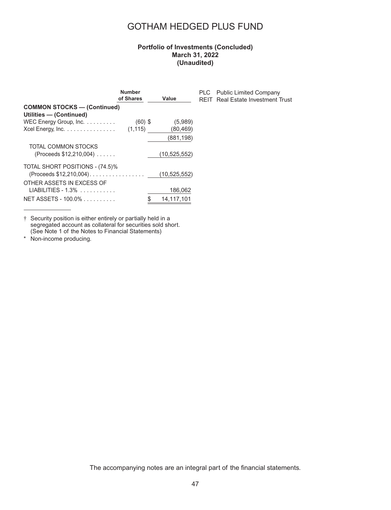### **Portfolio of Investments (Concluded) March 31, 2022 (Unaudited)**

PLC Public Limited Company REIT Real Estate Investment Trust

|                                    | <b>Number</b><br>of Shares |     | Value          |
|------------------------------------|----------------------------|-----|----------------|
| <b>COMMON STOCKS - (Continued)</b> |                            |     |                |
| Utilities - (Continued)            |                            |     |                |
| WEC Energy Group, Inc.             | $(60)$ \$                  |     | (5,989)        |
| Xcel Energy, Inc.                  | (1, 115)                   |     | (80, 469)      |
|                                    |                            |     | (881, 198)     |
| TOTAL COMMON STOCKS                |                            |     |                |
| (Proceeds \$12,210,004)            |                            |     | (10, 525, 552) |
| TOTAL SHORT POSITIONS - (74.5)%    |                            |     |                |
| (Proceeds \$12,210,004).           |                            |     | (10, 525, 552) |
| OTHER ASSETS IN EXCESS OF          |                            |     |                |
| LIABILITIES - 1.3%                 |                            |     | 186,062        |
| NET ASSETS - 100.0%                |                            | \$. | 14.117.101     |

† Security position is either entirely or partially held in a segregated account as collateral for securities sold short. (See Note 1 of the Notes to Financial Statements)

\* Non-income producing.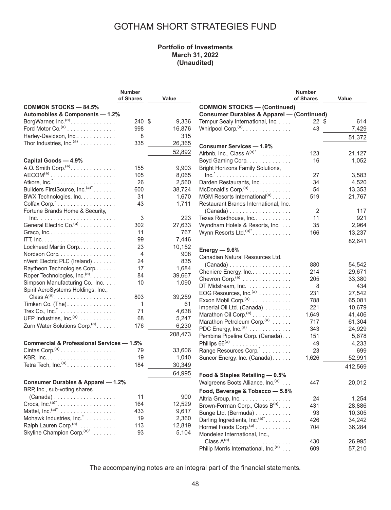### **Portfolio of Investments March 31, 2022 (Unaudited)**

| Value<br>Value<br><b>COMMON STOCKS - 84.5%</b><br><b>COMMON STOCKS - (Continued)</b><br>Automobiles & Components - 1.2%<br><b>Consumer Durables &amp; Apparel - (Continued)</b><br>BorgWarner, Inc. <sup>(a)</sup> .<br>240 \$<br>9,336<br>Tempur Sealy International, Inc.<br>614<br>22 \$<br>Ford Motor Co. <sup>(a)</sup><br>Whirlpool Corp. <sup>(a)</sup> .<br>16,876<br>43<br>998<br>7,429<br>315<br>Harley-Davidson, Inc<br>8<br>51,372<br>Thor Industries, Inc. $(a)$<br>335<br>26,365<br><b>Consumer Services - 1.9%</b><br>52,892<br>Airbnb, Inc., Class $A^{(a)^*}$<br>123<br>21,127<br>Boyd Gaming Corp.<br>16<br>Capital Goods - 4.9%<br>1,052<br>A.O. Smith Corp. <sup>(a)</sup> .<br>155<br>9,903<br><b>Bright Horizons Family Solutions,</b><br>$AECOM(a)$<br>105<br>8,065<br>$Inc.$<br>27<br>3,583<br>26<br>Darden Restaurants, Inc.<br>2,560<br>34<br>4,520<br>Builders FirstSource, Inc. <sup>(a)*</sup><br>38,724<br>McDonald's Corp. $(a)$<br>54<br>600<br>13,353<br>31<br>1,670<br>MGM Resorts International <sup>(a)</sup><br>519<br>BWX Technologies, Inc.<br>21,767<br>Colfax Corp."<br>43<br>1,711<br>Restaurant Brands International, Inc.<br>Fortune Brands Home & Security,<br>2<br>$(Canada)$<br>117<br>3<br>223<br>Texas Roadhouse, Inc<br>11<br>921<br>General Electric Co. <sup>(a)</sup><br>302<br>27,633<br>Wyndham Hotels & Resorts, Inc.<br>35<br>2,964<br>11<br>767<br>Wynn Resorts Ltd. <sup>(a)*</sup><br>166<br>13,237<br>99<br>7,446<br>82,641<br>Lockheed Martin Corp<br>23<br>10,152<br>Energy $-9.6%$<br>4<br>908<br>Nordson Corp.<br>Canadian Natural Resources Ltd.<br>835<br>nVent Electric PLC (Ireland)<br>24<br>$(Canada) \ldots \ldots \ldots \ldots \ldots$<br>880<br>54,542<br>17<br>1,684<br>Raytheon Technologies Corp<br>214<br>Cheniere Energy, Inc<br>29,671<br>Roper Technologies, Inc. <sup>(a)</sup> .<br>84<br>39,667<br>Chevron Corp. <sup>(a)</sup><br>205<br>33,380<br>Simpson Manufacturing Co., Inc.<br>10<br>1,090<br>DT Midstream, Inc.<br>8<br>434<br>Spirit AeroSystems Holdings, Inc.,<br>EOG Resources, $Inc^{(a)} \dots \dots \dots$<br>231<br>27,542<br>Class $A^{(a)}$<br>39,259<br>803<br>Exxon Mobil Corp. $(a)$<br>788<br>65,081<br>Timken Co. (The).<br>1<br>61<br>221<br>Imperial Oil Ltd. (Canada)<br>10,679<br>71<br>4,638<br>Trex Co., $Inc.^{\tilde{}}$<br>Marathon Oil Corp. <sup>(a)</sup><br>1,649<br>41,406<br>UFP Industries, Inc. <sup>(a)</sup><br>68<br>5,247<br>Marathon Petroleum Corp. <sup>(a)</sup><br>717<br>61,304<br>Zurn Water Solutions Corp. <sup>(a)</sup> .<br>176<br>6,230<br>PDC Energy, Inc. <sup>(a)</sup><br>343<br>24,929<br>208,473<br>Pembina Pipeline Corp. (Canada).<br>151<br>5,678<br>Phillips $66^{(a)}$<br><b>Commercial &amp; Professional Services - 1.5%</b><br>49<br>4,233<br>Cintas Corp. <sup>(a)</sup><br>23<br>Range Resources Corp.<br>699<br>79<br>33,606<br>19<br>1,040<br>Suncor Energy, Inc. (Canada).<br>1,626<br>52,991<br>Tetra Tech, $Inc.(a)$<br>184<br>30,349<br>412,569<br>64,995<br>Food & Staples Retailing - 0.5%<br><b>Consumer Durables &amp; Apparel - 1.2%</b><br>Walgreens Boots Alliance, Inc. <sup>(a)</sup><br>447<br>20,012<br>BRP, Inc., sub-voting shares<br>Food, Beverage & Tobacco - 5.8%<br>11<br>900<br>$(Canada)$<br>Altria Group, Inc.<br>24<br>1,254<br>Crocs, $Inc^{(a)^*}$<br>164<br>12,529<br>Brown-Forman Corp., Class B(a)<br>431<br>28,886<br>Mattel, Inc. $(a)^*$<br>433<br>9,617<br>Bunge Ltd. (Bermuda)<br>93<br>10,305<br>Mohawk Industries, Inc. *<br>19<br>2,360<br>Darling Ingredients, Inc. <sup>(a)*</sup><br>426<br>34,242<br>Ralph Lauren Corp. <sup>(a)</sup><br>113<br>12,819<br>Hormel Foods Corp. <sup>(a)</sup><br>704<br>36,284<br>Skyline Champion Corp. <sup>(a)*</sup><br>93<br>5,104<br>Mondelez International, Inc.,<br>Class $A^{(a)}$ .<br>26,995<br>430<br>Philip Morris International, Inc. <sup>(a)</sup><br>609<br>57,210 | <b>Number</b> |  | <b>Number</b> |  |
|--------------------------------------------------------------------------------------------------------------------------------------------------------------------------------------------------------------------------------------------------------------------------------------------------------------------------------------------------------------------------------------------------------------------------------------------------------------------------------------------------------------------------------------------------------------------------------------------------------------------------------------------------------------------------------------------------------------------------------------------------------------------------------------------------------------------------------------------------------------------------------------------------------------------------------------------------------------------------------------------------------------------------------------------------------------------------------------------------------------------------------------------------------------------------------------------------------------------------------------------------------------------------------------------------------------------------------------------------------------------------------------------------------------------------------------------------------------------------------------------------------------------------------------------------------------------------------------------------------------------------------------------------------------------------------------------------------------------------------------------------------------------------------------------------------------------------------------------------------------------------------------------------------------------------------------------------------------------------------------------------------------------------------------------------------------------------------------------------------------------------------------------------------------------------------------------------------------------------------------------------------------------------------------------------------------------------------------------------------------------------------------------------------------------------------------------------------------------------------------------------------------------------------------------------------------------------------------------------------------------------------------------------------------------------------------------------------------------------------------------------------------------------------------------------------------------------------------------------------------------------------------------------------------------------------------------------------------------------------------------------------------------------------------------------------------------------------------------------------------------------------------------------------------------------------------------------------------------------------------------------------------------------------------------------------------------------------------------------------------------------------------------------------------------------------------------------------------------------------------------------------------------------------------------------------------------------------------------------------------------------------------------------------------------------------------------------------------------------------------------------------------------------------------------------------------------------------------------------------------------------------------------------------------------------------|---------------|--|---------------|--|
|                                                                                                                                                                                                                                                                                                                                                                                                                                                                                                                                                                                                                                                                                                                                                                                                                                                                                                                                                                                                                                                                                                                                                                                                                                                                                                                                                                                                                                                                                                                                                                                                                                                                                                                                                                                                                                                                                                                                                                                                                                                                                                                                                                                                                                                                                                                                                                                                                                                                                                                                                                                                                                                                                                                                                                                                                                                                                                                                                                                                                                                                                                                                                                                                                                                                                                                                                                                                                                                                                                                                                                                                                                                                                                                                                                                                                                                                                                                                | of Shares     |  | of Shares     |  |
|                                                                                                                                                                                                                                                                                                                                                                                                                                                                                                                                                                                                                                                                                                                                                                                                                                                                                                                                                                                                                                                                                                                                                                                                                                                                                                                                                                                                                                                                                                                                                                                                                                                                                                                                                                                                                                                                                                                                                                                                                                                                                                                                                                                                                                                                                                                                                                                                                                                                                                                                                                                                                                                                                                                                                                                                                                                                                                                                                                                                                                                                                                                                                                                                                                                                                                                                                                                                                                                                                                                                                                                                                                                                                                                                                                                                                                                                                                                                |               |  |               |  |
|                                                                                                                                                                                                                                                                                                                                                                                                                                                                                                                                                                                                                                                                                                                                                                                                                                                                                                                                                                                                                                                                                                                                                                                                                                                                                                                                                                                                                                                                                                                                                                                                                                                                                                                                                                                                                                                                                                                                                                                                                                                                                                                                                                                                                                                                                                                                                                                                                                                                                                                                                                                                                                                                                                                                                                                                                                                                                                                                                                                                                                                                                                                                                                                                                                                                                                                                                                                                                                                                                                                                                                                                                                                                                                                                                                                                                                                                                                                                |               |  |               |  |
|                                                                                                                                                                                                                                                                                                                                                                                                                                                                                                                                                                                                                                                                                                                                                                                                                                                                                                                                                                                                                                                                                                                                                                                                                                                                                                                                                                                                                                                                                                                                                                                                                                                                                                                                                                                                                                                                                                                                                                                                                                                                                                                                                                                                                                                                                                                                                                                                                                                                                                                                                                                                                                                                                                                                                                                                                                                                                                                                                                                                                                                                                                                                                                                                                                                                                                                                                                                                                                                                                                                                                                                                                                                                                                                                                                                                                                                                                                                                |               |  |               |  |
|                                                                                                                                                                                                                                                                                                                                                                                                                                                                                                                                                                                                                                                                                                                                                                                                                                                                                                                                                                                                                                                                                                                                                                                                                                                                                                                                                                                                                                                                                                                                                                                                                                                                                                                                                                                                                                                                                                                                                                                                                                                                                                                                                                                                                                                                                                                                                                                                                                                                                                                                                                                                                                                                                                                                                                                                                                                                                                                                                                                                                                                                                                                                                                                                                                                                                                                                                                                                                                                                                                                                                                                                                                                                                                                                                                                                                                                                                                                                |               |  |               |  |
|                                                                                                                                                                                                                                                                                                                                                                                                                                                                                                                                                                                                                                                                                                                                                                                                                                                                                                                                                                                                                                                                                                                                                                                                                                                                                                                                                                                                                                                                                                                                                                                                                                                                                                                                                                                                                                                                                                                                                                                                                                                                                                                                                                                                                                                                                                                                                                                                                                                                                                                                                                                                                                                                                                                                                                                                                                                                                                                                                                                                                                                                                                                                                                                                                                                                                                                                                                                                                                                                                                                                                                                                                                                                                                                                                                                                                                                                                                                                |               |  |               |  |
|                                                                                                                                                                                                                                                                                                                                                                                                                                                                                                                                                                                                                                                                                                                                                                                                                                                                                                                                                                                                                                                                                                                                                                                                                                                                                                                                                                                                                                                                                                                                                                                                                                                                                                                                                                                                                                                                                                                                                                                                                                                                                                                                                                                                                                                                                                                                                                                                                                                                                                                                                                                                                                                                                                                                                                                                                                                                                                                                                                                                                                                                                                                                                                                                                                                                                                                                                                                                                                                                                                                                                                                                                                                                                                                                                                                                                                                                                                                                |               |  |               |  |
|                                                                                                                                                                                                                                                                                                                                                                                                                                                                                                                                                                                                                                                                                                                                                                                                                                                                                                                                                                                                                                                                                                                                                                                                                                                                                                                                                                                                                                                                                                                                                                                                                                                                                                                                                                                                                                                                                                                                                                                                                                                                                                                                                                                                                                                                                                                                                                                                                                                                                                                                                                                                                                                                                                                                                                                                                                                                                                                                                                                                                                                                                                                                                                                                                                                                                                                                                                                                                                                                                                                                                                                                                                                                                                                                                                                                                                                                                                                                |               |  |               |  |
|                                                                                                                                                                                                                                                                                                                                                                                                                                                                                                                                                                                                                                                                                                                                                                                                                                                                                                                                                                                                                                                                                                                                                                                                                                                                                                                                                                                                                                                                                                                                                                                                                                                                                                                                                                                                                                                                                                                                                                                                                                                                                                                                                                                                                                                                                                                                                                                                                                                                                                                                                                                                                                                                                                                                                                                                                                                                                                                                                                                                                                                                                                                                                                                                                                                                                                                                                                                                                                                                                                                                                                                                                                                                                                                                                                                                                                                                                                                                |               |  |               |  |
|                                                                                                                                                                                                                                                                                                                                                                                                                                                                                                                                                                                                                                                                                                                                                                                                                                                                                                                                                                                                                                                                                                                                                                                                                                                                                                                                                                                                                                                                                                                                                                                                                                                                                                                                                                                                                                                                                                                                                                                                                                                                                                                                                                                                                                                                                                                                                                                                                                                                                                                                                                                                                                                                                                                                                                                                                                                                                                                                                                                                                                                                                                                                                                                                                                                                                                                                                                                                                                                                                                                                                                                                                                                                                                                                                                                                                                                                                                                                |               |  |               |  |
|                                                                                                                                                                                                                                                                                                                                                                                                                                                                                                                                                                                                                                                                                                                                                                                                                                                                                                                                                                                                                                                                                                                                                                                                                                                                                                                                                                                                                                                                                                                                                                                                                                                                                                                                                                                                                                                                                                                                                                                                                                                                                                                                                                                                                                                                                                                                                                                                                                                                                                                                                                                                                                                                                                                                                                                                                                                                                                                                                                                                                                                                                                                                                                                                                                                                                                                                                                                                                                                                                                                                                                                                                                                                                                                                                                                                                                                                                                                                |               |  |               |  |
|                                                                                                                                                                                                                                                                                                                                                                                                                                                                                                                                                                                                                                                                                                                                                                                                                                                                                                                                                                                                                                                                                                                                                                                                                                                                                                                                                                                                                                                                                                                                                                                                                                                                                                                                                                                                                                                                                                                                                                                                                                                                                                                                                                                                                                                                                                                                                                                                                                                                                                                                                                                                                                                                                                                                                                                                                                                                                                                                                                                                                                                                                                                                                                                                                                                                                                                                                                                                                                                                                                                                                                                                                                                                                                                                                                                                                                                                                                                                |               |  |               |  |
|                                                                                                                                                                                                                                                                                                                                                                                                                                                                                                                                                                                                                                                                                                                                                                                                                                                                                                                                                                                                                                                                                                                                                                                                                                                                                                                                                                                                                                                                                                                                                                                                                                                                                                                                                                                                                                                                                                                                                                                                                                                                                                                                                                                                                                                                                                                                                                                                                                                                                                                                                                                                                                                                                                                                                                                                                                                                                                                                                                                                                                                                                                                                                                                                                                                                                                                                                                                                                                                                                                                                                                                                                                                                                                                                                                                                                                                                                                                                |               |  |               |  |
|                                                                                                                                                                                                                                                                                                                                                                                                                                                                                                                                                                                                                                                                                                                                                                                                                                                                                                                                                                                                                                                                                                                                                                                                                                                                                                                                                                                                                                                                                                                                                                                                                                                                                                                                                                                                                                                                                                                                                                                                                                                                                                                                                                                                                                                                                                                                                                                                                                                                                                                                                                                                                                                                                                                                                                                                                                                                                                                                                                                                                                                                                                                                                                                                                                                                                                                                                                                                                                                                                                                                                                                                                                                                                                                                                                                                                                                                                                                                |               |  |               |  |
|                                                                                                                                                                                                                                                                                                                                                                                                                                                                                                                                                                                                                                                                                                                                                                                                                                                                                                                                                                                                                                                                                                                                                                                                                                                                                                                                                                                                                                                                                                                                                                                                                                                                                                                                                                                                                                                                                                                                                                                                                                                                                                                                                                                                                                                                                                                                                                                                                                                                                                                                                                                                                                                                                                                                                                                                                                                                                                                                                                                                                                                                                                                                                                                                                                                                                                                                                                                                                                                                                                                                                                                                                                                                                                                                                                                                                                                                                                                                |               |  |               |  |
|                                                                                                                                                                                                                                                                                                                                                                                                                                                                                                                                                                                                                                                                                                                                                                                                                                                                                                                                                                                                                                                                                                                                                                                                                                                                                                                                                                                                                                                                                                                                                                                                                                                                                                                                                                                                                                                                                                                                                                                                                                                                                                                                                                                                                                                                                                                                                                                                                                                                                                                                                                                                                                                                                                                                                                                                                                                                                                                                                                                                                                                                                                                                                                                                                                                                                                                                                                                                                                                                                                                                                                                                                                                                                                                                                                                                                                                                                                                                |               |  |               |  |
|                                                                                                                                                                                                                                                                                                                                                                                                                                                                                                                                                                                                                                                                                                                                                                                                                                                                                                                                                                                                                                                                                                                                                                                                                                                                                                                                                                                                                                                                                                                                                                                                                                                                                                                                                                                                                                                                                                                                                                                                                                                                                                                                                                                                                                                                                                                                                                                                                                                                                                                                                                                                                                                                                                                                                                                                                                                                                                                                                                                                                                                                                                                                                                                                                                                                                                                                                                                                                                                                                                                                                                                                                                                                                                                                                                                                                                                                                                                                |               |  |               |  |
|                                                                                                                                                                                                                                                                                                                                                                                                                                                                                                                                                                                                                                                                                                                                                                                                                                                                                                                                                                                                                                                                                                                                                                                                                                                                                                                                                                                                                                                                                                                                                                                                                                                                                                                                                                                                                                                                                                                                                                                                                                                                                                                                                                                                                                                                                                                                                                                                                                                                                                                                                                                                                                                                                                                                                                                                                                                                                                                                                                                                                                                                                                                                                                                                                                                                                                                                                                                                                                                                                                                                                                                                                                                                                                                                                                                                                                                                                                                                |               |  |               |  |
|                                                                                                                                                                                                                                                                                                                                                                                                                                                                                                                                                                                                                                                                                                                                                                                                                                                                                                                                                                                                                                                                                                                                                                                                                                                                                                                                                                                                                                                                                                                                                                                                                                                                                                                                                                                                                                                                                                                                                                                                                                                                                                                                                                                                                                                                                                                                                                                                                                                                                                                                                                                                                                                                                                                                                                                                                                                                                                                                                                                                                                                                                                                                                                                                                                                                                                                                                                                                                                                                                                                                                                                                                                                                                                                                                                                                                                                                                                                                |               |  |               |  |
|                                                                                                                                                                                                                                                                                                                                                                                                                                                                                                                                                                                                                                                                                                                                                                                                                                                                                                                                                                                                                                                                                                                                                                                                                                                                                                                                                                                                                                                                                                                                                                                                                                                                                                                                                                                                                                                                                                                                                                                                                                                                                                                                                                                                                                                                                                                                                                                                                                                                                                                                                                                                                                                                                                                                                                                                                                                                                                                                                                                                                                                                                                                                                                                                                                                                                                                                                                                                                                                                                                                                                                                                                                                                                                                                                                                                                                                                                                                                |               |  |               |  |
|                                                                                                                                                                                                                                                                                                                                                                                                                                                                                                                                                                                                                                                                                                                                                                                                                                                                                                                                                                                                                                                                                                                                                                                                                                                                                                                                                                                                                                                                                                                                                                                                                                                                                                                                                                                                                                                                                                                                                                                                                                                                                                                                                                                                                                                                                                                                                                                                                                                                                                                                                                                                                                                                                                                                                                                                                                                                                                                                                                                                                                                                                                                                                                                                                                                                                                                                                                                                                                                                                                                                                                                                                                                                                                                                                                                                                                                                                                                                |               |  |               |  |
|                                                                                                                                                                                                                                                                                                                                                                                                                                                                                                                                                                                                                                                                                                                                                                                                                                                                                                                                                                                                                                                                                                                                                                                                                                                                                                                                                                                                                                                                                                                                                                                                                                                                                                                                                                                                                                                                                                                                                                                                                                                                                                                                                                                                                                                                                                                                                                                                                                                                                                                                                                                                                                                                                                                                                                                                                                                                                                                                                                                                                                                                                                                                                                                                                                                                                                                                                                                                                                                                                                                                                                                                                                                                                                                                                                                                                                                                                                                                |               |  |               |  |
|                                                                                                                                                                                                                                                                                                                                                                                                                                                                                                                                                                                                                                                                                                                                                                                                                                                                                                                                                                                                                                                                                                                                                                                                                                                                                                                                                                                                                                                                                                                                                                                                                                                                                                                                                                                                                                                                                                                                                                                                                                                                                                                                                                                                                                                                                                                                                                                                                                                                                                                                                                                                                                                                                                                                                                                                                                                                                                                                                                                                                                                                                                                                                                                                                                                                                                                                                                                                                                                                                                                                                                                                                                                                                                                                                                                                                                                                                                                                |               |  |               |  |
|                                                                                                                                                                                                                                                                                                                                                                                                                                                                                                                                                                                                                                                                                                                                                                                                                                                                                                                                                                                                                                                                                                                                                                                                                                                                                                                                                                                                                                                                                                                                                                                                                                                                                                                                                                                                                                                                                                                                                                                                                                                                                                                                                                                                                                                                                                                                                                                                                                                                                                                                                                                                                                                                                                                                                                                                                                                                                                                                                                                                                                                                                                                                                                                                                                                                                                                                                                                                                                                                                                                                                                                                                                                                                                                                                                                                                                                                                                                                |               |  |               |  |
|                                                                                                                                                                                                                                                                                                                                                                                                                                                                                                                                                                                                                                                                                                                                                                                                                                                                                                                                                                                                                                                                                                                                                                                                                                                                                                                                                                                                                                                                                                                                                                                                                                                                                                                                                                                                                                                                                                                                                                                                                                                                                                                                                                                                                                                                                                                                                                                                                                                                                                                                                                                                                                                                                                                                                                                                                                                                                                                                                                                                                                                                                                                                                                                                                                                                                                                                                                                                                                                                                                                                                                                                                                                                                                                                                                                                                                                                                                                                |               |  |               |  |
|                                                                                                                                                                                                                                                                                                                                                                                                                                                                                                                                                                                                                                                                                                                                                                                                                                                                                                                                                                                                                                                                                                                                                                                                                                                                                                                                                                                                                                                                                                                                                                                                                                                                                                                                                                                                                                                                                                                                                                                                                                                                                                                                                                                                                                                                                                                                                                                                                                                                                                                                                                                                                                                                                                                                                                                                                                                                                                                                                                                                                                                                                                                                                                                                                                                                                                                                                                                                                                                                                                                                                                                                                                                                                                                                                                                                                                                                                                                                |               |  |               |  |
|                                                                                                                                                                                                                                                                                                                                                                                                                                                                                                                                                                                                                                                                                                                                                                                                                                                                                                                                                                                                                                                                                                                                                                                                                                                                                                                                                                                                                                                                                                                                                                                                                                                                                                                                                                                                                                                                                                                                                                                                                                                                                                                                                                                                                                                                                                                                                                                                                                                                                                                                                                                                                                                                                                                                                                                                                                                                                                                                                                                                                                                                                                                                                                                                                                                                                                                                                                                                                                                                                                                                                                                                                                                                                                                                                                                                                                                                                                                                |               |  |               |  |
|                                                                                                                                                                                                                                                                                                                                                                                                                                                                                                                                                                                                                                                                                                                                                                                                                                                                                                                                                                                                                                                                                                                                                                                                                                                                                                                                                                                                                                                                                                                                                                                                                                                                                                                                                                                                                                                                                                                                                                                                                                                                                                                                                                                                                                                                                                                                                                                                                                                                                                                                                                                                                                                                                                                                                                                                                                                                                                                                                                                                                                                                                                                                                                                                                                                                                                                                                                                                                                                                                                                                                                                                                                                                                                                                                                                                                                                                                                                                |               |  |               |  |
|                                                                                                                                                                                                                                                                                                                                                                                                                                                                                                                                                                                                                                                                                                                                                                                                                                                                                                                                                                                                                                                                                                                                                                                                                                                                                                                                                                                                                                                                                                                                                                                                                                                                                                                                                                                                                                                                                                                                                                                                                                                                                                                                                                                                                                                                                                                                                                                                                                                                                                                                                                                                                                                                                                                                                                                                                                                                                                                                                                                                                                                                                                                                                                                                                                                                                                                                                                                                                                                                                                                                                                                                                                                                                                                                                                                                                                                                                                                                |               |  |               |  |
|                                                                                                                                                                                                                                                                                                                                                                                                                                                                                                                                                                                                                                                                                                                                                                                                                                                                                                                                                                                                                                                                                                                                                                                                                                                                                                                                                                                                                                                                                                                                                                                                                                                                                                                                                                                                                                                                                                                                                                                                                                                                                                                                                                                                                                                                                                                                                                                                                                                                                                                                                                                                                                                                                                                                                                                                                                                                                                                                                                                                                                                                                                                                                                                                                                                                                                                                                                                                                                                                                                                                                                                                                                                                                                                                                                                                                                                                                                                                |               |  |               |  |
|                                                                                                                                                                                                                                                                                                                                                                                                                                                                                                                                                                                                                                                                                                                                                                                                                                                                                                                                                                                                                                                                                                                                                                                                                                                                                                                                                                                                                                                                                                                                                                                                                                                                                                                                                                                                                                                                                                                                                                                                                                                                                                                                                                                                                                                                                                                                                                                                                                                                                                                                                                                                                                                                                                                                                                                                                                                                                                                                                                                                                                                                                                                                                                                                                                                                                                                                                                                                                                                                                                                                                                                                                                                                                                                                                                                                                                                                                                                                |               |  |               |  |
|                                                                                                                                                                                                                                                                                                                                                                                                                                                                                                                                                                                                                                                                                                                                                                                                                                                                                                                                                                                                                                                                                                                                                                                                                                                                                                                                                                                                                                                                                                                                                                                                                                                                                                                                                                                                                                                                                                                                                                                                                                                                                                                                                                                                                                                                                                                                                                                                                                                                                                                                                                                                                                                                                                                                                                                                                                                                                                                                                                                                                                                                                                                                                                                                                                                                                                                                                                                                                                                                                                                                                                                                                                                                                                                                                                                                                                                                                                                                |               |  |               |  |
|                                                                                                                                                                                                                                                                                                                                                                                                                                                                                                                                                                                                                                                                                                                                                                                                                                                                                                                                                                                                                                                                                                                                                                                                                                                                                                                                                                                                                                                                                                                                                                                                                                                                                                                                                                                                                                                                                                                                                                                                                                                                                                                                                                                                                                                                                                                                                                                                                                                                                                                                                                                                                                                                                                                                                                                                                                                                                                                                                                                                                                                                                                                                                                                                                                                                                                                                                                                                                                                                                                                                                                                                                                                                                                                                                                                                                                                                                                                                |               |  |               |  |
|                                                                                                                                                                                                                                                                                                                                                                                                                                                                                                                                                                                                                                                                                                                                                                                                                                                                                                                                                                                                                                                                                                                                                                                                                                                                                                                                                                                                                                                                                                                                                                                                                                                                                                                                                                                                                                                                                                                                                                                                                                                                                                                                                                                                                                                                                                                                                                                                                                                                                                                                                                                                                                                                                                                                                                                                                                                                                                                                                                                                                                                                                                                                                                                                                                                                                                                                                                                                                                                                                                                                                                                                                                                                                                                                                                                                                                                                                                                                |               |  |               |  |
|                                                                                                                                                                                                                                                                                                                                                                                                                                                                                                                                                                                                                                                                                                                                                                                                                                                                                                                                                                                                                                                                                                                                                                                                                                                                                                                                                                                                                                                                                                                                                                                                                                                                                                                                                                                                                                                                                                                                                                                                                                                                                                                                                                                                                                                                                                                                                                                                                                                                                                                                                                                                                                                                                                                                                                                                                                                                                                                                                                                                                                                                                                                                                                                                                                                                                                                                                                                                                                                                                                                                                                                                                                                                                                                                                                                                                                                                                                                                |               |  |               |  |
|                                                                                                                                                                                                                                                                                                                                                                                                                                                                                                                                                                                                                                                                                                                                                                                                                                                                                                                                                                                                                                                                                                                                                                                                                                                                                                                                                                                                                                                                                                                                                                                                                                                                                                                                                                                                                                                                                                                                                                                                                                                                                                                                                                                                                                                                                                                                                                                                                                                                                                                                                                                                                                                                                                                                                                                                                                                                                                                                                                                                                                                                                                                                                                                                                                                                                                                                                                                                                                                                                                                                                                                                                                                                                                                                                                                                                                                                                                                                |               |  |               |  |
|                                                                                                                                                                                                                                                                                                                                                                                                                                                                                                                                                                                                                                                                                                                                                                                                                                                                                                                                                                                                                                                                                                                                                                                                                                                                                                                                                                                                                                                                                                                                                                                                                                                                                                                                                                                                                                                                                                                                                                                                                                                                                                                                                                                                                                                                                                                                                                                                                                                                                                                                                                                                                                                                                                                                                                                                                                                                                                                                                                                                                                                                                                                                                                                                                                                                                                                                                                                                                                                                                                                                                                                                                                                                                                                                                                                                                                                                                                                                |               |  |               |  |
|                                                                                                                                                                                                                                                                                                                                                                                                                                                                                                                                                                                                                                                                                                                                                                                                                                                                                                                                                                                                                                                                                                                                                                                                                                                                                                                                                                                                                                                                                                                                                                                                                                                                                                                                                                                                                                                                                                                                                                                                                                                                                                                                                                                                                                                                                                                                                                                                                                                                                                                                                                                                                                                                                                                                                                                                                                                                                                                                                                                                                                                                                                                                                                                                                                                                                                                                                                                                                                                                                                                                                                                                                                                                                                                                                                                                                                                                                                                                |               |  |               |  |
|                                                                                                                                                                                                                                                                                                                                                                                                                                                                                                                                                                                                                                                                                                                                                                                                                                                                                                                                                                                                                                                                                                                                                                                                                                                                                                                                                                                                                                                                                                                                                                                                                                                                                                                                                                                                                                                                                                                                                                                                                                                                                                                                                                                                                                                                                                                                                                                                                                                                                                                                                                                                                                                                                                                                                                                                                                                                                                                                                                                                                                                                                                                                                                                                                                                                                                                                                                                                                                                                                                                                                                                                                                                                                                                                                                                                                                                                                                                                |               |  |               |  |
|                                                                                                                                                                                                                                                                                                                                                                                                                                                                                                                                                                                                                                                                                                                                                                                                                                                                                                                                                                                                                                                                                                                                                                                                                                                                                                                                                                                                                                                                                                                                                                                                                                                                                                                                                                                                                                                                                                                                                                                                                                                                                                                                                                                                                                                                                                                                                                                                                                                                                                                                                                                                                                                                                                                                                                                                                                                                                                                                                                                                                                                                                                                                                                                                                                                                                                                                                                                                                                                                                                                                                                                                                                                                                                                                                                                                                                                                                                                                |               |  |               |  |
|                                                                                                                                                                                                                                                                                                                                                                                                                                                                                                                                                                                                                                                                                                                                                                                                                                                                                                                                                                                                                                                                                                                                                                                                                                                                                                                                                                                                                                                                                                                                                                                                                                                                                                                                                                                                                                                                                                                                                                                                                                                                                                                                                                                                                                                                                                                                                                                                                                                                                                                                                                                                                                                                                                                                                                                                                                                                                                                                                                                                                                                                                                                                                                                                                                                                                                                                                                                                                                                                                                                                                                                                                                                                                                                                                                                                                                                                                                                                |               |  |               |  |
|                                                                                                                                                                                                                                                                                                                                                                                                                                                                                                                                                                                                                                                                                                                                                                                                                                                                                                                                                                                                                                                                                                                                                                                                                                                                                                                                                                                                                                                                                                                                                                                                                                                                                                                                                                                                                                                                                                                                                                                                                                                                                                                                                                                                                                                                                                                                                                                                                                                                                                                                                                                                                                                                                                                                                                                                                                                                                                                                                                                                                                                                                                                                                                                                                                                                                                                                                                                                                                                                                                                                                                                                                                                                                                                                                                                                                                                                                                                                |               |  |               |  |
|                                                                                                                                                                                                                                                                                                                                                                                                                                                                                                                                                                                                                                                                                                                                                                                                                                                                                                                                                                                                                                                                                                                                                                                                                                                                                                                                                                                                                                                                                                                                                                                                                                                                                                                                                                                                                                                                                                                                                                                                                                                                                                                                                                                                                                                                                                                                                                                                                                                                                                                                                                                                                                                                                                                                                                                                                                                                                                                                                                                                                                                                                                                                                                                                                                                                                                                                                                                                                                                                                                                                                                                                                                                                                                                                                                                                                                                                                                                                |               |  |               |  |
|                                                                                                                                                                                                                                                                                                                                                                                                                                                                                                                                                                                                                                                                                                                                                                                                                                                                                                                                                                                                                                                                                                                                                                                                                                                                                                                                                                                                                                                                                                                                                                                                                                                                                                                                                                                                                                                                                                                                                                                                                                                                                                                                                                                                                                                                                                                                                                                                                                                                                                                                                                                                                                                                                                                                                                                                                                                                                                                                                                                                                                                                                                                                                                                                                                                                                                                                                                                                                                                                                                                                                                                                                                                                                                                                                                                                                                                                                                                                |               |  |               |  |
|                                                                                                                                                                                                                                                                                                                                                                                                                                                                                                                                                                                                                                                                                                                                                                                                                                                                                                                                                                                                                                                                                                                                                                                                                                                                                                                                                                                                                                                                                                                                                                                                                                                                                                                                                                                                                                                                                                                                                                                                                                                                                                                                                                                                                                                                                                                                                                                                                                                                                                                                                                                                                                                                                                                                                                                                                                                                                                                                                                                                                                                                                                                                                                                                                                                                                                                                                                                                                                                                                                                                                                                                                                                                                                                                                                                                                                                                                                                                |               |  |               |  |
|                                                                                                                                                                                                                                                                                                                                                                                                                                                                                                                                                                                                                                                                                                                                                                                                                                                                                                                                                                                                                                                                                                                                                                                                                                                                                                                                                                                                                                                                                                                                                                                                                                                                                                                                                                                                                                                                                                                                                                                                                                                                                                                                                                                                                                                                                                                                                                                                                                                                                                                                                                                                                                                                                                                                                                                                                                                                                                                                                                                                                                                                                                                                                                                                                                                                                                                                                                                                                                                                                                                                                                                                                                                                                                                                                                                                                                                                                                                                |               |  |               |  |
|                                                                                                                                                                                                                                                                                                                                                                                                                                                                                                                                                                                                                                                                                                                                                                                                                                                                                                                                                                                                                                                                                                                                                                                                                                                                                                                                                                                                                                                                                                                                                                                                                                                                                                                                                                                                                                                                                                                                                                                                                                                                                                                                                                                                                                                                                                                                                                                                                                                                                                                                                                                                                                                                                                                                                                                                                                                                                                                                                                                                                                                                                                                                                                                                                                                                                                                                                                                                                                                                                                                                                                                                                                                                                                                                                                                                                                                                                                                                |               |  |               |  |
|                                                                                                                                                                                                                                                                                                                                                                                                                                                                                                                                                                                                                                                                                                                                                                                                                                                                                                                                                                                                                                                                                                                                                                                                                                                                                                                                                                                                                                                                                                                                                                                                                                                                                                                                                                                                                                                                                                                                                                                                                                                                                                                                                                                                                                                                                                                                                                                                                                                                                                                                                                                                                                                                                                                                                                                                                                                                                                                                                                                                                                                                                                                                                                                                                                                                                                                                                                                                                                                                                                                                                                                                                                                                                                                                                                                                                                                                                                                                |               |  |               |  |
|                                                                                                                                                                                                                                                                                                                                                                                                                                                                                                                                                                                                                                                                                                                                                                                                                                                                                                                                                                                                                                                                                                                                                                                                                                                                                                                                                                                                                                                                                                                                                                                                                                                                                                                                                                                                                                                                                                                                                                                                                                                                                                                                                                                                                                                                                                                                                                                                                                                                                                                                                                                                                                                                                                                                                                                                                                                                                                                                                                                                                                                                                                                                                                                                                                                                                                                                                                                                                                                                                                                                                                                                                                                                                                                                                                                                                                                                                                                                |               |  |               |  |
|                                                                                                                                                                                                                                                                                                                                                                                                                                                                                                                                                                                                                                                                                                                                                                                                                                                                                                                                                                                                                                                                                                                                                                                                                                                                                                                                                                                                                                                                                                                                                                                                                                                                                                                                                                                                                                                                                                                                                                                                                                                                                                                                                                                                                                                                                                                                                                                                                                                                                                                                                                                                                                                                                                                                                                                                                                                                                                                                                                                                                                                                                                                                                                                                                                                                                                                                                                                                                                                                                                                                                                                                                                                                                                                                                                                                                                                                                                                                |               |  |               |  |
|                                                                                                                                                                                                                                                                                                                                                                                                                                                                                                                                                                                                                                                                                                                                                                                                                                                                                                                                                                                                                                                                                                                                                                                                                                                                                                                                                                                                                                                                                                                                                                                                                                                                                                                                                                                                                                                                                                                                                                                                                                                                                                                                                                                                                                                                                                                                                                                                                                                                                                                                                                                                                                                                                                                                                                                                                                                                                                                                                                                                                                                                                                                                                                                                                                                                                                                                                                                                                                                                                                                                                                                                                                                                                                                                                                                                                                                                                                                                |               |  |               |  |
|                                                                                                                                                                                                                                                                                                                                                                                                                                                                                                                                                                                                                                                                                                                                                                                                                                                                                                                                                                                                                                                                                                                                                                                                                                                                                                                                                                                                                                                                                                                                                                                                                                                                                                                                                                                                                                                                                                                                                                                                                                                                                                                                                                                                                                                                                                                                                                                                                                                                                                                                                                                                                                                                                                                                                                                                                                                                                                                                                                                                                                                                                                                                                                                                                                                                                                                                                                                                                                                                                                                                                                                                                                                                                                                                                                                                                                                                                                                                |               |  |               |  |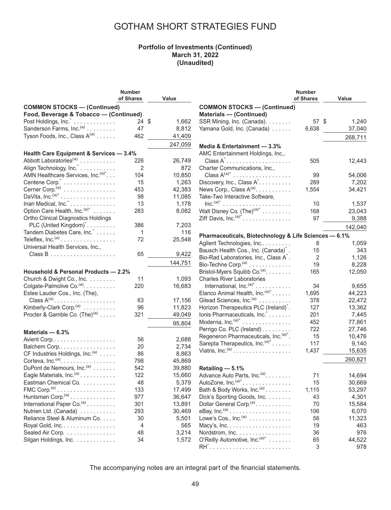#### **Portfolio of Investments (Continued) March 31, 2022 (Unaudited)**

| of Shares<br>Value<br><b>COMMON STOCKS - (Continued)</b><br>Food, Beverage & Tobacco - (Continued)<br>Post Holdings, Inc. <sup>*</sup><br>24<br>\$<br>1,662<br>Sanderson Farms, Inc. <sup>(a)</sup><br>47<br>8,812<br>Tyson Foods, Inc., Class A <sup>(a)</sup><br>41,409<br>462<br>247,059<br>Health Care Equipment & Services - 3.4%<br>Abbott Laboratories <sup>(a)</sup><br>26,749<br>226<br>Align Technology, Inc.<br>2<br>872<br>AMN Healthcare Services, Inc. (a)*.<br>10,850<br>104<br>Centene Corp. <sup>*</sup><br>1,263<br>15<br>Cerner Corp. <sup>(a)</sup><br>453<br>42,383<br>DaVita, Inc. $(a)^*$<br>98<br>11,085<br>Inari Medical, Inc. <sup>*</sup><br>13<br>1,178 |
|-------------------------------------------------------------------------------------------------------------------------------------------------------------------------------------------------------------------------------------------------------------------------------------------------------------------------------------------------------------------------------------------------------------------------------------------------------------------------------------------------------------------------------------------------------------------------------------------------------------------------------------------------------------------------------------|
|                                                                                                                                                                                                                                                                                                                                                                                                                                                                                                                                                                                                                                                                                     |
|                                                                                                                                                                                                                                                                                                                                                                                                                                                                                                                                                                                                                                                                                     |
|                                                                                                                                                                                                                                                                                                                                                                                                                                                                                                                                                                                                                                                                                     |
|                                                                                                                                                                                                                                                                                                                                                                                                                                                                                                                                                                                                                                                                                     |
|                                                                                                                                                                                                                                                                                                                                                                                                                                                                                                                                                                                                                                                                                     |
|                                                                                                                                                                                                                                                                                                                                                                                                                                                                                                                                                                                                                                                                                     |
|                                                                                                                                                                                                                                                                                                                                                                                                                                                                                                                                                                                                                                                                                     |
|                                                                                                                                                                                                                                                                                                                                                                                                                                                                                                                                                                                                                                                                                     |
|                                                                                                                                                                                                                                                                                                                                                                                                                                                                                                                                                                                                                                                                                     |
|                                                                                                                                                                                                                                                                                                                                                                                                                                                                                                                                                                                                                                                                                     |
|                                                                                                                                                                                                                                                                                                                                                                                                                                                                                                                                                                                                                                                                                     |
|                                                                                                                                                                                                                                                                                                                                                                                                                                                                                                                                                                                                                                                                                     |
|                                                                                                                                                                                                                                                                                                                                                                                                                                                                                                                                                                                                                                                                                     |
|                                                                                                                                                                                                                                                                                                                                                                                                                                                                                                                                                                                                                                                                                     |
|                                                                                                                                                                                                                                                                                                                                                                                                                                                                                                                                                                                                                                                                                     |
|                                                                                                                                                                                                                                                                                                                                                                                                                                                                                                                                                                                                                                                                                     |
| Option Care Health, Inc. <sup>(a)*</sup><br>283<br>8,082                                                                                                                                                                                                                                                                                                                                                                                                                                                                                                                                                                                                                            |
| Ortho Clinical Diagnostics Holdings                                                                                                                                                                                                                                                                                                                                                                                                                                                                                                                                                                                                                                                 |
| PLC (United Kingdom) <sup>*</sup><br>7,203<br>386                                                                                                                                                                                                                                                                                                                                                                                                                                                                                                                                                                                                                                   |
| Tandem Diabetes Care, Inc.<br>116<br>1                                                                                                                                                                                                                                                                                                                                                                                                                                                                                                                                                                                                                                              |
| Teleflex, $Inc.(a)$<br>72<br>25,548                                                                                                                                                                                                                                                                                                                                                                                                                                                                                                                                                                                                                                                 |
| Universal Health Services, Inc.,                                                                                                                                                                                                                                                                                                                                                                                                                                                                                                                                                                                                                                                    |
| 65<br>9,422                                                                                                                                                                                                                                                                                                                                                                                                                                                                                                                                                                                                                                                                         |
| 144,751                                                                                                                                                                                                                                                                                                                                                                                                                                                                                                                                                                                                                                                                             |
| Household & Personal Products - 2.2%                                                                                                                                                                                                                                                                                                                                                                                                                                                                                                                                                                                                                                                |
| Church & Dwight Co., Inc.<br>11<br>1,093                                                                                                                                                                                                                                                                                                                                                                                                                                                                                                                                                                                                                                            |
| Colgate-Palmolive Co. <sup>(a)</sup> .<br>220                                                                                                                                                                                                                                                                                                                                                                                                                                                                                                                                                                                                                                       |
|                                                                                                                                                                                                                                                                                                                                                                                                                                                                                                                                                                                                                                                                                     |
| 16,683                                                                                                                                                                                                                                                                                                                                                                                                                                                                                                                                                                                                                                                                              |
| Estee Lauder Cos., Inc. (The),                                                                                                                                                                                                                                                                                                                                                                                                                                                                                                                                                                                                                                                      |
| Class $A^{(a)}$ .<br>63<br>17,156                                                                                                                                                                                                                                                                                                                                                                                                                                                                                                                                                                                                                                                   |
| Kimberly-Clark Corp. <sup>(a)</sup><br>11,823<br>96                                                                                                                                                                                                                                                                                                                                                                                                                                                                                                                                                                                                                                 |
| Procter & Gamble Co. $(The)^{(a)}$<br>321<br>49,049                                                                                                                                                                                                                                                                                                                                                                                                                                                                                                                                                                                                                                 |
| 95,804                                                                                                                                                                                                                                                                                                                                                                                                                                                                                                                                                                                                                                                                              |
| Materials - 6.3%                                                                                                                                                                                                                                                                                                                                                                                                                                                                                                                                                                                                                                                                    |
| 56<br>2,688                                                                                                                                                                                                                                                                                                                                                                                                                                                                                                                                                                                                                                                                         |
| 20<br>2,734                                                                                                                                                                                                                                                                                                                                                                                                                                                                                                                                                                                                                                                                         |
| Balchem Corp<br>8,863<br>86                                                                                                                                                                                                                                                                                                                                                                                                                                                                                                                                                                                                                                                         |
| CF Industries Holdings, Inc. <sup>(a)</sup><br>Corteva, Inc. $(a)$ .<br>45,869<br>798                                                                                                                                                                                                                                                                                                                                                                                                                                                                                                                                                                                               |
| 542<br>39,880                                                                                                                                                                                                                                                                                                                                                                                                                                                                                                                                                                                                                                                                       |
| DuPont de Nemours, Inc. <sup>(a)</sup><br>122                                                                                                                                                                                                                                                                                                                                                                                                                                                                                                                                                                                                                                       |
| Eagle Materials, Inc. <sup>(a)</sup><br>15,660                                                                                                                                                                                                                                                                                                                                                                                                                                                                                                                                                                                                                                      |
| Eastman Chemical Co.<br>48<br>5,379                                                                                                                                                                                                                                                                                                                                                                                                                                                                                                                                                                                                                                                 |
| $FMC$ Corp. <sup>(a)</sup><br>133<br>17,499                                                                                                                                                                                                                                                                                                                                                                                                                                                                                                                                                                                                                                         |
| Huntsman Corp. <sup>(a)</sup><br>36,647<br>977                                                                                                                                                                                                                                                                                                                                                                                                                                                                                                                                                                                                                                      |
| International Paper Co. <sup>(a)</sup><br>301<br>13,891<br>293<br>30,469                                                                                                                                                                                                                                                                                                                                                                                                                                                                                                                                                                                                            |
| Nutrien Ltd. (Canada)                                                                                                                                                                                                                                                                                                                                                                                                                                                                                                                                                                                                                                                               |
| Reliance Steel & Aluminum Co.<br>30<br>5,501<br>4                                                                                                                                                                                                                                                                                                                                                                                                                                                                                                                                                                                                                                   |
| Royal Gold, Inc.<br>565<br>Sealed Air Corp.<br>3,214<br>48                                                                                                                                                                                                                                                                                                                                                                                                                                                                                                                                                                                                                          |

|                                                       | <b>Number</b> |             |
|-------------------------------------------------------|---------------|-------------|
|                                                       | of Shares     | Value       |
| <b>COMMON STOCKS-(Continued)</b>                      |               |             |
| <b>Materials - (Continued)</b>                        |               |             |
| SSR Mining, Inc. (Canada).                            | 57            | \$<br>1,240 |
| Yamana Gold, Inc. (Canada)                            | 6,638         | 37,040      |
|                                                       |               |             |
|                                                       |               | 268,711     |
| Media & Entertainment - 3.3%                          |               |             |
| AMC Entertainment Holdings, Inc.,                     |               |             |
| Class A <sup>*</sup>                                  | 505           | 12,443      |
| Charter Communications, Inc.,                         |               |             |
| Class $A^{(a)*}$                                      | 99            | 54,006      |
| Discovery, Inc., Class A <sup>*</sup>                 | 289           | 7,202       |
| News Corp., Class $A^{(a)}$ .                         | 1,554         | 34,421      |
| Take-Two Interactive Software,                        |               |             |
|                                                       | 10            | 1,537       |
| Walt Disney Co. $(The)^{(a)^*}$                       | 168           | 23,043      |
| Ziff Davis, Inc. $(a)^*$                              | 97            | 9,388       |
|                                                       |               |             |
|                                                       |               | 142,040     |
| Pharmaceuticals, Biotechnology & Life Sciences - 6.1% |               |             |
| Agilent Technologies, Inc                             | 8             | 1,059       |
| Bausch Health Cos., Inc. (Canada) <sup>*</sup> .      | 15            | 343         |
| Bio-Rad Laboratories, Inc., Class A <sup>*</sup> .    | 2             | 1,126       |
| Bio-Techne Corp. <sup>(a)</sup>                       | 19            | 8,228       |
| Bristol-Myers Squibb Co. <sup>(a)</sup> .             | 165           | 12,050      |
| <b>Charles River Laboratories</b>                     |               |             |
| International, Inc. $(a)^*$                           | 34            | 9,655       |
| Elanco Animal Health, Inc. (a)*                       | 1,695         | 44,223      |
| Gilead Sciences, Inc. <sup>(a)</sup>                  | 378           | 22,472      |
| Horizon Therapeutics PLC (Ireland) <sup>*</sup> .     | 127           | 13,362      |
| Ionis Pharmaceuticals, Inc. *                         | 201           | 7,445       |
| Moderna, $Inc.(a)*$                                   | 452           | 77,861      |
| Perrigo Co. PLC (Ireland)                             | 722           | 27,746      |
| Regeneron Pharmaceuticals, Inc. (a)*.                 | 15            | 10,476      |
| Sarepta Therapeutics, Inc. (a)*                       | 117           | 9,140       |
| Viatris, Inc. $(a)$                                   | 1,437         | 15,635      |
|                                                       |               |             |
|                                                       |               | 260,821     |
| Retailing - 5.1%                                      |               |             |
| Advance Auto Parts, Inc. <sup>(a)</sup> .             | 71            | 14,694      |
| AutoZone, Inc. $(a)^*$ .                              | 15            | 30,669      |
| Bath & Body Works, Inc. <sup>(a)</sup>                | 1,115         | 53,297      |
| Dick's Sporting Goods, Inc.                           | 43            | 4,301       |
| Dollar General Corp. <sup>(a)</sup>                   | 70            | 15,584      |
|                                                       | 106           | 6,070       |
| Lowe's Cos., $Inc^{(a)} \dots \dots \dots \dots$      | 56            | 11,323      |
|                                                       | 19            | 463         |
| Nordstrom, Inc.                                       | 36            | 976         |
| O'Reilly Automotive, Inc. (a)*                        | 65            | 44,522      |
|                                                       | 3             | 978         |
|                                                       |               |             |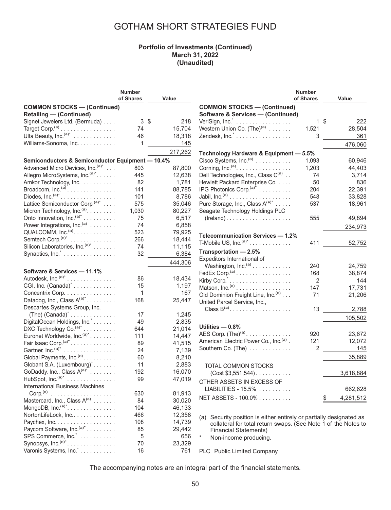### **Portfolio of Investments (Continued) March 31, 2022 (Unaudited)**

|                                                                                 | <b>Number</b> |          |
|---------------------------------------------------------------------------------|---------------|----------|
|                                                                                 | of Shares     | Value    |
| <b>COMMON STOCKS - (Continued)</b>                                              |               |          |
| <b>Retailing - (Continued)</b>                                                  |               |          |
| Signet Jewelers Ltd. (Bermuda)                                                  | 3             | S<br>218 |
| Target Corp. <sup>(a)</sup>                                                     | 74            | 15,704   |
| Ulta Beauty, Inc. $(a)^*$                                                       | 46            | 18,318   |
| Williams-Sonoma, Inc.                                                           | 1             | 145      |
|                                                                                 |               |          |
|                                                                                 |               | 217,262  |
| Semiconductors & Semiconductor Equipment - 10.4%                                |               |          |
| Advanced Micro Devices, Inc. (a)*                                               | 803           | 87,800   |
| Allegro MicroSystems, Inc. <sup>(a)*</sup>                                      | 445           | 12,638   |
| Amkor Technology, Inc.                                                          | 82            | 1,781    |
| Broadcom, $Inc.(a)$                                                             | 141           | 88,785   |
| Diodes, $Inc^{(a)^*}$                                                           | 101           | 8,786    |
| Lattice Semiconductor Corp. <sup>(a)*</sup>                                     | 575           | 35,046   |
|                                                                                 | 1,030         | 80,227   |
| Micron Technology, Inc. <sup>(a)</sup><br>Onto Innovation, Inc. <sup>(a)*</sup> | 75            | 6,517    |
| Power Integrations, Inc. <sup>(a)</sup>                                         | 74            | 6,858    |
| QUALCOMM, Inc. <sup>(a)</sup>                                                   | 523           | 79,925   |
| Semtech Corp. <sup>(a)*</sup>                                                   | 266           | 18,444   |
| Silicon Laboratories, Inc. <sup>(a)*</sup>                                      | 74            | 11,115   |
| Synaptics, Inc. <sup>*</sup>                                                    | 32            | 6,384    |
|                                                                                 |               |          |
|                                                                                 |               | 444,306  |
| Software & Services - 11.1%                                                     |               |          |
| Autodesk, Inc. $(a)^*$                                                          | 86            | 18,434   |
| CGI, Inc. (Canada) <sup>*</sup>                                                 | 15            | 1,197    |
| Concentrix Corp.                                                                | 1             | 167      |
| Datadog, Inc., Class $A^{(a)*}$ .                                               | 168           | 25,447   |
| Descartes Systems Group, Inc.                                                   |               |          |
| $(The) (Canada)^* \ldots \ldots \ldots \ldots$                                  | 17            | 1,245    |
| DigitalOcean Holdings, Inc.*                                                    | 49            | 2,835    |
| DXC Technology Co. <sup>(a)*</sup>                                              | 644           | 21,014   |
| Euronet Worldwide, Inc. <sup>(a)*</sup>                                         | 111           | 14,447   |
| Fair Isaac Corp. <sup>(a)*</sup>                                                | 89            | 41,515   |
| Gartner, Inc. (a)*<br>.                                                         | 24            | 7,139    |
| Global Payments, Inc. <sup>(a)</sup> .                                          | 60            | 8,210    |
| Globant S.A. (Luxembourg) <sup>*</sup>                                          | 11            |          |
|                                                                                 | 192           | 2,883    |
| GoDaddy, Inc., Class $A^{(a)*}$                                                 |               | 16,070   |
| HubSpot, Inc. $(a)^*$                                                           | 99            | 47,019   |
| <b>International Business Machines</b>                                          |               |          |
| Corp. <sup>(a)</sup><br>.                                                       | 630           | 81,913   |
| Mastercard, Inc., Class A <sup>(a)</sup>                                        | 84            | 30,020   |
| MongoDB, Inc. $(a)^*$ .                                                         | 104           | 46,133   |
| NortonLifeLock, Inc                                                             | 466           | 12,358   |
| Paychex, Inc.                                                                   | 108           | 14,739   |
| Paycom Software, Inc. <sup>(a)*</sup>                                           | 85            | 29,442   |
| SPS Commerce, Inc. <sup>*</sup>                                                 | 5             | 656      |
| Synopsys, Inc. <sup>(a)*</sup>                                                  | 70            | 23,329   |
| Varonis Systems, Inc.                                                           | 16            | 761      |

|                                                       | Number    |                 |
|-------------------------------------------------------|-----------|-----------------|
|                                                       | of Shares | Value           |
| <b>COMMON STOCKS-(Continued)</b>                      |           |                 |
| <b>Software &amp; Services - (Continued)</b>          |           |                 |
| VeriSign, Inc. <sup>*</sup>                           | 1         | \$<br>222       |
| Western Union Co. $(The)^{(a)}$                       | 1,521     | 28,504          |
| Zendesk, Inc. <sup>*</sup>                            | 3         | 361             |
|                                                       |           | 476,060         |
| Technology Hardware & Equipment - 5.5%                |           |                 |
| Cisco Systems, Inc. <sup>(a)</sup>                    | 1,093     | 60,946          |
| Corning, Inc. <sup>(a)</sup> .                        | 1,203     | 44,403          |
| Dell Technologies, Inc., Class C(a)                   | 74        | 3,714           |
| Hewlett Packard Enterprise Co.                        | 50        | 836             |
| IPG Photonics Corp. <sup>(a)*</sup>                   | 204       | 22,391          |
|                                                       | 548       | 33,828          |
| Pure Storage, Inc., Class A(a)*                       | 537       | 18,961          |
| Seagate Technology Holdings PLC                       |           |                 |
| $(Ireland) \ldots \ldots \ldots \ldots \ldots \ldots$ | 555       | 49,894          |
|                                                       |           | 234,973         |
| Telecommunication Services - 1.2%                     |           |                 |
| T-Mobile US, $Inc.(a)^*$                              | 411       | 52,752          |
| Transportation - 2.5%                                 |           |                 |
| Expeditors International of                           |           |                 |
| Washington, Inc. <sup>(a)</sup>                       | 240       | 24,759          |
| FedEx Corp. $(a)$                                     | 168       | 38,874          |
| Kirby Corp. <sup>*</sup>                              | 2         | 144             |
| Matson, Inc. <sup>(a)</sup>                           | 147       | 17,731          |
| Old Dominion Freight Line, Inc. <sup>(a)</sup>        | 71        | 21,206          |
| United Parcel Service, Inc.,                          |           |                 |
| Class $B^{(a)}$                                       | 13        | 2,788           |
|                                                       |           | 105,502         |
| Utilities - 0.8%                                      |           |                 |
| AES Corp. $(The)^{(a)}$ .                             | 920       | 23,672          |
| American Electric Power Co., Inc. <sup>(a)</sup> .    | 121       | 12,072          |
| Southern Co. (The)                                    | 2         | 145             |
|                                                       |           | 35,889          |
| TOTAL COMMON STOCKS                                   |           |                 |
| $(Cost $3,551,544)$                                   |           | 3,618,884       |
|                                                       |           |                 |
| OTHER ASSETS IN EXCESS OF<br>$LIABILITIES - 15.5\%$   |           |                 |
|                                                       |           | 662,628         |
| NET ASSETS - 100.0%                                   |           | \$<br>4,281,512 |
|                                                       |           |                 |

(a) Security position is either entirely or partially designated as collateral for total return swaps. (See Note 1 of the Notes to Financial Statements)

\* Non-income producing.

PLC Public Limited Company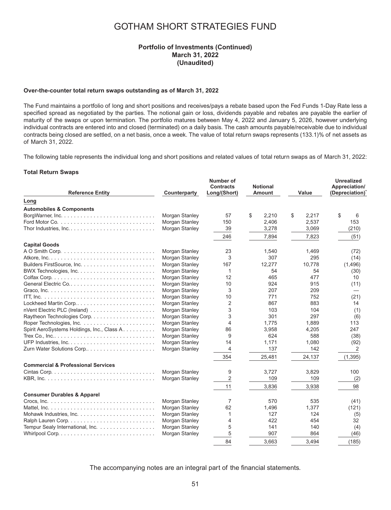#### **Portfolio of Investments (Continued) March 31, 2022 (Unaudited)**

#### **Over-the-counter total return swaps outstanding as of March 31, 2022**

The Fund maintains a portfolio of long and short positions and receives/pays a rebate based upon the Fed Funds 1-Day Rate less a specified spread as negotiated by the parties. The notional gain or loss, dividends payable and rebates are payable the earlier of maturity of the swaps or upon termination. The portfolio matures between May 4, 2022 and January 5, 2026, however underlying individual contracts are entered into and closed (terminated) on a daily basis. The cash amounts payable/receivable due to individual contracts being closed are settled, on a net basis, once a week. The value of total return swaps represents (133.1)% of net assets as of March 31, 2022.

The following table represents the individual long and short positions and related values of total return swaps as of March 31, 2022:

#### **Total Return Swaps**

| <b>Reference Entity</b>                       | Counterparty   | Number of<br><b>Contracts</b><br>Long/(Short) | <b>Notional</b><br>Amount | Value       | <b>Unrealized</b><br>Appreciation/<br>(Depreciation) |
|-----------------------------------------------|----------------|-----------------------------------------------|---------------------------|-------------|------------------------------------------------------|
| Long                                          |                |                                               |                           |             |                                                      |
| <b>Automobiles &amp; Components</b>           |                |                                               |                           |             |                                                      |
|                                               | Morgan Stanley | 57                                            | \$<br>2,210               | \$<br>2,217 | \$<br>6                                              |
|                                               | Morgan Stanley | 150                                           | 2,406                     | 2,537       | 153                                                  |
|                                               | Morgan Stanley | 39                                            | 3,278                     | 3,069       | (210)                                                |
|                                               |                | 246                                           | 7,894                     | 7,823       | (51)                                                 |
| <b>Capital Goods</b>                          |                |                                               |                           |             |                                                      |
|                                               | Morgan Stanley | 23                                            | 1,540                     | 1,469       | (72)                                                 |
|                                               | Morgan Stanley | 3                                             | 307                       | 295         | (14)                                                 |
|                                               | Morgan Stanley | 167                                           | 12,277                    | 10,778      | (1,496)                                              |
|                                               | Morgan Stanley | 1                                             | 54                        | 54          | (30)                                                 |
|                                               | Morgan Stanley | 12                                            | 465                       | 477         | 10                                                   |
| General Electric Co                           | Morgan Stanley | 10                                            | 924                       | 915         | (11)                                                 |
|                                               | Morgan Stanley | 3                                             | 207                       | 209         |                                                      |
|                                               | Morgan Stanley | 10                                            | 771                       | 752         | (21)                                                 |
| Lockheed Martin Corp                          | Morgan Stanley | $\overline{2}$                                | 867                       | 883         | 14                                                   |
|                                               | Morgan Stanley | 3                                             | 103                       | 104         | (1)                                                  |
|                                               | Morgan Stanley | 3                                             | 301                       | 297         | (6)                                                  |
|                                               | Morgan Stanley | $\overline{4}$                                | 1,775                     | 1,889       | 113                                                  |
| Spirit AeroSystems Holdings, Inc., Class A.   | Morgan Stanley | 86                                            | 3,958                     | 4,205       | 247                                                  |
|                                               | Morgan Stanley | 9                                             | 624                       | 588         | (38)                                                 |
|                                               | Morgan Stanley | 14                                            | 1,171                     | 1,080       | (92)                                                 |
| Zurn Water Solutions Corp                     | Morgan Stanley | 4                                             | 137                       | 142         | 2                                                    |
|                                               |                | 354                                           | 25,481                    | 24,137      | (1, 395)                                             |
| <b>Commercial &amp; Professional Services</b> |                |                                               |                           |             |                                                      |
|                                               | Morgan Stanley | 9                                             | 3,727                     | 3,829       | 100                                                  |
|                                               | Morgan Stanley | $\overline{2}$                                | 109                       | 109         | (2)                                                  |
|                                               |                | 11                                            | 3,836                     | 3,938       | 98                                                   |
| <b>Consumer Durables &amp; Apparel</b>        |                |                                               |                           |             |                                                      |
|                                               | Morgan Stanley | 7                                             | 570                       | 535         | (41)                                                 |
|                                               | Morgan Stanley | 62                                            | 1,496                     | 1,377       | (121)                                                |
|                                               | Morgan Stanley | 1                                             | 127                       | 124         | (5)                                                  |
|                                               | Morgan Stanley | 4                                             | 422                       | 454         | 32                                                   |
| Tempur Sealy International, Inc.              | Morgan Stanley | 5                                             | 141                       | 140         | (4)                                                  |
|                                               | Morgan Stanley | 5                                             | 907                       | 864         | (46)                                                 |
|                                               |                | 84                                            | 3.663                     | 3.494       | (185)                                                |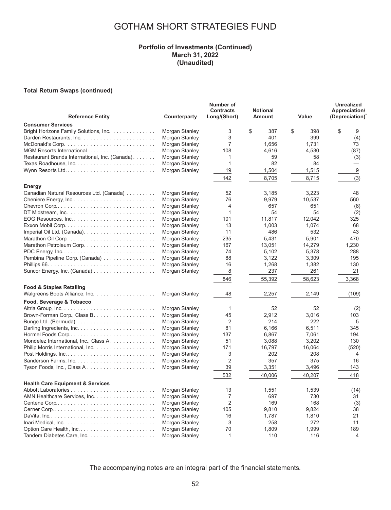#### **Portfolio of Investments (Continued) March 31, 2022 (Unaudited)**

#### **Total Return Swaps (continued)**

| <b>Consumer Services</b><br>\$<br>\$<br>Bright Horizons Family Solutions, Inc.<br>3<br>387<br>\$<br>398<br>9<br>Morgan Stanley<br>3<br>Morgan Stanley<br>401<br>399<br>(4)<br>7<br>Morgan Stanley<br>1,656<br>1,731<br>73<br>4,530<br>Morgan Stanley<br>108<br>4,616<br>(87)<br>Restaurant Brands International, Inc. (Canada).<br>Morgan Stanley<br>1<br>59<br>58<br>(3)<br>Morgan Stanley<br>82<br>84<br>Texas Roadhouse, Inc<br>1<br>$\overline{\phantom{0}}$<br>19<br>9<br>Wynn Resorts Ltd<br>Morgan Stanley<br>1,504<br>1,515<br>142<br>8,705<br>8,715<br>(3)<br>Energy<br>Morgan Stanley<br>52<br>3.223<br>Canadian Natural Resources Ltd. (Canada)<br>3.185<br>48<br>Morgan Stanley<br>76<br>9,979<br>10,537<br>560<br>Cheniere Energy, Inc<br>4<br>657<br>651<br>Morgan Stanley<br>(8)<br>54<br>54<br>Morgan Stanley<br>1<br>(2)<br>12,042<br>Morgan Stanley<br>101<br>11,817<br>325<br>Morgan Stanley<br>13<br>1,003<br>1,074<br>68<br>Morgan Stanley<br>11<br>486<br>532<br>43<br>5,431<br>5,901<br>Morgan Stanley<br>235<br>470<br>167<br>13,051<br>14,279<br>1,230<br>Morgan Stanley<br>288<br>Morgan Stanley<br>74<br>5,102<br>5,378<br>Pembina Pipeline Corp. (Canada)<br>Morgan Stanley<br>88<br>3,122<br>3,309<br>195<br>Morgan Stanley<br>16<br>1,268<br>1,382<br>130<br>8<br>Morgan Stanley<br>237<br>261<br>21<br>846<br>55,392<br>58,623<br>3,368<br><b>Food &amp; Staples Retailing</b><br>Walgreens Boots Alliance, Inc.<br>Morgan Stanley<br>48<br>2,257<br>2,149<br>(109)<br>Food, Beverage & Tobacco<br>52<br>Morgan Stanley<br>1<br>52<br>(2)<br>Morgan Stanley<br>45<br>2,912<br>3,016<br>103<br>$\overline{2}$<br>222<br>5<br>214<br>Morgan Stanley<br>345<br>Morgan Stanley<br>81<br>6,166<br>6,511<br>137<br>6,867<br>7,061<br>Morgan Stanley<br>194<br>51<br>3,088<br>3,202<br>130<br>Mondelez International, Inc., Class A.<br>Morgan Stanley<br>Morgan Stanley<br>171<br>16,797<br>16,064<br>(520)<br>3<br>Morgan Stanley<br>202<br>208<br>$\overline{4}$<br>$\overline{2}$<br>Morgan Stanley<br>357<br>375<br>16<br>Morgan Stanley<br>39<br>3,351<br>3,496<br>143<br>40.006<br>532<br>40.207<br>418<br><b>Health Care Equipment &amp; Services</b><br>Morgan Stanley<br>13<br>1,551<br>1,539<br>(14)<br>$\overline{7}$<br>697<br>AMN Healthcare Services, Inc.<br>Morgan Stanley<br>730<br>31<br>$\overline{2}$<br>169<br>Morgan Stanley<br>168<br>(3)<br>Morgan Stanley<br>105<br>9,824<br>9,810<br>38<br>1,787<br>1,810<br>Morgan Stanley<br>16<br>21<br>3<br>258<br>272<br>11<br>Morgan Stanley<br>70<br>1,809<br>1,999<br>189<br>Morgan Stanley<br>1<br>4 | <b>Reference Entity</b> | Counterparty   | Number of<br><b>Contracts</b><br>Long/(Short) | <b>Notional</b><br><b>Amount</b> | Value | <b>Unrealized</b><br>Appreciation/<br>(Depreciation) |
|--------------------------------------------------------------------------------------------------------------------------------------------------------------------------------------------------------------------------------------------------------------------------------------------------------------------------------------------------------------------------------------------------------------------------------------------------------------------------------------------------------------------------------------------------------------------------------------------------------------------------------------------------------------------------------------------------------------------------------------------------------------------------------------------------------------------------------------------------------------------------------------------------------------------------------------------------------------------------------------------------------------------------------------------------------------------------------------------------------------------------------------------------------------------------------------------------------------------------------------------------------------------------------------------------------------------------------------------------------------------------------------------------------------------------------------------------------------------------------------------------------------------------------------------------------------------------------------------------------------------------------------------------------------------------------------------------------------------------------------------------------------------------------------------------------------------------------------------------------------------------------------------------------------------------------------------------------------------------------------------------------------------------------------------------------------------------------------------------------------------------------------------------------------------------------------------------------------------------------------------------------------------------------------------------------------------------------------------------------------------------------------------------------------------------------------------------------------------------------------------------------------------------------------------------------------------------------------------------|-------------------------|----------------|-----------------------------------------------|----------------------------------|-------|------------------------------------------------------|
|                                                                                                                                                                                                                                                                                                                                                                                                                                                                                                                                                                                                                                                                                                                                                                                                                                                                                                                                                                                                                                                                                                                                                                                                                                                                                                                                                                                                                                                                                                                                                                                                                                                                                                                                                                                                                                                                                                                                                                                                                                                                                                                                                                                                                                                                                                                                                                                                                                                                                                                                                                                                  |                         |                |                                               |                                  |       |                                                      |
|                                                                                                                                                                                                                                                                                                                                                                                                                                                                                                                                                                                                                                                                                                                                                                                                                                                                                                                                                                                                                                                                                                                                                                                                                                                                                                                                                                                                                                                                                                                                                                                                                                                                                                                                                                                                                                                                                                                                                                                                                                                                                                                                                                                                                                                                                                                                                                                                                                                                                                                                                                                                  |                         |                |                                               |                                  |       |                                                      |
|                                                                                                                                                                                                                                                                                                                                                                                                                                                                                                                                                                                                                                                                                                                                                                                                                                                                                                                                                                                                                                                                                                                                                                                                                                                                                                                                                                                                                                                                                                                                                                                                                                                                                                                                                                                                                                                                                                                                                                                                                                                                                                                                                                                                                                                                                                                                                                                                                                                                                                                                                                                                  |                         |                |                                               |                                  |       |                                                      |
|                                                                                                                                                                                                                                                                                                                                                                                                                                                                                                                                                                                                                                                                                                                                                                                                                                                                                                                                                                                                                                                                                                                                                                                                                                                                                                                                                                                                                                                                                                                                                                                                                                                                                                                                                                                                                                                                                                                                                                                                                                                                                                                                                                                                                                                                                                                                                                                                                                                                                                                                                                                                  |                         |                |                                               |                                  |       |                                                      |
|                                                                                                                                                                                                                                                                                                                                                                                                                                                                                                                                                                                                                                                                                                                                                                                                                                                                                                                                                                                                                                                                                                                                                                                                                                                                                                                                                                                                                                                                                                                                                                                                                                                                                                                                                                                                                                                                                                                                                                                                                                                                                                                                                                                                                                                                                                                                                                                                                                                                                                                                                                                                  |                         |                |                                               |                                  |       |                                                      |
|                                                                                                                                                                                                                                                                                                                                                                                                                                                                                                                                                                                                                                                                                                                                                                                                                                                                                                                                                                                                                                                                                                                                                                                                                                                                                                                                                                                                                                                                                                                                                                                                                                                                                                                                                                                                                                                                                                                                                                                                                                                                                                                                                                                                                                                                                                                                                                                                                                                                                                                                                                                                  |                         |                |                                               |                                  |       |                                                      |
|                                                                                                                                                                                                                                                                                                                                                                                                                                                                                                                                                                                                                                                                                                                                                                                                                                                                                                                                                                                                                                                                                                                                                                                                                                                                                                                                                                                                                                                                                                                                                                                                                                                                                                                                                                                                                                                                                                                                                                                                                                                                                                                                                                                                                                                                                                                                                                                                                                                                                                                                                                                                  |                         |                |                                               |                                  |       |                                                      |
|                                                                                                                                                                                                                                                                                                                                                                                                                                                                                                                                                                                                                                                                                                                                                                                                                                                                                                                                                                                                                                                                                                                                                                                                                                                                                                                                                                                                                                                                                                                                                                                                                                                                                                                                                                                                                                                                                                                                                                                                                                                                                                                                                                                                                                                                                                                                                                                                                                                                                                                                                                                                  |                         |                |                                               |                                  |       |                                                      |
|                                                                                                                                                                                                                                                                                                                                                                                                                                                                                                                                                                                                                                                                                                                                                                                                                                                                                                                                                                                                                                                                                                                                                                                                                                                                                                                                                                                                                                                                                                                                                                                                                                                                                                                                                                                                                                                                                                                                                                                                                                                                                                                                                                                                                                                                                                                                                                                                                                                                                                                                                                                                  |                         |                |                                               |                                  |       |                                                      |
|                                                                                                                                                                                                                                                                                                                                                                                                                                                                                                                                                                                                                                                                                                                                                                                                                                                                                                                                                                                                                                                                                                                                                                                                                                                                                                                                                                                                                                                                                                                                                                                                                                                                                                                                                                                                                                                                                                                                                                                                                                                                                                                                                                                                                                                                                                                                                                                                                                                                                                                                                                                                  |                         |                |                                               |                                  |       |                                                      |
|                                                                                                                                                                                                                                                                                                                                                                                                                                                                                                                                                                                                                                                                                                                                                                                                                                                                                                                                                                                                                                                                                                                                                                                                                                                                                                                                                                                                                                                                                                                                                                                                                                                                                                                                                                                                                                                                                                                                                                                                                                                                                                                                                                                                                                                                                                                                                                                                                                                                                                                                                                                                  |                         |                |                                               |                                  |       |                                                      |
|                                                                                                                                                                                                                                                                                                                                                                                                                                                                                                                                                                                                                                                                                                                                                                                                                                                                                                                                                                                                                                                                                                                                                                                                                                                                                                                                                                                                                                                                                                                                                                                                                                                                                                                                                                                                                                                                                                                                                                                                                                                                                                                                                                                                                                                                                                                                                                                                                                                                                                                                                                                                  |                         |                |                                               |                                  |       |                                                      |
|                                                                                                                                                                                                                                                                                                                                                                                                                                                                                                                                                                                                                                                                                                                                                                                                                                                                                                                                                                                                                                                                                                                                                                                                                                                                                                                                                                                                                                                                                                                                                                                                                                                                                                                                                                                                                                                                                                                                                                                                                                                                                                                                                                                                                                                                                                                                                                                                                                                                                                                                                                                                  |                         |                |                                               |                                  |       |                                                      |
|                                                                                                                                                                                                                                                                                                                                                                                                                                                                                                                                                                                                                                                                                                                                                                                                                                                                                                                                                                                                                                                                                                                                                                                                                                                                                                                                                                                                                                                                                                                                                                                                                                                                                                                                                                                                                                                                                                                                                                                                                                                                                                                                                                                                                                                                                                                                                                                                                                                                                                                                                                                                  |                         |                |                                               |                                  |       |                                                      |
|                                                                                                                                                                                                                                                                                                                                                                                                                                                                                                                                                                                                                                                                                                                                                                                                                                                                                                                                                                                                                                                                                                                                                                                                                                                                                                                                                                                                                                                                                                                                                                                                                                                                                                                                                                                                                                                                                                                                                                                                                                                                                                                                                                                                                                                                                                                                                                                                                                                                                                                                                                                                  |                         |                |                                               |                                  |       |                                                      |
|                                                                                                                                                                                                                                                                                                                                                                                                                                                                                                                                                                                                                                                                                                                                                                                                                                                                                                                                                                                                                                                                                                                                                                                                                                                                                                                                                                                                                                                                                                                                                                                                                                                                                                                                                                                                                                                                                                                                                                                                                                                                                                                                                                                                                                                                                                                                                                                                                                                                                                                                                                                                  |                         |                |                                               |                                  |       |                                                      |
|                                                                                                                                                                                                                                                                                                                                                                                                                                                                                                                                                                                                                                                                                                                                                                                                                                                                                                                                                                                                                                                                                                                                                                                                                                                                                                                                                                                                                                                                                                                                                                                                                                                                                                                                                                                                                                                                                                                                                                                                                                                                                                                                                                                                                                                                                                                                                                                                                                                                                                                                                                                                  |                         |                |                                               |                                  |       |                                                      |
|                                                                                                                                                                                                                                                                                                                                                                                                                                                                                                                                                                                                                                                                                                                                                                                                                                                                                                                                                                                                                                                                                                                                                                                                                                                                                                                                                                                                                                                                                                                                                                                                                                                                                                                                                                                                                                                                                                                                                                                                                                                                                                                                                                                                                                                                                                                                                                                                                                                                                                                                                                                                  |                         |                |                                               |                                  |       |                                                      |
|                                                                                                                                                                                                                                                                                                                                                                                                                                                                                                                                                                                                                                                                                                                                                                                                                                                                                                                                                                                                                                                                                                                                                                                                                                                                                                                                                                                                                                                                                                                                                                                                                                                                                                                                                                                                                                                                                                                                                                                                                                                                                                                                                                                                                                                                                                                                                                                                                                                                                                                                                                                                  |                         |                |                                               |                                  |       |                                                      |
|                                                                                                                                                                                                                                                                                                                                                                                                                                                                                                                                                                                                                                                                                                                                                                                                                                                                                                                                                                                                                                                                                                                                                                                                                                                                                                                                                                                                                                                                                                                                                                                                                                                                                                                                                                                                                                                                                                                                                                                                                                                                                                                                                                                                                                                                                                                                                                                                                                                                                                                                                                                                  |                         |                |                                               |                                  |       |                                                      |
|                                                                                                                                                                                                                                                                                                                                                                                                                                                                                                                                                                                                                                                                                                                                                                                                                                                                                                                                                                                                                                                                                                                                                                                                                                                                                                                                                                                                                                                                                                                                                                                                                                                                                                                                                                                                                                                                                                                                                                                                                                                                                                                                                                                                                                                                                                                                                                                                                                                                                                                                                                                                  |                         |                |                                               |                                  |       |                                                      |
|                                                                                                                                                                                                                                                                                                                                                                                                                                                                                                                                                                                                                                                                                                                                                                                                                                                                                                                                                                                                                                                                                                                                                                                                                                                                                                                                                                                                                                                                                                                                                                                                                                                                                                                                                                                                                                                                                                                                                                                                                                                                                                                                                                                                                                                                                                                                                                                                                                                                                                                                                                                                  |                         |                |                                               |                                  |       |                                                      |
|                                                                                                                                                                                                                                                                                                                                                                                                                                                                                                                                                                                                                                                                                                                                                                                                                                                                                                                                                                                                                                                                                                                                                                                                                                                                                                                                                                                                                                                                                                                                                                                                                                                                                                                                                                                                                                                                                                                                                                                                                                                                                                                                                                                                                                                                                                                                                                                                                                                                                                                                                                                                  |                         |                |                                               |                                  |       |                                                      |
|                                                                                                                                                                                                                                                                                                                                                                                                                                                                                                                                                                                                                                                                                                                                                                                                                                                                                                                                                                                                                                                                                                                                                                                                                                                                                                                                                                                                                                                                                                                                                                                                                                                                                                                                                                                                                                                                                                                                                                                                                                                                                                                                                                                                                                                                                                                                                                                                                                                                                                                                                                                                  |                         |                |                                               |                                  |       |                                                      |
|                                                                                                                                                                                                                                                                                                                                                                                                                                                                                                                                                                                                                                                                                                                                                                                                                                                                                                                                                                                                                                                                                                                                                                                                                                                                                                                                                                                                                                                                                                                                                                                                                                                                                                                                                                                                                                                                                                                                                                                                                                                                                                                                                                                                                                                                                                                                                                                                                                                                                                                                                                                                  |                         |                |                                               |                                  |       |                                                      |
|                                                                                                                                                                                                                                                                                                                                                                                                                                                                                                                                                                                                                                                                                                                                                                                                                                                                                                                                                                                                                                                                                                                                                                                                                                                                                                                                                                                                                                                                                                                                                                                                                                                                                                                                                                                                                                                                                                                                                                                                                                                                                                                                                                                                                                                                                                                                                                                                                                                                                                                                                                                                  |                         |                |                                               |                                  |       |                                                      |
|                                                                                                                                                                                                                                                                                                                                                                                                                                                                                                                                                                                                                                                                                                                                                                                                                                                                                                                                                                                                                                                                                                                                                                                                                                                                                                                                                                                                                                                                                                                                                                                                                                                                                                                                                                                                                                                                                                                                                                                                                                                                                                                                                                                                                                                                                                                                                                                                                                                                                                                                                                                                  |                         |                |                                               |                                  |       |                                                      |
|                                                                                                                                                                                                                                                                                                                                                                                                                                                                                                                                                                                                                                                                                                                                                                                                                                                                                                                                                                                                                                                                                                                                                                                                                                                                                                                                                                                                                                                                                                                                                                                                                                                                                                                                                                                                                                                                                                                                                                                                                                                                                                                                                                                                                                                                                                                                                                                                                                                                                                                                                                                                  |                         |                |                                               |                                  |       |                                                      |
|                                                                                                                                                                                                                                                                                                                                                                                                                                                                                                                                                                                                                                                                                                                                                                                                                                                                                                                                                                                                                                                                                                                                                                                                                                                                                                                                                                                                                                                                                                                                                                                                                                                                                                                                                                                                                                                                                                                                                                                                                                                                                                                                                                                                                                                                                                                                                                                                                                                                                                                                                                                                  |                         |                |                                               |                                  |       |                                                      |
|                                                                                                                                                                                                                                                                                                                                                                                                                                                                                                                                                                                                                                                                                                                                                                                                                                                                                                                                                                                                                                                                                                                                                                                                                                                                                                                                                                                                                                                                                                                                                                                                                                                                                                                                                                                                                                                                                                                                                                                                                                                                                                                                                                                                                                                                                                                                                                                                                                                                                                                                                                                                  |                         |                |                                               |                                  |       |                                                      |
|                                                                                                                                                                                                                                                                                                                                                                                                                                                                                                                                                                                                                                                                                                                                                                                                                                                                                                                                                                                                                                                                                                                                                                                                                                                                                                                                                                                                                                                                                                                                                                                                                                                                                                                                                                                                                                                                                                                                                                                                                                                                                                                                                                                                                                                                                                                                                                                                                                                                                                                                                                                                  |                         |                |                                               |                                  |       |                                                      |
|                                                                                                                                                                                                                                                                                                                                                                                                                                                                                                                                                                                                                                                                                                                                                                                                                                                                                                                                                                                                                                                                                                                                                                                                                                                                                                                                                                                                                                                                                                                                                                                                                                                                                                                                                                                                                                                                                                                                                                                                                                                                                                                                                                                                                                                                                                                                                                                                                                                                                                                                                                                                  |                         |                |                                               |                                  |       |                                                      |
|                                                                                                                                                                                                                                                                                                                                                                                                                                                                                                                                                                                                                                                                                                                                                                                                                                                                                                                                                                                                                                                                                                                                                                                                                                                                                                                                                                                                                                                                                                                                                                                                                                                                                                                                                                                                                                                                                                                                                                                                                                                                                                                                                                                                                                                                                                                                                                                                                                                                                                                                                                                                  |                         |                |                                               |                                  |       |                                                      |
|                                                                                                                                                                                                                                                                                                                                                                                                                                                                                                                                                                                                                                                                                                                                                                                                                                                                                                                                                                                                                                                                                                                                                                                                                                                                                                                                                                                                                                                                                                                                                                                                                                                                                                                                                                                                                                                                                                                                                                                                                                                                                                                                                                                                                                                                                                                                                                                                                                                                                                                                                                                                  |                         |                |                                               |                                  |       |                                                      |
|                                                                                                                                                                                                                                                                                                                                                                                                                                                                                                                                                                                                                                                                                                                                                                                                                                                                                                                                                                                                                                                                                                                                                                                                                                                                                                                                                                                                                                                                                                                                                                                                                                                                                                                                                                                                                                                                                                                                                                                                                                                                                                                                                                                                                                                                                                                                                                                                                                                                                                                                                                                                  |                         |                |                                               |                                  |       |                                                      |
|                                                                                                                                                                                                                                                                                                                                                                                                                                                                                                                                                                                                                                                                                                                                                                                                                                                                                                                                                                                                                                                                                                                                                                                                                                                                                                                                                                                                                                                                                                                                                                                                                                                                                                                                                                                                                                                                                                                                                                                                                                                                                                                                                                                                                                                                                                                                                                                                                                                                                                                                                                                                  |                         |                |                                               |                                  |       |                                                      |
|                                                                                                                                                                                                                                                                                                                                                                                                                                                                                                                                                                                                                                                                                                                                                                                                                                                                                                                                                                                                                                                                                                                                                                                                                                                                                                                                                                                                                                                                                                                                                                                                                                                                                                                                                                                                                                                                                                                                                                                                                                                                                                                                                                                                                                                                                                                                                                                                                                                                                                                                                                                                  |                         |                |                                               |                                  |       |                                                      |
|                                                                                                                                                                                                                                                                                                                                                                                                                                                                                                                                                                                                                                                                                                                                                                                                                                                                                                                                                                                                                                                                                                                                                                                                                                                                                                                                                                                                                                                                                                                                                                                                                                                                                                                                                                                                                                                                                                                                                                                                                                                                                                                                                                                                                                                                                                                                                                                                                                                                                                                                                                                                  |                         |                |                                               |                                  |       |                                                      |
|                                                                                                                                                                                                                                                                                                                                                                                                                                                                                                                                                                                                                                                                                                                                                                                                                                                                                                                                                                                                                                                                                                                                                                                                                                                                                                                                                                                                                                                                                                                                                                                                                                                                                                                                                                                                                                                                                                                                                                                                                                                                                                                                                                                                                                                                                                                                                                                                                                                                                                                                                                                                  |                         |                |                                               |                                  |       |                                                      |
|                                                                                                                                                                                                                                                                                                                                                                                                                                                                                                                                                                                                                                                                                                                                                                                                                                                                                                                                                                                                                                                                                                                                                                                                                                                                                                                                                                                                                                                                                                                                                                                                                                                                                                                                                                                                                                                                                                                                                                                                                                                                                                                                                                                                                                                                                                                                                                                                                                                                                                                                                                                                  |                         |                |                                               |                                  |       |                                                      |
|                                                                                                                                                                                                                                                                                                                                                                                                                                                                                                                                                                                                                                                                                                                                                                                                                                                                                                                                                                                                                                                                                                                                                                                                                                                                                                                                                                                                                                                                                                                                                                                                                                                                                                                                                                                                                                                                                                                                                                                                                                                                                                                                                                                                                                                                                                                                                                                                                                                                                                                                                                                                  |                         |                |                                               |                                  |       |                                                      |
|                                                                                                                                                                                                                                                                                                                                                                                                                                                                                                                                                                                                                                                                                                                                                                                                                                                                                                                                                                                                                                                                                                                                                                                                                                                                                                                                                                                                                                                                                                                                                                                                                                                                                                                                                                                                                                                                                                                                                                                                                                                                                                                                                                                                                                                                                                                                                                                                                                                                                                                                                                                                  |                         |                |                                               |                                  |       |                                                      |
|                                                                                                                                                                                                                                                                                                                                                                                                                                                                                                                                                                                                                                                                                                                                                                                                                                                                                                                                                                                                                                                                                                                                                                                                                                                                                                                                                                                                                                                                                                                                                                                                                                                                                                                                                                                                                                                                                                                                                                                                                                                                                                                                                                                                                                                                                                                                                                                                                                                                                                                                                                                                  |                         |                |                                               |                                  |       |                                                      |
|                                                                                                                                                                                                                                                                                                                                                                                                                                                                                                                                                                                                                                                                                                                                                                                                                                                                                                                                                                                                                                                                                                                                                                                                                                                                                                                                                                                                                                                                                                                                                                                                                                                                                                                                                                                                                                                                                                                                                                                                                                                                                                                                                                                                                                                                                                                                                                                                                                                                                                                                                                                                  |                         |                |                                               |                                  |       |                                                      |
|                                                                                                                                                                                                                                                                                                                                                                                                                                                                                                                                                                                                                                                                                                                                                                                                                                                                                                                                                                                                                                                                                                                                                                                                                                                                                                                                                                                                                                                                                                                                                                                                                                                                                                                                                                                                                                                                                                                                                                                                                                                                                                                                                                                                                                                                                                                                                                                                                                                                                                                                                                                                  |                         |                |                                               |                                  |       |                                                      |
|                                                                                                                                                                                                                                                                                                                                                                                                                                                                                                                                                                                                                                                                                                                                                                                                                                                                                                                                                                                                                                                                                                                                                                                                                                                                                                                                                                                                                                                                                                                                                                                                                                                                                                                                                                                                                                                                                                                                                                                                                                                                                                                                                                                                                                                                                                                                                                                                                                                                                                                                                                                                  |                         |                |                                               |                                  |       |                                                      |
|                                                                                                                                                                                                                                                                                                                                                                                                                                                                                                                                                                                                                                                                                                                                                                                                                                                                                                                                                                                                                                                                                                                                                                                                                                                                                                                                                                                                                                                                                                                                                                                                                                                                                                                                                                                                                                                                                                                                                                                                                                                                                                                                                                                                                                                                                                                                                                                                                                                                                                                                                                                                  |                         | Morgan Stanley |                                               | 110                              | 116   |                                                      |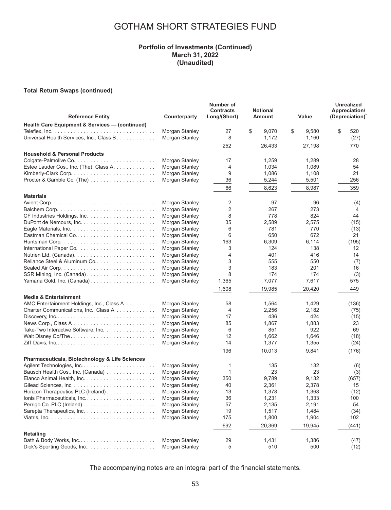#### **Portfolio of Investments (Continued) March 31, 2022 (Unaudited)**

#### **Total Return Swaps (continued)**

| <b>Reference Entity</b>                                                       | Counterparty   | Number of<br><b>Contracts</b><br>Long/(Short) | <b>Notional</b><br>Amount | Value       | <b>Unrealized</b><br>Appreciation/<br>(Depreciation) |
|-------------------------------------------------------------------------------|----------------|-----------------------------------------------|---------------------------|-------------|------------------------------------------------------|
| Health Care Equipment & Services - (continued)                                |                |                                               |                           |             |                                                      |
|                                                                               | Morgan Stanley | 27                                            | \$<br>9,070               | \$<br>9,580 | \$<br>520                                            |
| Universal Health Services, Inc., Class B.                                     | Morgan Stanley | 8                                             | 1,172                     | 1,160       | (27)                                                 |
|                                                                               |                | 252                                           | 26,433                    | 27,198      | 770                                                  |
| <b>Household &amp; Personal Products</b>                                      |                |                                               |                           |             |                                                      |
|                                                                               | Morgan Stanley | 17                                            | 1,259                     | 1,289       | 28                                                   |
| Estee Lauder Cos., Inc. (The), Class A.                                       | Morgan Stanley | 4                                             | 1,034                     | 1,089       | 54                                                   |
|                                                                               | Morgan Stanley | 9                                             | 1,086                     | 1,108       | 21                                                   |
|                                                                               | Morgan Stanley | 36                                            | 5,244                     | 5,501       | 256                                                  |
|                                                                               |                | 66                                            | 8,623                     | 8,987       | 359                                                  |
|                                                                               |                |                                               |                           |             |                                                      |
| <b>Materials</b>                                                              | Morgan Stanley | 2                                             | 97                        | 96          | (4)                                                  |
|                                                                               | Morgan Stanley | 2                                             | 267                       | 273         | 4                                                    |
|                                                                               | Morgan Stanley | 8                                             | 778                       | 824         | 44                                                   |
|                                                                               | Morgan Stanley | 35                                            | 2,589                     | 2,575       | (15)                                                 |
|                                                                               | Morgan Stanley | 6                                             | 781                       | 770         | (13)                                                 |
| Eastman Chemical Co                                                           | Morgan Stanley | 6                                             | 650                       | 672         | 21                                                   |
|                                                                               | Morgan Stanley | 163                                           | 6,309                     | 6,114       | (195)                                                |
|                                                                               | Morgan Stanley | 3                                             | 124                       | 138         | 12                                                   |
|                                                                               | Morgan Stanley | 4                                             | 401                       | 416         | 14                                                   |
| Reliance Steel & Aluminum Co                                                  | Morgan Stanley | 3                                             | 555                       | 550         | (7)                                                  |
|                                                                               | Morgan Stanley | 3                                             | 183                       | 201         | 16                                                   |
|                                                                               | Morgan Stanley | 8                                             | 174                       | 174         | (3)                                                  |
|                                                                               | Morgan Stanley | 1,365                                         | 7,077                     | 7,617       | 575                                                  |
|                                                                               |                | 1,608                                         | 19,985                    | 20,420      | 449                                                  |
| <b>Media &amp; Entertainment</b>                                              |                |                                               |                           |             |                                                      |
| AMC Entertainment Holdings, Inc., Class A                                     | Morgan Stanley | 58                                            | 1,564                     | 1,429       | (136)                                                |
| Charter Communications, Inc., Class A                                         | Morgan Stanley | 4                                             | 2,256                     | 2,182       | (75)                                                 |
|                                                                               | Morgan Stanley | 17                                            | 436                       | 424         | (15)                                                 |
| News Corp., Class A $\ldots \ldots \ldots \ldots \ldots \ldots \ldots \ldots$ | Morgan Stanley | 85                                            | 1,867                     | 1,883       | 23                                                   |
| Take-Two Interactive Software, Inc.                                           | Morgan Stanley | 6                                             | 851                       | 922         | 69                                                   |
|                                                                               | Morgan Stanley | 12                                            | 1,662                     | 1,646       | (18)                                                 |
|                                                                               | Morgan Stanley | 14                                            | 1,377                     | 1,355       | (24)                                                 |
|                                                                               |                | 196                                           | 10,013                    | 9,841       | (176)                                                |
| <b>Pharmaceuticals, Biotechnology &amp; Life Sciences</b>                     |                |                                               |                           |             |                                                      |
|                                                                               | Morgan Stanley | 1                                             | 135                       | 132         | (6)                                                  |
| Bausch Health Cos., Inc. (Canada)                                             | Morgan Stanley | $\mathbf{1}$                                  | 23                        | 23          | (3)                                                  |
|                                                                               | Morgan Stanley | 350                                           | 9,789                     | 9,132       | (657)                                                |
|                                                                               | Morgan Stanley | 40                                            | 2,361                     | 2,378       | 15                                                   |
| Horizon Therapeutics PLC (Ireland)                                            | Morgan Stanley | 13                                            | 1,378                     | 1,368       | (12)                                                 |
| Ionis Pharmaceuticals, Inc                                                    | Morgan Stanley | 36                                            | 1,231                     | 1,333       | 100                                                  |
|                                                                               | Morgan Stanley | 57                                            | 2,135                     | 2,191       | 54                                                   |
|                                                                               | Morgan Stanley | 19                                            | 1,517                     | 1,484       | (34)                                                 |
|                                                                               | Morgan Stanley | 175                                           | 1,800                     | 1,904       | 102                                                  |
|                                                                               |                | 692                                           | 20,369                    | 19,945      | (441)                                                |
| <b>Retailing</b>                                                              |                |                                               |                           |             |                                                      |
| Bath & Body Works, Inc                                                        | Morgan Stanley | 29                                            | 1,431                     | 1,386       | (47)                                                 |
| Dick's Sporting Goods, Inc                                                    | Morgan Stanley | 5                                             | 510                       | 500         | (12)                                                 |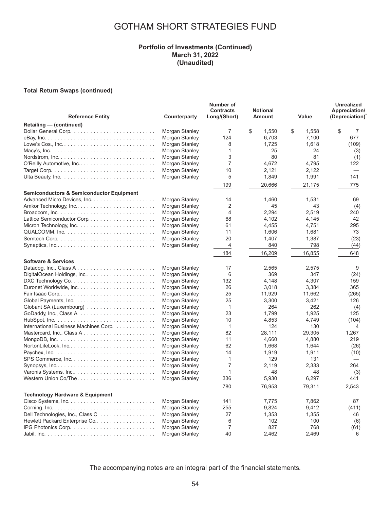#### **Portfolio of Investments (Continued) March 31, 2022 (Unaudited)**

#### **Total Return Swaps (continued)**

| <b>Reference Entity</b>                                                               | Counterparty                     | Number of<br><b>Contracts</b><br>Long/(Short) | <b>Notional</b><br>Amount | Value       | Unrealized<br>Appreciation/<br>(Depreciation) |
|---------------------------------------------------------------------------------------|----------------------------------|-----------------------------------------------|---------------------------|-------------|-----------------------------------------------|
| Retailing - (continued)                                                               |                                  |                                               |                           |             |                                               |
|                                                                                       | Morgan Stanley                   | 7                                             | \$<br>1,550               | \$<br>1,558 | \$<br>7                                       |
|                                                                                       | Morgan Stanley                   | 124                                           | 6,703                     | 7,100       | 677                                           |
|                                                                                       | Morgan Stanley                   | 8                                             | 1,725                     | 1,618       | (109)                                         |
| Macy's, Inc. $\ldots \ldots \ldots \ldots \ldots \ldots \ldots \ldots \ldots \ldots$  | Morgan Stanley                   | $\mathbf{1}$                                  | 25                        | 24          | (3)                                           |
|                                                                                       | Morgan Stanley                   | 3                                             | 80                        | 81          | (1)                                           |
| O'Reilly Automotive, Inc                                                              | Morgan Stanley                   | $\overline{7}$                                | 4.672                     | 4.795       | 122                                           |
|                                                                                       | Morgan Stanley                   | 10                                            | 2,121                     | 2,122       | $\overline{\phantom{0}}$                      |
|                                                                                       | Morgan Stanley                   | 5                                             | 1,849                     | 1,991       | 141                                           |
|                                                                                       |                                  | 199                                           | 20,666                    | 21,175      | 775                                           |
| <b>Semiconductors &amp; Semiconductor Equipment</b>                                   |                                  |                                               |                           |             |                                               |
|                                                                                       | Morgan Stanley                   | 14                                            | 1,460                     | 1.531       | 69                                            |
|                                                                                       | Morgan Stanley                   | 2                                             | 45                        | 43          | (4)                                           |
| Broadcom, Inc. $\ldots \ldots \ldots \ldots \ldots \ldots \ldots \ldots \ldots$       | Morgan Stanley                   | $\overline{4}$                                | 2.294                     | 2.519       | 240                                           |
| Lattice Semiconductor Corp                                                            | Morgan Stanley                   | 68                                            | 4,102                     | 4,145       | 42                                            |
|                                                                                       | Morgan Stanley                   | 61                                            | 4,455                     | 4,751       | 295                                           |
|                                                                                       | Morgan Stanley                   | 11                                            | 1,606                     | 1,681       | 73                                            |
|                                                                                       | Morgan Stanley                   | 20                                            | 1,407                     | 1,387       | (23)                                          |
| Synaptics, Inc                                                                        | Morgan Stanley                   | 4                                             | 840                       | 798         | (44)                                          |
|                                                                                       |                                  | 184                                           | 16,209                    | 16,855      | 648                                           |
| <b>Software &amp; Services</b>                                                        |                                  |                                               |                           |             |                                               |
|                                                                                       | Morgan Stanley                   | 17                                            | 2.565                     | 2.575       | 9                                             |
| DigitalOcean Holdings, Inc                                                            | Morgan Stanley                   | 6                                             | 369                       | 347         | (24)                                          |
|                                                                                       | Morgan Stanley                   | 132                                           | 4.148                     | 4.307       | 159                                           |
|                                                                                       | Morgan Stanley                   | 26                                            | 3,018                     | 3,384       | 365                                           |
| Fair Isaac Corp                                                                       | Morgan Stanley                   | 25                                            | 11,929                    | 11,662      | (265)                                         |
|                                                                                       | Morgan Stanley                   | 25                                            | 3,300                     | 3,421       | 126                                           |
|                                                                                       | Morgan Stanley                   | $\mathbf{1}$                                  | 264                       | 262         | (4)                                           |
|                                                                                       | Morgan Stanley                   | 23                                            | 1,799                     | 1,925       | 125                                           |
|                                                                                       | Morgan Stanley                   | 10                                            | 4,853                     | 4,749       | (104)                                         |
| International Business Machines Corp.                                                 | Morgan Stanley                   | $\mathbf{1}$                                  | 124                       | 130         | 4                                             |
| Mastercard, Inc., Class A                                                             | Morgan Stanley                   | 82                                            | 28,111                    | 29,305      | 1,267                                         |
| MongoDB, Inc. $\ldots \ldots \ldots \ldots \ldots \ldots \ldots \ldots \ldots \ldots$ | Morgan Stanley                   | 11                                            | 4,660                     | 4,880       | 219                                           |
|                                                                                       | Morgan Stanley                   | 62                                            | 1.668                     | 1.644       | (26)                                          |
|                                                                                       | Morgan Stanley                   | 14                                            | 1,919                     | 1,911       | (10)                                          |
|                                                                                       | Morgan Stanley                   | 1<br>$\overline{7}$                           | 129                       | 131         |                                               |
| Synopsys, $Inc. \ldots \ldots \ldots \ldots \ldots \ldots \ldots \ldots \ldots$       | Morgan Stanley<br>Morgan Stanley | $\mathbf{1}$                                  | 2,119<br>48               | 2,333<br>48 | 264                                           |
| Varonis Systems, Inc                                                                  | Morgan Stanley                   | 336                                           | 5,930                     | 6,297       | (3)<br>441                                    |
|                                                                                       |                                  | 780                                           |                           |             |                                               |
|                                                                                       |                                  |                                               | 76,953                    | 79,311      | 2,543                                         |
| <b>Technology Hardware &amp; Equipment</b>                                            | Morgan Stanley                   | 141                                           | 7.775                     | 7.862       | 87                                            |
|                                                                                       | Morgan Stanley                   | 255                                           | 9,824                     | 9,412       | (411)                                         |
| Dell Technologies, Inc., Class C                                                      | Morgan Stanley                   | 27                                            | 1,353                     | 1,355       | 46                                            |
| Hewlett Packard Enterprise Co                                                         | Morgan Stanley                   | 6                                             | 102                       | 100         |                                               |
|                                                                                       | Morgan Stanley                   | $\overline{7}$                                | 827                       | 768         | (6)<br>(61)                                   |
|                                                                                       | Morgan Stanley                   | 40                                            | 2.462                     | 2.469       | 6                                             |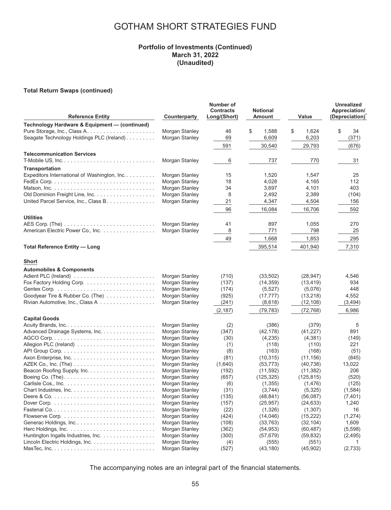### **Portfolio of Investments (Continued) March 31, 2022 (Unaudited)**

#### **Total Return Swaps (continued)**

| <b>Reference Entity</b>                                                              | Counterparty                     | Number of<br><b>Contracts</b><br>Long/(Short) | <b>Notional</b><br>Amount | Value                | <b>Unrealized</b><br>Appreciation/<br>(Depreciation) |
|--------------------------------------------------------------------------------------|----------------------------------|-----------------------------------------------|---------------------------|----------------------|------------------------------------------------------|
| Technology Hardware & Equipment - (continued)                                        |                                  |                                               |                           |                      |                                                      |
|                                                                                      | Morgan Stanley                   | 46                                            | \$<br>1,588               | \$<br>1,624          | \$<br>34                                             |
| Seagate Technology Holdings PLC (Ireland)                                            | Morgan Stanley                   | 69                                            | 6,609                     | 6,203                | (371)                                                |
|                                                                                      |                                  | 591                                           | 30,540                    | 29,793               | (676)                                                |
| <b>Telecommunication Services</b>                                                    |                                  |                                               |                           |                      |                                                      |
|                                                                                      | Morgan Stanley                   | 6                                             | 737                       | 770                  | 31                                                   |
|                                                                                      |                                  |                                               |                           |                      |                                                      |
| <b>Transportation</b><br>Expeditors International of Washington, Inc.                | Morgan Stanley                   | 15                                            | 1,520                     | 1,547                | 25                                                   |
|                                                                                      | Morgan Stanley                   | 18                                            | 4,028                     | 4,165                | 112                                                  |
| Matson, Inc. $\ldots \ldots \ldots \ldots \ldots \ldots \ldots \ldots \ldots \ldots$ | Morgan Stanley                   | 34                                            | 3,697                     | 4,101                | 403                                                  |
|                                                                                      | Morgan Stanley                   | 8                                             | 2,492                     | 2,389                | (104)                                                |
| United Parcel Service, Inc., Class B.                                                | Morgan Stanley                   | 21                                            | 4,347                     | 4,504                | 156                                                  |
|                                                                                      |                                  |                                               |                           |                      | 592                                                  |
|                                                                                      |                                  | 96                                            | 16,084                    | 16,706               |                                                      |
| <b>Utilities</b>                                                                     |                                  |                                               |                           |                      |                                                      |
|                                                                                      | Morgan Stanley                   | 41                                            | 897                       | 1,055                | 270                                                  |
| American Electric Power Co., Inc.                                                    | Morgan Stanley                   | 8                                             | 771                       | 798                  | 25                                                   |
|                                                                                      |                                  | 49                                            | 1,668                     | 1,853                | 295                                                  |
| <b>Total Reference Entity - Long</b>                                                 |                                  |                                               | 395,514                   | 401,940              | 7,310                                                |
| <b>Short</b>                                                                         |                                  |                                               |                           |                      |                                                      |
| <b>Automobiles &amp; Components</b>                                                  |                                  |                                               |                           |                      |                                                      |
| Adient PLC (Ireland)                                                                 | Morgan Stanley                   | (710)                                         | (33,502)                  | (28, 947)            | 4,546                                                |
|                                                                                      | Morgan Stanley                   | (137)                                         | (14, 359)                 | (13, 419)            | 934                                                  |
|                                                                                      | Morgan Stanley                   | (174)                                         | (5, 527)                  | (5,076)              | 448                                                  |
| Goodyear Tire & Rubber Co. (The)                                                     | Morgan Stanley                   | (925)                                         | (17, 777)                 | (13,218)             | 4,552                                                |
| Rivian Automotive, Inc., Class A                                                     | Morgan Stanley                   | (241)                                         | (8,618)                   | (12, 108)            | (3, 494)                                             |
|                                                                                      |                                  | (2, 187)                                      | (79, 783)                 | (72, 768)            | 6,986                                                |
| <b>Capital Goods</b>                                                                 |                                  |                                               |                           |                      |                                                      |
|                                                                                      | Morgan Stanley                   | (2)                                           | (386)                     | (379)                | 5                                                    |
| Advanced Drainage Systems, Inc.                                                      | Morgan Stanley                   | (347)                                         | (42, 178)                 | (41, 227)            | 891                                                  |
|                                                                                      | Morgan Stanley                   | (30)                                          | (4,235)                   | (4,381)              | (149)                                                |
|                                                                                      | Morgan Stanley                   | (1)                                           | (118)                     | (110)                | 221                                                  |
|                                                                                      | Morgan Stanley                   | (8)                                           | (163)                     | (168)                | (51)                                                 |
|                                                                                      | Morgan Stanley                   | (81)                                          | (10, 315)                 | (11, 156)            | (845)                                                |
|                                                                                      | Morgan Stanley                   | (1,640)                                       | (53, 773)                 | (40, 738)            | 13,022                                               |
|                                                                                      | Morgan Stanley                   | (192)                                         | (11, 592)                 | (11, 382)            | 206                                                  |
| Boeing Co. (The)                                                                     | Morgan Stanley                   | (657)                                         | (125, 325)                | (125, 815)           | (520)                                                |
|                                                                                      | Morgan Stanley<br>Morgan Stanley | (6)                                           | (1,355)                   | (1, 476)             | (125)<br>(1,584)                                     |
|                                                                                      |                                  | (31)                                          | (3,744)<br>(48, 841)      | (5, 325)<br>(56,087) | (7, 401)                                             |
| Dover Corp. $\ldots \ldots \ldots \ldots \ldots \ldots \ldots \ldots \ldots \ldots$  | Morgan Stanley<br>Morgan Stanley | (135)                                         | (25, 957)                 | (24, 633)            | 1,240                                                |
|                                                                                      | Morgan Stanley                   | (157)<br>(22)                                 | (1, 326)                  | (1, 307)             | 16                                                   |
|                                                                                      | Morgan Stanley                   |                                               | (14, 046)                 | (15, 222)            | (1,274)                                              |
| Generac Holdings, Inc                                                                | Morgan Stanley                   | (424)<br>(108)                                | (33, 763)                 | (32, 104)            | 1,609                                                |
|                                                                                      | Morgan Stanley                   | (362)                                         | (54, 953)                 | (60, 487)            | (5,598)                                              |
| Huntington Ingalls Industries, Inc.                                                  | Morgan Stanley                   | (300)                                         | (57, 679)                 | (59, 832)            | (2, 495)                                             |
|                                                                                      | Morgan Stanley                   | (4)                                           | (555)                     | (551)                | 1                                                    |
|                                                                                      | Morgan Stanley                   | (527)                                         | (43, 180)                 | (45,902)             | (2,733)                                              |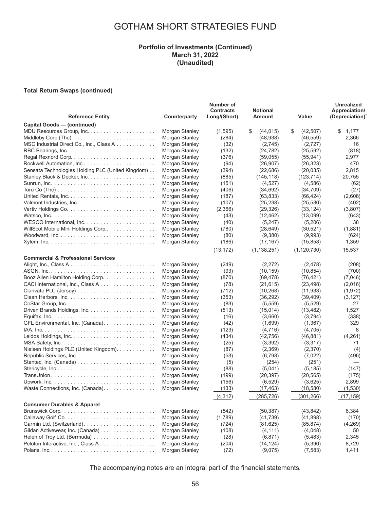#### **Portfolio of Investments (Continued) March 31, 2022 (Unaudited)**

#### **Total Return Swaps (continued)**

| <b>Reference Entity</b>                                                               | Counterparty   | Number of<br><b>Contracts</b><br>Long/(Short) | <b>Notional</b><br>Amount | Value           | <b>Unrealized</b><br>Appreciation/<br>(Depreciation) |
|---------------------------------------------------------------------------------------|----------------|-----------------------------------------------|---------------------------|-----------------|------------------------------------------------------|
| Capital Goods - (continued)                                                           |                |                                               |                           |                 |                                                      |
|                                                                                       | Morgan Stanley | (1, 595)                                      | S<br>(44, 015)            | \$<br>(42, 507) | \$<br>1,177                                          |
|                                                                                       | Morgan Stanley | (284)                                         | (48, 938)                 | (46, 559)       | 2,366                                                |
| MSC Industrial Direct Co., Inc., Class A                                              | Morgan Stanley | (32)                                          | (2,745)                   | (2,727)         | 16                                                   |
|                                                                                       | Morgan Stanley | (132)                                         | (24, 782)                 | (25, 592)       | (818)                                                |
|                                                                                       | Morgan Stanley | (376)                                         | (59,055)                  | (55, 941)       | 2,977                                                |
| Rockwell Automation, Inc                                                              | Morgan Stanley | (94)                                          | (26, 907)                 | (26, 323)       | 470                                                  |
| Sensata Technologies Holding PLC (United Kingdom)                                     | Morgan Stanley | (394)                                         | (22, 686)                 | (20, 035)       | 2,815                                                |
|                                                                                       | Morgan Stanley | (885)                                         | (145, 118)                | (123, 714)      | 20.755                                               |
|                                                                                       | Morgan Stanley | (151)                                         | (4,527)                   | (4,586)         | (62)                                                 |
| Toro Co (The) $\ldots \ldots \ldots \ldots \ldots \ldots \ldots \ldots \ldots \ldots$ | Morgan Stanley | (406)                                         | (34, 692)                 | (34, 709)       | (27)                                                 |
|                                                                                       | Morgan Stanley | (187)                                         | (63, 833)                 | (66, 424)       | (2,608)                                              |
|                                                                                       | Morgan Stanley | (107)                                         | (25, 238)                 | (25, 530)       | (402)                                                |
|                                                                                       | Morgan Stanley | (2,366)                                       | (29, 326)                 | (33, 124)       | (3,807)                                              |
|                                                                                       | Morgan Stanley | (43)                                          | (12, 462)                 | (13,099)        | (643)                                                |
|                                                                                       | Morgan Stanley | (40)                                          | (5,247)                   | (5,206)         | 38                                                   |
| WillScot Mobile Mini Holdings Corp                                                    | Morgan Stanley | (780)                                         | (28, 649)                 | (30, 521)       | (1,881)                                              |
|                                                                                       | Morgan Stanley | (80)                                          | (9,380)                   | (9,993)         | (624)                                                |
|                                                                                       | Morgan Stanley |                                               | (17, 167)                 | (15,858)        | 1,359                                                |
|                                                                                       |                | (186)                                         |                           |                 |                                                      |
|                                                                                       |                | (13, 172)                                     | (1, 138, 251)             | (1, 120, 730)   | 15,537                                               |
| <b>Commercial &amp; Professional Services</b>                                         |                |                                               |                           |                 |                                                      |
| Alight, Inc., Class A                                                                 | Morgan Stanley | (249)                                         | (2,272)                   | (2, 478)        | (208)                                                |
|                                                                                       | Morgan Stanley | (93)                                          | (10, 159)                 | (10, 854)       | (700)                                                |
| Booz Allen Hamilton Holding Corp.                                                     | Morgan Stanley | (870)                                         | (69, 478)                 | (76, 421)       | (7,046)                                              |
| CACI International, Inc., Class A.                                                    | Morgan Stanley | (78)                                          | (21, 615)                 | (23, 498)       | (2,016)                                              |
|                                                                                       | Morgan Stanley | (712)                                         | (10, 268)                 | (11, 933)       | (1,972)                                              |
|                                                                                       | Morgan Stanley | (353)                                         | (36, 292)                 | (39, 409)       | (3, 127)                                             |
|                                                                                       | Morgan Stanley | (83)                                          | (5, 559)                  | (5,529)         | 27                                                   |
|                                                                                       | Morgan Stanley | (513)                                         | (15, 014)                 | (13, 482)       | 1,527                                                |
|                                                                                       | Morgan Stanley | (16)                                          | (3,660)                   | (3,794)         | (338)                                                |
| GFL Environmental, Inc. (Canada).                                                     | Morgan Stanley | (42)                                          | (1,699)                   | (1, 367)        | 329                                                  |
|                                                                                       | Morgan Stanley | (123)                                         | (4,716)                   | (4,705)         | 8                                                    |
|                                                                                       | Morgan Stanley | (434)                                         | (42, 756)                 | (46, 881)       | (4,261)                                              |
|                                                                                       | Morgan Stanley | (25)                                          | (3, 392)                  | (3,317)         | 71                                                   |
| Nielsen Holdings PLC (United Kingdom).                                                | Morgan Stanley | (87)                                          | (2,369)                   | (2,370)         | (4)                                                  |
| Republic Services, Inc                                                                | Morgan Stanley | (53)                                          | (6, 793)                  | (7,022)         | (496)                                                |
|                                                                                       | Morgan Stanley | (5)                                           | (254)                     | (251)           |                                                      |
|                                                                                       | Morgan Stanley | (88)                                          | (5,041)                   | (5, 185)        | (147)                                                |
|                                                                                       | Morgan Stanley | (199)                                         | (20, 397)                 | (20, 565)       | (175)                                                |
|                                                                                       | Morgan Stanley | (156)                                         | (6, 529)                  | (3,625)         | 2,899                                                |
| Waste Connections, Inc. (Canada).                                                     | Morgan Stanley | (133)                                         | (17, 463)                 | (18,580)        | (1,530)                                              |
|                                                                                       |                | (4, 312)                                      | (285, 726)                | (301, 266)      | (17, 159)                                            |
| <b>Consumer Durables &amp; Apparel</b>                                                |                |                                               |                           |                 |                                                      |
|                                                                                       | Morgan Stanley | (542)                                         | (50, 387)                 | (43, 842)       | 6,384                                                |
|                                                                                       | Morgan Stanley | (1,789)                                       | (41, 739)                 | (41, 898)       | (170)                                                |
|                                                                                       | Morgan Stanley | (724)                                         | (81, 625)                 | (85, 874)       | (4,269)                                              |
| Gildan Activewear, Inc. (Canada).                                                     | Morgan Stanley | (108)                                         | (4, 111)                  | (4,048)         | 50                                                   |
|                                                                                       | Morgan Stanley | (28)                                          | (6, 871)                  | (5, 483)        | 2,345                                                |
| Peloton Interactive, Inc., Class A                                                    | Morgan Stanley | (204)                                         | (14, 124)                 | (5,390)         | 8,729                                                |
|                                                                                       | Morgan Stanley | (72)                                          | (9,075)                   | (7, 583)        | 1,411                                                |
|                                                                                       |                |                                               |                           |                 |                                                      |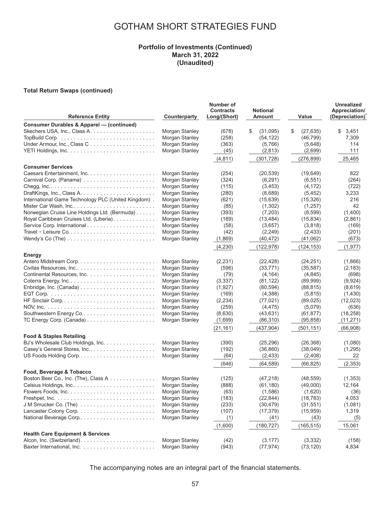#### **Portfolio of Investments (Continued) March 31, 2022 (Unaudited)**

#### **Total Return Swaps (continued)**

| <b>Reference Entity</b>                                                           | Counterparty   | Number of<br><b>Contracts</b><br>Long/(Short) | <b>Notional</b><br>Amount | Value           | <b>Unrealized</b><br>Appreciation/<br>(Depreciation) |
|-----------------------------------------------------------------------------------|----------------|-----------------------------------------------|---------------------------|-----------------|------------------------------------------------------|
| <b>Consumer Durables &amp; Apparel - (continued)</b>                              |                |                                               |                           |                 |                                                      |
|                                                                                   | Morgan Stanley | (678)                                         | \$<br>(31,095)            | \$<br>(27, 635) | \$<br>3,451                                          |
|                                                                                   | Morgan Stanley | (258)                                         | (54, 122)                 | (46, 799)       | 7,309                                                |
| Under Armour, Inc., Class C                                                       | Morgan Stanley | (363)                                         | (5,766)                   | (5,648)         | 114                                                  |
|                                                                                   | Morgan Stanley | (45)                                          | (2, 813)                  | (2,699)         | 111                                                  |
|                                                                                   |                | (4, 811)                                      | (301, 728)                | (276, 899)      | 25,465                                               |
| <b>Consumer Services</b>                                                          |                |                                               |                           |                 |                                                      |
|                                                                                   | Morgan Stanley | (254)                                         | (20, 539)                 | (19,649)        | 822                                                  |
|                                                                                   | Morgan Stanley | (324)                                         | (6,291)                   | (6, 551)        | (264)                                                |
|                                                                                   | Morgan Stanley | (115)                                         | (3, 453)                  | (4, 172)        | (722)                                                |
|                                                                                   | Morgan Stanley | (280)                                         | (8,689)                   | (5, 452)        | 3,233                                                |
| International Game Technology PLC (United Kingdom).                               | Morgan Stanley | (621)                                         | (15, 639)                 | (15, 326)       | 216                                                  |
|                                                                                   | Morgan Stanley | (85)                                          | (1,302)                   | (1,257)         | 42                                                   |
| Norwegian Cruise Line Holdings Ltd. (Bermuda)                                     | Morgan Stanley | (393)                                         | (7, 203)                  | (8,599)         | (1,400)                                              |
| Royal Caribbean Cruises Ltd. (Liberia).                                           | Morgan Stanley | (189)                                         | (13, 484)                 | (15, 834)       | (2,861)                                              |
|                                                                                   | Morgan Stanley | (58)                                          | (3,657)                   | (3,818)         | (169)                                                |
|                                                                                   | Morgan Stanley | (42)                                          | (2, 249)                  | (2, 433)        | (201)                                                |
| Wendy's Co (The) $\ldots \ldots \ldots \ldots \ldots \ldots \ldots \ldots$        | Morgan Stanley | (1,869)                                       | (40, 472)                 | (41,062)        | (673)                                                |
|                                                                                   |                | (4,230)                                       | (122, 978)                | (124, 153)      | (1, 977)                                             |
| <b>Energy</b>                                                                     |                |                                               |                           |                 |                                                      |
|                                                                                   | Morgan Stanley | (2, 231)                                      | (22, 428)                 | (24, 251)       | (1,866)                                              |
|                                                                                   | Morgan Stanley | (596)                                         | (33, 771)                 | (35, 587)       | (2, 183)                                             |
|                                                                                   | Morgan Stanley | (79)                                          | (4, 164)                  | (4,845)         | (698)                                                |
|                                                                                   | Morgan Stanley | (3, 337)                                      | (81, 122)                 | (89,999)        | (9,924)                                              |
| Enbridge, Inc. (Canada) $\ldots \ldots \ldots \ldots \ldots \ldots \ldots \ldots$ | Morgan Stanley | (1,927)                                       | (80, 594)                 | (88, 815)       | (8,619)                                              |
|                                                                                   | Morgan Stanley | (169)                                         | (4,388)                   | (5,815)         | (1,430)                                              |
|                                                                                   | Morgan Stanley | (2, 234)                                      | (77, 021)                 | (89, 025)       | (12,023)                                             |
|                                                                                   | Morgan Stanley | (259)                                         | (4, 475)                  | (5,079)         | (636)                                                |
|                                                                                   | Morgan Stanley | (8,630)                                       | (43, 631)                 | (61, 877)       | (18, 258)                                            |
|                                                                                   | Morgan Stanley | (1,699)                                       | (86, 310)                 | (95, 858)       | (11, 271)                                            |
|                                                                                   |                | (21, 161)                                     | (437, 904)                | (501, 151)      | (66,908)                                             |
| <b>Food &amp; Staples Retailing</b>                                               |                |                                               |                           |                 |                                                      |
| BJ's Wholesale Club Holdings, Inc.                                                | Morgan Stanley | (390)                                         | (25, 296)                 | (26, 368)       | (1,080)                                              |
| Casey's General Stores, Inc                                                       | Morgan Stanley | (192)                                         | (36, 860)                 | (38,049)        | (1,295)                                              |
| US Foods Holding Corp                                                             | Morgan Stanley | (64)                                          | (2, 433)                  | (2,408)         | 22                                                   |
|                                                                                   |                | (646)                                         | (64, 589)                 | (66, 825)       | (2, 353)                                             |
| Food, Beverage & Tobacco                                                          |                |                                               |                           |                 |                                                      |
| Boston Beer Co., Inc. (The), Class A                                              | Morgan Stanley | (125)                                         | (47, 218)                 | (48, 559)       | (1,353)                                              |
| Celsius Holdings, Inc                                                             | Morgan Stanley | (888)                                         | (61, 180)                 | (49,000)        | 12,164                                               |
|                                                                                   | Morgan Stanley | (63)                                          | (1,586)                   | (1,620)         | (36)                                                 |
|                                                                                   | Morgan Stanley | (183)                                         | (22, 844)                 | (18, 783)       | 4,053                                                |
|                                                                                   | Morgan Stanley | (233)                                         | (30, 479)                 | (31, 551)       | (1,081)                                              |
|                                                                                   | Morgan Stanley | (107)                                         | (17, 379)                 | (15, 959)       | 1,319                                                |
|                                                                                   | Morgan Stanley | (1)                                           | (41)                      | (43)            | (5)                                                  |
|                                                                                   |                | (1,600)                                       | (180, 727)                | (165, 515)      | 15,061                                               |
| <b>Health Care Equipment &amp; Services</b>                                       |                |                                               |                           |                 |                                                      |
|                                                                                   | Morgan Stanley | (42)                                          | (3, 177)                  | (3,332)         | (158)                                                |
|                                                                                   | Morgan Stanley | (943)                                         | (77, 974)                 | (73, 120)       | 4,834                                                |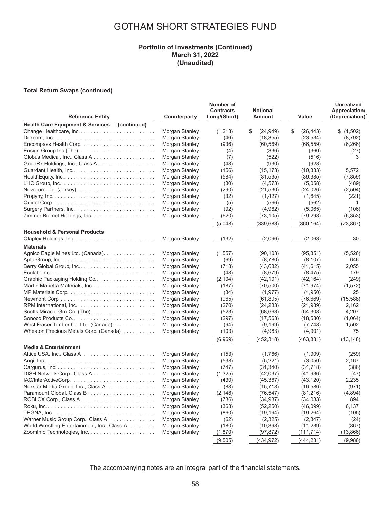#### **Portfolio of Investments (Continued) March 31, 2022 (Unaudited)**

#### **Total Return Swaps (continued)**

| <b>Reference Entity</b>                                                              | Counterparty   | Number of<br><b>Contracts</b><br>Long/(Short) | <b>Notional</b><br>Amount | Value           | <b>Unrealized</b><br>Appreciation/<br>(Depreciation) |
|--------------------------------------------------------------------------------------|----------------|-----------------------------------------------|---------------------------|-----------------|------------------------------------------------------|
| Health Care Equipment & Services - (continued)                                       |                |                                               |                           |                 |                                                      |
| Change Healthcare, Inc                                                               | Morgan Stanley | (1,213)                                       | \$<br>(24, 949)           | \$<br>(26, 443) | \$(1,502)                                            |
| Dexcom, $inc. \ldots \ldots \ldots \ldots \ldots \ldots \ldots \ldots \ldots \ldots$ | Morgan Stanley | (46)                                          | (18, 355)                 | (23, 534)       | (8,792)                                              |
|                                                                                      | Morgan Stanley | (936)                                         | (60, 569)                 | (66, 559)       | (6, 266)                                             |
| Ensign Group Inc (The) $\ldots \ldots \ldots \ldots \ldots \ldots \ldots$            | Morgan Stanley | (4)                                           | (336)                     | (360)           | (27)                                                 |
|                                                                                      | Morgan Stanley | (7)                                           | (522)                     | (516)           | 3                                                    |
| GoodRx Holdings, Inc., Class A.                                                      | Morgan Stanley | (48)                                          | (930)                     | (928)           |                                                      |
|                                                                                      | Morgan Stanley | (156)                                         | (15, 173)                 | (10, 333)       | 5,572                                                |
| HealthEquity, Inc                                                                    | Morgan Stanley | (584)                                         | (31, 535)                 | (39, 385)       | (7, 859)                                             |
| LHC Group, Inc. $\ldots \ldots \ldots \ldots \ldots \ldots \ldots \ldots \ldots$     | Morgan Stanley | (30)                                          | (4, 573)                  | (5,058)         | (489)                                                |
|                                                                                      | Morgan Stanley | (290)                                         | (21, 530)                 | (24, 026)       | (2,504)                                              |
|                                                                                      | Morgan Stanley | (32)                                          | (1, 427)                  | (1,645)         | (221)                                                |
|                                                                                      | Morgan Stanley | (5)                                           | (566)                     | (562)           | 1                                                    |
|                                                                                      | Morgan Stanley | (92)                                          | (4,962)                   | (5,065)         | (106)                                                |
|                                                                                      | Morgan Stanley | (620)                                         | (73, 105)                 | (79, 298)       | (6,353)                                              |
|                                                                                      |                | (5,048)                                       | (339, 683)                | (360, 164)      | (23, 867)                                            |
|                                                                                      |                |                                               |                           |                 |                                                      |
| <b>Household &amp; Personal Products</b>                                             |                |                                               |                           |                 |                                                      |
|                                                                                      | Morgan Stanley | (132)                                         | (2,096)                   | (2,063)         | 30                                                   |
| <b>Materials</b>                                                                     |                |                                               |                           |                 |                                                      |
| Agnico Eagle Mines Ltd. (Canada).                                                    | Morgan Stanley | (1, 557)                                      | (90, 103)                 | (95, 351)       | (5,526)                                              |
|                                                                                      | Morgan Stanley | (69)                                          | (8,780)                   | (8, 107)        | 646                                                  |
| Berry Global Group, Inc                                                              | Morgan Stanley | (718)                                         | (43,682)                  | (41, 615)       | 2,055                                                |
|                                                                                      | Morgan Stanley | (48)                                          | (8,679)                   | (8, 475)        | 179                                                  |
|                                                                                      | Morgan Stanley | (2, 104)                                      | (42, 101)                 | (42, 164)       | (249)                                                |
|                                                                                      | Morgan Stanley | (187)                                         | (70, 500)                 | (71, 974)       | (1,572)                                              |
|                                                                                      | Morgan Stanley | (34)                                          | (1, 977)                  | (1,950)         | 25                                                   |
|                                                                                      | Morgan Stanley | (965)                                         | (61, 805)                 | (76, 669)       | (15, 588)                                            |
| RPM International, Inc                                                               | Morgan Stanley | (270)                                         | (24, 283)                 | (21,989)        | 2,162                                                |
|                                                                                      | Morgan Stanley | (523)                                         | (68, 663)                 | (64, 308)       | 4,207                                                |
|                                                                                      | Morgan Stanley | (297)                                         | (17, 563)                 | (18,580)        | (1,064)                                              |
| West Fraser Timber Co. Ltd. (Canada)                                                 | Morgan Stanley | (94)                                          | (9, 199)                  | (7,748)         | 1,502                                                |
| Wheaton Precious Metals Corp. (Canada)                                               | Morgan Stanley | (103)                                         | (4,983)                   | (4,901)         | 75                                                   |
|                                                                                      |                | (6,969)                                       | (452, 318)                | (463, 831)      | (13, 148)                                            |
| <b>Media &amp; Entertainment</b>                                                     |                |                                               |                           |                 |                                                      |
|                                                                                      | Morgan Stanley | (153)                                         | (1,766)                   | (1,909)         | (259)                                                |
|                                                                                      | Morgan Stanley | (538)                                         | (5,221)                   | (3,050)         | 2.167                                                |
|                                                                                      | Morgan Stanley | (747)                                         | (31, 340)                 | (31, 718)       | (386)                                                |
|                                                                                      | Morgan Stanley | (1, 325)                                      | (42, 037)                 | (41, 936)       | (47)                                                 |
|                                                                                      | Morgan Stanley | (430)                                         | (45, 367)                 | (43, 120)       | 2,235                                                |
| Nexstar Media Group, Inc., Class A                                                   | Morgan Stanley | (88)                                          | (15, 718)                 | (16, 586)       | (971)                                                |
|                                                                                      | Morgan Stanley | (2, 148)                                      | (76, 547)                 | (81,216)        | (4,894)                                              |
| ROBLOX Corp., Class A.                                                               | Morgan Stanley | (736)                                         | (34, 937)                 | (34,033)        | 894                                                  |
|                                                                                      | Morgan Stanley | (368)                                         | (52, 250)                 | (46,099)        | 6,137                                                |
|                                                                                      | Morgan Stanley | (860)                                         | (19, 194)                 | (19, 264)       | (105)                                                |
| Warner Music Group Corp., Class A                                                    | Morgan Stanley | (62)                                          | (2, 325)                  | (2,347)         | (24)                                                 |
| World Wrestling Entertainment, Inc., Class A                                         | Morgan Stanley | (180)                                         | (10, 398)                 | (11, 239)       | (867)                                                |
|                                                                                      | Morgan Stanley | (1,870)                                       | (97, 872)                 | (111, 714)      | (13,866)                                             |
|                                                                                      |                | (9, 505)                                      | (434, 972)                | (444, 231)      | (9,986)                                              |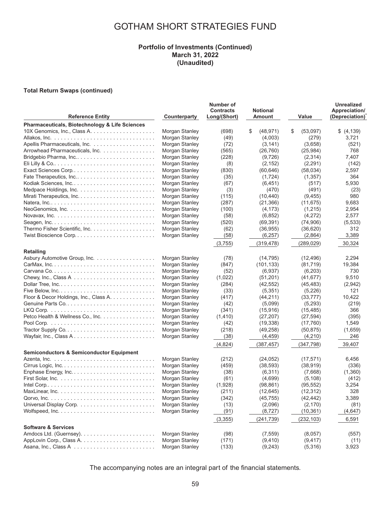#### **Portfolio of Investments (Continued) March 31, 2022 (Unaudited)**

#### **Total Return Swaps (continued)**

| <b>Reference Entity</b>                                                   | Counterparty                     | Number of<br><b>Contracts</b><br>Long/(Short) | <b>Notional</b><br>Amount | Value               | <b>Unrealized</b><br>Appreciation/<br>(Depreciation) |
|---------------------------------------------------------------------------|----------------------------------|-----------------------------------------------|---------------------------|---------------------|------------------------------------------------------|
| Pharmaceuticals, Biotechnology & Life Sciences                            |                                  |                                               |                           |                     |                                                      |
|                                                                           | Morgan Stanley                   | (698)                                         | \$<br>(48, 971)           | \$<br>(53,097)      | \$ (4,139)                                           |
|                                                                           | Morgan Stanley                   | (49)                                          | (4,003)                   | (279)               | 3,721                                                |
|                                                                           | Morgan Stanley                   | (72)                                          | (3, 141)                  | (3,658)             | (521)                                                |
| Arrowhead Pharmaceuticals, Inc.                                           | Morgan Stanley                   | (565)                                         | (26, 760)                 | (25, 984)           | 768                                                  |
| Bridgebio Pharma, Inc                                                     | Morgan Stanley                   | (228)                                         | (9, 726)                  | (2,314)             | 7,407                                                |
|                                                                           | Morgan Stanley                   | (8)                                           | (2, 152)                  | (2,291)             | (142)                                                |
| Exact Sciences Corp                                                       | Morgan Stanley                   | (830)                                         | (60, 646)                 | (58,034)            | 2,597                                                |
| Fate Therapeutics, Inc                                                    | Morgan Stanley                   | (35)                                          | (1,724)                   | (1,357)             | 364                                                  |
| Kodiak Sciences, Inc                                                      | Morgan Stanley                   | (67)                                          | (6, 451)                  | (517)               | 5,930                                                |
|                                                                           | Morgan Stanley                   | (3)                                           | (470)                     | (491)               | (23)                                                 |
|                                                                           | Morgan Stanley                   | (115)                                         | (10, 440)                 | (9, 455)            | 980                                                  |
|                                                                           | Morgan Stanley                   | (287)                                         | (21, 366)                 | (11, 675)           | 9,683                                                |
|                                                                           | Morgan Stanley                   | (100)                                         | (4, 173)                  | (1,215)             | 2,954                                                |
|                                                                           | Morgan Stanley                   | (58)                                          | (6, 852)                  | (4,272)             | 2,577                                                |
|                                                                           | Morgan Stanley                   | (520)                                         | (69, 391)                 | (74,906)            | (5,533)                                              |
|                                                                           | Morgan Stanley                   | (62)                                          | (36, 955)                 | (36,620)            | 312                                                  |
|                                                                           | Morgan Stanley                   | (58)                                          | (6, 257)                  | (2,864)             | 3,389                                                |
|                                                                           |                                  | (3,755)                                       | (319, 478)                | (289, 029)          | 30,324                                               |
| <b>Retailing</b>                                                          |                                  |                                               |                           |                     |                                                      |
| Asbury Automotive Group, Inc.                                             | Morgan Stanley                   | (78)                                          | (14, 795)                 | (12, 496)           | 2,294                                                |
|                                                                           | Morgan Stanley                   | (847)                                         | (101, 133)                | (81, 719)           | 19,384                                               |
|                                                                           | Morgan Stanley                   | (52)                                          | (6,937)                   | (6,203)             | 730                                                  |
|                                                                           | Morgan Stanley                   | (1,022)                                       | (51,201)                  | (41, 677)           | 9,510                                                |
| Dollar Tree, Inc                                                          | Morgan Stanley                   | (284)                                         | (42, 552)                 | (45, 483)           | (2,942)                                              |
|                                                                           | Morgan Stanley                   | (33)                                          | (5,351)                   | (5,226)             | 121                                                  |
| Floor & Decor Holdings, Inc., Class A.                                    | Morgan Stanley                   | (417)                                         | (44, 211)                 | (33, 777)           | 10,422                                               |
|                                                                           | Morgan Stanley                   | (42)                                          | (5,099)                   | (5,293)             | (219)                                                |
|                                                                           | Morgan Stanley                   | (341)                                         | (15, 916)                 | (15, 485)           | 366                                                  |
| Petco Health & Wellness Co., Inc.                                         | Morgan Stanley                   | (1, 410)                                      | (27, 207)                 | (27, 594)           | (395)                                                |
|                                                                           | Morgan Stanley                   | (42)                                          | (19, 338)                 | (17,760)            | 1,549                                                |
|                                                                           | Morgan Stanley                   | (218)                                         | (49, 258)                 | (50, 875)           | (1,659)                                              |
|                                                                           | Morgan Stanley                   | (38)                                          | (4, 459)                  | (4,210)             | 246                                                  |
|                                                                           |                                  | (4,824)                                       | (387, 457)                | (347, 798)          | 39,407                                               |
| <b>Semiconductors &amp; Semiconductor Equipment</b>                       |                                  |                                               |                           |                     |                                                      |
|                                                                           | Morgan Stanley                   | (212)                                         | (24, 052)                 | (17, 571)           | 6,456                                                |
|                                                                           | Morgan Stanley                   | (459)                                         | (38, 593)                 | (38, 919)           | (336)                                                |
|                                                                           | Morgan Stanley                   | (38)                                          | (6, 311)                  | (7,668)             | (1,360)                                              |
|                                                                           | Morgan Stanley                   | (61)                                          | (4,699)                   | (5, 108)            | (412)                                                |
|                                                                           | Morgan Stanley                   | (1,928)                                       | (98, 861)                 | (95, 552)           | 3,254                                                |
|                                                                           | Morgan Stanley                   | (211)                                         | (12, 645)                 | (12, 312)           | 328                                                  |
|                                                                           | Morgan Stanley                   | (342)                                         | (45, 755)                 | (42, 442)           | 3,389                                                |
|                                                                           | Morgan Stanley                   | (13)                                          | (2,096)                   | (2, 170)            | (81)                                                 |
| Wolfspeed, $Inc. \ldots. \ldots. \ldots. \ldots. \ldots. \ldots. \ldots.$ | Morgan Stanley                   | (91)                                          | (8, 727)                  | (10, 361)           | (4,647)                                              |
|                                                                           |                                  | (3, 355)                                      | (241, 739)                | (232, 103)          | 6,591                                                |
| <b>Software &amp; Services</b>                                            |                                  |                                               | (7, 559)                  |                     |                                                      |
|                                                                           | Morgan Stanley<br>Morgan Stanley | (98)<br>(171)                                 | (9, 410)                  | (8,057)<br>(9, 417) | (557)<br>(11)                                        |
|                                                                           | Morgan Stanley                   | (133)                                         | (9, 243)                  | (5,316)             | 3,923                                                |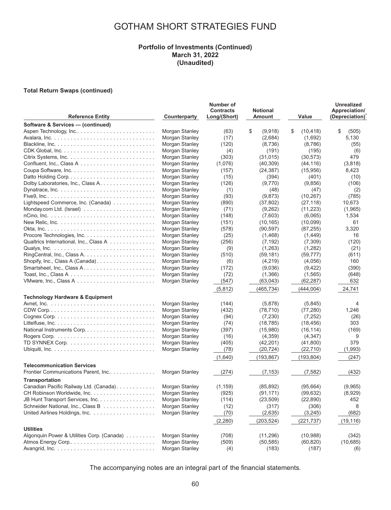#### **Portfolio of Investments (Continued) March 31, 2022 (Unaudited)**

#### **Total Return Swaps (continued)**

| <b>Reference Entity</b>                    | Counterparty   | Number of<br><b>Contracts</b><br>Long/(Short) | <b>Notional</b><br>Amount | Value           | <b>Unrealized</b><br>Appreciation/<br>(Depreciation) |
|--------------------------------------------|----------------|-----------------------------------------------|---------------------------|-----------------|------------------------------------------------------|
| Software & Services - (continued)          |                |                                               |                           |                 |                                                      |
| Aspen Technology, Inc                      | Morgan Stanley | (63)                                          | \$<br>(9,918)             | \$<br>(10, 418) | \$<br>(505)                                          |
|                                            | Morgan Stanley | (17)                                          | (2,684)                   | (1,692)         | 5,130                                                |
|                                            | Morgan Stanley | (120)                                         | (8,736)                   | (8,786)         | (55)                                                 |
|                                            | Morgan Stanley | (4)                                           | (191)                     | (195)           | (6)                                                  |
|                                            | Morgan Stanley | (303)                                         | (31, 015)                 | (30, 573)       | 479                                                  |
|                                            | Morgan Stanley | (1,076)                                       | (40, 309)                 | (44, 116)       | (3,818)                                              |
|                                            | Morgan Stanley | (157)                                         | (24, 387)                 | (15,956)        | 8,423                                                |
|                                            | Morgan Stanley | (15)                                          | (394)                     | (401)           | (10)                                                 |
| Dolby Laboratories, Inc., Class A.         | Morgan Stanley | (126)                                         | (9,770)                   | (9,856)         | (106)                                                |
|                                            | Morgan Stanley | (1)                                           | (48)                      | (47)            | (2)                                                  |
|                                            | Morgan Stanley | (93)                                          | (9,873)                   | (10, 267)       | (785)                                                |
| Lightspeed Commerce, Inc. (Canada)         | Morgan Stanley | (890)                                         | (37, 802)                 | (27, 118)       | 10,673                                               |
|                                            | Morgan Stanley | (71)                                          | (9,262)                   | (11, 223)       | (1,965)                                              |
|                                            | Morgan Stanley | (148)                                         | (7,603)                   | (6,065)         | 1,534                                                |
|                                            | Morgan Stanley | (151)                                         | (10, 165)                 | (10,099)        | 61                                                   |
|                                            | Morgan Stanley | (578)                                         | (90, 597)                 | (87, 255)       | 3,320                                                |
|                                            | Morgan Stanley | (25)                                          | (1,468)                   | (1,449)         | 16                                                   |
| Qualtrics International, Inc., Class A     | Morgan Stanley |                                               | (7, 192)                  | (7,309)         | (120)                                                |
|                                            | Morgan Stanley | (256)<br>(9)                                  | (1,263)                   | (1,282)         | (21)                                                 |
|                                            | Morgan Stanley |                                               |                           |                 |                                                      |
| Shopify, Inc., Class A (Canada)            |                | (510)                                         | (59, 181)                 | (59, 777)       | (611)<br>160                                         |
| Smartsheet, Inc., Class A                  | Morgan Stanley | (6)                                           | (4,219)                   | (4,056)         |                                                      |
|                                            | Morgan Stanley | (172)                                         | (9,036)                   | (9, 422)        | (390)                                                |
|                                            | Morgan Stanley | (72)                                          | (1,366)                   | (1, 565)        | (648)                                                |
|                                            | Morgan Stanley | (547)                                         | (63, 043)                 | (62, 287)       | 632                                                  |
|                                            |                | (5, 812)                                      | (465,734)                 | (444,004)       | 24,741                                               |
| <b>Technology Hardware &amp; Equipment</b> |                |                                               |                           |                 |                                                      |
|                                            | Morgan Stanley | (144)                                         | (5,878)                   | (5,845)         | 4                                                    |
|                                            | Morgan Stanley | (432)                                         | (78, 710)                 | (77, 280)       | 1,246                                                |
|                                            | Morgan Stanley | (94)                                          | (7, 230)                  | (7,252)         | (26)                                                 |
|                                            | Morgan Stanley | (74)                                          | (18, 785)                 | (18, 456)       | 303                                                  |
| National Instruments Corp                  | Morgan Stanley | (397)                                         | (15,980)                  | (16, 114)       | (169)                                                |
|                                            | Morgan Stanley | (16)                                          | (4,359)                   | (4, 347)        | 9                                                    |
|                                            | Morgan Stanley | (405)                                         | (42, 201)                 | (41,800)        | 379                                                  |
|                                            | Morgan Stanley | (78)                                          | (20, 724)                 | (22, 710)       | (1,993)                                              |
|                                            |                | (1,640)                                       | (193, 867)                | (193, 804)      | (247)                                                |
| <b>Telecommunication Services</b>          |                |                                               |                           |                 |                                                      |
| Frontier Communications Parent, Inc        | Morgan Stanley | (274)                                         | (7, 153)                  | (7, 582)        | (432)                                                |
| <b>Transportation</b>                      |                |                                               |                           |                 |                                                      |
| Canadian Pacific Railway Ltd. (Canada).    | Morgan Stanley | (1, 159)                                      | (85, 892)                 | (95,664)        | (9,965)                                              |
| CH Robinson Worldwide, Inc.                | Morgan Stanley | (925)                                         | (91, 171)                 | (99, 632)       | (8,929)                                              |
| JB Hunt Transport Services, Inc.           | Morgan Stanley | (114)                                         | (23, 509)                 | (22, 890)       | 452                                                  |
| Schneider National, Inc., Class B          | Morgan Stanley | (12)                                          | (317)                     | (306)           | 8                                                    |
|                                            | Morgan Stanley | (70)                                          | (2,635)                   | (3,245)         | (682)                                                |
|                                            |                |                                               |                           |                 |                                                      |
|                                            |                | (2,280)                                       | (203, 524)                | (221, 737)      | (19, 116)                                            |
| <b>Utilities</b>                           |                |                                               |                           |                 |                                                      |
| Algonquin Power & Utilities Corp. (Canada) | Morgan Stanley | (708)                                         | (11, 296)                 | (10,988)        | (342)                                                |
|                                            | Morgan Stanley | (509)                                         | (50, 585)                 | (60, 820)       | (10,685)                                             |
|                                            | Morgan Stanley | (4)                                           | (183)                     | (187)           | (6)                                                  |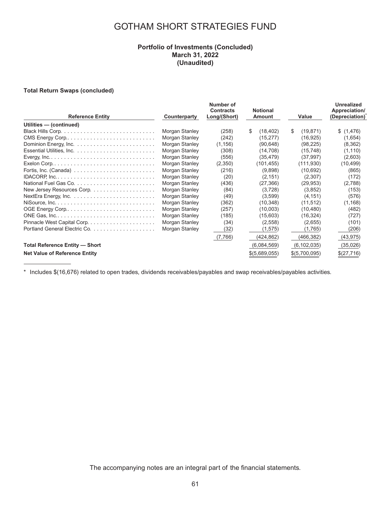### **Portfolio of Investments (Concluded) March 31, 2022 (Unaudited)**

#### **Total Return Swaps (concluded)**

| <b>Reference Entity</b>                                                              | Counterparty   | Number of<br><b>Contracts</b><br>Long/(Short) | <b>Notional</b><br>Amount | Value           | <b>Unrealized</b><br>Appreciation/<br>(Depreciation) <sup>^</sup> |
|--------------------------------------------------------------------------------------|----------------|-----------------------------------------------|---------------------------|-----------------|-------------------------------------------------------------------|
| Utilities - (continued)                                                              |                |                                               |                           |                 |                                                                   |
|                                                                                      | Morgan Stanley | (258)                                         | \$<br>(18, 402)           | \$<br>(19, 871) | \$(1,476)                                                         |
|                                                                                      | Morgan Stanley | (242)                                         | (15, 277)                 | (16, 925)       | (1,654)                                                           |
|                                                                                      | Morgan Stanley | (1, 156)                                      | (90, 648)                 | (98, 225)       | (8,362)                                                           |
|                                                                                      | Morgan Stanley | (308)                                         | (14, 708)                 | (15, 748)       | (1, 110)                                                          |
|                                                                                      | Morgan Stanley | (556)                                         | (35, 479)                 | (37,997)        | (2,603)                                                           |
| Exelon Corp. $\ldots \ldots \ldots \ldots \ldots \ldots \ldots \ldots \ldots \ldots$ | Morgan Stanley | (2,350)                                       | (101,455)                 | (111, 930)      | (10, 499)                                                         |
| Fortis, Inc. (Canada) $\ldots \ldots \ldots \ldots \ldots \ldots \ldots \ldots$      | Morgan Stanley | (216)                                         | (9,898)                   | (10,692)        | (865)                                                             |
|                                                                                      | Morgan Stanley | (20)                                          | (2, 151)                  | (2,307)         | (172)                                                             |
|                                                                                      | Morgan Stanley | (436)                                         | (27, 366)                 | (29, 953)       | (2,788)                                                           |
|                                                                                      | Morgan Stanley | (84)                                          | (3,728)                   | (3,852)         | (153)                                                             |
|                                                                                      | Morgan Stanley | (49)                                          | (3,599)                   | (4, 151)        | (576)                                                             |
|                                                                                      | Morgan Stanley | (362)                                         | (10, 348)                 | (11, 512)       | (1, 168)                                                          |
|                                                                                      | Morgan Stanley | (257)                                         | (10,003)                  | (10, 480)       | (482)                                                             |
|                                                                                      | Morgan Stanley | (185)                                         | (15,603)                  | (16, 324)       | (727)                                                             |
|                                                                                      | Morgan Stanley | (34)                                          | (2, 558)                  | (2,655)         | (101)                                                             |
|                                                                                      | Morgan Stanley | (32)                                          | (1, 575)                  | (1,765)         | (206)                                                             |
|                                                                                      |                | (7,766)                                       | (424,862)                 | (466, 382)      | (43, 975)                                                         |
| <b>Total Reference Entity - Short</b>                                                |                |                                               | (6,084,569)               | (6, 102, 035)   | (35,026)                                                          |
| <b>Net Value of Reference Entity</b>                                                 |                |                                               | \$(5,689,055)             | \$(5,700,095)   | \$(27,716)                                                        |

\* Includes \$(16,676) related to open trades, dividends receivables/payables and swap receivables/payables activities.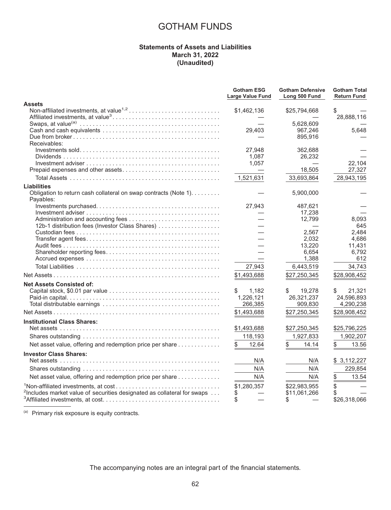### **Statements of Assets and Liabilities March 31, 2022 (Unaudited)**

|                                                                                             | <b>Gotham ESG</b><br>Large Value Fund | <b>Gotham Defensive</b><br>Long 500 Fund | <b>Gotham Total</b><br><b>Return Fund</b> |
|---------------------------------------------------------------------------------------------|---------------------------------------|------------------------------------------|-------------------------------------------|
| <b>Assets</b>                                                                               |                                       |                                          |                                           |
|                                                                                             | \$1,462,136                           | \$25,794,668                             | \$                                        |
|                                                                                             |                                       |                                          | 28,888,116                                |
|                                                                                             | 29,403                                | 5.628.609<br>967,246                     | 5.648                                     |
|                                                                                             |                                       | 895,916                                  |                                           |
| Receivables:                                                                                |                                       |                                          |                                           |
|                                                                                             | 27,948                                | 362,688                                  |                                           |
|                                                                                             | 1,087                                 | 26,232                                   |                                           |
|                                                                                             | 1,057                                 |                                          | 22,104                                    |
|                                                                                             |                                       | 18,505                                   | 27,327                                    |
|                                                                                             | 1,521,631                             | 33,693,864                               | 28,943,195                                |
| Liabilities                                                                                 |                                       |                                          |                                           |
| Obligation to return cash collateral on swap contracts (Note 1).                            |                                       | 5,900,000                                |                                           |
| Payables:                                                                                   |                                       |                                          |                                           |
|                                                                                             | 27,943                                | 487,621<br>17,238                        |                                           |
|                                                                                             |                                       | 12,799                                   | 8,093                                     |
| 12b-1 distribution fees (Investor Class Shares)                                             |                                       |                                          | 645                                       |
|                                                                                             |                                       | 2.567                                    | 2,484                                     |
|                                                                                             |                                       | 2,032                                    | 4,686                                     |
|                                                                                             |                                       | 13,220                                   | 11,431                                    |
|                                                                                             |                                       | 6,654                                    | 6,792                                     |
|                                                                                             |                                       | 1,388                                    | 612                                       |
|                                                                                             | 27,943                                | 6,443,519                                | 34,743                                    |
|                                                                                             | \$1,493,688                           | \$27,250,345                             | \$28,908,452                              |
| <b>Net Assets Consisted of:</b>                                                             |                                       |                                          |                                           |
|                                                                                             | 1,182<br>S.                           | \$<br>19,278                             | 21,321<br>S.                              |
|                                                                                             | 1,226,121                             | 26,321,237                               | 24,596,893                                |
|                                                                                             | 266,385                               | 909,830                                  | 4,290,238                                 |
|                                                                                             | \$1,493,688                           | \$27,250,345                             | \$28,908,452                              |
| <b>Institutional Class Shares:</b>                                                          |                                       |                                          |                                           |
|                                                                                             | \$1,493,688                           | \$27,250,345                             | \$25,796,225                              |
|                                                                                             | 118,193                               | 1,927,833                                | 1,902,207                                 |
| Net asset value, offering and redemption price per share                                    | 12.64                                 | 14.14                                    | 13.56                                     |
| <b>Investor Class Shares:</b>                                                               |                                       |                                          |                                           |
|                                                                                             | N/A                                   | N/A                                      | \$3,112,227                               |
|                                                                                             | N/A                                   | N/A                                      | 229,854                                   |
| Net asset value, offering and redemption price per share                                    | N/A                                   | N/A                                      | \$<br>13.54                               |
|                                                                                             | \$1,280,357                           | \$22,983,955                             |                                           |
| <sup>2</sup> Includes market value of securities designated as collateral for swaps $\dots$ |                                       | \$11,061,266                             |                                           |
|                                                                                             | \$                                    | S                                        | \$26,318,066                              |

 $(a)$  Primary risk exposure is equity contracts.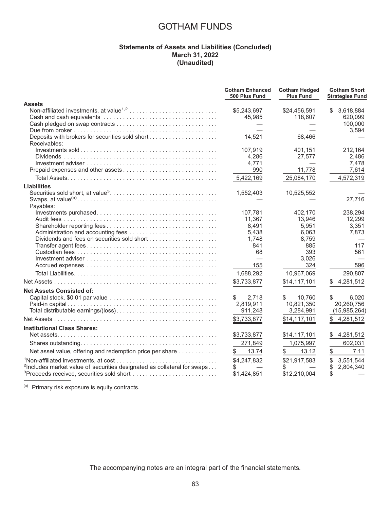### **Statements of Assets and Liabilities (Concluded) March 31, 2022 (Unaudited)**

|                                                                                     | <b>Gotham Enhanced</b><br>500 Plus Fund | <b>Gotham Hedged</b><br><b>Plus Fund</b> | <b>Gotham Short</b><br><b>Strategies Fund</b> |
|-------------------------------------------------------------------------------------|-----------------------------------------|------------------------------------------|-----------------------------------------------|
| <b>Assets</b>                                                                       |                                         |                                          |                                               |
|                                                                                     | \$5,243,697                             | \$24,456,591                             | 3,618,884<br>\$.                              |
|                                                                                     | 45,985                                  | 118,607                                  | 620,099                                       |
|                                                                                     |                                         |                                          | 100,000                                       |
|                                                                                     |                                         |                                          | 3,594                                         |
| Deposits with brokers for securities sold short<br>Receivables:                     | 14,521                                  | 68,466                                   |                                               |
|                                                                                     | 107,919                                 | 401,151                                  | 212,164                                       |
|                                                                                     | 4,286                                   | 27,577                                   | 2.486                                         |
|                                                                                     | 4,771                                   |                                          | 7,478                                         |
| Prepaid expenses and other assets                                                   | 990                                     | 11,778                                   | 7,614                                         |
|                                                                                     | 5,422,169                               | 25,084,170                               | 4,572,319                                     |
| <b>Liabilities</b>                                                                  |                                         |                                          |                                               |
|                                                                                     | 1,552,403                               | 10,525,552                               |                                               |
| Payables:                                                                           |                                         |                                          | 27,716                                        |
|                                                                                     | 107.781                                 | 402.170                                  | 238,294                                       |
|                                                                                     | 11,367                                  | 13,946                                   | 12,299                                        |
|                                                                                     | 8,491                                   | 5,951                                    | 3,351                                         |
|                                                                                     | 5.438                                   | 6.063                                    | 7,873                                         |
|                                                                                     | 1,748                                   | 8,759                                    |                                               |
|                                                                                     | 841                                     | 885                                      | 117                                           |
|                                                                                     | 68                                      | 393                                      | 561                                           |
|                                                                                     |                                         | 3,026                                    |                                               |
|                                                                                     | 155                                     | 324                                      | 596                                           |
|                                                                                     | 1,688,292                               | 10,967,069                               | 290,807                                       |
|                                                                                     | \$3,733,877                             | \$14,117,101                             | 4,281,512<br>\$                               |
| <b>Net Assets Consisted of:</b>                                                     |                                         |                                          |                                               |
|                                                                                     | \$<br>2,718                             | \$<br>10,760                             | \$<br>6,020                                   |
|                                                                                     | 2,819,911                               | 10,821,350                               | 20,260,756                                    |
|                                                                                     | 911,248                                 | 3,284,991                                | (15,985,264)                                  |
|                                                                                     | \$3,733,877                             | \$14,117,101                             | 4,281,512                                     |
| <b>Institutional Class Shares:</b>                                                  |                                         |                                          |                                               |
|                                                                                     | \$3,733,877                             | \$14,117,101                             | 4,281,512<br>\$                               |
|                                                                                     | 271,849                                 | 1,075,997                                | 602,031                                       |
| Net asset value, offering and redemption price per share                            | 13.74<br>\$                             | 13.12                                    | 7.11<br>\$                                    |
|                                                                                     | \$4.247.832                             | \$21,917,583                             | \$<br>3,551,544                               |
| <sup>2</sup> Includes market value of securities designated as collateral for swaps | \$                                      | S                                        | \$<br>2,804,340                               |
| <sup>3</sup> Proceeds received, securities sold short                               | \$1,424,851                             | \$12,210,004                             | \$                                            |
|                                                                                     |                                         |                                          |                                               |

(a) Primary risk exposure is equity contracts.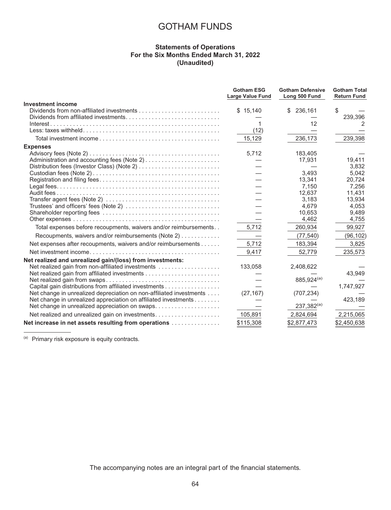#### **Statements of Operations For the Six Months Ended March 31, 2022 (Unaudited)**

|                                                                     | <b>Gotham ESG</b><br><b>Large Value Fund</b> | <b>Gotham Defensive</b><br>Long 500 Fund | <b>Gotham Total</b><br><b>Return Fund</b> |
|---------------------------------------------------------------------|----------------------------------------------|------------------------------------------|-------------------------------------------|
| <b>Investment income</b>                                            |                                              |                                          |                                           |
|                                                                     | \$15,140                                     | \$236,161                                | \$                                        |
|                                                                     |                                              |                                          | 239,396                                   |
|                                                                     |                                              | 12                                       | 2                                         |
|                                                                     | (12)                                         |                                          |                                           |
|                                                                     | 15,129                                       | 236,173                                  | 239,398                                   |
| <b>Expenses</b>                                                     |                                              |                                          |                                           |
|                                                                     | 5,712                                        | 183,405                                  |                                           |
|                                                                     |                                              | 17,931                                   | 19,411                                    |
|                                                                     |                                              |                                          | 3,832                                     |
|                                                                     |                                              | 3,493                                    | 5,042                                     |
|                                                                     |                                              | 13,341                                   | 20,724                                    |
|                                                                     |                                              | 7,150                                    | 7,256                                     |
|                                                                     |                                              | 12.637                                   | 11,431                                    |
|                                                                     |                                              | 3.183<br>4.679                           | 13.934<br>4.053                           |
|                                                                     |                                              | 10.653                                   | 9,489                                     |
|                                                                     |                                              | 4,462                                    | 4,755                                     |
| Total expenses before recoupments, waivers and/or reimbursements    | 5,712                                        | 260,934                                  | 99,927                                    |
|                                                                     |                                              |                                          |                                           |
| Recoupments, waivers and/or reimbursements (Note 2)                 |                                              | (77, 540)                                | (96, 102)                                 |
| Net expenses after recoupments, waivers and/or reimbursements       | 5,712                                        | 183,394                                  | 3,825                                     |
|                                                                     | 9,417                                        | 52,779                                   | 235,573                                   |
| Net realized and unrealized gain/(loss) from investments:           |                                              |                                          |                                           |
| Net realized gain from non-affiliated investments                   | 133,058                                      | 2,408,622                                |                                           |
|                                                                     |                                              |                                          | 43,949                                    |
|                                                                     |                                              | 885,924(a)                               |                                           |
| Capital gain distributions from affiliated investments              |                                              |                                          | 1,747,927                                 |
| Net change in unrealized depreciation on non-affiliated investments | (27, 167)                                    | (707, 234)                               |                                           |
| Net change in unrealized appreciation on affiliated investments     |                                              |                                          | 423,189                                   |
| Net change in unrealized appreciation on swaps                      |                                              | $237,382^{(a)}$                          |                                           |
|                                                                     | 105,891                                      | 2,824,694                                | 2,215,065                                 |
| Net increase in net assets resulting from operations                | \$115,308                                    | \$2,877,473                              | \$2,450,638                               |

(a) Primary risk exposure is equity contracts.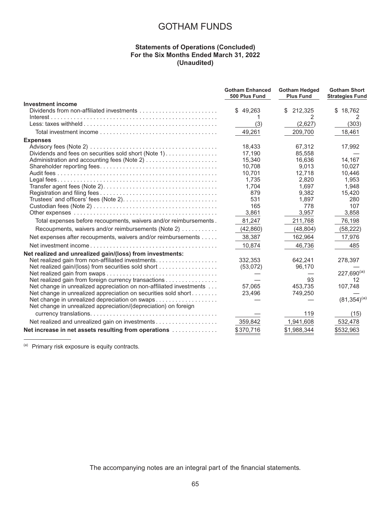### **Statements of Operations (Concluded) For the Six Months Ended March 31, 2022 (Unaudited)**

|                                                                     | <b>Gotham Enhanced</b><br>500 Plus Fund | <b>Gotham Hedged</b><br><b>Plus Fund</b> | <b>Gotham Short</b><br><b>Strategies Fund</b> |
|---------------------------------------------------------------------|-----------------------------------------|------------------------------------------|-----------------------------------------------|
| <b>Investment income</b>                                            |                                         |                                          |                                               |
|                                                                     | \$49,263                                | 212,325<br>\$                            | \$18,762                                      |
|                                                                     |                                         | 2                                        |                                               |
|                                                                     | (3)                                     | (2,627)                                  | (303)                                         |
|                                                                     | 49,261                                  | 209,700                                  | 18,461                                        |
| <b>Expenses</b>                                                     |                                         |                                          |                                               |
|                                                                     | 18,433                                  | 67,312                                   | 17,992                                        |
| Dividends and fees on securities sold short (Note 1)                | 17,190                                  | 85,558                                   |                                               |
|                                                                     | 15,340                                  | 16,636                                   | 14,167                                        |
|                                                                     | 10,708                                  | 9,013                                    | 10,027                                        |
|                                                                     | 10,701                                  | 12,718                                   | 10,446                                        |
|                                                                     | 1,735                                   | 2,820                                    | 1,953                                         |
|                                                                     | 1,704                                   | 1,697                                    | 1,948                                         |
|                                                                     | 879                                     | 9,382                                    | 15,420                                        |
| Trustees' and officers' fees (Note 2)                               | 531                                     | 1,897                                    | 280                                           |
|                                                                     | 165                                     | 778                                      | 107                                           |
|                                                                     | 3,861                                   | 3,957                                    | 3,858                                         |
| Total expenses before recoupments, waivers and/or reimbursements.   | 81,247                                  | 211,768                                  | 76,198                                        |
| Recoupments, waivers and/or reimbursements (Note 2)                 | (42, 860)                               | (48, 804)                                | (58, 222)                                     |
| Net expenses after recoupments, waivers and/or reimbursements       | 38,387                                  | 162,964                                  | 17,976                                        |
|                                                                     | 10,874                                  | 46,736                                   | 485                                           |
| Net realized and unrealized gain/(loss) from investments:           |                                         |                                          |                                               |
| Net realized gain from non-affiliated investments.                  | 332,353                                 | 642,241                                  | 278,397                                       |
| Net realized gain/(loss) from securities sold short                 | (53,072)                                | 96,170                                   |                                               |
|                                                                     |                                         |                                          | $227,690^{(a)}$                               |
| Net realized gain from foreign currency transactions                |                                         | 93                                       | 12                                            |
| Net change in unrealized appreciation on non-affiliated investments | 57,065                                  | 453,735                                  | 107,748                                       |
| Net change in unrealized appreciation on securities sold short      | 23,496                                  | 749,250                                  |                                               |
| Net change in unrealized depreciation on swaps                      |                                         |                                          | $(81,354)^{(a)}$                              |
| Net change in unrealized appreciation/(depreciation) on foreign     |                                         |                                          |                                               |
|                                                                     |                                         | 119                                      | (15)                                          |
| Net realized and unrealized gain on investments                     | 359,842                                 | 1,941,608                                | 532,478                                       |
| Net increase in net assets resulting from operations                | \$370,716                               | \$1,988,344                              | \$532,963                                     |

(a) Primary risk exposure is equity contracts.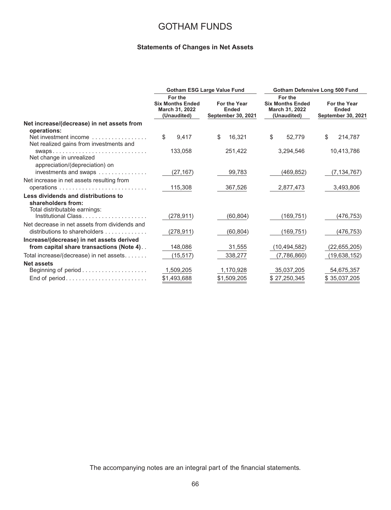### **Statements of Changes in Net Assets**

|                                                                  | <b>Gotham ESG Large Value Fund</b> |                                                                     |                                                           | Gotham Defensive Long 500 Fund |                                                                     |                |    |                |  |                                                           |
|------------------------------------------------------------------|------------------------------------|---------------------------------------------------------------------|-----------------------------------------------------------|--------------------------------|---------------------------------------------------------------------|----------------|----|----------------|--|-----------------------------------------------------------|
|                                                                  |                                    | For the<br><b>Six Months Ended</b><br>March 31, 2022<br>(Unaudited) | For the Year<br><b>Ended</b><br><b>September 30, 2021</b> |                                | For the<br><b>Six Months Ended</b><br>March 31, 2022<br>(Unaudited) |                |    |                |  | For the Year<br><b>Ended</b><br><b>September 30, 2021</b> |
| Net increase/(decrease) in net assets from                       |                                    |                                                                     |                                                           |                                |                                                                     |                |    |                |  |                                                           |
| operations:                                                      |                                    |                                                                     |                                                           |                                |                                                                     |                |    |                |  |                                                           |
| Net investment income<br>Net realized gains from investments and | \$                                 | 9,417                                                               | \$                                                        | 16,321                         | \$                                                                  | 52,779         | \$ | 214,787        |  |                                                           |
| SWAPS                                                            |                                    | 133,058                                                             |                                                           | 251,422                        |                                                                     | 3,294,546      |    | 10,413,786     |  |                                                           |
| Net change in unrealized                                         |                                    |                                                                     |                                                           |                                |                                                                     |                |    |                |  |                                                           |
| appreciation/(depreciation) on                                   |                                    |                                                                     |                                                           |                                |                                                                     |                |    |                |  |                                                           |
| investments and swaps                                            |                                    | (27,167)                                                            |                                                           | 99,783                         |                                                                     | (469, 852)     |    | (7, 134, 767)  |  |                                                           |
| Net increase in net assets resulting from                        |                                    |                                                                     |                                                           |                                |                                                                     |                |    |                |  |                                                           |
|                                                                  |                                    | 115,308                                                             |                                                           | 367,526                        |                                                                     | 2,877,473      |    | 3,493,806      |  |                                                           |
| Less dividends and distributions to                              |                                    |                                                                     |                                                           |                                |                                                                     |                |    |                |  |                                                           |
| shareholders from:<br>Total distributable earnings:              |                                    |                                                                     |                                                           |                                |                                                                     |                |    |                |  |                                                           |
| Institutional Class                                              |                                    | (278, 911)                                                          |                                                           | (60, 804)                      |                                                                     | (169, 751)     |    | (476,753)      |  |                                                           |
| Net decrease in net assets from dividends and                    |                                    |                                                                     |                                                           |                                |                                                                     |                |    |                |  |                                                           |
| distributions to shareholders                                    |                                    | (278, 911)                                                          |                                                           | (60, 804)                      |                                                                     | (169, 751)     |    | (476,753)      |  |                                                           |
| Increase/(decrease) in net assets derived                        |                                    |                                                                     |                                                           |                                |                                                                     |                |    |                |  |                                                           |
| from capital share transactions (Note 4)                         |                                    | 148,086                                                             |                                                           | 31,555                         |                                                                     | (10, 494, 582) |    | (22, 655, 205) |  |                                                           |
| Total increase/(decrease) in net assets                          |                                    | (15, 517)                                                           |                                                           | 338,277                        |                                                                     | (7,786,860)    |    | (19,638,152)   |  |                                                           |
| <b>Net assets</b>                                                |                                    |                                                                     |                                                           |                                |                                                                     |                |    |                |  |                                                           |
|                                                                  |                                    | 1,509,205                                                           |                                                           | 1,170,928                      |                                                                     | 35,037,205     |    | 54,675,357     |  |                                                           |
| End of period                                                    |                                    | \$1,493,688                                                         |                                                           | \$1,509,205                    |                                                                     | \$27,250,345   |    | \$35,037,205   |  |                                                           |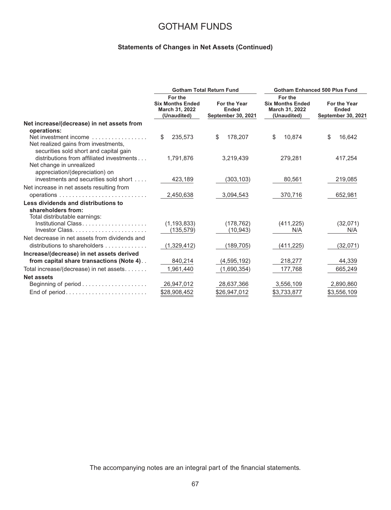### **Statements of Changes in Net Assets (Continued)**

|                                                                                                         |                                                                     | <b>Gotham Total Return Fund</b>                           | <b>Gotham Enhanced 500 Plus Fund</b>                                |                                                           |  |  |
|---------------------------------------------------------------------------------------------------------|---------------------------------------------------------------------|-----------------------------------------------------------|---------------------------------------------------------------------|-----------------------------------------------------------|--|--|
|                                                                                                         | For the<br><b>Six Months Ended</b><br>March 31, 2022<br>(Unaudited) | For the Year<br><b>Ended</b><br><b>September 30, 2021</b> | For the<br><b>Six Months Ended</b><br>March 31, 2022<br>(Unaudited) | For the Year<br><b>Ended</b><br><b>September 30, 2021</b> |  |  |
| Net increase/(decrease) in net assets from                                                              |                                                                     |                                                           |                                                                     |                                                           |  |  |
| operations:                                                                                             |                                                                     |                                                           |                                                                     |                                                           |  |  |
| Net investment income<br>Net realized gains from investments,<br>securities sold short and capital gain | \$<br>235.573                                                       | \$<br>178,207                                             | \$<br>10.874                                                        | \$<br>16,642                                              |  |  |
| distributions from affiliated investments<br>Net change in unrealized<br>appreciation/(depreciation) on | 1,791,876                                                           | 3,219,439                                                 | 279,281                                                             | 417,254                                                   |  |  |
| investments and securities sold short                                                                   | 423,189                                                             | (303, 103)                                                | 80,561                                                              | 219,085                                                   |  |  |
| Net increase in net assets resulting from                                                               |                                                                     |                                                           |                                                                     |                                                           |  |  |
|                                                                                                         | 2,450,638                                                           | 3,094,543                                                 | 370,716                                                             | 652,981                                                   |  |  |
| Less dividends and distributions to<br>shareholders from:<br>Total distributable earnings:              |                                                                     |                                                           |                                                                     |                                                           |  |  |
| Institutional Class                                                                                     | (1, 193, 833)                                                       | (178, 762)                                                | (411, 225)                                                          | (32,071)                                                  |  |  |
|                                                                                                         | (135, 579)                                                          | (10, 943)                                                 | N/A                                                                 | N/A                                                       |  |  |
| Net decrease in net assets from dividends and                                                           |                                                                     |                                                           |                                                                     |                                                           |  |  |
| distributions to shareholders                                                                           | (1,329,412)                                                         | (189, 705)                                                | (411, 225)                                                          | (32,071)                                                  |  |  |
| Increase/(decrease) in net assets derived                                                               |                                                                     |                                                           |                                                                     |                                                           |  |  |
| from capital share transactions (Note 4)                                                                | 840,214                                                             | (4, 595, 192)                                             | 218,277                                                             | 44,339                                                    |  |  |
| Total increase/(decrease) in net assets                                                                 | 1,961,440                                                           | (1,690,354)                                               | 177,768                                                             | 665,249                                                   |  |  |
| <b>Net assets</b>                                                                                       |                                                                     |                                                           |                                                                     |                                                           |  |  |
|                                                                                                         | 26,947,012                                                          | 28,637,366                                                | 3,556,109                                                           | 2,890,860                                                 |  |  |
| End of period                                                                                           | \$28,908,452                                                        | \$26,947,012                                              | \$3,733,877                                                         | \$3,556,109                                               |  |  |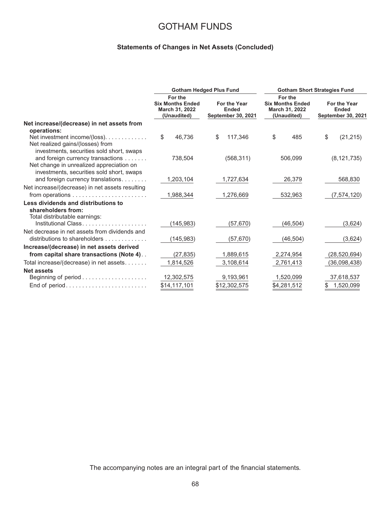### **Statements of Changes in Net Assets (Concluded)**

|                                                            | <b>Gotham Hedged Plus Fund</b>                                      |                                                           | <b>Gotham Short Strategies Fund</b>                                 |                                                           |  |
|------------------------------------------------------------|---------------------------------------------------------------------|-----------------------------------------------------------|---------------------------------------------------------------------|-----------------------------------------------------------|--|
|                                                            | For the<br><b>Six Months Ended</b><br>March 31, 2022<br>(Unaudited) | For the Year<br><b>Ended</b><br><b>September 30, 2021</b> | For the<br><b>Six Months Ended</b><br>March 31, 2022<br>(Unaudited) | For the Year<br><b>Ended</b><br><b>September 30, 2021</b> |  |
| Net increase/(decrease) in net assets from                 |                                                                     |                                                           |                                                                     |                                                           |  |
| operations:                                                |                                                                     |                                                           |                                                                     |                                                           |  |
| Net investment income/(loss).                              | \$<br>46.736                                                        | 117,346<br>\$                                             | \$<br>485                                                           | \$<br>(21, 215)                                           |  |
| Net realized gains/(losses) from                           |                                                                     |                                                           |                                                                     |                                                           |  |
| investments, securities sold short, swaps                  |                                                                     |                                                           |                                                                     |                                                           |  |
| and foreign currency transactions                          | 738,504                                                             | (568, 311)                                                | 506,099                                                             | (8, 121, 735)                                             |  |
| Net change in unrealized appreciation on                   |                                                                     |                                                           |                                                                     |                                                           |  |
| investments, securities sold short, swaps                  |                                                                     |                                                           |                                                                     |                                                           |  |
| and foreign currency translations                          | 1,203,104                                                           | 1,727,634                                                 | 26,379                                                              | 568,830                                                   |  |
| Net increase/(decrease) in net assets resulting            |                                                                     |                                                           |                                                                     |                                                           |  |
| from operations $\dots\dots\dots\dots\dots\dots\dots\dots$ | 1,988,344                                                           | 1,276,669                                                 | 532,963                                                             | (7, 574, 120)                                             |  |
| Less dividends and distributions to                        |                                                                     |                                                           |                                                                     |                                                           |  |
| shareholders from:                                         |                                                                     |                                                           |                                                                     |                                                           |  |
| Total distributable earnings:<br>Institutional Class       |                                                                     |                                                           |                                                                     |                                                           |  |
|                                                            | (145,983)                                                           | (57, 670)                                                 | (46, 504)                                                           | (3,624)                                                   |  |
| Net decrease in net assets from dividends and              |                                                                     |                                                           |                                                                     |                                                           |  |
| distributions to shareholders $\ldots \ldots \ldots$       | (145, 983)                                                          | (57, 670)                                                 | (46, 504)                                                           | (3,624)                                                   |  |
| Increase/(decrease) in net assets derived                  |                                                                     |                                                           |                                                                     |                                                           |  |
| from capital share transactions (Note 4)                   | (27, 835)                                                           | 1,889,615                                                 | 2,274,954                                                           | (28, 520, 694)                                            |  |
| Total increase/(decrease) in net assets                    | 1,814,526                                                           | 3,108,614                                                 | 2,761,413                                                           | (36,098,438)                                              |  |
| <b>Net assets</b>                                          |                                                                     |                                                           |                                                                     |                                                           |  |
|                                                            | 12,302,575                                                          | 9,193,961                                                 | 1,520,099                                                           | 37,618,537                                                |  |
| End of period                                              | \$14,117,101                                                        | \$12,302,575                                              | \$4,281,512                                                         | 1,520,099                                                 |  |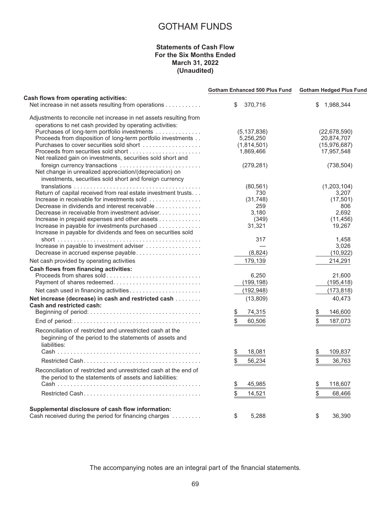### **Statements of Cash Flow For the Six Months Ended March 31, 2022 (Unaudited)**

|                                                                                                            | <b>Gotham Enhanced 500 Plus Fund</b> | <b>Gotham Hedged Plus Fund</b> |  |
|------------------------------------------------------------------------------------------------------------|--------------------------------------|--------------------------------|--|
| Cash flows from operating activities:<br>Net increase in net assets resulting from operations              | 370,716<br>\$                        | \$1,988,344                    |  |
| Adjustments to reconcile net increase in net assets resulting from                                         |                                      |                                |  |
| operations to net cash provided by operating activities:                                                   |                                      |                                |  |
| Purchases of long-term portfolio investments                                                               | (5, 137, 836)                        | (22,678,590)                   |  |
| Proceeds from disposition of long-term portfolio investments                                               | 5,256,250                            | 20,874,707                     |  |
| Purchases to cover securities sold short                                                                   | (1,814,501)                          | (15, 976, 687)                 |  |
|                                                                                                            | 1.869.466                            | 17,957,548                     |  |
| Net realized gain on investments, securities sold short and                                                |                                      |                                |  |
| foreign currency transactions                                                                              | (279, 281)                           | (738, 504)                     |  |
| Net change in unrealized appreciation/(depreciation) on                                                    |                                      |                                |  |
| investments, securities sold short and foreign currency                                                    |                                      |                                |  |
|                                                                                                            | (80, 561)                            | (1,203,104)                    |  |
| Return of capital received from real estate investment trusts                                              | 730                                  | 3,207                          |  |
| Increase in receivable for investments sold                                                                | (31,748)                             | (17, 501)                      |  |
| Decrease in dividends and interest receivable                                                              | 259                                  |                                |  |
|                                                                                                            |                                      | 806<br>2,692                   |  |
| Decrease in receivable from investment adviser                                                             | 3,180                                |                                |  |
| Increase in prepaid expenses and other assets                                                              | (349)                                | (11, 456)                      |  |
| Increase in payable for investments purchased                                                              | 31,321                               | 19,267                         |  |
| Increase in payable for dividends and fees on securities sold                                              |                                      |                                |  |
|                                                                                                            | 317                                  | 1,458                          |  |
| Increase in payable to investment adviser                                                                  |                                      | 3,026                          |  |
| Decrease in accrued expense payable                                                                        | (8, 824)                             | (10, 922)                      |  |
| Net cash provided by operating activities                                                                  | 179,139                              | 214,291                        |  |
| <b>Cash flows from financing activities:</b>                                                               |                                      |                                |  |
| Proceeds from shares sold                                                                                  | 6,250                                | 21,600                         |  |
| Payment of shares redeemed                                                                                 | (199, 198)                           | (195, 418)                     |  |
| Net cash used in financing activities                                                                      | (192, 948)                           | (173, 818)                     |  |
| Net increase (decrease) in cash and restricted cash                                                        | (13,809)                             | 40,473                         |  |
| Cash and restricted cash:                                                                                  |                                      |                                |  |
|                                                                                                            | $\frac{1}{2}$<br>74,315              | \$<br>146,600                  |  |
|                                                                                                            | \$<br>60,506                         | \$<br>187,073                  |  |
| Reconciliation of restricted and unrestricted cash at the                                                  |                                      |                                |  |
| beginning of the period to the statements of assets and                                                    |                                      |                                |  |
| liabilities:                                                                                               |                                      |                                |  |
|                                                                                                            |                                      |                                |  |
|                                                                                                            | \$<br>18,081                         | \$<br>109,837                  |  |
|                                                                                                            | \$<br>56,234                         | \$<br>36,763                   |  |
| Reconciliation of restricted and unrestricted cash at the end of                                           |                                      |                                |  |
| the period to the statements of assets and liabilities:                                                    |                                      |                                |  |
|                                                                                                            | 45,985                               | 118,607                        |  |
|                                                                                                            | $\frac{3}{2}$                        | $\frac{3}{2}$                  |  |
|                                                                                                            | \$<br>14,521                         | \$<br>68,466                   |  |
|                                                                                                            |                                      |                                |  |
| Supplemental disclosure of cash flow information:<br>Cash received during the period for financing charges | \$<br>5.288                          | \$<br>36.390                   |  |
|                                                                                                            |                                      |                                |  |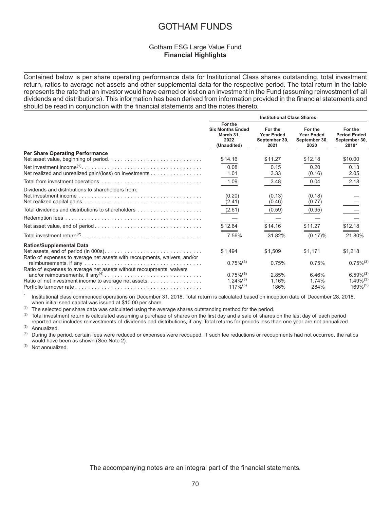### Gotham ESG Large Value Fund **Financial Highlights**

Contained below is per share operating performance data for Institutional Class shares outstanding, total investment return, ratios to average net assets and other supplemental data for the respective period. The total return in the table represents the rate that an investor would have earned or lost on an investment in the Fund (assuming reinvestment of all dividends and distributions). This information has been derived from information provided in the financial statements and should be read in conjunction with the financial statements and the notes thereto.

|                                                                                                              | <b>Institutional Class Shares</b>                                      |                                                       |                                                       |                                                            |
|--------------------------------------------------------------------------------------------------------------|------------------------------------------------------------------------|-------------------------------------------------------|-------------------------------------------------------|------------------------------------------------------------|
|                                                                                                              | For the<br><b>Six Months Ended</b><br>March 31.<br>2022<br>(Unaudited) | For the<br><b>Year Ended</b><br>September 30,<br>2021 | For the<br><b>Year Ended</b><br>September 30,<br>2020 | For the<br><b>Period Ended</b><br>September 30,<br>2019*   |
| <b>Per Share Operating Performance</b>                                                                       | \$14.16                                                                | \$11.27                                               | \$12.18                                               | \$10.00                                                    |
| Net realized and unrealized gain/(loss) on investments                                                       | 0.08<br>1.01                                                           | 0.15<br>3.33                                          | 0.20<br>(0.16)                                        | 0.13<br>2.05                                               |
|                                                                                                              | 1.09                                                                   | 3.48                                                  | 0.04                                                  | 2.18                                                       |
| Dividends and distributions to shareholders from:                                                            | (0.20)<br>(2.41)<br>(2.61)<br>\$12.64                                  | (0.13)<br>(0.46)<br>(0.59)<br>\$14.16                 | (0.18)<br>(0.77)<br>(0.95)<br>\$11.27                 | \$12.18                                                    |
|                                                                                                              | 7.56%                                                                  | 31.82%                                                | $(0.17)\%$                                            | 21.80%                                                     |
| <b>Ratios/Supplemental Data</b><br>Ratio of expenses to average net assets with recoupments, waivers, and/or | \$1.494                                                                | \$1,509                                               | \$1,171                                               | \$1,218                                                    |
| Ratio of expenses to average net assets without recoupments, waivers                                         | $0.75\%^{(3)}$                                                         | 0.75%                                                 | 0.75%                                                 | $0.75\%^{(3)}$                                             |
| Ratio of net investment income to average net assets.                                                        | $0.75\%^{(3)}$<br>$1.24\%^{(3)}$<br>$117\%$ <sup>(5)</sup>             | 2.85%<br>1.16%<br>186%                                | 6.46%<br>1.74%<br>284%                                | $6.59\%^{(3)}$<br>$1.49\%^{(3)}$<br>$169\%$ <sup>(5)</sup> |

Institutional class commenced operations on December 31, 2018. Total return is calculated based on inception date of December 28, 2018, when initial seed capital was issued at \$10.00 per share.

 $(1)$  The selected per share data was calculated using the average shares outstanding method for the period.

 $(2)$  Total investment return is calculated assuming a purchase of shares on the first day and a sale of shares on the last day of each period reported and includes reinvestments of dividends and distributions, if any. Total returns for periods less than one year are not annualized.  $^{(3)}$  Annualized.

During the period, certain fees were reduced or expenses were recouped. If such fee reductions or recoupments had not occurred, the ratios would have been as shown (See Note 2).

(5) Not annualized.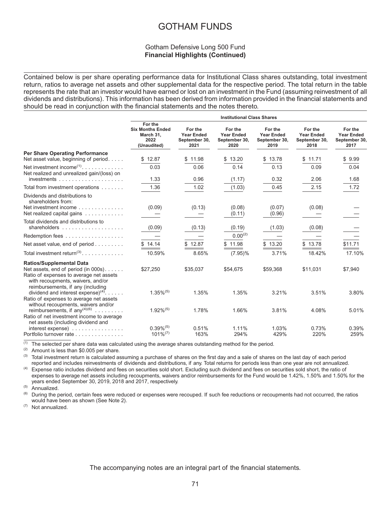## Gotham Defensive Long 500 Fund **Financial Highlights (Continued)**

Contained below is per share operating performance data for Institutional Class shares outstanding, total investment return, ratios to average net assets and other supplemental data for the respective period. The total return in the table represents the rate that an investor would have earned or lost on an investment in the Fund (assuming reinvestment of all dividends and distributions). This information has been derived from information provided in the financial statements and should be read in conjunction with the financial statements and the notes thereto.

|                                                                                                                                                           |                                                                        |                                                       | <b>Institutional Class Shares</b>                     |                                                       |                                                       |                                                       |
|-----------------------------------------------------------------------------------------------------------------------------------------------------------|------------------------------------------------------------------------|-------------------------------------------------------|-------------------------------------------------------|-------------------------------------------------------|-------------------------------------------------------|-------------------------------------------------------|
|                                                                                                                                                           | For the<br><b>Six Months Ended</b><br>March 31,<br>2022<br>(Unaudited) | For the<br><b>Year Ended</b><br>September 30,<br>2021 | For the<br><b>Year Ended</b><br>September 30,<br>2020 | For the<br><b>Year Ended</b><br>September 30,<br>2019 | For the<br><b>Year Ended</b><br>September 30,<br>2018 | For the<br><b>Year Ended</b><br>September 30,<br>2017 |
| <b>Per Share Operating Performance</b>                                                                                                                    |                                                                        |                                                       |                                                       |                                                       |                                                       |                                                       |
| Net asset value, beginning of period                                                                                                                      | \$12.87                                                                | \$11.98                                               | \$13.20                                               | \$13.78                                               | \$11.71                                               | \$9.99                                                |
| Net investment income <sup><math>(1)</math></sup><br>Net realized and unrealized gain/(loss) on                                                           | 0.03                                                                   | 0.06                                                  | 0.14                                                  | 0.13                                                  | 0.09                                                  | 0.04                                                  |
|                                                                                                                                                           | 1.33                                                                   | 0.96                                                  | (1.17)                                                | 0.32                                                  | 2.06                                                  | 1.68                                                  |
| Total from investment operations                                                                                                                          | 1.36                                                                   | 1.02                                                  | (1.03)                                                | 0.45                                                  | 2.15                                                  | 1.72                                                  |
| Dividends and distributions to<br>shareholders from:                                                                                                      |                                                                        |                                                       |                                                       |                                                       |                                                       |                                                       |
| Net investment income<br>Net realized capital gains                                                                                                       | (0.09)                                                                 | (0.13)                                                | (0.08)<br>(0.11)                                      | (0.07)<br>(0.96)                                      | (0.08)                                                |                                                       |
| Total dividends and distributions to                                                                                                                      | (0.09)                                                                 | (0.13)                                                | (0.19)                                                | (1.03)                                                | (0.08)                                                |                                                       |
| Redemption fees                                                                                                                                           |                                                                        |                                                       | $0.00^{(2)}$                                          |                                                       |                                                       |                                                       |
| Net asset value, end of period                                                                                                                            | \$14.14                                                                | \$12.87                                               | \$11.98                                               | \$13.20                                               | \$13.78                                               | \$11.71                                               |
| Total investment return <sup>(3)</sup> .                                                                                                                  | 10.59%                                                                 | 8.65%                                                 | $(7.95)\%$                                            | 3.71%                                                 | 18.42%                                                | 17.10%                                                |
| <b>Ratios/Supplemental Data</b>                                                                                                                           |                                                                        |                                                       |                                                       |                                                       |                                                       |                                                       |
| Net assets, end of period (in 000s).<br>Ratio of expenses to average net assets<br>with recoupments, waivers, and/or<br>reimbursements, if any (including | \$27,250                                                               | \$35,037                                              | \$54,675                                              | \$59,368                                              | \$11,031                                              | \$7,940                                               |
| dividend and interest expense) $(4)$<br>Ratio of expenses to average net assets<br>without recoupments, waivers and/or                                    | $1.35\%^{(5)}$                                                         | 1.35%                                                 | 1.35%                                                 | 3.21%                                                 | 3.51%                                                 | 3.80%                                                 |
| reimbursements, if any <sup>(4)(6)</sup>                                                                                                                  | $1.92\%^{(5)}$                                                         | 1.78%                                                 | 1.66%                                                 | 3.81%                                                 | 4.08%                                                 | 5.01%                                                 |
| Ratio of net investment income to average<br>net assets (including dividend and                                                                           |                                                                        |                                                       |                                                       |                                                       |                                                       |                                                       |
| $interest$ expense $\ldots \ldots \ldots \ldots$<br>Portfolio turnover rate                                                                               | $0.39\%$ <sup>(5)</sup><br>$101\%^{(7)}$                               | 0.51%<br>163%                                         | 1.11%<br>294%                                         | 1.03%<br>429%                                         | 0.73%<br>220%                                         | 0.39%<br>259%                                         |

(1) The selected per share data was calculated using the average shares outstanding method for the period.<br>(2) Amount is loss than \$0,005 per share.

(2) Amount is less than  $$0.005$  per share.<br>(3) Total investment return is calculated as

Total investment return is calculated assuming a purchase of shares on the first day and a sale of shares on the last day of each period reported and includes reinvestments of dividends and distributions, if any. Total returns for periods less than one year are not annualized.

<sup>(4)</sup> Expense ratio includes dividend and fees on securities sold short. Excluding such dividend and fees on securities sold short, the ratio of expenses to average net assets including recoupments, waivers and/or reimbursements for the Fund would be 1.42%, 1.50% and 1.50% for the years ended September 30, 2019, 2018 and 2017, respectively.

 $(5)$  Annualized.

During the period, certain fees were reduced or expenses were recouped. If such fee reductions or recoupments had not occurred, the ratios would have been as shown (See Note 2).

(7) Not annualized.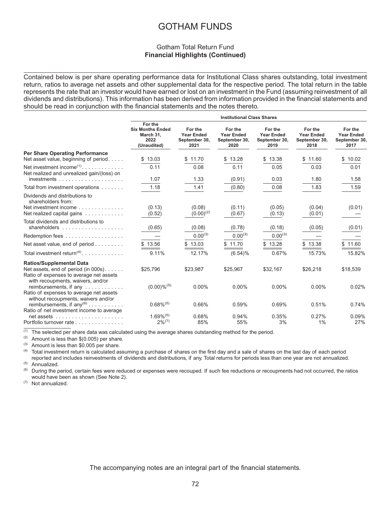## Gotham Total Return Fund **Financial Highlights (Continued)**

Contained below is per share operating performance data for Institutional Class shares outstanding, total investment return, ratios to average net assets and other supplemental data for the respective period. The total return in the table represents the rate that an investor would have earned or lost on an investment in the Fund (assuming reinvestment of all dividends and distributions). This information has been derived from information provided in the financial statements and should be read in conjunction with the financial statements and the notes thereto.

|                                                                                                                                                         |                                                                        |                                                       | <b>Institutional Class Shares</b>                     |                                                       |                                                       |                                                       |
|---------------------------------------------------------------------------------------------------------------------------------------------------------|------------------------------------------------------------------------|-------------------------------------------------------|-------------------------------------------------------|-------------------------------------------------------|-------------------------------------------------------|-------------------------------------------------------|
|                                                                                                                                                         | For the<br><b>Six Months Ended</b><br>March 31,<br>2022<br>(Unaudited) | For the<br><b>Year Ended</b><br>September 30,<br>2021 | For the<br><b>Year Ended</b><br>September 30,<br>2020 | For the<br><b>Year Ended</b><br>September 30,<br>2019 | For the<br><b>Year Ended</b><br>September 30,<br>2018 | For the<br><b>Year Ended</b><br>September 30,<br>2017 |
| <b>Per Share Operating Performance</b><br>Net asset value, beginning of period                                                                          | \$13.03                                                                | \$11.70                                               | \$13.28                                               | 13.38<br>\$                                           | \$11.60                                               | \$10.02                                               |
| Net investment income <sup><math>(1)</math></sup><br>Net realized and unrealized gain/(loss) on                                                         | 0.11<br>1.07                                                           | 0.08<br>1.33                                          | 0.11                                                  | 0.05<br>0.03                                          | 0.03<br>1.80                                          | 0.01<br>1.58                                          |
|                                                                                                                                                         |                                                                        |                                                       | (0.91)                                                |                                                       |                                                       |                                                       |
| Total from investment operations                                                                                                                        | 1.18                                                                   | 1.41                                                  | (0.80)                                                | 0.08                                                  | 1.83                                                  | 1.59                                                  |
| Dividends and distributions to<br>shareholders from:<br>Net investment income<br>Net realized capital gains                                             | (0.13)<br>(0.52)                                                       | (0.08)<br>$(0.00)^{(2)}$                              | (0.11)<br>(0.67)                                      | (0.05)<br>(0.13)                                      | (0.04)<br>(0.01)                                      | (0.01)                                                |
| Total dividends and distributions to<br>shareholders $\ldots \ldots \ldots \ldots \ldots$                                                               | (0.65)                                                                 | (0.08)                                                | (0.78)                                                | (0.18)                                                | (0.05)                                                | (0.01)                                                |
| Redemption fees                                                                                                                                         |                                                                        | $0.00^{(3)}$                                          | $0.00^{(3)}$                                          | $0.00^{(3)}$                                          |                                                       |                                                       |
| Net asset value, end of period                                                                                                                          | 13.56                                                                  | \$13.03                                               | \$11.70                                               | \$13.28                                               | \$13.38                                               | \$11.60                                               |
| Total investment return <sup>(4)</sup>                                                                                                                  | 9.11%                                                                  | 12.17%                                                | $(6.54)\%$                                            | 0.67%                                                 | 15.73%                                                | 15.82%                                                |
| <b>Ratios/Supplemental Data</b><br>Net assets, end of period (in 000s).<br>Ratio of expenses to average net assets<br>with recoupments, waivers, and/or | \$25,796                                                               | \$23,987                                              | \$25,967                                              | \$32,167                                              | \$26,218                                              | \$18,539                                              |
| reimbursements, if any<br>Ratio of expenses to average net assets                                                                                       | $(0.00) \%^{(5)}$                                                      | $0.00\%$                                              | $0.00\%$                                              | $0.00\%$                                              | $0.00\%$                                              | 0.02%                                                 |
| without recoupments, waivers and/or<br>reimbursements, if $any^{(6)}$<br>Ratio of net investment income to average                                      | $0.68\%$ <sup>(5)</sup>                                                | 0.66%                                                 | 0.59%                                                 | 0.69%                                                 | 0.51%                                                 | 0.74%                                                 |
| Portfolio turnover rate                                                                                                                                 | $1.69\%$ <sup>(5)</sup><br>$2\%^{(7)}$                                 | 0.68%<br>85%                                          | 0.94%<br>55%                                          | 0.35%<br>3%                                           | 0.27%<br>1%                                           | 0.09%<br>27%                                          |

 $(1)$  The selected per share data was calculated using the average shares outstanding method for the period.

(2) Amount is less than  $$(0.005)$  per share.<br>(3) Amount is less than  $$(0.005)$  per share.

Amount is less than \$0.005 per share.

<sup>(4)</sup> Total investment return is calculated assuming a purchase of shares on the first day and a sale of shares on the last day of each period reported and includes reinvestments of dividends and distributions, if any. Total returns for periods less than one year are not annualized.  $^{(5)}$  Annualized.

During the period, certain fees were reduced or expenses were recouped. If such fee reductions or recoupments had not occurred, the ratios would have been as shown (See Note 2).

(7) Not annualized.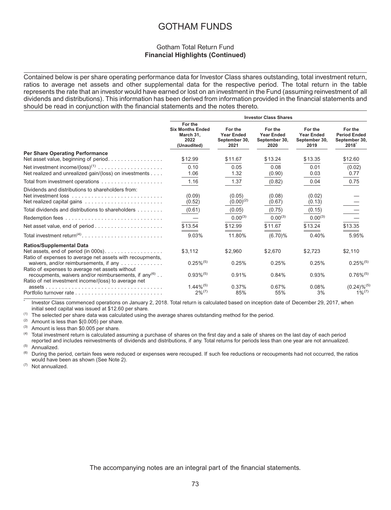## Gotham Total Return Fund **Financial Highlights (Continued)**

Contained below is per share operating performance data for Investor Class shares outstanding, total investment return, ratios to average net assets and other supplemental data for the respective period. The total return in the table represents the rate that an investor would have earned or lost on an investment in the Fund (assuming reinvestment of all dividends and distributions). This information has been derived from information provided in the financial statements and should be read in conjunction with the financial statements and the notes thereto.

|                                                                                                                                                                                |                                                                        |                                                                         | <b>Investor Class Shares</b>                                        |                                                                |                                                                      |
|--------------------------------------------------------------------------------------------------------------------------------------------------------------------------------|------------------------------------------------------------------------|-------------------------------------------------------------------------|---------------------------------------------------------------------|----------------------------------------------------------------|----------------------------------------------------------------------|
|                                                                                                                                                                                | For the<br><b>Six Months Ended</b><br>March 31.<br>2022<br>(Unaudited) | For the<br><b>Year Ended</b><br>September 30,<br>2021                   | For the<br><b>Year Ended</b><br>September 30,<br>2020               | For the<br><b>Year Ended</b><br>September 30,<br>2019          | For the<br><b>Period Ended</b><br>September 30,<br>2018 <sup>°</sup> |
| <b>Per Share Operating Performance</b><br>Net asset value, beginning of period                                                                                                 | \$12.99                                                                | \$11.67                                                                 | \$13.24                                                             | \$13.35                                                        | \$12.60                                                              |
| Net realized and unrealized gain/(loss) on investments                                                                                                                         | 0.10<br>1.06                                                           | 0.05<br>1.32                                                            | 0.08<br>(0.90)                                                      | 0.01<br>0.03                                                   | (0.02)<br>0.77                                                       |
|                                                                                                                                                                                | 1.16                                                                   | 1.37                                                                    | (0.82)                                                              | 0.04                                                           | 0.75                                                                 |
| Dividends and distributions to shareholders from:<br>Total dividends and distributions to shareholders                                                                         | (0.09)<br>(0.52)<br>(0.61)<br>\$13.54<br>9.03%                         | (0.05)<br>$(0.00)^{(2)}$<br>(0.05)<br>$0.00^{(3)}$<br>\$12.99<br>11.80% | (0.08)<br>(0.67)<br>(0.75)<br>$0.00^{(3)}$<br>\$11.67<br>$(6.70)\%$ | (0.02)<br>(0.13)<br>(0.15)<br>$0.00^{(3)}$<br>\$13.24<br>0.40% | \$13.35<br>5.95%                                                     |
| <b>Ratios/Supplemental Data</b><br>Net assets, end of period (in 000s).<br>Ratio of expenses to average net assets with recoupments,<br>waivers, and/or reimbursements, if any | \$3.112<br>$0.25\%^{(5)}$                                              | \$2.960<br>0.25%                                                        | \$2.670<br>0.25%                                                    | \$2,723<br>0.25%                                               | \$2,110<br>$0.25\%^{(5)}$                                            |
| Ratio of expenses to average net assets without<br>recoupments, waivers and/or reimbursements, if any <sup>(6)</sup><br>Ratio of net investment income/(loss) to average net   | $0.93\%^{(5)}$                                                         | 0.91%                                                                   | 0.84%                                                               | 0.93%                                                          | $0.76\%$ <sup>(5)</sup>                                              |
|                                                                                                                                                                                | $1.44\%^{(5)}$<br>$2\%^{(7)}$                                          | 0.37%<br>85%                                                            | 0.67%<br>55%                                                        | 0.08%<br>3%                                                    | $(0.24)\%^{(5)}$<br>$1\%^{(7)}$                                      |

Investor Class commenced operations on January 2, 2018. Total return is calculated based on inception date of December 29, 2017, when initial seed capital was issued at \$12.60 per share.

 $(1)$  The selected per share data was calculated using the average shares outstanding method for the period.

(2) Amount is less than  $$(0.005)$  per share.<br>(3) Amount is less than  $$(0.005)$  per share.

 $(4)$  Amount is less than \$0.005 per share.

Total investment return is calculated assuming a purchase of shares on the first day and a sale of shares on the last day of each period

reported and includes reinvestments of dividends and distributions, if any. Total returns for periods less than one year are not annualized.

 $^{(5)}$  Annualized.<br> $^{(6)}$  During the r

During the period, certain fees were reduced or expenses were recouped. If such fee reductions or recoupments had not occurred, the ratios would have been as shown (See Note 2).

(7) Not annualized.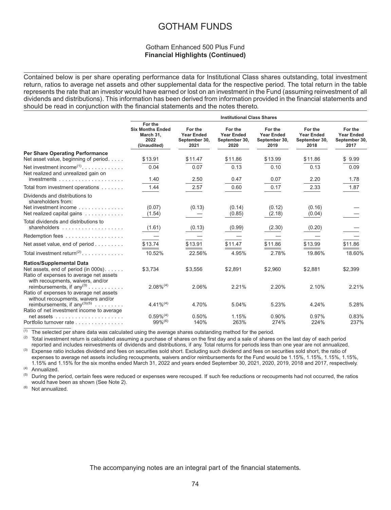## Gotham Enhanced 500 Plus Fund **Financial Highlights (Continued)**

Contained below is per share operating performance data for Institutional Class shares outstanding, total investment return, ratios to average net assets and other supplemental data for the respective period. The total return in the table represents the rate that an investor would have earned or lost on an investment in the Fund (assuming reinvestment of all dividends and distributions). This information has been derived from information provided in the financial statements and should be read in conjunction with the financial statements and the notes thereto.

|                                                                                                                         |                                                                        |                                                       | <b>Institutional Class Shares</b>                     |                                                       |                                                       |                                                       |
|-------------------------------------------------------------------------------------------------------------------------|------------------------------------------------------------------------|-------------------------------------------------------|-------------------------------------------------------|-------------------------------------------------------|-------------------------------------------------------|-------------------------------------------------------|
|                                                                                                                         | For the<br><b>Six Months Ended</b><br>March 31,<br>2022<br>(Unaudited) | For the<br><b>Year Ended</b><br>September 30,<br>2021 | For the<br><b>Year Ended</b><br>September 30,<br>2020 | For the<br><b>Year Ended</b><br>September 30,<br>2019 | For the<br><b>Year Ended</b><br>September 30,<br>2018 | For the<br><b>Year Ended</b><br>September 30,<br>2017 |
| <b>Per Share Operating Performance</b><br>Net asset value, beginning of period                                          | \$13.91                                                                | \$11.47                                               | \$11.86                                               | \$13.99                                               | \$11.86                                               | \$9.99                                                |
| Net investment income <sup><math>(1)</math></sup><br>Net realized and unrealized gain on                                | 0.04<br>1.40                                                           | 0.07<br>2.50                                          | 0.13<br>0.47                                          | 0.10<br>0.07                                          | 0.13<br>2.20                                          | 0.09<br>1.78                                          |
|                                                                                                                         |                                                                        |                                                       |                                                       |                                                       |                                                       |                                                       |
| Total from investment operations                                                                                        | 1.44                                                                   | 2.57                                                  | 0.60                                                  | 0.17                                                  | 2.33                                                  | 1.87                                                  |
| Dividends and distributions to<br>shareholders from:<br>Net investment income<br>Net realized capital gains             | (0.07)<br>(1.54)                                                       | (0.13)                                                | (0.14)<br>(0.85)                                      | (0.12)<br>(2.18)                                      | (0.16)<br>(0.04)                                      |                                                       |
| Total dividends and distributions to                                                                                    | (1.61)                                                                 | (0.13)                                                | (0.99)                                                | (2.30)                                                | (0.20)                                                |                                                       |
| Redemption fees                                                                                                         |                                                                        |                                                       |                                                       |                                                       |                                                       |                                                       |
| Net asset value, end of period                                                                                          | \$13.74                                                                | \$13.91                                               | \$11.47                                               | \$11.86                                               | \$13.99                                               | \$11.86                                               |
| Total investment return <sup>(2)</sup>                                                                                  | 10.52%                                                                 | 22.56%                                                | 4.95%                                                 | 2.78%                                                 | 19.86%                                                | 18.60%                                                |
| <b>Ratios/Supplemental Data</b>                                                                                         |                                                                        |                                                       |                                                       |                                                       |                                                       |                                                       |
| Net assets, end of period (in 000s).<br>Ratio of expenses to average net assets<br>with recoupments, waivers, and/or    | \$3,734                                                                | \$3,556                                               | \$2,891                                               | \$2,960                                               | \$2,881                                               | \$2,399                                               |
| reimbursements, if $any^{(3)}$<br>Ratio of expenses to average net assets                                               | $2.08\%^{(4)}$                                                         | 2.06%                                                 | 2.21%                                                 | 2.20%                                                 | 2.10%                                                 | 2.21%                                                 |
| without recoupments, waivers and/or<br>reimbursements, if any <sup>(3)(5)</sup>                                         | $4.41\%^{(4)}$                                                         | 4.70%                                                 | 5.04%                                                 | 5.23%                                                 | 4.24%                                                 | 5.28%                                                 |
| Ratio of net investment income to average<br>net assets $\ldots \ldots \ldots \ldots \ldots$<br>Portfolio turnover rate | $0.59\%^{(4)}$<br>99%(6)                                               | 0.50%<br>140%                                         | 1.15%<br>263%                                         | 0.90%<br>274%                                         | 0.97%<br>224%                                         | 0.83%<br>237%                                         |

 $\frac{1}{1}$  The selected per share data was calculated using the average shares outstanding method for the period.<br><sup>(2)</sup> Total investment return is calculated assuming a purchase of shares on the first day and a sale of sha

Total investment return is calculated assuming a purchase of shares on the first day and a sale of shares on the last day of each period reported and includes reinvestments of dividends and distributions, if any. Total returns for periods less than one year are not annualized.

<sup>(3)</sup> Expense ratio includes dividend and fees on securities sold short. Excluding such dividend and fees on securities sold short, the ratio of expenses to average net assets including recoupments, waivers and/or reimbursements for the Fund would be 1.15%, 1.15%, 1.15%, 1.15%, 1.15% and 1.15% for the six months ended March 31, 2022 and years ended September 30, 2021, 2020, 2019, 2018 and 2017, respectively.

 $(4)$  Annualized.<br> $(5)$  During the n During the period, certain fees were reduced or expenses were recouped. If such fee reductions or recoupments had not occurred, the ratios would have been as shown (See Note 2).

(6) Not annualized.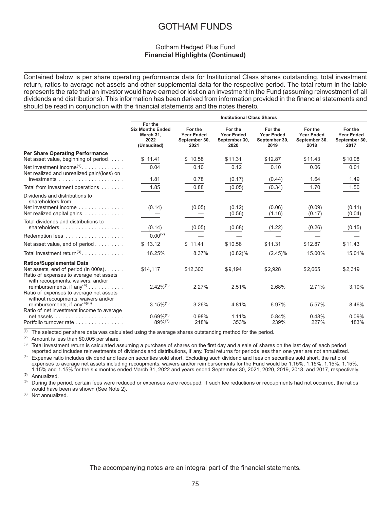## Gotham Hedged Plus Fund **Financial Highlights (Continued)**

Contained below is per share operating performance data for Institutional Class shares outstanding, total investment return, ratios to average net assets and other supplemental data for the respective period. The total return in the table represents the rate that an investor would have earned or lost on an investment in the Fund (assuming reinvestment of all dividends and distributions). This information has been derived from information provided in the financial statements and should be read in conjunction with the financial statements and the notes thereto.

|                                                                                                                                                         |                                                                        |                                                       | <b>Institutional Class Shares</b>                     |                                                       |                                                       |                                                       |
|---------------------------------------------------------------------------------------------------------------------------------------------------------|------------------------------------------------------------------------|-------------------------------------------------------|-------------------------------------------------------|-------------------------------------------------------|-------------------------------------------------------|-------------------------------------------------------|
|                                                                                                                                                         | For the<br><b>Six Months Ended</b><br>March 31,<br>2022<br>(Unaudited) | For the<br><b>Year Ended</b><br>September 30,<br>2021 | For the<br><b>Year Ended</b><br>September 30,<br>2020 | For the<br><b>Year Ended</b><br>September 30,<br>2019 | For the<br><b>Year Ended</b><br>September 30,<br>2018 | For the<br><b>Year Ended</b><br>September 30,<br>2017 |
| <b>Per Share Operating Performance</b><br>Net asset value, beginning of period                                                                          | \$11.41                                                                | \$10.58                                               | \$11.31                                               | \$12.87                                               | \$11.43                                               | \$10.08                                               |
| Net investment income <sup><math>(1)</math></sup><br>Net realized and unrealized gain/(loss) on                                                         | 0.04                                                                   | 0.10                                                  | 0.12                                                  | 0.10                                                  | 0.06                                                  | 0.01                                                  |
|                                                                                                                                                         | 1.81                                                                   | 0.78                                                  | (0.17)                                                | (0.44)                                                | 1.64                                                  | 1.49                                                  |
| Total from investment operations                                                                                                                        | 1.85                                                                   | 0.88                                                  | (0.05)                                                | (0.34)                                                | 1.70                                                  | 1.50                                                  |
| Dividends and distributions to<br>shareholders from:<br>Net investment income<br>Net realized capital gains                                             | (0.14)                                                                 | (0.05)                                                | (0.12)<br>(0.56)                                      | (0.06)<br>(1.16)                                      | (0.09)<br>(0.17)                                      | (0.11)<br>(0.04)                                      |
| Total dividends and distributions to<br>shareholders $\ldots \ldots \ldots \ldots \ldots$                                                               | (0.14)                                                                 | (0.05)                                                | (0.68)                                                | (1.22)                                                | (0.26)                                                | (0.15)                                                |
| Redemption fees                                                                                                                                         | $0.00^{(2)}$                                                           |                                                       |                                                       |                                                       |                                                       |                                                       |
| Net asset value, end of period                                                                                                                          | \$13.12                                                                | \$11.41                                               | \$10.58                                               | \$11.31                                               | \$12.87                                               | \$11.43                                               |
| Total investment return <sup>(3)</sup>                                                                                                                  | 16.25%                                                                 | 8.37%                                                 | $(0.82)\%$                                            | $(2.45)\%$                                            | 15.00%                                                | 15.01%                                                |
| <b>Ratios/Supplemental Data</b><br>Net assets, end of period (in 000s).<br>Ratio of expenses to average net assets<br>with recoupments, waivers, and/or | \$14,117                                                               | \$12,303                                              | \$9,194                                               | \$2,928                                               | \$2,665                                               | \$2,319                                               |
| reimbursements, if $any(4)$<br>Ratio of expenses to average net assets                                                                                  | $2.42\%^{(5)}$                                                         | 2.27%                                                 | 2.51%                                                 | 2.68%                                                 | 2.71%                                                 | 3.10%                                                 |
| without recoupments, waivers and/or<br>reimbursements, if any <sup>(4)(6)</sup><br>Ratio of net investment income to average                            | $3.15\%^{(5)}$                                                         | 3.26%                                                 | 4.81%                                                 | 6.97%                                                 | 5.57%                                                 | 8.46%                                                 |
| $net$ assets $\ldots \ldots \ldots \ldots \ldots$<br>Portfolio turnover rate                                                                            | $0.69\%$ <sup>(5)</sup><br>$89\%^{(7)}$                                | 0.98%<br>218%                                         | 1.11%<br>353%                                         | 0.84%<br>239%                                         | 0.48%<br>227%                                         | 0.09%<br>183%                                         |

(1) The selected per share data was calculated using the average shares outstanding method for the period.<br>(2) Amount is loss than \$0,005 per share.

(2) Amount is less than  $$0.005$  per share.<br>(3) Total investment return is coloulated as

Total investment return is calculated assuming a purchase of shares on the first day and a sale of shares on the last day of each period reported and includes reinvestments of dividends and distributions, if any. Total returns for periods less than one year are not annualized.

<sup>(4)</sup> Expense ratio includes dividend and fees on securities sold short. Excluding such dividend and fees on securities sold short, the ratio of expenses to average net assets including recoupments, waivers and/or reimbursements for the Fund would be 1.15%, 1.15%, 1.15%, 1.15%, 1.15% and 1.15% for the six months ended March 31, 2022 and years ended September 30, 2021, 2020, 2019, 2018, and 2017, respectively.

 $(5)$  Annualized.

During the period, certain fees were reduced or expenses were recouped. If such fee reductions or recoupments had not occurred, the ratios would have been as shown (See Note 2).

(7) Not annualized.

The accompanying notes are an integral part of the financial statements.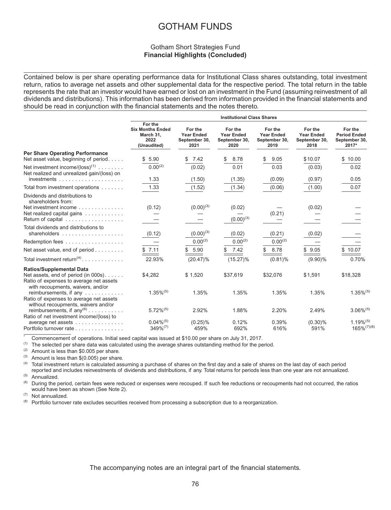## Gotham Short Strategies Fund **Financial Highlights (Concluded)**

Contained below is per share operating performance data for Institutional Class shares outstanding, total investment return, ratios to average net assets and other supplemental data for the respective period. The total return in the table represents the rate that an investor would have earned or lost on an investment in the Fund (assuming reinvestment of all dividends and distributions). This information has been derived from information provided in the financial statements and should be read in conjunction with the financial statements and the notes thereto.

|                                                                                                                                                         |                                                                        |                                                       | <b>Institutional Class Shares</b>                     |                                                       |                                                       |                                                          |
|---------------------------------------------------------------------------------------------------------------------------------------------------------|------------------------------------------------------------------------|-------------------------------------------------------|-------------------------------------------------------|-------------------------------------------------------|-------------------------------------------------------|----------------------------------------------------------|
|                                                                                                                                                         | For the<br><b>Six Months Ended</b><br>March 31.<br>2022<br>(Unaudited) | For the<br><b>Year Ended</b><br>September 30,<br>2021 | For the<br><b>Year Ended</b><br>September 30,<br>2020 | For the<br><b>Year Ended</b><br>September 30,<br>2019 | For the<br><b>Year Ended</b><br>September 30,<br>2018 | For the<br><b>Period Ended</b><br>September 30,<br>2017* |
| <b>Per Share Operating Performance</b><br>Net asset value, beginning of period                                                                          | \$5.90                                                                 | 7.42                                                  | \$<br>8.78                                            | \$<br>9.05                                            | \$10.07                                               | \$10.00                                                  |
| Net investment income/ $(\text{loss})^{(1)}$<br>Net realized and unrealized gain/(loss) on                                                              | $0.00^{(2)}$                                                           | (0.02)                                                | 0.01                                                  | 0.03                                                  | (0.03)                                                | 0.02                                                     |
|                                                                                                                                                         | 1.33                                                                   | (1.50)                                                | (1.35)                                                | (0.09)                                                | (0.97)                                                | 0.05                                                     |
| Total from investment operations                                                                                                                        | 1.33                                                                   | (1.52)                                                | (1.34)                                                | (0.06)                                                | (1.00)                                                | 0.07                                                     |
| Dividends and distributions to<br>shareholders from:<br>Net investment income<br>Net realized capital gains<br>Return of capital                        | (0.12)                                                                 | $(0.00)^{(3)}$                                        | (0.02)<br>$(0.00)^{(3)}$                              | (0.21)                                                | (0.02)                                                |                                                          |
| Total dividends and distributions to                                                                                                                    | (0.12)                                                                 | $(0.00)^{(3)}$                                        | (0.02)                                                | (0.21)                                                | (0.02)                                                |                                                          |
| Redemption fees                                                                                                                                         |                                                                        | $0.00^{(2)}$                                          | $0.00^{(2)}$                                          | $0.00^{(2)}$                                          |                                                       |                                                          |
| Net asset value, end of period                                                                                                                          | \$7.11                                                                 | 5.90<br>\$                                            | \$7.42                                                | 8.78<br>\$.                                           | \$9.05                                                | \$10.07                                                  |
| Total investment return <sup>(4)</sup> .                                                                                                                | 22.93%                                                                 | $(20.47)\%$                                           | $(15.27)\%$                                           | $(0.81)\%$                                            | $(9.90)\%$                                            | 0.70%                                                    |
| <b>Ratios/Supplemental Data</b><br>Net assets, end of period (in 000s).<br>Ratio of expenses to average net assets<br>with recoupments, waivers, and/or | \$4,282                                                                | \$1,520                                               | \$37,619                                              | \$32,076                                              | \$1,591                                               | \$18,328                                                 |
| reimbursements, if any<br>Ratio of expenses to average net assets<br>without recoupments, waivers and/or                                                | $1.35\%$ <sup>(5)</sup>                                                | 1.35%                                                 | 1.35%                                                 | 1.35%                                                 | 1.35%                                                 | $1.35\%^{(5)}$                                           |
| reimbursements, if $any^{(6)} \dots \dots \dots$                                                                                                        | $5.72\%^{(5)}$                                                         | 2.92%                                                 | 1.88%                                                 | 2.20%                                                 | 2.49%                                                 | $3.06\%$ <sup>(5)</sup>                                  |
| Ratio of net investment income/(loss) to<br>average net assets<br>Portfolio turnover rate                                                               | $0.04\%^{(5)}$<br>$349\%^{(7)}$                                        | $(0.25)\%$<br>459%                                    | 0.12%<br>692%                                         | 0.39%<br>616%                                         | $(0.30)\%$<br>591%                                    | $1.19\%$ <sup>(5)</sup><br>$165\%^{(7)(8)}$              |

\* Commencement of operations. Initial seed capital was issued at \$10.00 per share on July 31, 2017.<br>(1) The selected per share data was calculated using the average shares outstanding method for the per-

(1) The selected per share data was calculated using the average shares outstanding method for the period.<br>(2) Amount is less than \$0.005 per share

(2) Amount is less than \$0.005 per share.<br>(3) Amount is less than \$(0.005) per share.

(3) Amount is less than  $$(0.005)$  per share.<br>(4) Total investment return is calculated ass

Total investment return is calculated assuming a purchase of shares on the first day and a sale of shares on the last day of each period reported and includes reinvestments of dividends and distributions, if any. Total returns for periods less than one year are not annualized.  $^{(5)}$  Annualized.

During the period, certain fees were reduced or expenses were recouped. If such fee reductions or recoupments had not occurred, the ratios would have been as shown (See Note 2).

(7) Not annualized.

(8) Portfolio turnover rate excludes securities received from processing a subscription due to a reorganization.

The accompanying notes are an integral part of the financial statements.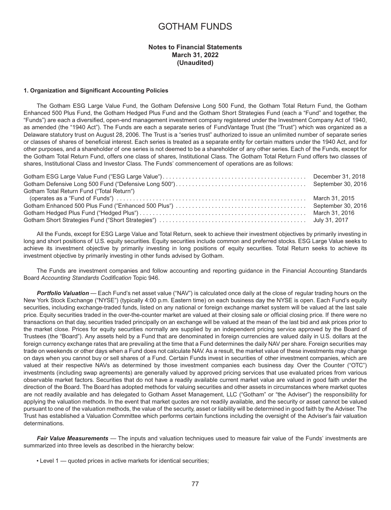### **Notes to Financial Statements March 31, 2022 (Unaudited)**

#### **1. Organization and Significant Accounting Policies**

The Gotham ESG Large Value Fund, the Gotham Defensive Long 500 Fund, the Gotham Total Return Fund, the Gotham Enhanced 500 Plus Fund, the Gotham Hedged Plus Fund and the Gotham Short Strategies Fund (each a "Fund" and together, the "Funds") are each a diversified, open-end management investment company registered under the Investment Company Act of 1940, as amended (the "1940 Act"). The Funds are each a separate series of FundVantage Trust (the "Trust") which was organized as a Delaware statutory trust on August 28, 2006. The Trust is a "series trust" authorized to issue an unlimited number of separate series or classes of shares of beneficial interest. Each series is treated as a separate entity for certain matters under the 1940 Act, and for other purposes, and a shareholder of one series is not deemed to be a shareholder of any other series. Each of the Funds, except for the Gotham Total Return Fund, offers one class of shares, Institutional Class. The Gotham Total Return Fund offers two classes of shares, Institutional Class and Investor Class. The Funds' commencement of operations are as follows:

| Gotham Total Return Fund ("Total Return") |  |
|-------------------------------------------|--|
|                                           |  |
|                                           |  |
|                                           |  |
|                                           |  |

All the Funds, except for ESG Large Value and Total Return, seek to achieve their investment objectives by primarily investing in long and short positions of U.S. equity securities. Equity securities include common and preferred stocks. ESG Large Value seeks to achieve its investment objective by primarily investing in long positions of equity securities. Total Return seeks to achieve its investment objective by primarily investing in other funds advised by Gotham.

The Funds are investment companies and follow accounting and reporting guidance in the Financial Accounting Standards Board *Accounting Standards Codification* Topic 946.

*Portfolio Valuation* — Each Fund's net asset value ("NAV") is calculated once daily at the close of regular trading hours on the New York Stock Exchange ("NYSE") (typically 4:00 p.m. Eastern time) on each business day the NYSE is open. Each Fund's equity securities, including exchange-traded funds, listed on any national or foreign exchange market system will be valued at the last sale price. Equity securities traded in the over-the-counter market are valued at their closing sale or official closing price. If there were no transactions on that day, securities traded principally on an exchange will be valued at the mean of the last bid and ask prices prior to the market close. Prices for equity securities normally are supplied by an independent pricing service approved by the Board of Trustees (the "Board"). Any assets held by a Fund that are denominated in foreign currencies are valued daily in U.S. dollars at the foreign currency exchange rates that are prevailing at the time that a Fund determines the daily NAV per share. Foreign securities may trade on weekends or other days when a Fund does not calculate NAV. As a result, the market value of these investments may change on days when you cannot buy or sell shares of a Fund. Certain Funds invest in securities of other investment companies, which are valued at their respective NAVs as determined by those investment companies each business day. Over the Counter ("OTC") investments (including swap agreements) are generally valued by approved pricing services that use evaluated prices from various observable market factors. Securities that do not have a readily available current market value are valued in good faith under the direction of the Board. The Board has adopted methods for valuing securities and other assets in circumstances where market quotes are not readily available and has delegated to Gotham Asset Management, LLC ("Gotham" or "the Adviser") the responsibility for applying the valuation methods. In the event that market quotes are not readily available, and the security or asset cannot be valued pursuant to one of the valuation methods, the value of the security, asset or liability will be determined in good faith by the Adviser. The Trust has established a Valuation Committee which performs certain functions including the oversight of the Adviser's fair valuation determinations.

*Fair Value Measurements —* The inputs and valuation techniques used to measure fair value of the Funds' investments are summarized into three levels as described in the hierarchy below:

• Level 1 — quoted prices in active markets for identical securities;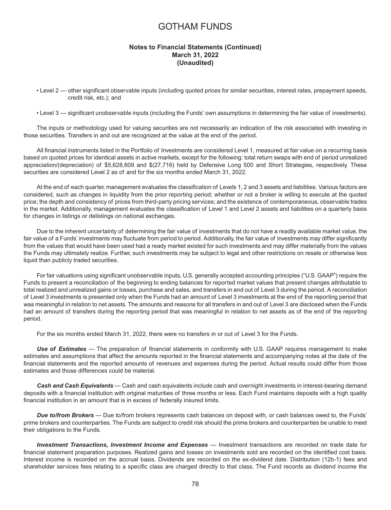### **Notes to Financial Statements (Continued) March 31, 2022 (Unaudited)**

- Level 2 other significant observable inputs (including quoted prices for similar securities, interest rates, prepayment speeds, credit risk, etc.); and
- Level 3 significant unobservable inputs (including the Funds' own assumptions in determining the fair value of investments).

The inputs or methodology used for valuing securities are not necessarily an indication of the risk associated with investing in those securities. Transfers in and out are recognized at the value at the end of the period.

All financial instruments listed in the Portfolio of Investments are considered Level 1, measured at fair value on a recurring basis based on quoted prices for identical assets in active markets, except for the following: total return swaps with end of period unrealized appreciation/(depreciation) of \$5,628,609 and \$(27,716) held by Defensive Long 500 and Short Strategies, respectively. These securities are considered Level 2 as of and for the six months ended March 31, 2022.

At the end of each quarter, management evaluates the classification of Levels 1, 2 and 3 assets and liabilities. Various factors are considered, such as changes in liquidity from the prior reporting period; whether or not a broker is willing to execute at the quoted price; the depth and consistency of prices from third-party pricing services; and the existence of contemporaneous, observable trades in the market. Additionally, management evaluates the classification of Level 1 and Level 2 assets and liabilities on a quarterly basis for changes in listings or delistings on national exchanges.

Due to the inherent uncertainty of determining the fair value of investments that do not have a readily available market value, the fair value of a Funds' investments may fluctuate from period to period. Additionally, the fair value of investments may differ significantly from the values that would have been used had a ready market existed for such investments and may differ materially from the values the Funds may ultimately realize. Further, such investments may be subject to legal and other restrictions on resale or otherwise less liquid than publicly traded securities.

For fair valuations using significant unobservable inputs, U.S. generally accepted accounting principles ("U.S. GAAP") require the Funds to present a reconciliation of the beginning to ending balances for reported market values that present changes attributable to total realized and unrealized gains or losses, purchase and sales, and transfers in and out of Level 3 during the period. A reconciliation of Level 3 investments is presented only when the Funds had an amount of Level 3 investments at the end of the reporting period that was meaningful in relation to net assets. The amounts and reasons for all transfers in and out of Level 3 are disclosed when the Funds had an amount of transfers during the reporting period that was meaningful in relation to net assets as of the end of the reporting period.

For the six months ended March 31, 2022, there were no transfers in or out of Level 3 for the Funds.

*Use of Estimates —* The preparation of financial statements in conformity with U.S. GAAP requires management to make estimates and assumptions that affect the amounts reported in the financial statements and accompanying notes at the date of the financial statements and the reported amounts of revenues and expenses during the period. Actual results could differ from those estimates and those differences could be material.

*Cash and Cash Equivalents* — Cash and cash equivalents include cash and overnight investments in interest-bearing demand deposits with a financial institution with original maturities of three months or less. Each Fund maintains deposits with a high quality financial institution in an amount that is in excess of federally insured limits.

*Due to/from Brokers —* Due to/from brokers represents cash balances on deposit with, or cash balances owed to, the Funds' prime brokers and counterparties. The Funds are subject to credit risk should the prime brokers and counterparties be unable to meet their obligations to the Funds.

*Investment Transactions, Investment Income and Expenses* — Investment transactions are recorded on trade date for financial statement preparation purposes. Realized gains and losses on investments sold are recorded on the identified cost basis. Interest income is recorded on the accrual basis. Dividends are recorded on the ex-dividend date. Distribution (12b-1) fees and shareholder services fees relating to a specific class are charged directly to that class. The Fund records as dividend income the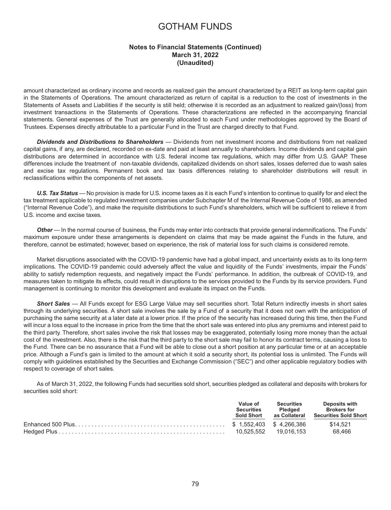## **Notes to Financial Statements (Continued) March 31, 2022 (Unaudited)**

amount characterized as ordinary income and records as realized gain the amount characterized by a REIT as long-term capital gain in the Statements of Operations. The amount characterized as return of capital is a reduction to the cost of investments in the Statements of Assets and Liabilities if the security is still held; otherwise it is recorded as an adjustment to realized gain/(loss) from investment transactions in the Statements of Operations. These characterizations are reflected in the accompanying financial statements. General expenses of the Trust are generally allocated to each Fund under methodologies approved by the Board of Trustees. Expenses directly attributable to a particular Fund in the Trust are charged directly to that Fund.

*Dividends and Distributions to Shareholders —* Dividends from net investment income and distributions from net realized capital gains, if any, are declared, recorded on ex-date and paid at least annually to shareholders. Income dividends and capital gain distributions are determined in accordance with U.S. federal income tax regulations, which may differ from U.S. GAAP. These differences include the treatment of non-taxable dividends, capitalized dividends on short sales, losses deferred due to wash sales and excise tax regulations. Permanent book and tax basis differences relating to shareholder distributions will result in reclassifications within the components of net assets.

*U.S. Tax Status* — No provision is made for U.S. income taxes as it is each Fund's intention to continue to qualify for and elect the tax treatment applicable to regulated investment companies under Subchapter M of the Internal Revenue Code of 1986, as amended ("Internal Revenue Code"), and make the requisite distributions to such Fund's shareholders, which will be sufficient to relieve it from U.S. income and excise taxes.

**Other** — In the normal course of business, the Funds may enter into contracts that provide general indemnifications. The Funds' maximum exposure under these arrangements is dependent on claims that may be made against the Funds in the future, and therefore, cannot be estimated; however, based on experience, the risk of material loss for such claims is considered remote.

Market disruptions associated with the COVID-19 pandemic have had a global impact, and uncertainty exists as to its long-term implications. The COVID-19 pandemic could adversely affect the value and liquidity of the Funds' investments, impair the Funds' ability to satisfy redemption requests, and negatively impact the Funds' performance. In addition, the outbreak of COVID-19, and measures taken to mitigate its effects, could result in disruptions to the services provided to the Funds by its service providers. Fund management is continuing to monitor this development and evaluate its impact on the Funds.

*Short Sales —* All Funds except for ESG Large Value may sell securities short. Total Return indirectly invests in short sales through its underlying securities. A short sale involves the sale by a Fund of a security that it does not own with the anticipation of purchasing the same security at a later date at a lower price. If the price of the security has increased during this time, then the Fund will incur a loss equal to the increase in price from the time that the short sale was entered into plus any premiums and interest paid to the third party. Therefore, short sales involve the risk that losses may be exaggerated, potentially losing more money than the actual cost of the investment. Also, there is the risk that the third party to the short sale may fail to honor its contract terms, causing a loss to the Fund. There can be no assurance that a Fund will be able to close out a short position at any particular time or at an acceptable price. Although a Fund's gain is limited to the amount at which it sold a security short, its potential loss is unlimited. The Funds will comply with guidelines established by the Securities and Exchange Commission ("SEC") and other applicable regulatory bodies with respect to coverage of short sales.

As of March 31, 2022, the following Funds had securities sold short, securities pledged as collateral and deposits with brokers for securities sold short:

| Value of<br><b>Securities</b><br><b>Sold Short</b> | Securities<br>Pledaed | Deposits with<br><b>Brokers for</b><br>as Collateral Securities Sold Short |
|----------------------------------------------------|-----------------------|----------------------------------------------------------------------------|
|                                                    |                       | \$14.521                                                                   |
|                                                    |                       | 68.466                                                                     |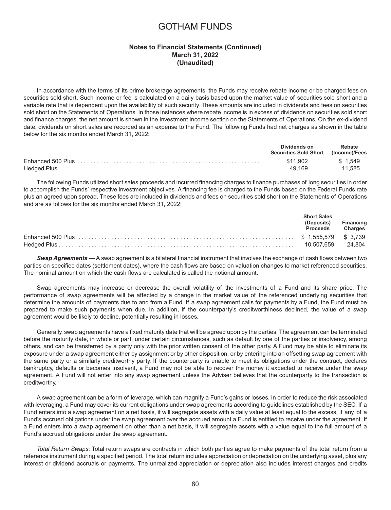### **Notes to Financial Statements (Continued) March 31, 2022 (Unaudited)**

In accordance with the terms of its prime brokerage agreements, the Funds may receive rebate income or be charged fees on securities sold short. Such income or fee is calculated on a daily basis based upon the market value of securities sold short and a variable rate that is dependent upon the availability of such security. These amounts are included in dividends and fees on securities sold short on the Statements of Operations. In those instances where rebate income is in excess of dividends on securities sold short and finance charges, the net amount is shown in the Investment Income section on the Statements of Operations. On the ex-dividend date, dividends on short sales are recorded as an expense to the Fund. The following Funds had net charges as shown in the table below for the six months ended March 31, 2022:

| Dividends on<br>Securities Sold Short (Income)/Fees | Rebate                 |
|-----------------------------------------------------|------------------------|
| \$11.902                                            | $\frac{1}{2}$ \$ 1.549 |
| 49.169                                              | 11.585                 |

The following Funds utilized short sales proceeds and incurred financing charges to finance purchases of long securities in order to accomplish the Funds' respective investment objectives. A financing fee is charged to the Funds based on the Federal Funds rate plus an agreed upon spread. These fees are included in dividends and fees on securities sold short on the Statements of Operations and are as follows for the six months ended March 31, 2022:

| <b>Short Sales</b><br>(Deposits)<br>Proceeds Charges | <b>Financing</b> |
|------------------------------------------------------|------------------|
|                                                      |                  |
|                                                      |                  |

*Swap Agreements* — A swap agreement is a bilateral financial instrument that involves the exchange of cash flows between two parties on specified dates (settlement dates), where the cash flows are based on valuation changes to market referenced securities. The nominal amount on which the cash flows are calculated is called the notional amount.

Swap agreements may increase or decrease the overall volatility of the investments of a Fund and its share price. The performance of swap agreements will be affected by a change in the market value of the referenced underlying securities that determine the amounts of payments due to and from a Fund. If a swap agreement calls for payments by a Fund, the Fund must be prepared to make such payments when due. In addition, if the counterparty's creditworthiness declined, the value of a swap agreement would be likely to decline, potentially resulting in losses.

Generally, swap agreements have a fixed maturity date that will be agreed upon by the parties. The agreement can be terminated before the maturity date, in whole or part, under certain circumstances, such as default by one of the parties or insolvency, among others, and can be transferred by a party only with the prior written consent of the other party. A Fund may be able to eliminate its exposure under a swap agreement either by assignment or by other disposition, or by entering into an offsetting swap agreement with the same party or a similarly creditworthy party. If the counterparty is unable to meet its obligations under the contract, declares bankruptcy, defaults or becomes insolvent, a Fund may not be able to recover the money it expected to receive under the swap agreement. A Fund will not enter into any swap agreement unless the Adviser believes that the counterparty to the transaction is creditworthy.

A swap agreement can be a form of leverage, which can magnify a Fund's gains or losses. In order to reduce the risk associated with leveraging, a Fund may cover its current obligations under swap agreements according to guidelines established by the SEC. If a Fund enters into a swap agreement on a net basis, it will segregate assets with a daily value at least equal to the excess, if any, of a Fund's accrued obligations under the swap agreement over the accrued amount a Fund is entitled to receive under the agreement. If a Fund enters into a swap agreement on other than a net basis, it will segregate assets with a value equal to the full amount of a Fund's accrued obligations under the swap agreement.

*Total Return Swaps*: Total return swaps are contracts in which both parties agree to make payments of the total return from a reference instrument during a specified period. The total return includes appreciation or depreciation on the underlying asset, plus any interest or dividend accruals or payments. The unrealized appreciation or depreciation also includes interest charges and credits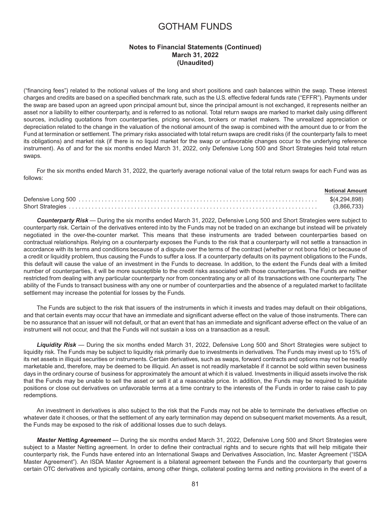## **Notes to Financial Statements (Continued) March 31, 2022 (Unaudited)**

("financing fees") related to the notional values of the long and short positions and cash balances within the swap. These interest charges and credits are based on a specified benchmark rate, such as the U.S. effective federal funds rate ("EFFR"). Payments under the swap are based upon an agreed upon principal amount but, since the principal amount is not exchanged, it represents neither an asset nor a liability to either counterparty, and is referred to as notional. Total return swaps are marked to market daily using different sources, including quotations from counterparties, pricing services, brokers or market makers. The unrealized appreciation or depreciation related to the change in the valuation of the notional amount of the swap is combined with the amount due to or from the Fund at termination or settlement. The primary risks associated with total return swaps are credit risks (if the counterparty fails to meet its obligations) and market risk (if there is no liquid market for the swap or unfavorable changes occur to the underlying reference instrument). As of and for the six months ended March 31, 2022, only Defensive Long 500 and Short Strategies held total return swaps.

For the six months ended March 31, 2022, the quarterly average notional value of the total return swaps for each Fund was as follows:

| <b>Notional Amount</b> |
|------------------------|
| \$(4,294,898)          |
| (3,866,733)            |

*Counterparty Risk* — During the six months ended March 31, 2022, Defensive Long 500 and Short Strategies were subject to counterparty risk. Certain of the derivatives entered into by the Funds may not be traded on an exchange but instead will be privately negotiated in the over-the-counter market. This means that these instruments are traded between counterparties based on contractual relationships. Relying on a counterparty exposes the Funds to the risk that a counterparty will not settle a transaction in accordance with its terms and conditions because of a dispute over the terms of the contract (whether or not bona fide) or because of a credit or liquidity problem, thus causing the Funds to suffer a loss. If a counterparty defaults on its payment obligations to the Funds, this default will cause the value of an investment in the Funds to decrease. In addition, to the extent the Funds deal with a limited number of counterparties, it will be more susceptible to the credit risks associated with those counterparties. The Funds are neither restricted from dealing with any particular counterparty nor from concentrating any or all of its transactions with one counterparty. The ability of the Funds to transact business with any one or number of counterparties and the absence of a regulated market to facilitate settlement may increase the potential for losses by the Funds.

The Funds are subject to the risk that issuers of the instruments in which it invests and trades may default on their obligations, and that certain events may occur that have an immediate and significant adverse effect on the value of those instruments. There can be no assurance that an issuer will not default, or that an event that has an immediate and significant adverse effect on the value of an instrument will not occur, and that the Funds will not sustain a loss on a transaction as a result.

*Liquidity Risk* — During the six months ended March 31, 2022, Defensive Long 500 and Short Strategies were subject to liquidity risk. The Funds may be subject to liquidity risk primarily due to investments in derivatives. The Funds may invest up to 15% of its net assets in illiquid securities or instruments. Certain derivatives, such as swaps, forward contracts and options may not be readily marketable and, therefore, may be deemed to be illiquid. An asset is not readily marketable if it cannot be sold within seven business days in the ordinary course of business for approximately the amount at which it is valued. Investments in illiquid assets involve the risk that the Funds may be unable to sell the asset or sell it at a reasonable price. In addition, the Funds may be required to liquidate positions or close out derivatives on unfavorable terms at a time contrary to the interests of the Funds in order to raise cash to pay redemptions.

An investment in derivatives is also subject to the risk that the Funds may not be able to terminate the derivatives effective on whatever date it chooses, or that the settlement of any early termination may depend on subsequent market movements. As a result, the Funds may be exposed to the risk of additional losses due to such delays.

*Master Netting Agreement* — During the six months ended March 31, 2022, Defensive Long 500 and Short Strategies were subject to a Master Netting agreement. In order to define their contractual rights and to secure rights that will help mitigate their counterparty risk, the Funds have entered into an International Swaps and Derivatives Association, Inc. Master Agreement ("ISDA Master Agreement"). An ISDA Master Agreement is a bilateral agreement between the Funds and the counterparty that governs certain OTC derivatives and typically contains, among other things, collateral posting terms and netting provisions in the event of a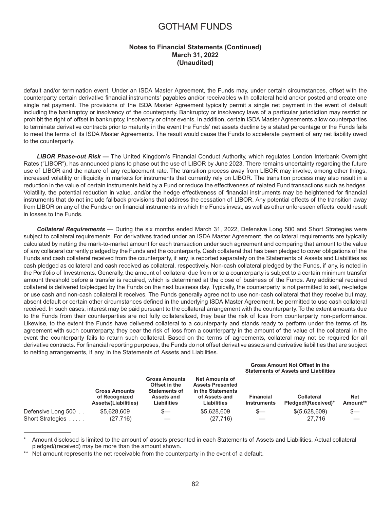## **Notes to Financial Statements (Continued) March 31, 2022 (Unaudited)**

default and/or termination event. Under an ISDA Master Agreement, the Funds may, under certain circumstances, offset with the counterparty certain derivative financial instruments' payables and/or receivables with collateral held and/or posted and create one single net payment. The provisions of the ISDA Master Agreement typically permit a single net payment in the event of default including the bankruptcy or insolvency of the counterparty. Bankruptcy or insolvency laws of a particular jurisdiction may restrict or prohibit the right of offset in bankruptcy, insolvency or other events. In addition, certain ISDA Master Agreements allow counterparties to terminate derivative contracts prior to maturity in the event the Funds' net assets decline by a stated percentage or the Funds fails to meet the terms of its ISDA Master Agreements. The result would cause the Funds to accelerate payment of any net liability owed to the counterparty.

*LIBOR Phase-out Risk* **—** The United Kingdom's Financial Conduct Authority, which regulates London Interbank Overnight Rates ("LIBOR"), has announced plans to phase out the use of LIBOR by June 2023. There remains uncertainty regarding the future use of LIBOR and the nature of any replacement rate. The transition process away from LIBOR may involve, among other things, increased volatility or illiquidity in markets for instruments that currently rely on LIBOR. The transition process may also result in a reduction in the value of certain instruments held by a Fund or reduce the effectiveness of related Fund transactions such as hedges. Volatility, the potential reduction in value, and/or the hedge effectiveness of financial instruments may be heightened for financial instruments that do not include fallback provisions that address the cessation of LIBOR. Any potential effects of the transition away from LIBOR on any of the Funds or on financial instruments in which the Funds invest, as well as other unforeseen effects, could result in losses to the Funds.

*Collateral Requirements* — During the six months ended March 31, 2022, Defensive Long 500 and Short Strategies were subject to collateral requirements. For derivatives traded under an ISDA Master Agreement, the collateral requirements are typically calculated by netting the mark-to-market amount for each transaction under such agreement and comparing that amount to the value of any collateral currently pledged by the Funds and the counterparty. Cash collateral that has been pledged to cover obligations of the Funds and cash collateral received from the counterparty, if any, is reported separately on the Statements of Assets and Liabilities as cash pledged as collateral and cash received as collateral, respectively. Non-cash collateral pledged by the Funds, if any, is noted in the Portfolio of Investments. Generally, the amount of collateral due from or to a counterparty is subject to a certain minimum transfer amount threshold before a transfer is required, which is determined at the close of business of the Funds. Any additional required collateral is delivered to/pledged by the Funds on the next business day. Typically, the counterparty is not permitted to sell, re-pledge or use cash and non-cash collateral it receives. The Funds generally agree not to use non-cash collateral that they receive but may, absent default or certain other circumstances defined in the underlying ISDA Master Agreement, be permitted to use cash collateral received. In such cases, interest may be paid pursuant to the collateral arrangement with the counterparty. To the extent amounts due to the Funds from their counterparties are not fully collateralized, they bear the risk of loss from counterparty non-performance. Likewise, to the extent the Funds have delivered collateral to a counterparty and stands ready to perform under the terms of its agreement with such counterparty, they bear the risk of loss from a counterparty in the amount of the value of the collateral in the event the counterparty fails to return such collateral. Based on the terms of agreements, collateral may not be required for all derivative contracts. For financial reporting purposes, the Funds do not offset derivative assets and derivative liabilities that are subject to netting arrangements, if any, in the Statements of Assets and Liabilities.

|                                        |                                                               |                                                                                                   |                                                                                                       |                                        | <b>Gross Amount Not Offset in the</b><br><b>Statements of Assets and Liabilities</b> |                        |
|----------------------------------------|---------------------------------------------------------------|---------------------------------------------------------------------------------------------------|-------------------------------------------------------------------------------------------------------|----------------------------------------|--------------------------------------------------------------------------------------|------------------------|
|                                        | <b>Gross Amounts</b><br>of Recognized<br>Assets/(Liabilities) | <b>Gross Amounts</b><br>Offset in the<br><b>Statements of</b><br>Assets and<br><b>Liabilities</b> | <b>Net Amounts of</b><br><b>Assets Presented</b><br>in the Statements<br>of Assets and<br>Liabilities | <b>Financial</b><br><b>Instruments</b> | Collateral<br>Pledged/(Received)*                                                    | <b>Net</b><br>Amount** |
| Defensive Long 500<br>Short Strategies | \$5,628,609<br>(27, 716)                                      | $s-$                                                                                              | \$5,628,609<br>(27, 716)                                                                              | $s-$                                   | \$(5,628,609)<br>27.716                                                              | $s-$                   |

Amount disclosed is limited to the amount of assets presented in each Statements of Assets and Liabilities. Actual collateral pledged/(received) may be more than the amount shown.

<sup>\*\*</sup> Net amount represents the net receivable from the counterparty in the event of a default.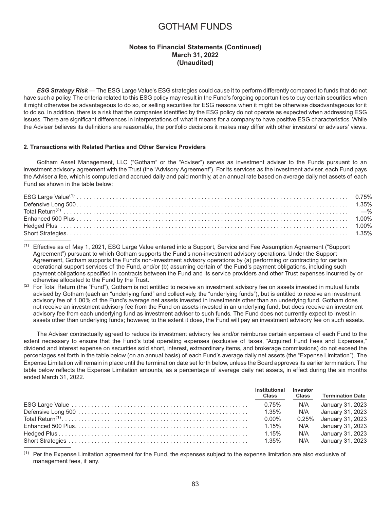## **Notes to Financial Statements (Continued) March 31, 2022 (Unaudited)**

*ESG Strategy Risk* — The ESG Large Value's ESG strategies could cause it to perform differently compared to funds that do not have such a policy. The criteria related to this ESG policy may result in the Fund's forgoing opportunities to buy certain securities when it might otherwise be advantageous to do so, or selling securities for ESG reasons when it might be otherwise disadvantageous for it to do so. In addition, there is a risk that the companies identified by the ESG policy do not operate as expected when addressing ESG issues. There are significant differences in interpretations of what it means for a company to have positive ESG characteristics. While the Adviser believes its definitions are reasonable, the portfolio decisions it makes may differ with other investors' or advisers' views.

#### **2. Transactions with Related Parties and Other Service Providers**

Gotham Asset Management, LLC ("Gotham" or the "Adviser") serves as investment adviser to the Funds pursuant to an investment advisory agreement with the Trust (the "Advisory Agreement"). For its services as the investment adviser, each Fund pays the Adviser a fee, which is computed and accrued daily and paid monthly, at an annual rate based on average daily net assets of each Fund as shown in the table below:

 $<sup>(1)</sup>$  Effective as of May 1, 2021, ESG Large Value entered into a Support, Service and Fee Assumption Agreement ("Support</sup> Agreement") pursuant to which Gotham supports the Fund's non-investment advisory operations. Under the Support Agreement, Gotham supports the Fund's non-investment advisory operations by (a) performing or contracting for certain operational support services of the Fund, and/or (b) assuming certain of the Fund's payment obligations, including such payment obligations specified in contracts between the Fund and its service providers and other Trust expenses incurred by or otherwise allocated to the Fund by the Trust.

(2) For Total Return (the "Fund"), Gotham is not entitled to receive an investment advisory fee on assets invested in mutual funds advised by Gotham (each an "underlying fund" and collectively, the "underlying funds"), but is entitled to receive an investment advisory fee of 1.00% of the Fund's average net assets invested in investments other than an underlying fund. Gotham does not receive an investment advisory fee from the Fund on assets invested in an underlying fund, but does receive an investment advisory fee from each underlying fund as investment adviser to such funds. The Fund does not currently expect to invest in assets other than underlying funds; however, to the extent it does, the Fund will pay an investment advisory fee on such assets.

The Adviser contractually agreed to reduce its investment advisory fee and/or reimburse certain expenses of each Fund to the extent necessary to ensure that the Fund's total operating expenses (exclusive of taxes, "Acquired Fund Fees and Expenses," dividend and interest expense on securities sold short, interest, extraordinary items, and brokerage commissions) do not exceed the percentages set forth in the table below (on an annual basis) of each Fund's average daily net assets (the "Expense Limitation"). The Expense Limitation will remain in place until the termination date set forth below, unless the Board approves its earlier termination. The table below reflects the Expense Limitation amounts, as a percentage of average daily net assets, in effect during the six months ended March 31, 2022.

| Institutional<br><b>Class</b> | Investor<br><b>Class</b> | <b>Termination Date</b> |
|-------------------------------|--------------------------|-------------------------|
|                               |                          | N/A January 31, 2023    |
|                               |                          | N/A January 31, 2023    |
| $0.00\%$                      |                          | 0.25% January 31, 2023  |
| 1.15%                         | N/A                      | January 31, 2023        |
| $1.15\%$                      | N/A                      | January 31, 2023        |
|                               | N/A                      | January 31, 2023        |

 $<sup>(1)</sup>$  Per the Expense Limitation agreement for the Fund, the expenses subject to the expense limitation are also exclusive of</sup> management fees, if any.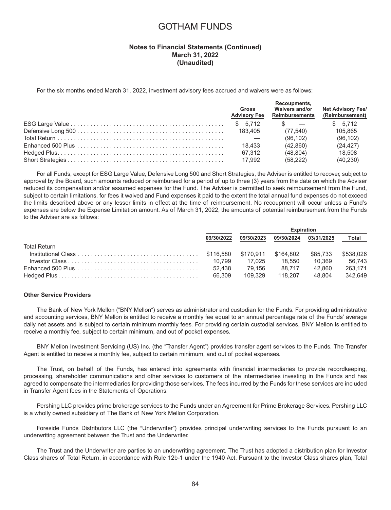### **Notes to Financial Statements (Continued) March 31, 2022 (Unaudited)**

For the six months ended March 31, 2022, investment advisory fees accrued and waivers were as follows:

| Gross<br><b>Advisory Fee</b> | Recoupments,<br><b>Waivers and/or</b><br>Reimbursements | <b>Net Advisory Fee/</b><br>(Reimbursement) |
|------------------------------|---------------------------------------------------------|---------------------------------------------|
|                              | $\sim$                                                  | \$5.712                                     |
| 183.405                      | (77.540)                                                | 105.865                                     |
|                              | (96.102)                                                | (96.102)                                    |
| 18.433                       | (42.860)                                                | (24.427)                                    |
| 67.312                       | (48.804)                                                | 18.508                                      |
| 17.992                       | (58.222)                                                | (40, 230)                                   |

For all Funds, except for ESG Large Value, Defensive Long 500 and Short Strategies, the Adviser is entitled to recover, subject to approval by the Board, such amounts reduced or reimbursed for a period of up to three (3) years from the date on which the Adviser reduced its compensation and/or assumed expenses for the Fund. The Adviser is permitted to seek reimbursement from the Fund, subject to certain limitations, for fees it waived and Fund expenses it paid to the extent the total annual fund expenses do not exceed the limits described above or any lesser limits in effect at the time of reimbursement. No recoupment will occur unless a Fund's expenses are below the Expense Limitation amount. As of March 31, 2022, the amounts of potential reimbursement from the Funds to the Adviser are as follows:

|                                                                                                                            | <b>Expiration</b> |            |            |            |           |
|----------------------------------------------------------------------------------------------------------------------------|-------------------|------------|------------|------------|-----------|
|                                                                                                                            | 09/30/2022        | 09/30/2023 | 09/30/2024 | 03/31/2025 | Total     |
| Total Return                                                                                                               |                   |            |            |            |           |
| $\text{Institutional Class} \dots \dots \dots \dots \dots \dots \dots \dots \dots \dots \dots \dots \quad \text{$}416.580$ |                   |            | \$164.802  | \$85.733   | \$538,026 |
|                                                                                                                            | 10.799            | 17.025     | 18.550     | 10.369     | 56.743    |
| Enhanced 500 Plus $\ldots \ldots \ldots \ldots \ldots \ldots \ldots \ldots \ldots \ldots \ldots \ldots$                    | 52.438            | 79.156     | 88.717     | 42.860     | 263.171   |
|                                                                                                                            | 66.309            | 109.329    | 118.207    | 48.804     | 342.649   |

#### **Other Service Providers**

The Bank of New York Mellon ("BNY Mellon") serves as administrator and custodian for the Funds. For providing administrative and accounting services, BNY Mellon is entitled to receive a monthly fee equal to an annual percentage rate of the Funds' average daily net assets and is subject to certain minimum monthly fees. For providing certain custodial services, BNY Mellon is entitled to receive a monthly fee, subject to certain minimum, and out of pocket expenses.

BNY Mellon Investment Servicing (US) Inc. (the "Transfer Agent") provides transfer agent services to the Funds. The Transfer Agent is entitled to receive a monthly fee, subject to certain minimum, and out of pocket expenses.

The Trust, on behalf of the Funds, has entered into agreements with financial intermediaries to provide recordkeeping, processing, shareholder communications and other services to customers of the intermediaries investing in the Funds and has agreed to compensate the intermediaries for providing those services. The fees incurred by the Funds for these services are included in Transfer Agent fees in the Statements of Operations.

Pershing LLC provides prime brokerage services to the Funds under an Agreement for Prime Brokerage Services. Pershing LLC is a wholly owned subsidiary of The Bank of New York Mellon Corporation.

Foreside Funds Distributors LLC (the "Underwriter") provides principal underwriting services to the Funds pursuant to an underwriting agreement between the Trust and the Underwriter.

The Trust and the Underwriter are parties to an underwriting agreement. The Trust has adopted a distribution plan for Investor Class shares of Total Return, in accordance with Rule 12b-1 under the 1940 Act. Pursuant to the Investor Class shares plan, Total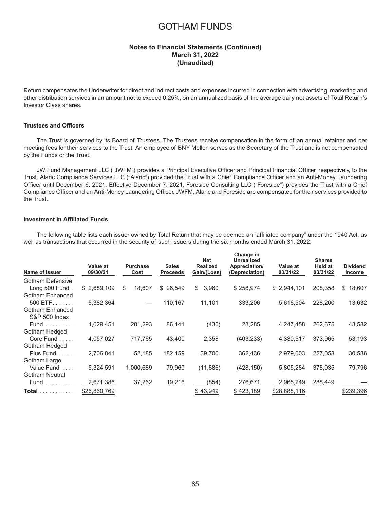### **Notes to Financial Statements (Continued) March 31, 2022 (Unaudited)**

Return compensates the Underwriter for direct and indirect costs and expenses incurred in connection with advertising, marketing and other distribution services in an amount not to exceed 0.25%, on an annualized basis of the average daily net assets of Total Return's Investor Class shares.

### **Trustees and Officers**

The Trust is governed by its Board of Trustees. The Trustees receive compensation in the form of an annual retainer and per meeting fees for their services to the Trust. An employee of BNY Mellon serves as the Secretary of the Trust and is not compensated by the Funds or the Trust.

JW Fund Management LLC ("JWFM") provides a Principal Executive Officer and Principal Financial Officer, respectively, to the Trust. Alaric Compliance Services LLC ("Alaric") provided the Trust with a Chief Compliance Officer and an Anti-Money Laundering Officer until December 6, 2021. Effective December 7, 2021, Foreside Consulting LLC ("Foreside") provides the Trust with a Chief Compliance Officer and an Anti-Money Laundering Officer. JWFM, Alaric and Foreside are compensated for their services provided to the Trust.

#### **Investment in Affiliated Funds**

The following table lists each issuer owned by Total Return that may be deemed an "affiliated company" under the 1940 Act, as well as transactions that occurred in the security of such issuers during the six months ended March 31, 2022:

| Name of Issuer                                | Value at<br>09/30/21 | <b>Purchase</b><br>Cost | <b>Sales</b><br><b>Proceeds</b> | <b>Net</b><br><b>Realized</b><br>Gain/(Loss) | Change in<br><b>Unrealized</b><br>Appreciation/<br>(Depreciation) | Value at<br>03/31/22 | <b>Shares</b><br>Held at<br>03/31/22 | <b>Dividend</b><br><b>Income</b> |
|-----------------------------------------------|----------------------|-------------------------|---------------------------------|----------------------------------------------|-------------------------------------------------------------------|----------------------|--------------------------------------|----------------------------------|
| <b>Gotham Defensive</b>                       |                      |                         |                                 |                                              |                                                                   |                      |                                      |                                  |
| Long 500 Fund                                 | \$2,689,109          | 18,607<br>\$            | \$26,549                        | \$<br>3,960                                  | \$258,974                                                         | \$2,944,101          | 208.358                              | \$<br>18,607                     |
| Gotham Enhanced                               |                      |                         |                                 |                                              |                                                                   |                      |                                      |                                  |
| $500$ ETF                                     | 5,382,364            |                         | 110,167                         | 11,101                                       | 333,206                                                           | 5,616,504            | 228,200                              | 13,632                           |
| Gotham Enhanced                               |                      |                         |                                 |                                              |                                                                   |                      |                                      |                                  |
| <b>S&amp;P 500 Index</b>                      |                      |                         |                                 |                                              |                                                                   |                      |                                      |                                  |
| Fund $\ldots \ldots$                          | 4,029,451            | 281,293                 | 86,141                          | (430)                                        | 23,285                                                            | 4,247,458            | 262,675                              | 43,582                           |
| Gotham Hedged                                 |                      |                         |                                 |                                              |                                                                   |                      |                                      |                                  |
| Core Fund                                     | 4,057,027            | 717.765                 | 43.400                          | 2,358                                        | (403, 233)                                                        | 4,330,517            | 373.965                              | 53,193                           |
| Gotham Hedged                                 |                      |                         |                                 |                                              |                                                                   |                      |                                      |                                  |
| Plus Fund<br>1.1.1.1                          | 2,706,841            | 52,185                  | 182,159                         | 39,700                                       | 362.436                                                           | 2,979,003            | 227,058                              | 30,586                           |
| Gotham Large                                  |                      |                         |                                 |                                              |                                                                   |                      |                                      |                                  |
| Value Fund<br>$\cdot$ $\cdot$ $\cdot$ $\cdot$ | 5,324,591            | 1,000,689               | 79,960                          | (11, 886)                                    | (428, 150)                                                        | 5,805,284            | 378,935                              | 79,796                           |
| <b>Gotham Neutral</b>                         |                      |                         |                                 |                                              |                                                                   |                      |                                      |                                  |
| $Fund$                                        | 2,671,386            | 37,262                  | 19,216                          | (854)                                        | 276,671                                                           | 2,965,249            | 288,449                              |                                  |
| Total                                         | \$26,860,769         |                         |                                 | \$43,949                                     | \$423,189                                                         | \$28,888,116         |                                      | \$239,396                        |
|                                               |                      |                         |                                 |                                              |                                                                   |                      |                                      |                                  |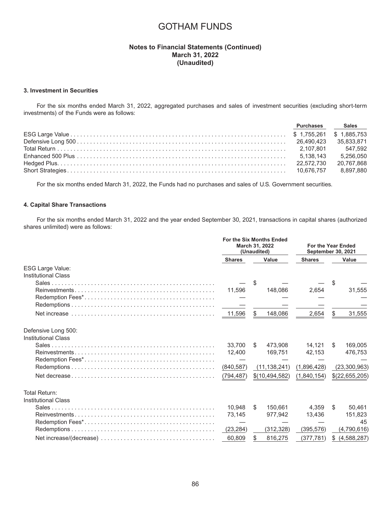## **Notes to Financial Statements (Continued) March 31, 2022 (Unaudited)**

#### **3. Investment in Securities**

For the six months ended March 31, 2022, aggregated purchases and sales of investment securities (excluding short-term investments) of the Funds were as follows:

| Sales ___        |
|------------------|
|                  |
|                  |
| 547.592          |
| 5.256.050        |
| 20.767.868       |
| 8.897.880        |
| <b>Purchases</b> |

For the six months ended March 31, 2022, the Funds had no purchases and sales of U.S. Government securities.

#### **4. Capital Share Transactions**

For the six months ended March 31, 2022 and the year ended September 30, 2021, transactions in capital shares (authorized shares unlimited) were as follows:

|                            | For the Six Months Ended<br><b>March 31, 2022</b><br>(Unaudited) |    | <b>For the Year Ended</b><br><b>September 30, 2021</b> |             |               |                |  |
|----------------------------|------------------------------------------------------------------|----|--------------------------------------------------------|-------------|---------------|----------------|--|
|                            | Value<br><b>Shares</b>                                           |    |                                                        |             | <b>Shares</b> | Value          |  |
| <b>ESG Large Value:</b>    |                                                                  |    |                                                        |             |               |                |  |
| <b>Institutional Class</b> |                                                                  |    |                                                        |             |               |                |  |
|                            |                                                                  | S  |                                                        |             | \$.           |                |  |
|                            | 11.596                                                           |    | 148.086                                                | 2,654       |               | 31,555         |  |
|                            |                                                                  |    |                                                        |             |               |                |  |
|                            |                                                                  |    |                                                        |             |               |                |  |
|                            | 11,596                                                           | \$ | 148,086                                                | 2,654       | \$            | 31,555         |  |
| Defensive Long 500:        |                                                                  |    |                                                        |             |               |                |  |
| <b>Institutional Class</b> |                                                                  |    |                                                        |             |               |                |  |
|                            | 33.700                                                           | S. | 473,908                                                | 14.121      | S.            | 169,005        |  |
|                            | 12.400                                                           |    | 169,751                                                | 42.153      |               | 476,753        |  |
|                            |                                                                  |    |                                                        |             |               |                |  |
|                            | (840, 587)                                                       |    | (11, 138, 241)                                         | (1,896,428) |               | (23,300,963)   |  |
|                            | (794, 487)                                                       |    | \$(10,494,582)                                         | (1,840,154) |               | \$(22,655,205) |  |
| Total Return:              |                                                                  |    |                                                        |             |               |                |  |
| <b>Institutional Class</b> |                                                                  |    |                                                        |             |               |                |  |
|                            | 10.948                                                           | S. | 150.661                                                | 4.359       | \$            | 50.461         |  |
|                            | 73,145                                                           |    | 977,942                                                | 13,436      |               | 151,823        |  |
|                            |                                                                  |    |                                                        |             |               | 45             |  |
|                            | (23, 284)                                                        |    | (312, 328)                                             | (395, 576)  |               | (4,790,616)    |  |
|                            | 60,809                                                           | \$ | 816,275                                                | (377,781)   | \$            | (4,588,287)    |  |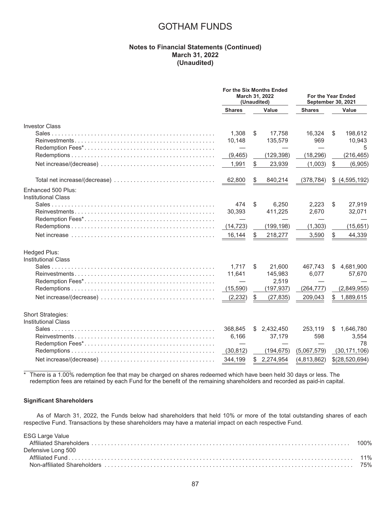## **Notes to Financial Statements (Continued) March 31, 2022 (Unaudited)**

|                                                  | <b>For the Six Months Ended</b><br>March 31, 2022<br>(Unaudited) |    | For the Year Ended<br><b>September 30, 2021</b> |               |    |                |
|--------------------------------------------------|------------------------------------------------------------------|----|-------------------------------------------------|---------------|----|----------------|
|                                                  | <b>Shares</b>                                                    |    | Value                                           | <b>Shares</b> |    | Value          |
| <b>Investor Class</b>                            |                                                                  |    |                                                 |               |    |                |
|                                                  | 1,308                                                            | S  | 17,758                                          | 16,324        | \$ | 198,612        |
|                                                  | 10,148                                                           |    | 135,579                                         | 969           |    | 10,943         |
|                                                  |                                                                  |    |                                                 |               |    | 5              |
|                                                  | (9,465)                                                          |    | (129, 398)                                      | (18, 296)     |    | (216, 465)     |
|                                                  | 1,991                                                            | \$ | 23,939                                          | (1,003)       | \$ | (6,905)        |
|                                                  | 62,800                                                           | \$ | 840,214                                         | (378, 784)    | \$ | (4, 595, 192)  |
| Enhanced 500 Plus:<br><b>Institutional Class</b> |                                                                  |    |                                                 |               |    |                |
|                                                  | 474                                                              | \$ | 6,250                                           | 2,223         | \$ | 27,919         |
|                                                  | 30,393                                                           |    | 411,225                                         | 2,670         |    | 32,071         |
|                                                  |                                                                  |    |                                                 |               |    |                |
|                                                  | (14, 723)                                                        |    | (199, 198)                                      | (1, 303)      |    | (15, 651)      |
|                                                  | 16,144                                                           | \$ | 218,277                                         | 3,590         | \$ | 44,339         |
| Hedged Plus:                                     |                                                                  |    |                                                 |               |    |                |
| <b>Institutional Class</b>                       |                                                                  |    |                                                 |               |    |                |
|                                                  | 1.717                                                            | \$ | 21,600                                          | 467.743       | S  | 4,681,900      |
|                                                  | 11,641                                                           |    | 145,983                                         | 6,077         |    | 57,670         |
|                                                  |                                                                  |    | 2,519                                           |               |    |                |
|                                                  | (15, 590)                                                        |    | (197, 937)                                      | (264, 777)    |    | (2,849,955)    |
|                                                  | (2, 232)                                                         | \$ | (27, 835)                                       | 209,043       | \$ | 1,889,615      |
| Short Strategies:                                |                                                                  |    |                                                 |               |    |                |
| <b>Institutional Class</b>                       |                                                                  |    |                                                 |               |    |                |
|                                                  | 368,845                                                          | S  | 2,432,450                                       | 253,119       | S  | 1,646,780      |
|                                                  | 6,166                                                            |    | 37,179                                          | 598           |    | 3,554          |
|                                                  |                                                                  |    |                                                 |               |    | 78             |
|                                                  | (30, 812)                                                        |    | (194, 675)                                      | (5,067,579)   |    | (30, 171, 106) |
|                                                  | 344,199                                                          | \$ | 2,274,954                                       | (4,813,862)   |    | \$(28,520,694) |

 $*$  There is a 1.00% redemption fee that may be charged on shares redeemed which have been held 30 days or less. The redemption fees are retained by each Fund for the benefit of the remaining shareholders and recorded as paid-in capital.

#### **Significant Shareholders**

As of March 31, 2022, the Funds below had shareholders that held 10% or more of the total outstanding shares of each respective Fund. Transactions by these shareholders may have a material impact on each respective Fund.

| <b>ESG Large Value</b> |  |
|------------------------|--|
| Defensive Long 500     |  |
|                        |  |
|                        |  |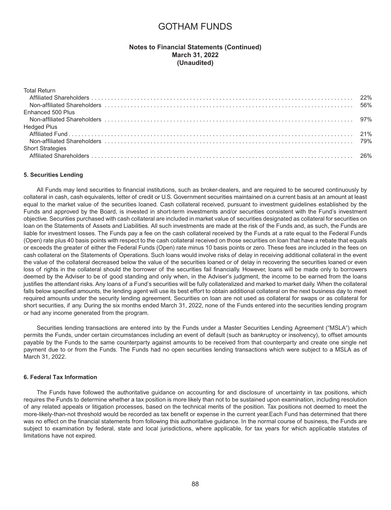### **Notes to Financial Statements (Continued) March 31, 2022 (Unaudited)**

| <b>Total Return</b>     |  |
|-------------------------|--|
|                         |  |
|                         |  |
| Enhanced 500 Plus       |  |
|                         |  |
| <b>Hedged Plus</b>      |  |
|                         |  |
|                         |  |
| <b>Short Strategies</b> |  |
|                         |  |

#### **5. Securities Lending**

All Funds may lend securities to financial institutions, such as broker-dealers, and are required to be secured continuously by collateral in cash, cash equivalents, letter of credit or U.S. Government securities maintained on a current basis at an amount at least equal to the market value of the securities loaned. Cash collateral received, pursuant to investment guidelines established by the Funds and approved by the Board, is invested in short-term investments and/or securities consistent with the Fund's investment objective. Securities purchased with cash collateral are included in market value of securities designated as collateral for securities on loan on the Statements of Assets and Liabilities. All such investments are made at the risk of the Funds and, as such, the Funds are liable for investment losses. The Funds pay a fee on the cash collateral received by the Funds at a rate equal to the Federal Funds (Open) rate plus 40 basis points with respect to the cash collateral received on those securities on loan that have a rebate that equals or exceeds the greater of either the Federal Funds (Open) rate minus 10 basis points or zero. These fees are included in the fees on cash collateral on the Statements of Operations. Such loans would involve risks of delay in receiving additional collateral in the event the value of the collateral decreased below the value of the securities loaned or of delay in recovering the securities loaned or even loss of rights in the collateral should the borrower of the securities fail financially. However, loans will be made only to borrowers deemed by the Adviser to be of good standing and only when, in the Adviser's judgment, the income to be earned from the loans justifies the attendant risks. Any loans of a Fund's securities will be fully collateralized and marked to market daily. When the collateral falls below specified amounts, the lending agent will use its best effort to obtain additional collateral on the next business day to meet required amounts under the security lending agreement. Securities on loan are not used as collateral for swaps or as collateral for short securities, if any. During the six months ended March 31, 2022, none of the Funds entered into the securities lending program or had any income generated from the program.

Securities lending transactions are entered into by the Funds under a Master Securities Lending Agreement ("MSLA") which permits the Funds, under certain circumstances including an event of default (such as bankruptcy or insolvency), to offset amounts payable by the Funds to the same counterparty against amounts to be received from that counterparty and create one single net payment due to or from the Funds. The Funds had no open securities lending transactions which were subject to a MSLA as of March 31, 2022.

#### **6. Federal Tax Information**

The Funds have followed the authoritative guidance on accounting for and disclosure of uncertainty in tax positions, which requires the Funds to determine whether a tax position is more likely than not to be sustained upon examination, including resolution of any related appeals or litigation processes, based on the technical merits of the position. Tax positions not deemed to meet the more-likely-than-not threshold would be recorded as tax benefit or expense in the current year.Each Fund has determined that there was no effect on the financial statements from following this authoritative guidance. In the normal course of business, the Funds are subject to examination by federal, state and local jurisdictions, where applicable, for tax years for which applicable statutes of limitations have not expired.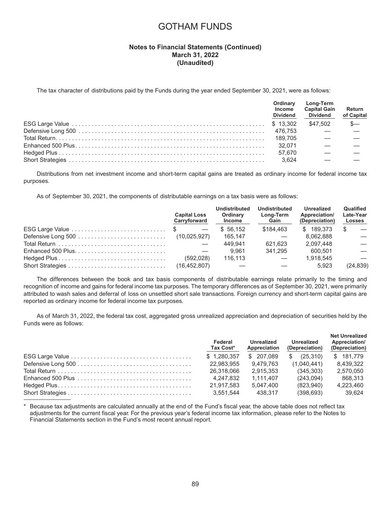## **Notes to Financial Statements (Continued) March 31, 2022 (Unaudited)**

The tax character of distributions paid by the Funds during the year ended September 30, 2021, were as follows:

| Ordinary<br>Income<br><b>Dividend</b> | <b>Long-Term</b><br><b>Capital Gain</b><br><b>Dividend</b> | Return<br>of Capital |
|---------------------------------------|------------------------------------------------------------|----------------------|
|                                       | \$47,502                                                   | $\mathcal{S}-$       |
|                                       |                                                            |                      |
|                                       |                                                            |                      |
|                                       |                                                            |                      |
| 57.670                                |                                                            |                      |
| 3.624                                 |                                                            |                      |

Distributions from net investment income and short-term capital gains are treated as ordinary income for federal income tax purposes.

As of September 30, 2021, the components of distributable earnings on a tax basis were as follows:

|                    | <b>Capital Loss</b><br>Carryforward | Undistributed<br>Ordinary<br><b>Income</b> | Undistributed<br><b>Long-Term</b><br>Gain | Unrealized<br>Appreciation/<br>(Depreciation) | Qualified<br>Late-Year<br><b>Losses</b> |
|--------------------|-------------------------------------|--------------------------------------------|-------------------------------------------|-----------------------------------------------|-----------------------------------------|
| ESG Large Value \$ | and the state of the state of the   | \$56.152                                   | \$184.463                                 | \$189.373                                     | -S<br>$\overline{\phantom{0}}$          |
|                    |                                     | 165.147                                    |                                           | 8.062.888                                     |                                         |
|                    |                                     | 449.941                                    | 621.623                                   | 2.097.448                                     |                                         |
|                    |                                     | 9.961                                      | 341.295                                   | 600.501                                       |                                         |
|                    | (592.028)                           | 116.113                                    |                                           | 1.918.545                                     |                                         |
|                    | (16, 452, 807)                      |                                            |                                           | 5.923                                         | (24, 839)                               |

The differences between the book and tax basis components of distributable earnings relate primarily to the timing and recognition of income and gains for federal income tax purposes. The temporary differences as of September 30, 2021, were primarily attributed to wash sales and deferral of loss on unsettled short sale transactions. Foreign currency and short-term capital gains are reported as ordinary income for federal income tax purposes.

As of March 31, 2022, the federal tax cost, aggregated gross unrealized appreciation and depreciation of securities held by the Funds were as follows:

|                                                                                           | Federal<br>Tax Cost* | Unrealized<br>Appreciation | Unrealized<br>(Depreciation) | <b>Net Unrealized</b><br>Appreciation/<br>(Depreciation) |
|-------------------------------------------------------------------------------------------|----------------------|----------------------------|------------------------------|----------------------------------------------------------|
|                                                                                           | \$1,280,357          | \$ 207.089                 | \$<br>(25.310)               | \$181,779                                                |
|                                                                                           | 22.983.955           | 9.479.763                  | (1.040.441)                  | 8.439.322                                                |
|                                                                                           | 26.318.066           | 2.915.353                  | (345.303)                    | 2.570.050                                                |
| $Enhanced 500 Plus \ldots \ldots \ldots \ldots \ldots \ldots \ldots \ldots \ldots \ldots$ | 4.247.832            | 1.111.407                  | (243,094)                    | 868.313                                                  |
|                                                                                           | 21.917.583           | 5.047.400                  | (823.940)                    | 4.223.460                                                |
|                                                                                           | 3.551.544            | 438.317                    | (398, 693)                   | 39.624                                                   |

Because tax adjustments are calculated annually at the end of the Fund's fiscal year, the above table does not reflect tax adjustments for the current fiscal year. For the previous year's federal income tax information, please refer to the Notes to Financial Statements section in the Fund's most recent annual report.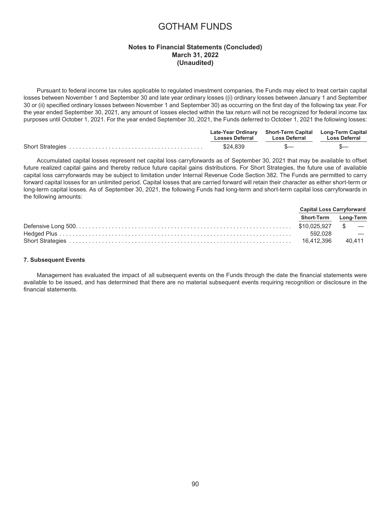## **Notes to Financial Statements (Concluded) March 31, 2022 (Unaudited)**

Pursuant to federal income tax rules applicable to regulated investment companies, the Funds may elect to treat certain capital losses between November 1 and September 30 and late year ordinary losses ((i) ordinary losses between January 1 and September 30 or (ii) specified ordinary losses between November 1 and September 30) as occurring on the first day of the following tax year. For the year ended September 30, 2021, any amount of losses elected within the tax return will not be recognized for federal income tax purposes until October 1, 2021. For the year ended September 30, 2021, the Funds deferred to October 1, 2021 the following losses:

| <b>Losses Deferral</b> | Late-Year Ordinary Short-Term Capital Long-Term Capital<br><b>Loss Deferral</b> | Loss Deferral |
|------------------------|---------------------------------------------------------------------------------|---------------|
| \$24.839               | $S-$                                                                            |               |

Accumulated capital losses represent net capital loss carryforwards as of September 30, 2021 that may be available to offset future realized capital gains and thereby reduce future capital gains distributions. For Short Strategies, the future use of available capital loss carryforwards may be subject to limitation under Internal Revenue Code Section 382. The Funds are permitted to carry forward capital losses for an unlimited period. Capital losses that are carried forward will retain their character as either short-term or long-term capital losses. As of September 30, 2021, the following Funds had long-term and short-term capital loss carryforwards in the following amounts:

|                                     | <b>Capital Loss Carryforward</b> |  |
|-------------------------------------|----------------------------------|--|
|                                     | Short-Term Long-Term             |  |
|                                     |                                  |  |
|                                     |                                  |  |
| 16,412,396 40,411 16,412,396 40,411 |                                  |  |

#### **7. Subsequent Events**

Management has evaluated the impact of all subsequent events on the Funds through the date the financial statements were available to be issued, and has determined that there are no material subsequent events requiring recognition or disclosure in the financial statements.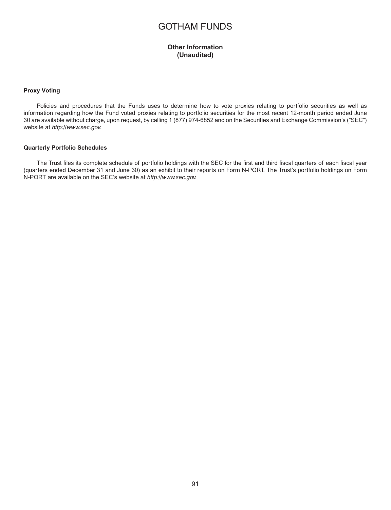## **Other Information (Unaudited)**

#### **Proxy Voting**

Policies and procedures that the Funds uses to determine how to vote proxies relating to portfolio securities as well as information regarding how the Fund voted proxies relating to portfolio securities for the most recent 12-month period ended June 30 are available without charge, upon request, by calling 1 (877) 974-6852 and on the Securities and Exchange Commission's ("SEC") website at *<http://www.sec.gov.>*

#### **Quarterly Portfolio Schedules**

The Trust files its complete schedule of portfolio holdings with the SEC for the first and third fiscal quarters of each fiscal year (quarters ended December 31 and June 30) as an exhibit to their reports on Form N-PORT. The Trust's portfolio holdings on Form N-PORT are available on the SEC's website at *<http://www.sec.gov.>*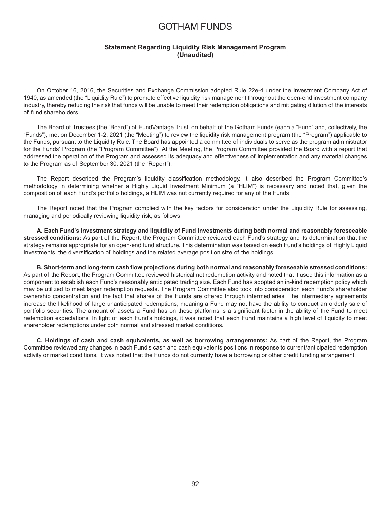### **Statement Regarding Liquidity Risk Management Program (Unaudited)**

On October 16, 2016, the Securities and Exchange Commission adopted Rule 22e-4 under the Investment Company Act of 1940, as amended (the "Liquidity Rule") to promote effective liquidity risk management throughout the open-end investment company industry, thereby reducing the risk that funds will be unable to meet their redemption obligations and mitigating dilution of the interests of fund shareholders.

The Board of Trustees (the "Board") of FundVantage Trust, on behalf of the Gotham Funds (each a "Fund" and, collectively, the "Funds"), met on December 1-2, 2021 (the "Meeting") to review the liquidity risk management program (the "Program") applicable to the Funds, pursuant to the Liquidity Rule. The Board has appointed a committee of individuals to serve as the program administrator for the Funds' Program (the "Program Committee"). At the Meeting, the Program Committee provided the Board with a report that addressed the operation of the Program and assessed its adequacy and effectiveness of implementation and any material changes to the Program as of September 30, 2021 (the "Report").

The Report described the Program's liquidity classification methodology. It also described the Program Committee's methodology in determining whether a Highly Liquid Investment Minimum (a "HLIM") is necessary and noted that, given the composition of each Fund's portfolio holdings, a HLIM was not currently required for any of the Funds.

The Report noted that the Program complied with the key factors for consideration under the Liquidity Rule for assessing, managing and periodically reviewing liquidity risk, as follows:

**A. Each Fund's investment strategy and liquidity of Fund investments during both normal and reasonably foreseeable stressed conditions:** As part of the Report, the Program Committee reviewed each Fund's strategy and its determination that the strategy remains appropriate for an open-end fund structure. This determination was based on each Fund's holdings of Highly Liquid Investments, the diversification of holdings and the related average position size of the holdings.

**B. Short-term and long-term cash flow projections during both normal and reasonably foreseeable stressed conditions:** As part of the Report, the Program Committee reviewed historical net redemption activity and noted that it used this information as a component to establish each Fund's reasonably anticipated trading size. Each Fund has adopted an in-kind redemption policy which may be utilized to meet larger redemption requests. The Program Committee also took into consideration each Fund's shareholder ownership concentration and the fact that shares of the Funds are offered through intermediaries. The intermediary agreements increase the likelihood of large unanticipated redemptions, meaning a Fund may not have the ability to conduct an orderly sale of portfolio securities. The amount of assets a Fund has on these platforms is a significant factor in the ability of the Fund to meet redemption expectations. In light of each Fund's holdings, it was noted that each Fund maintains a high level of liquidity to meet shareholder redemptions under both normal and stressed market conditions.

**C. Holdings of cash and cash equivalents, as well as borrowing arrangements:** As part of the Report, the Program Committee reviewed any changes in each Fund's cash and cash equivalents positions in response to current/anticipated redemption activity or market conditions. It was noted that the Funds do not currently have a borrowing or other credit funding arrangement.